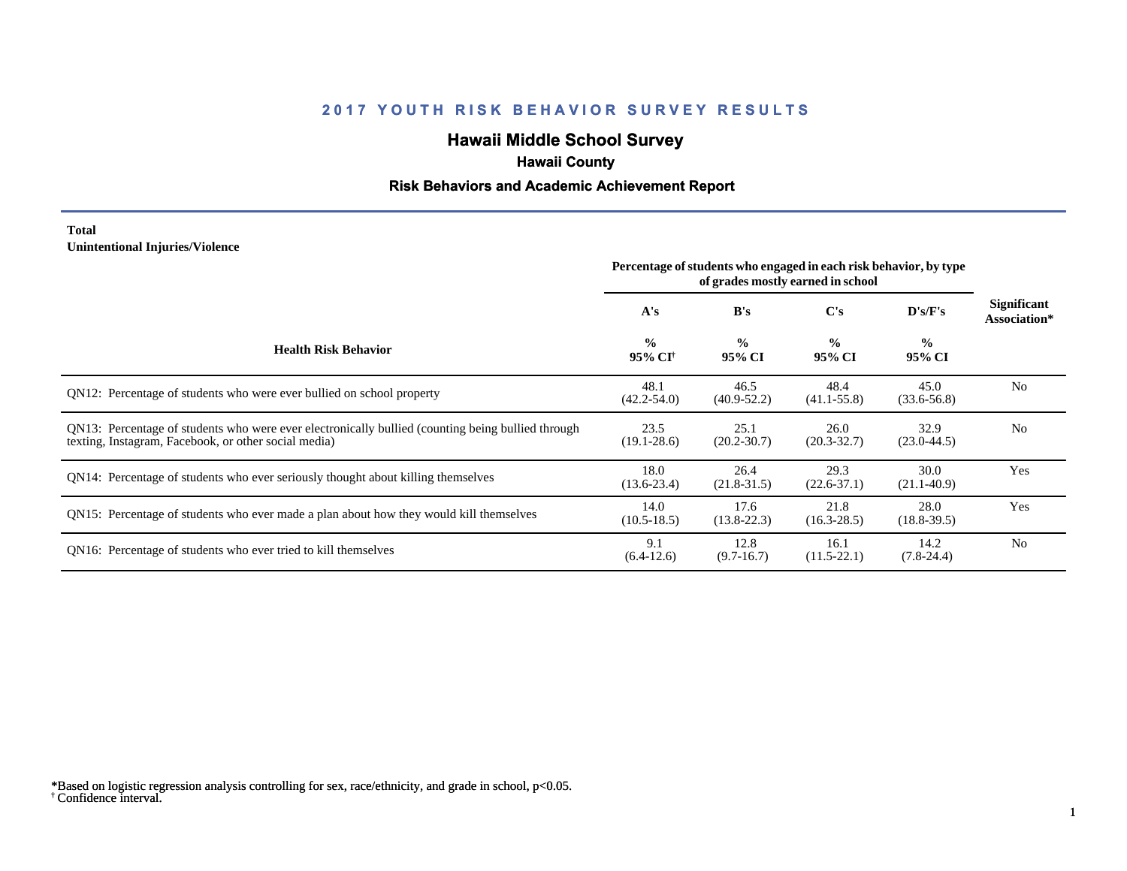# **Hawaii Middle School Survey**

## **Hawaii County**

#### **Risk Behaviors and Academic Achievement Report**

#### **Total Unintentional Injuries/Violence**

|                                                                                                                                                           | Percentage of students who engaged in each risk behavior, by type |                         |                         |                         |                                    |
|-----------------------------------------------------------------------------------------------------------------------------------------------------------|-------------------------------------------------------------------|-------------------------|-------------------------|-------------------------|------------------------------------|
|                                                                                                                                                           | A's                                                               | B's                     | $\bf C's$               | D's/F's                 | <b>Significant</b><br>Association* |
| <b>Health Risk Behavior</b>                                                                                                                               | $\frac{0}{0}$<br>95% CI <sup>+</sup>                              | $\frac{0}{0}$<br>95% CI | $\frac{0}{0}$<br>95% CI | $\frac{0}{0}$<br>95% CI |                                    |
| QN12: Percentage of students who were ever bullied on school property                                                                                     | 48.1<br>$(42.2 - 54.0)$                                           | 46.5<br>$(40.9 - 52.2)$ | 48.4<br>$(41.1 - 55.8)$ | 45.0<br>$(33.6 - 56.8)$ | N <sub>0</sub>                     |
| QN13: Percentage of students who were ever electronically bullied (counting being bullied through<br>texting, Instagram, Facebook, or other social media) | 23.5<br>$(19.1 - 28.6)$                                           | 25.1<br>$(20.2 - 30.7)$ | 26.0<br>$(20.3 - 32.7)$ | 32.9<br>$(23.0 - 44.5)$ | N <sub>o</sub>                     |
| QN14: Percentage of students who ever seriously thought about killing themselves                                                                          | 18.0<br>$(13.6 - 23.4)$                                           | 26.4<br>$(21.8-31.5)$   | 29.3<br>$(22.6 - 37.1)$ | 30.0<br>$(21.1 - 40.9)$ | Yes                                |
| QN15: Percentage of students who ever made a plan about how they would kill themselves                                                                    | 14.0<br>$(10.5 - 18.5)$                                           | 17.6<br>$(13.8-22.3)$   | 21.8<br>$(16.3 - 28.5)$ | 28.0<br>$(18.8 - 39.5)$ | Yes                                |
| QN16: Percentage of students who ever tried to kill themselves                                                                                            | 9.1<br>$(6.4-12.6)$                                               | 12.8<br>$(9.7-16.7)$    | 16.1<br>$(11.5 - 22.1)$ | 14.2<br>$(7.8-24.4)$    | N <sub>o</sub>                     |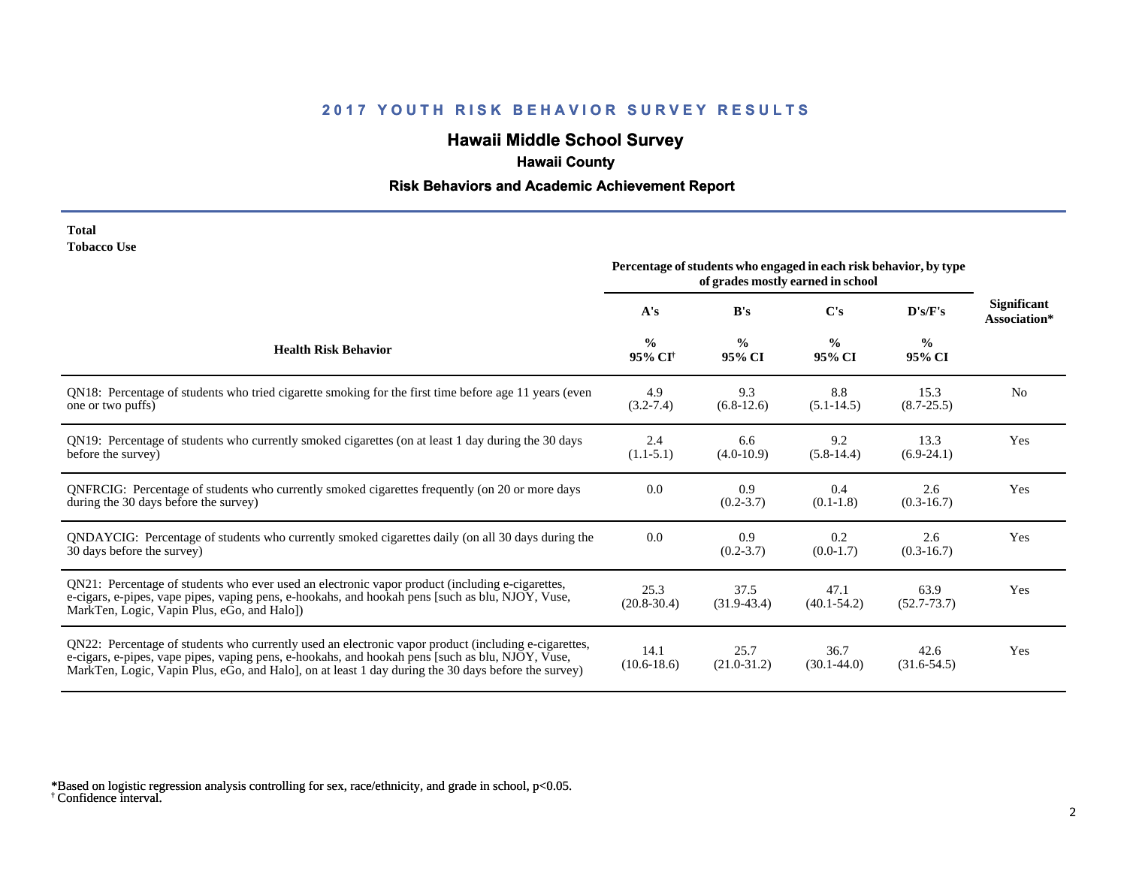# **Hawaii Middle School Survey**

## **Hawaii County**

#### **Risk Behaviors and Academic Achievement Report**

| Total       |  |
|-------------|--|
| Tobacco Use |  |

|                                                                                                                                                                                                                                                                                                                 |                                      | Percentage of students who engaged in each risk behavior, by type | of grades mostly earned in school |                         |                                    |  |
|-----------------------------------------------------------------------------------------------------------------------------------------------------------------------------------------------------------------------------------------------------------------------------------------------------------------|--------------------------------------|-------------------------------------------------------------------|-----------------------------------|-------------------------|------------------------------------|--|
|                                                                                                                                                                                                                                                                                                                 | A's                                  | B's                                                               | C's                               | D's/F's                 | <b>Significant</b><br>Association* |  |
| <b>Health Risk Behavior</b>                                                                                                                                                                                                                                                                                     | $\frac{0}{0}$<br>95% CI <sup>+</sup> | $\frac{0}{0}$<br>95% CI                                           | $\frac{0}{0}$<br>95% CI           | $\frac{0}{0}$<br>95% CI |                                    |  |
| QN18: Percentage of students who tried cigarette smoking for the first time before age 11 years (even<br>one or two puffs)                                                                                                                                                                                      | 4.9<br>$(3.2 - 7.4)$                 | 9.3<br>$(6.8-12.6)$                                               | 8.8<br>$(5.1 - 14.5)$             | 15.3<br>$(8.7 - 25.5)$  | N <sub>0</sub>                     |  |
| QN19: Percentage of students who currently smoked cigarettes (on at least 1 day during the 30 days<br>before the survey)                                                                                                                                                                                        | 2.4<br>$(1.1-5.1)$                   | 6.6<br>$(4.0-10.9)$                                               | 9.2<br>$(5.8-14.4)$               | 13.3<br>$(6.9-24.1)$    | Yes                                |  |
| QNFRCIG: Percentage of students who currently smoked cigarettes frequently (on 20 or more days<br>during the 30 days before the survey)                                                                                                                                                                         | 0.0                                  | 0.9<br>$(0.2 - 3.7)$                                              | 0.4<br>$(0.1-1.8)$                | 2.6<br>$(0.3-16.7)$     | Yes                                |  |
| QNDAYCIG: Percentage of students who currently smoked cigarettes daily (on all 30 days during the<br>30 days before the survey)                                                                                                                                                                                 | 0.0                                  | 0.9<br>$(0.2 - 3.7)$                                              | 0.2<br>$(0.0-1.7)$                | 2.6<br>$(0.3-16.7)$     | Yes                                |  |
| QN21: Percentage of students who ever used an electronic vapor product (including e-cigarettes,<br>e-cigars, e-pipes, vape pipes, vaping pens, e-hookahs, and hookah pens [such as blu, NJOY, Vuse,<br>MarkTen, Logic, Vapin Plus, eGo, and Halo])                                                              | 25.3<br>$(20.8 - 30.4)$              | 37.5<br>$(31.9-43.4)$                                             | 47.1<br>$(40.1 - 54.2)$           | 63.9<br>$(52.7 - 73.7)$ | Yes                                |  |
| QN22: Percentage of students who currently used an electronic vapor product (including e-cigarettes,<br>e-cigars, e-pipes, vape pipes, vaping pens, e-hookahs, and hookah pens [such as blu, NJOY, Vuse,<br>MarkTen, Logic, Vapin Plus, eGo, and Halo], on at least 1 day during the 30 days before the survey) | 14.1<br>$(10.6 - 18.6)$              | 25.7<br>$(21.0 - 31.2)$                                           | 36.7<br>$(30.1 - 44.0)$           | 42.6<br>$(31.6 - 54.5)$ | Yes                                |  |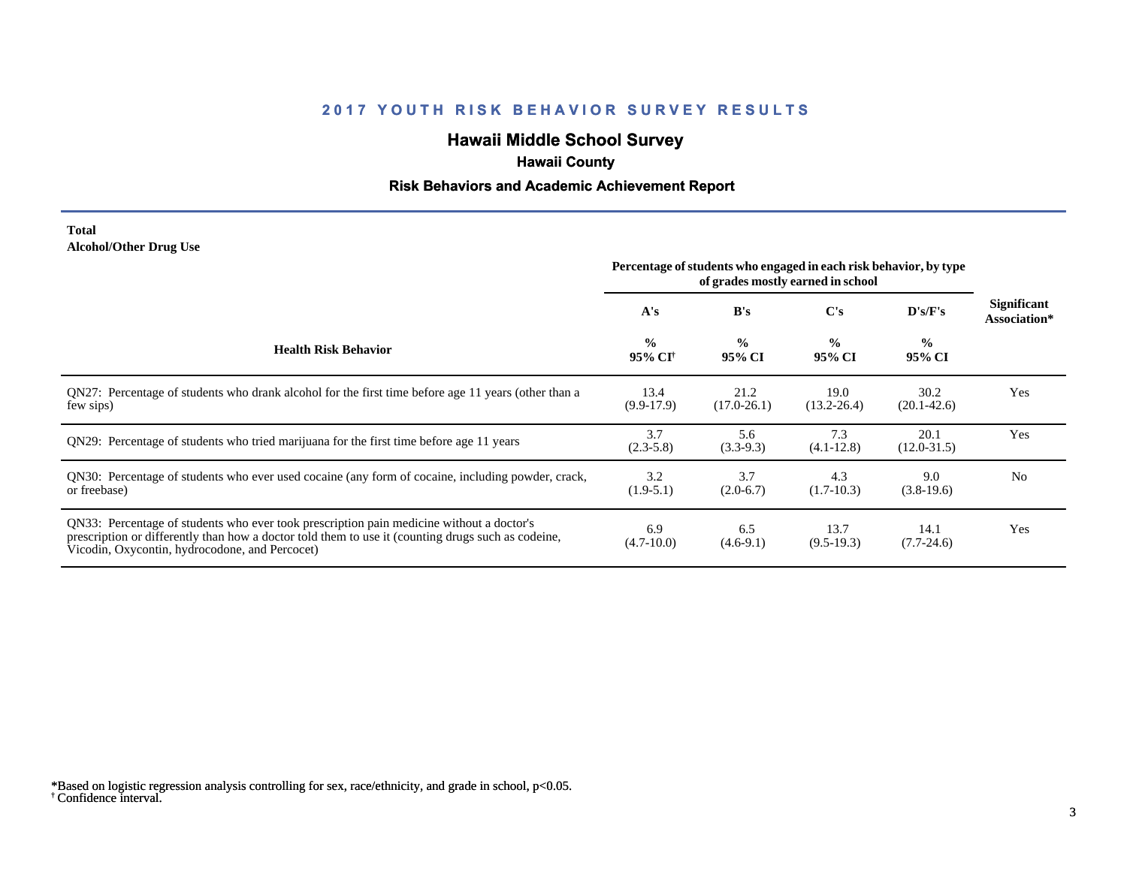# **Hawaii Middle School Survey**

## **Hawaii County**

#### **Risk Behaviors and Academic Achievement Report**

#### **Total Alcohol/Other Drug Use**

|                                                                                                                                                                                                                                                  | Percentage of students who engaged in each risk behavior, by type<br>of grades mostly earned in school |                         |                         |                         |                             |
|--------------------------------------------------------------------------------------------------------------------------------------------------------------------------------------------------------------------------------------------------|--------------------------------------------------------------------------------------------------------|-------------------------|-------------------------|-------------------------|-----------------------------|
|                                                                                                                                                                                                                                                  | A's                                                                                                    | B's                     | C's                     | D's/F's                 | Significant<br>Association* |
| <b>Health Risk Behavior</b>                                                                                                                                                                                                                      | $\frac{0}{0}$<br>95% CI†                                                                               | $\frac{0}{0}$<br>95% CI | $\frac{0}{0}$<br>95% CI | $\frac{0}{0}$<br>95% CI |                             |
| QN27: Percentage of students who drank alcohol for the first time before age 11 years (other than a<br>few sips)                                                                                                                                 | 13.4<br>$(9.9-17.9)$                                                                                   | 21.2<br>$(17.0 - 26.1)$ | 19.0<br>$(13.2 - 26.4)$ | 30.2<br>$(20.1 - 42.6)$ | Yes                         |
| QN29: Percentage of students who tried marijuana for the first time before age 11 years                                                                                                                                                          | 3.7<br>$(2.3-5.8)$                                                                                     | 5.6<br>$(3.3-9.3)$      | 7.3<br>$(4.1 - 12.8)$   | 20.1<br>$(12.0 - 31.5)$ | Yes                         |
| QN30: Percentage of students who ever used cocaine (any form of cocaine, including powder, crack,<br>or freebase)                                                                                                                                | 3.2<br>$(1.9-5.1)$                                                                                     | 3.7<br>$(2.0-6.7)$      | 4.3<br>$(1.7-10.3)$     | 9.0<br>$(3.8-19.6)$     | N <sub>0</sub>              |
| QN33: Percentage of students who ever took prescription pain medicine without a doctor's<br>prescription or differently than how a doctor told them to use it (counting drugs such as codeine,<br>Vicodin, Oxycontin, hydrocodone, and Percocet) | 6.9<br>$(4.7-10.0)$                                                                                    | 6.5<br>$(4.6-9.1)$      | 13.7<br>$(9.5-19.3)$    | 14.1<br>$(7.7-24.6)$    | Yes                         |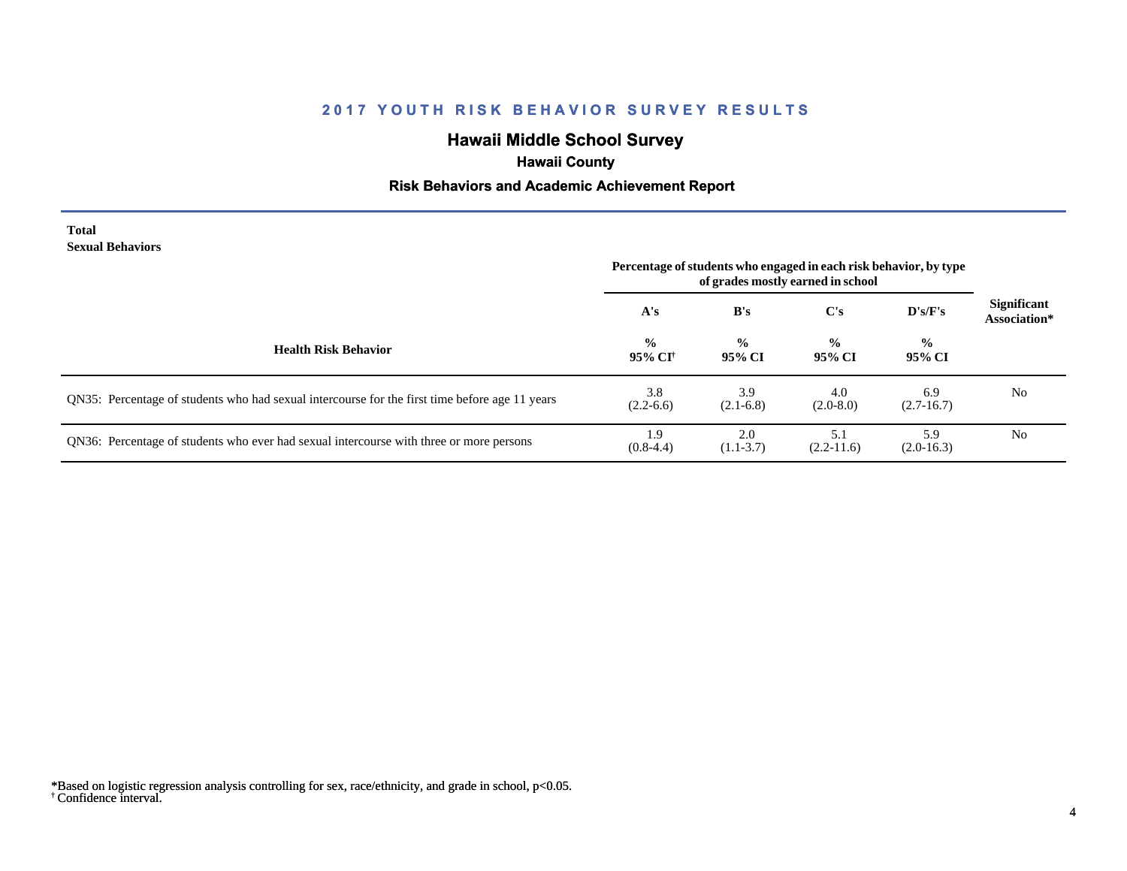# **Hawaii Middle School Survey**

## **Hawaii County**

#### **Risk Behaviors and Academic Achievement Report**

#### **Total Sexual Behaviors**

|                                                                                                | Percentage of students who engaged in each risk behavior, by type<br>of grades mostly earned in school |                         |                         |                         |                                    |
|------------------------------------------------------------------------------------------------|--------------------------------------------------------------------------------------------------------|-------------------------|-------------------------|-------------------------|------------------------------------|
|                                                                                                | A's                                                                                                    | B's                     | C's                     | D's/F's                 | <b>Significant</b><br>Association* |
| <b>Health Risk Behavior</b>                                                                    | $\frac{0}{0}$<br>95% CI†                                                                               | $\frac{0}{0}$<br>95% CI | $\frac{6}{6}$<br>95% CI | $\frac{6}{6}$<br>95% CI |                                    |
| QN35: Percentage of students who had sexual intercourse for the first time before age 11 years | 3.8<br>$(2.2-6.6)$                                                                                     | 3.9<br>$(2.1-6.8)$      | 4.0<br>$(2.0-8.0)$      | 6.9<br>$(2.7-16.7)$     | N <sub>0</sub>                     |
| QN36: Percentage of students who ever had sexual intercourse with three or more persons        | 1.9<br>$(0.8-4.4)$                                                                                     | 2.0<br>$(1.1-3.7)$      | 5.1<br>$(2.2-11.6)$     | 5.9<br>$(2.0-16.3)$     | N <sub>0</sub>                     |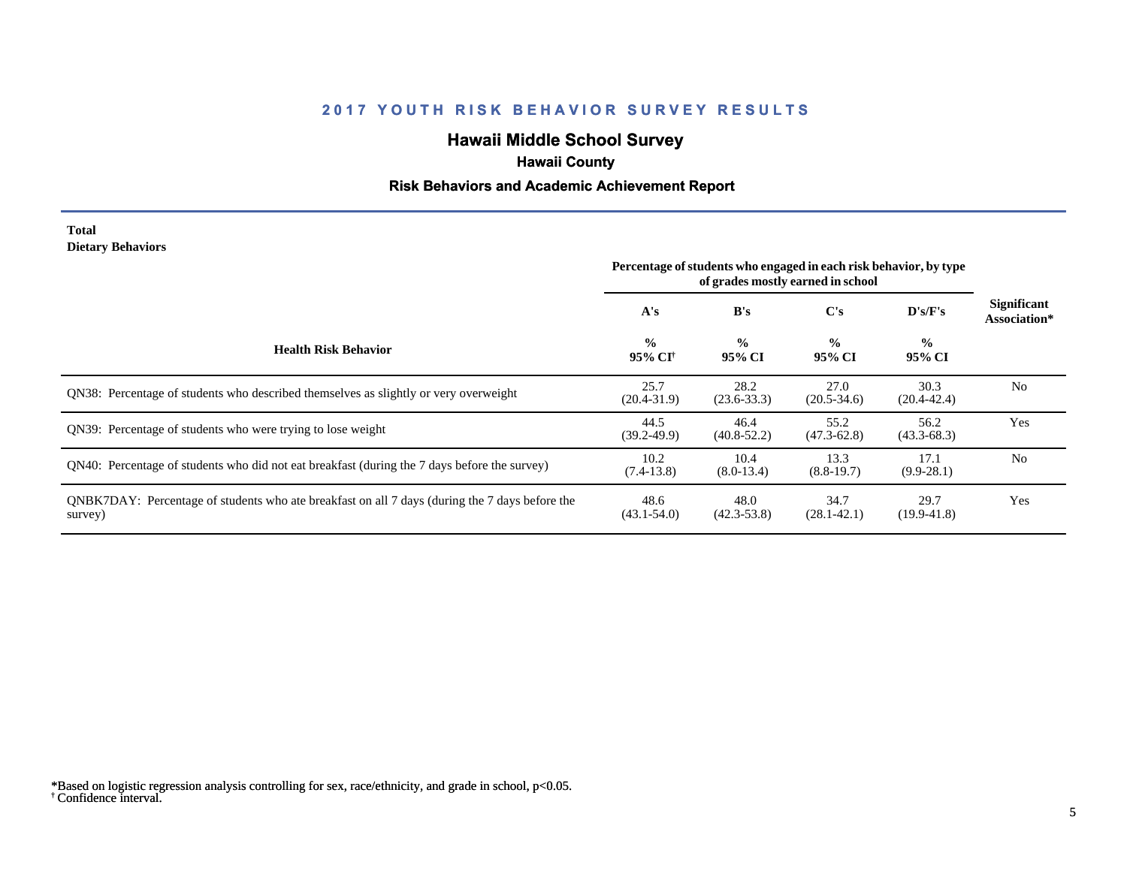# **Hawaii Middle School Survey**

## **Hawaii County**

#### **Risk Behaviors and Academic Achievement Report**

#### **Total Dietary Behaviors**

|                                                                                                           | Percentage of students who engaged in each risk behavior, by type |                         |                         |                          |                                    |
|-----------------------------------------------------------------------------------------------------------|-------------------------------------------------------------------|-------------------------|-------------------------|--------------------------|------------------------------------|
|                                                                                                           | A's                                                               | B's                     | C's                     | $\bf{D's/F's}$           | <b>Significant</b><br>Association* |
| <b>Health Risk Behavior</b>                                                                               | $\frac{0}{0}$<br>95% CI <sup>†</sup>                              | $\frac{0}{0}$<br>95% CI | $\frac{0}{0}$<br>95% CI | $\frac{6}{10}$<br>95% CI |                                    |
| ON38: Percentage of students who described themselves as slightly or very overweight                      | 25.7<br>$(20.4 - 31.9)$                                           | 28.2<br>$(23.6 - 33.3)$ | 27.0<br>$(20.5 - 34.6)$ | 30.3<br>$(20.4 - 42.4)$  | N <sub>0</sub>                     |
| ON39: Percentage of students who were trying to lose weight                                               | 44.5<br>$(39.2 - 49.9)$                                           | 46.4<br>$(40.8 - 52.2)$ | 55.2<br>$(47.3 - 62.8)$ | 56.2<br>$(43.3 - 68.3)$  | Yes                                |
| QN40: Percentage of students who did not eat breakfast (during the 7 days before the survey)              | 10.2<br>$(7.4-13.8)$                                              | 10.4<br>$(8.0-13.4)$    | 13.3<br>$(8.8-19.7)$    | 17.1<br>$(9.9-28.1)$     | N <sub>0</sub>                     |
| QNBK7DAY: Percentage of students who ate breakfast on all 7 days (during the 7 days before the<br>survey) | 48.6<br>$(43.1 - 54.0)$                                           | 48.0<br>$(42.3 - 53.8)$ | 34.7<br>$(28.1 - 42.1)$ | 29.7<br>$(19.9 - 41.8)$  | Yes                                |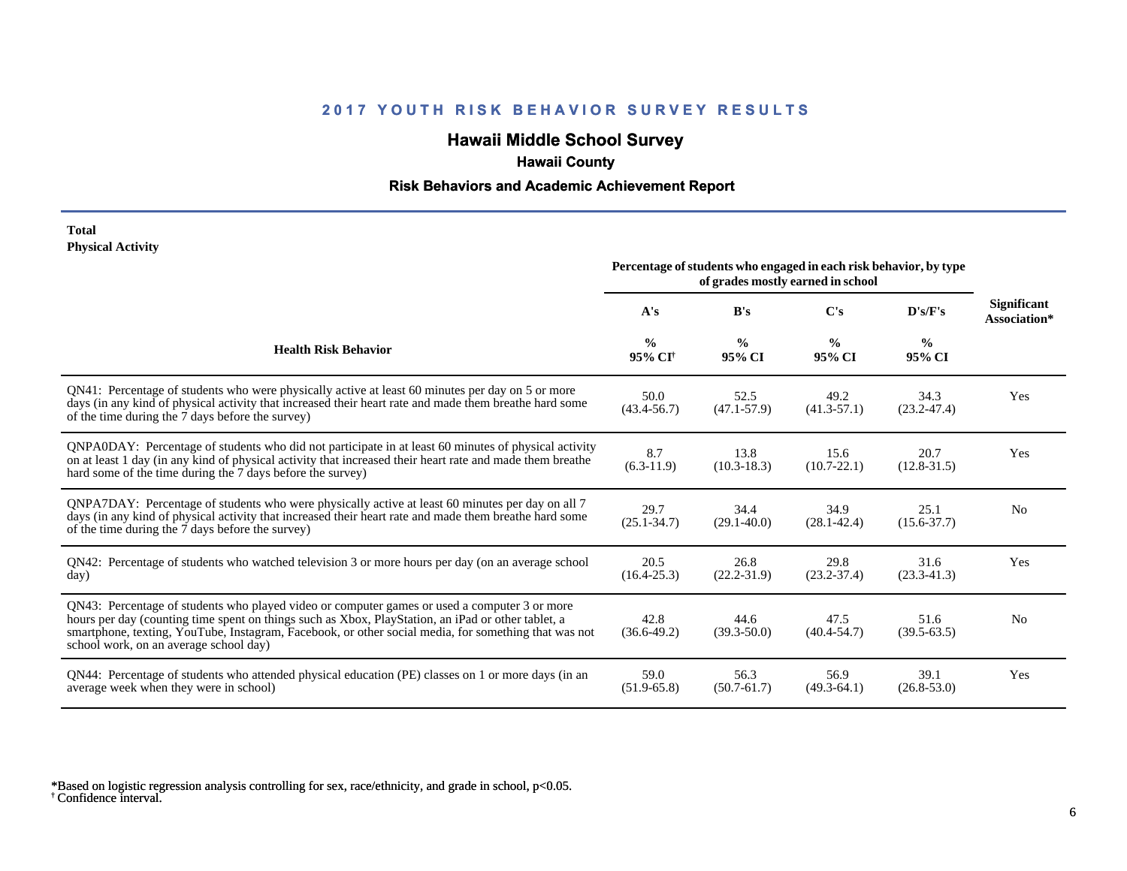# **Hawaii Middle School Survey**

## **Hawaii County**

#### **Risk Behaviors and Academic Achievement Report**

#### **Total Physical Activity**

|                                                                                                                                                                                                                                                                                                                                                      | Percentage of students who engaged in each risk behavior, by type<br>of grades mostly earned in school |                         |                         |                         |                                    |  |
|------------------------------------------------------------------------------------------------------------------------------------------------------------------------------------------------------------------------------------------------------------------------------------------------------------------------------------------------------|--------------------------------------------------------------------------------------------------------|-------------------------|-------------------------|-------------------------|------------------------------------|--|
|                                                                                                                                                                                                                                                                                                                                                      | A's                                                                                                    | B's                     | C's                     | D's/F's                 | <b>Significant</b><br>Association* |  |
| <b>Health Risk Behavior</b>                                                                                                                                                                                                                                                                                                                          | $\frac{0}{0}$<br>95% CI <sup>+</sup>                                                                   | $\frac{0}{0}$<br>95% CI | $\frac{0}{0}$<br>95% CI | $\frac{0}{0}$<br>95% CI |                                    |  |
| QN41: Percentage of students who were physically active at least 60 minutes per day on 5 or more<br>days (in any kind of physical activity that increased their heart rate and made them breathe hard some<br>of the time during the 7 days before the survey)                                                                                       | 50.0<br>$(43.4 - 56.7)$                                                                                | 52.5<br>$(47.1 - 57.9)$ | 49.2<br>$(41.3-57.1)$   | 34.3<br>$(23.2 - 47.4)$ | Yes                                |  |
| QNPA0DAY: Percentage of students who did not participate in at least 60 minutes of physical activity<br>on at least 1 day (in any kind of physical activity that increased their heart rate and made them breathe<br>hard some of the time during the 7 days before the survey)                                                                      | 8.7<br>$(6.3-11.9)$                                                                                    | 13.8<br>$(10.3 - 18.3)$ | 15.6<br>$(10.7 - 22.1)$ | 20.7<br>$(12.8 - 31.5)$ | Yes                                |  |
| ONPA7DAY: Percentage of students who were physically active at least 60 minutes per day on all 7<br>days (in any kind of physical activity that increased their heart rate and made them breathe hard some<br>of the time during the 7 days before the survey)                                                                                       | 29.7<br>$(25.1 - 34.7)$                                                                                | 34.4<br>$(29.1 - 40.0)$ | 34.9<br>$(28.1 - 42.4)$ | 25.1<br>$(15.6 - 37.7)$ | N <sub>0</sub>                     |  |
| QN42: Percentage of students who watched television 3 or more hours per day (on an average school<br>day)                                                                                                                                                                                                                                            | 20.5<br>$(16.4 - 25.3)$                                                                                | 26.8<br>$(22.2 - 31.9)$ | 29.8<br>$(23.2 - 37.4)$ | 31.6<br>$(23.3-41.3)$   | Yes                                |  |
| QN43: Percentage of students who played video or computer games or used a computer 3 or more<br>hours per day (counting time spent on things such as Xbox, PlayStation, an iPad or other tablet, a<br>smartphone, texting, YouTube, Instagram, Facebook, or other social media, for something that was not<br>school work, on an average school day) | 42.8<br>$(36.6-49.2)$                                                                                  | 44.6<br>$(39.3 - 50.0)$ | 47.5<br>$(40.4 - 54.7)$ | 51.6<br>$(39.5-63.5)$   | N <sub>0</sub>                     |  |
| QN44: Percentage of students who attended physical education (PE) classes on 1 or more days (in an<br>average week when they were in school)                                                                                                                                                                                                         | 59.0<br>$(51.9-65.8)$                                                                                  | 56.3<br>$(50.7 - 61.7)$ | 56.9<br>$(49.3-64.1)$   | 39.1<br>$(26.8 - 53.0)$ | Yes                                |  |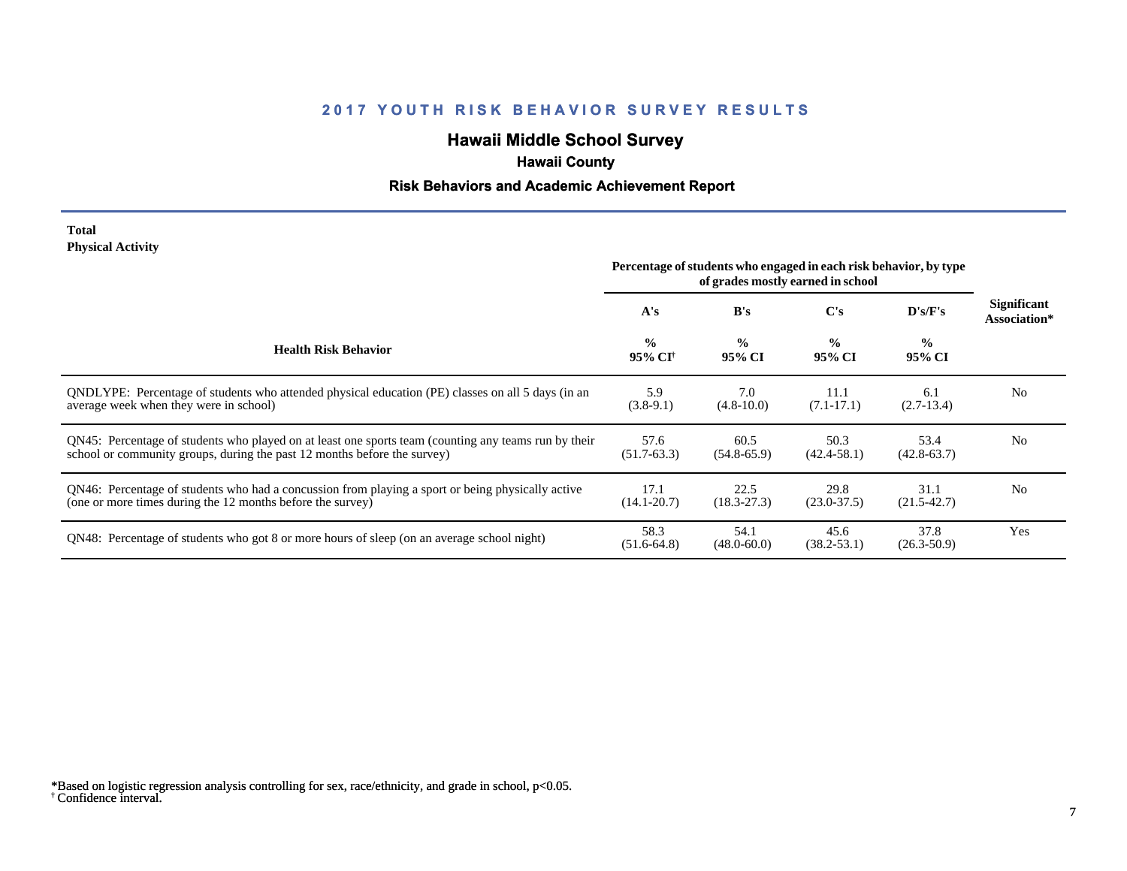# **Hawaii Middle School Survey**

## **Hawaii County**

#### **Risk Behaviors and Academic Achievement Report**

#### **Total Physical Activity**

|                                                                                                                                                                                  |                                      |                         | Percentage of students who engaged in each risk behavior, by type<br>of grades mostly earned in school |                          |                                    |  |
|----------------------------------------------------------------------------------------------------------------------------------------------------------------------------------|--------------------------------------|-------------------------|--------------------------------------------------------------------------------------------------------|--------------------------|------------------------------------|--|
|                                                                                                                                                                                  | A's                                  | B's                     | C's                                                                                                    | D's/F's                  | <b>Significant</b><br>Association* |  |
| <b>Health Risk Behavior</b>                                                                                                                                                      | $\frac{0}{0}$<br>95% CI <sup>†</sup> | $\frac{0}{0}$<br>95% CI | $\frac{0}{0}$<br>95% CI                                                                                | $\frac{6}{10}$<br>95% CI |                                    |  |
| ONDLYPE: Percentage of students who attended physical education (PE) classes on all 5 days (in an<br>average week when they were in school)                                      | 5.9<br>$(3.8-9.1)$                   | 7.0<br>$(4.8 - 10.0)$   | 11.1<br>$(7.1 - 17.1)$                                                                                 | 6.1<br>$(2.7-13.4)$      | N <sub>0</sub>                     |  |
| QN45: Percentage of students who played on at least one sports team (counting any teams run by their<br>school or community groups, during the past 12 months before the survey) | 57.6<br>$(51.7-63.3)$                | 60.5<br>$(54.8-65.9)$   | 50.3<br>$(42.4 - 58.1)$                                                                                | 53.4<br>$(42.8 - 63.7)$  | N <sub>0</sub>                     |  |
| QN46: Percentage of students who had a concussion from playing a sport or being physically active<br>(one or more times during the 12 months before the survey)                  | 17.1<br>$(14.1 - 20.7)$              | 22.5<br>$(18.3 - 27.3)$ | 29.8<br>$(23.0 - 37.5)$                                                                                | 31.1<br>$(21.5 - 42.7)$  | N <sub>0</sub>                     |  |
| QN48: Percentage of students who got 8 or more hours of sleep (on an average school night)                                                                                       | 58.3<br>$(51.6-64.8)$                | 54.1<br>$(48.0 - 60.0)$ | 45.6<br>$(38.2 - 53.1)$                                                                                | 37.8<br>$(26.3 - 50.9)$  | Yes                                |  |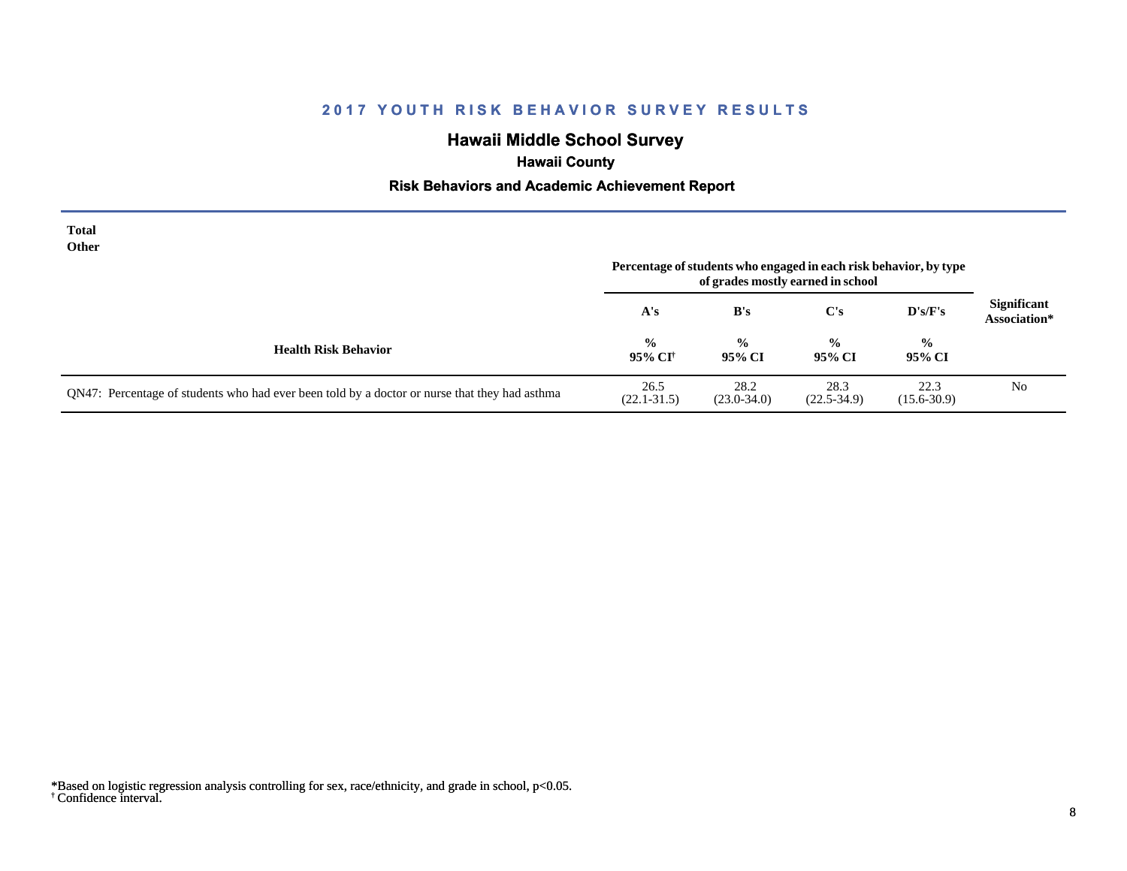# **Hawaii Middle School Survey**

## **Hawaii County**

#### **Risk Behaviors and Academic Achievement Report**

| <b>Total</b><br><b>Other</b>                                                                  |                          |                         | Percentage of students who engaged in each risk behavior, by type<br>of grades mostly earned in school |                         |                                    |
|-----------------------------------------------------------------------------------------------|--------------------------|-------------------------|--------------------------------------------------------------------------------------------------------|-------------------------|------------------------------------|
|                                                                                               | A's                      | B's                     | $\bf C's$                                                                                              | D's/F's                 | <b>Significant</b><br>Association* |
| <b>Health Risk Behavior</b>                                                                   | $\frac{0}{0}$<br>95% CI† | $\frac{0}{0}$<br>95% CI | $\frac{0}{0}$<br>95% CI                                                                                | $\frac{0}{0}$<br>95% CI |                                    |
| QN47: Percentage of students who had ever been told by a doctor or nurse that they had asthma | 26.5<br>$(22.1 - 31.5)$  | 28.2<br>$(23.0 - 34.0)$ | 28.3<br>$(22.5 - 34.9)$                                                                                | 22.3<br>$(15.6 - 30.9)$ | N <sub>0</sub>                     |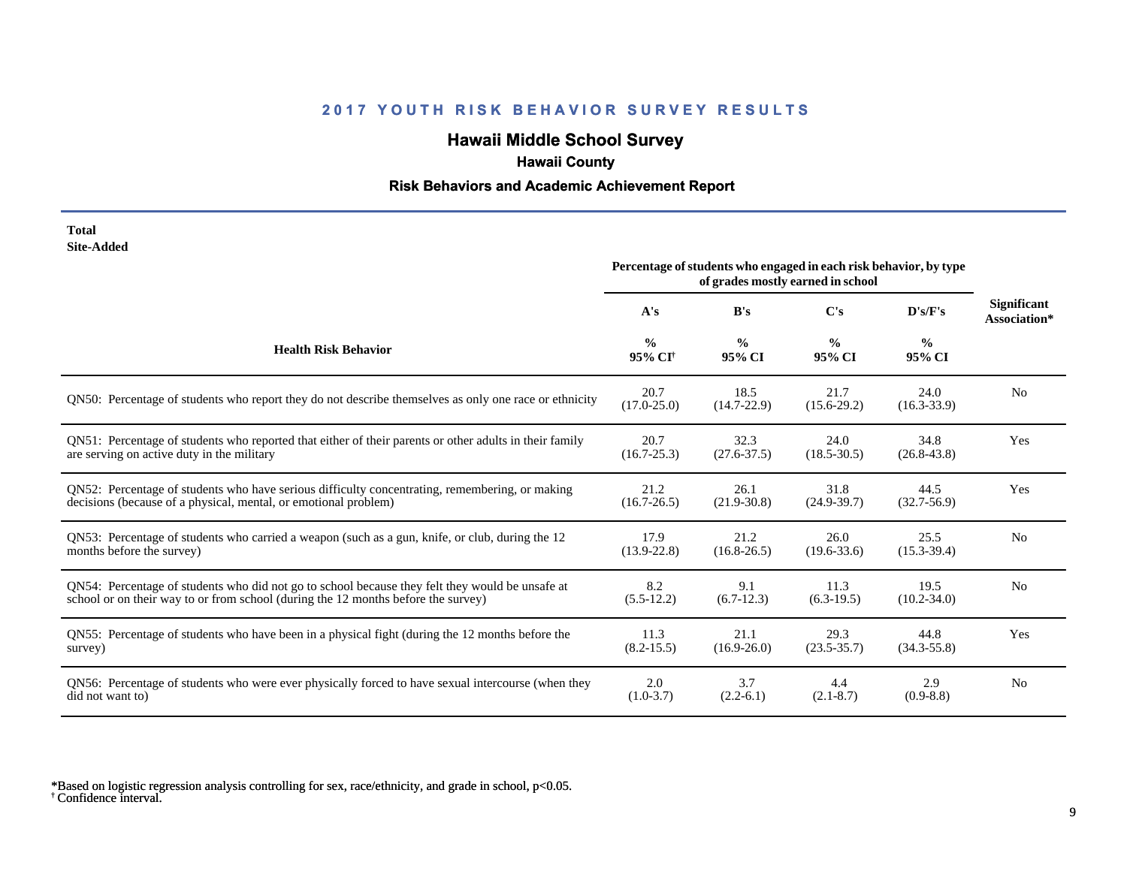# **Hawaii Middle School Survey**

## **Hawaii County**

#### **Risk Behaviors and Academic Achievement Report**

| Total      |
|------------|
| Site-Added |

|                                                                                                        | Percentage of students who engaged in each risk behavior, by type<br>of grades mostly earned in school |                         |                         |                         |                                    |
|--------------------------------------------------------------------------------------------------------|--------------------------------------------------------------------------------------------------------|-------------------------|-------------------------|-------------------------|------------------------------------|
|                                                                                                        | A's                                                                                                    | B's                     | C's                     | D's/F's                 | <b>Significant</b><br>Association* |
| <b>Health Risk Behavior</b>                                                                            | $\frac{0}{0}$<br>95% CI <sup>+</sup>                                                                   | $\frac{0}{0}$<br>95% CI | $\frac{0}{0}$<br>95% CI | $\frac{0}{0}$<br>95% CI |                                    |
| QN50: Percentage of students who report they do not describe themselves as only one race or ethnicity  | 20.7<br>$(17.0 - 25.0)$                                                                                | 18.5<br>$(14.7 - 22.9)$ | 21.7<br>$(15.6 - 29.2)$ | 24.0<br>$(16.3 - 33.9)$ | N <sub>0</sub>                     |
| QN51: Percentage of students who reported that either of their parents or other adults in their family | 20.7                                                                                                   | 32.3                    | 24.0                    | 34.8                    | Yes                                |
| are serving on active duty in the military                                                             | $(16.7 - 25.3)$                                                                                        | $(27.6 - 37.5)$         | $(18.5 - 30.5)$         | $(26.8 - 43.8)$         |                                    |
| QN52: Percentage of students who have serious difficulty concentrating, remembering, or making         | 21.2                                                                                                   | 26.1                    | 31.8                    | 44.5                    | Yes                                |
| decisions (because of a physical, mental, or emotional problem)                                        | $(16.7 - 26.5)$                                                                                        | $(21.9 - 30.8)$         | $(24.9 - 39.7)$         | $(32.7 - 56.9)$         |                                    |
| QN53: Percentage of students who carried a weapon (such as a gun, knife, or club, during the 12        | 17.9                                                                                                   | 21.2                    | 26.0                    | 25.5                    | N <sub>0</sub>                     |
| months before the survey)                                                                              | $(13.9 - 22.8)$                                                                                        | $(16.8 - 26.5)$         | $(19.6 - 33.6)$         | $(15.3 - 39.4)$         |                                    |
| QN54: Percentage of students who did not go to school because they felt they would be unsafe at        | 8.2                                                                                                    | 9.1                     | 11.3                    | 19.5                    | N <sub>o</sub>                     |
| school or on their way to or from school (during the 12 months before the survey)                      | $(5.5-12.2)$                                                                                           | $(6.7-12.3)$            | $(6.3-19.5)$            | $(10.2 - 34.0)$         |                                    |
| QN55: Percentage of students who have been in a physical fight (during the 12 months before the        | 11.3                                                                                                   | 21.1                    | 29.3                    | 44.8                    | Yes                                |
| survey)                                                                                                | $(8.2 - 15.5)$                                                                                         | $(16.9 - 26.0)$         | $(23.5 - 35.7)$         | $(34.3 - 55.8)$         |                                    |
| QN56: Percentage of students who were ever physically forced to have sexual intercourse (when they     | 2.0                                                                                                    | 3.7                     | 4.4                     | 2.9                     | N <sub>0</sub>                     |
| did not want to)                                                                                       | $(1.0-3.7)$                                                                                            | $(2.2-6.1)$             | $(2.1 - 8.7)$           | $(0.9 - 8.8)$           |                                    |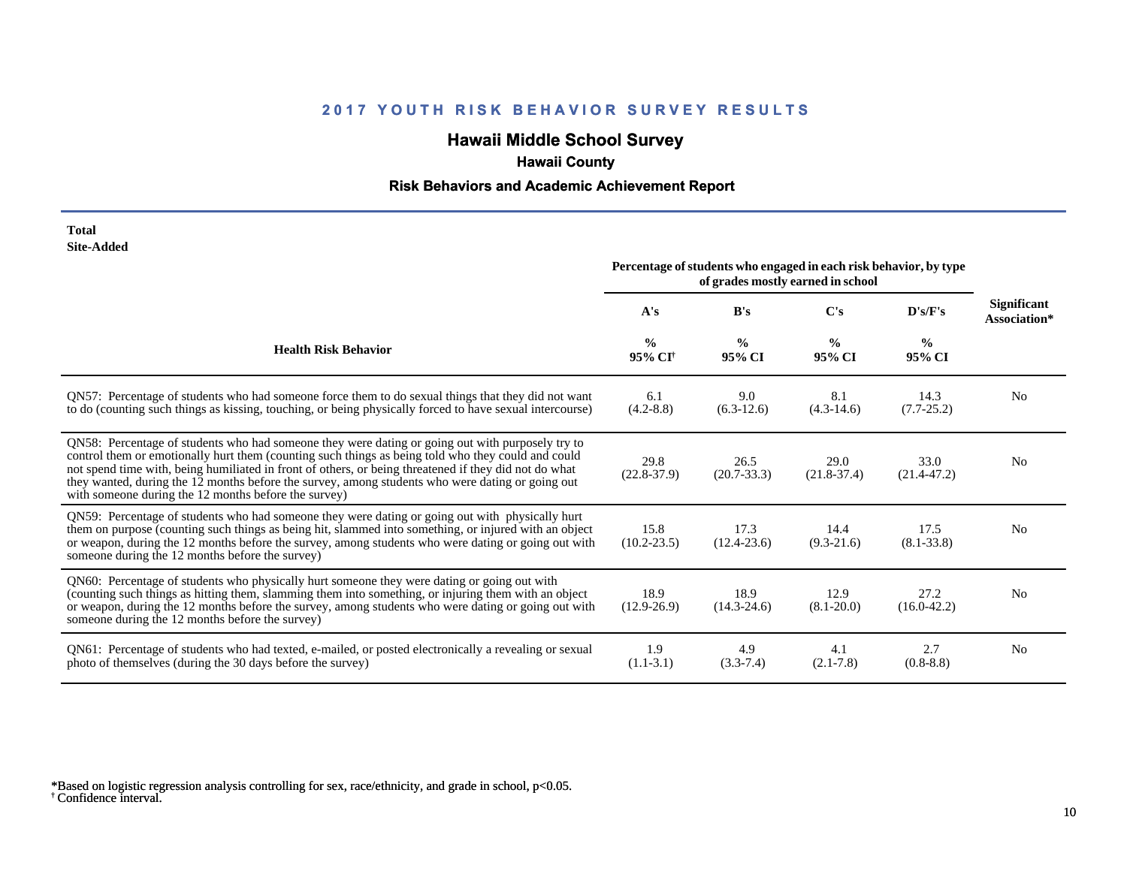# **Hawaii Middle School Survey**

## **Hawaii County**

#### **Risk Behaviors and Academic Achievement Report**

| Total      |
|------------|
| Site-Added |

|                                                                                                                                                                                                                                                                                                                                                                                                                                                                             | Percentage of students who engaged in each risk behavior, by type<br>of grades mostly earned in school |                         |                         |                         |                             |
|-----------------------------------------------------------------------------------------------------------------------------------------------------------------------------------------------------------------------------------------------------------------------------------------------------------------------------------------------------------------------------------------------------------------------------------------------------------------------------|--------------------------------------------------------------------------------------------------------|-------------------------|-------------------------|-------------------------|-----------------------------|
|                                                                                                                                                                                                                                                                                                                                                                                                                                                                             | A's                                                                                                    | B's                     | C's                     | D's/F's                 | Significant<br>Association* |
| <b>Health Risk Behavior</b>                                                                                                                                                                                                                                                                                                                                                                                                                                                 | $\frac{0}{0}$<br>95% CI <sup>+</sup>                                                                   | $\frac{0}{0}$<br>95% CI | $\frac{6}{9}$<br>95% CI | $\frac{6}{6}$<br>95% CI |                             |
| QN57: Percentage of students who had someone force them to do sexual things that they did not want<br>to do (counting such things as kissing, touching, or being physically forced to have sexual intercourse)                                                                                                                                                                                                                                                              | 6.1<br>$(4.2 - 8.8)$                                                                                   | 9.0<br>$(6.3-12.6)$     | 8.1<br>$(4.3-14.6)$     | 14.3<br>$(7.7-25.2)$    | N <sub>0</sub>              |
| QN58: Percentage of students who had someone they were dating or going out with purposely try to<br>control them or emotionally hurt them (counting such things as being told who they could and could<br>not spend time with, being humiliated in front of others, or being threatened if they did not do what<br>they wanted, during the 12 months before the survey, among students who were dating or going out<br>with someone during the 12 months before the survey) | 29.8<br>$(22.8-37.9)$                                                                                  | 26.5<br>$(20.7 - 33.3)$ | 29.0<br>$(21.8-37.4)$   | 33.0<br>$(21.4 - 47.2)$ | N <sub>0</sub>              |
| QN59: Percentage of students who had someone they were dating or going out with physically hurt<br>them on purpose (counting such things as being hit, slammed into something, or injured with an object<br>or weapon, during the 12 months before the survey, among students who were dating or going out with<br>someone during the 12 months before the survey)                                                                                                          | 15.8<br>$(10.2 - 23.5)$                                                                                | 17.3<br>$(12.4 - 23.6)$ | 14.4<br>$(9.3-21.6)$    | 17.5<br>$(8.1 - 33.8)$  | N <sub>0</sub>              |
| QN60: Percentage of students who physically hurt someone they were dating or going out with<br>(counting such things as hitting them, slamming them into something, or injuring them with an object<br>or weapon, during the 12 months before the survey, among students who were dating or going out with<br>someone during the 12 months before the survey)                                                                                                               | 18.9<br>$(12.9-26.9)$                                                                                  | 18.9<br>$(14.3 - 24.6)$ | 12.9<br>$(8.1 - 20.0)$  | 27.2<br>$(16.0-42.2)$   | N <sub>0</sub>              |
| QN61: Percentage of students who had texted, e-mailed, or posted electronically a revealing or sexual<br>photo of themselves (during the 30 days before the survey)                                                                                                                                                                                                                                                                                                         | 1.9<br>$(1.1-3.1)$                                                                                     | 4.9<br>$(3.3 - 7.4)$    | 4.1<br>$(2.1 - 7.8)$    | 2.7<br>$(0.8-8.8)$      | N <sub>0</sub>              |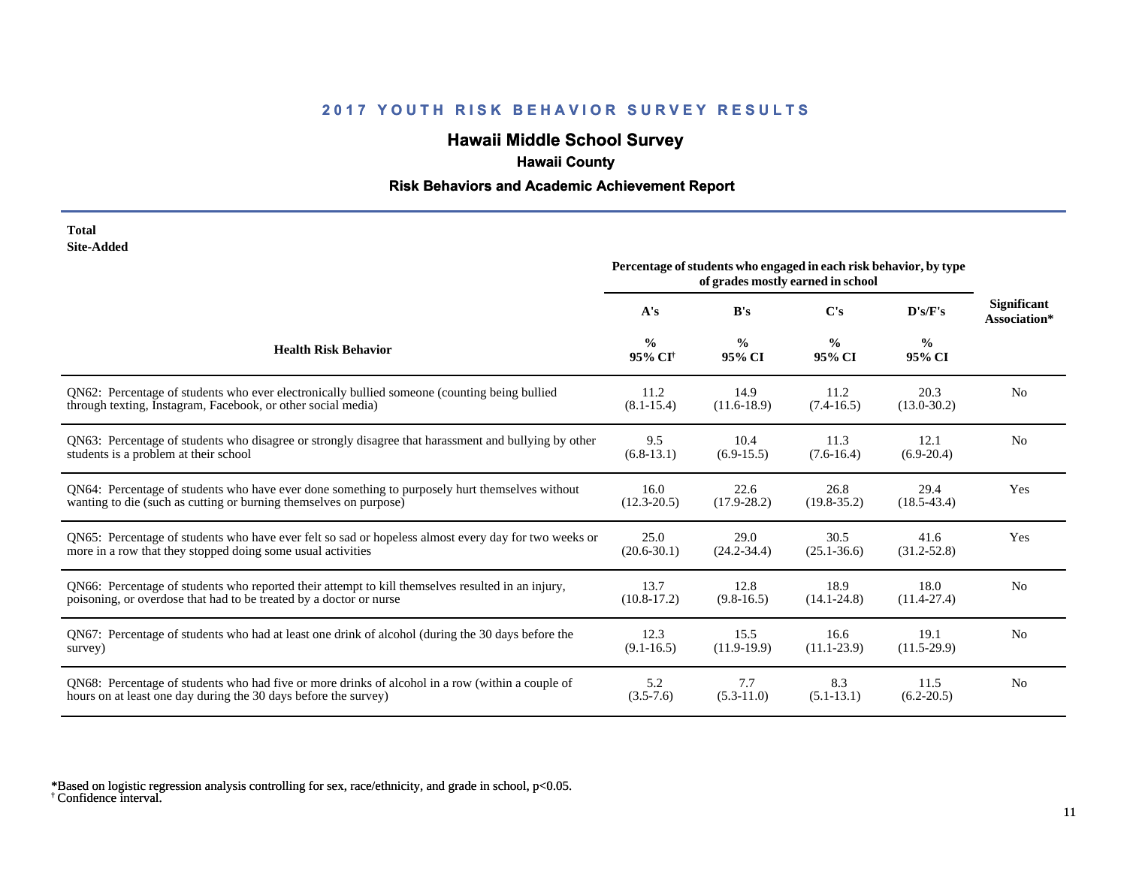# **Hawaii Middle School Survey**

## **Hawaii County**

#### **Risk Behaviors and Academic Achievement Report**

#### **Total Site-Added**

|                                                                                                      | Percentage of students who engaged in each risk behavior, by type<br>of grades mostly earned in school |                         |                         |                         |                                    |
|------------------------------------------------------------------------------------------------------|--------------------------------------------------------------------------------------------------------|-------------------------|-------------------------|-------------------------|------------------------------------|
|                                                                                                      | A's                                                                                                    | B's                     | $\bf C's$               | D's/F's                 | <b>Significant</b><br>Association* |
| <b>Health Risk Behavior</b>                                                                          | $\frac{0}{0}$<br>95% CI <sup>+</sup>                                                                   | $\frac{0}{0}$<br>95% CI | $\frac{0}{0}$<br>95% CI | $\frac{0}{0}$<br>95% CI |                                    |
| QN62: Percentage of students who ever electronically bullied someone (counting being bullied         | 11.2                                                                                                   | 14.9                    | 11.2                    | 20.3                    | N <sub>0</sub>                     |
| through texting, Instagram, Facebook, or other social media)                                         | $(8.1 - 15.4)$                                                                                         | $(11.6-18.9)$           | $(7.4-16.5)$            | $(13.0 - 30.2)$         |                                    |
| QN63: Percentage of students who disagree or strongly disagree that harassment and bullying by other | 9.5                                                                                                    | 10.4                    | 11.3                    | 12.1                    | N <sub>0</sub>                     |
| students is a problem at their school                                                                | $(6.8-13.1)$                                                                                           | $(6.9-15.5)$            | $(7.6-16.4)$            | $(6.9-20.4)$            |                                    |
| QN64: Percentage of students who have ever done something to purposely hurt themselves without       | 16.0                                                                                                   | 22.6                    | 26.8                    | 29.4                    | Yes                                |
| wanting to die (such as cutting or burning themselves on purpose)                                    | $(12.3 - 20.5)$                                                                                        | $(17.9 - 28.2)$         | $(19.8 - 35.2)$         | $(18.5 - 43.4)$         |                                    |
| QN65: Percentage of students who have ever felt so sad or hopeless almost every day for two weeks or | 25.0                                                                                                   | 29.0                    | 30.5                    | 41.6                    | Yes                                |
| more in a row that they stopped doing some usual activities                                          | $(20.6 - 30.1)$                                                                                        | $(24.2 - 34.4)$         | $(25.1 - 36.6)$         | $(31.2 - 52.8)$         |                                    |
| QN66: Percentage of students who reported their attempt to kill themselves resulted in an injury,    | 13.7                                                                                                   | 12.8                    | 18.9                    | 18.0                    | N <sub>0</sub>                     |
| poisoning, or overdose that had to be treated by a doctor or nurse                                   | $(10.8-17.2)$                                                                                          | $(9.8-16.5)$            | $(14.1 - 24.8)$         | $(11.4 - 27.4)$         |                                    |
| QN67: Percentage of students who had at least one drink of alcohol (during the 30 days before the    | 12.3                                                                                                   | 15.5                    | 16.6                    | 19.1                    | N <sub>0</sub>                     |
| survey)                                                                                              | $(9.1 - 16.5)$                                                                                         | $(11.9-19.9)$           | $(11.1 - 23.9)$         | $(11.5-29.9)$           |                                    |
| QN68: Percentage of students who had five or more drinks of alcohol in a row (within a couple of     | 5.2                                                                                                    | 7.7                     | 8.3                     | 11.5                    | N <sub>0</sub>                     |
| hours on at least one day during the 30 days before the survey)                                      | $(3.5 - 7.6)$                                                                                          | $(5.3-11.0)$            | $(5.1-13.1)$            | $(6.2 - 20.5)$          |                                    |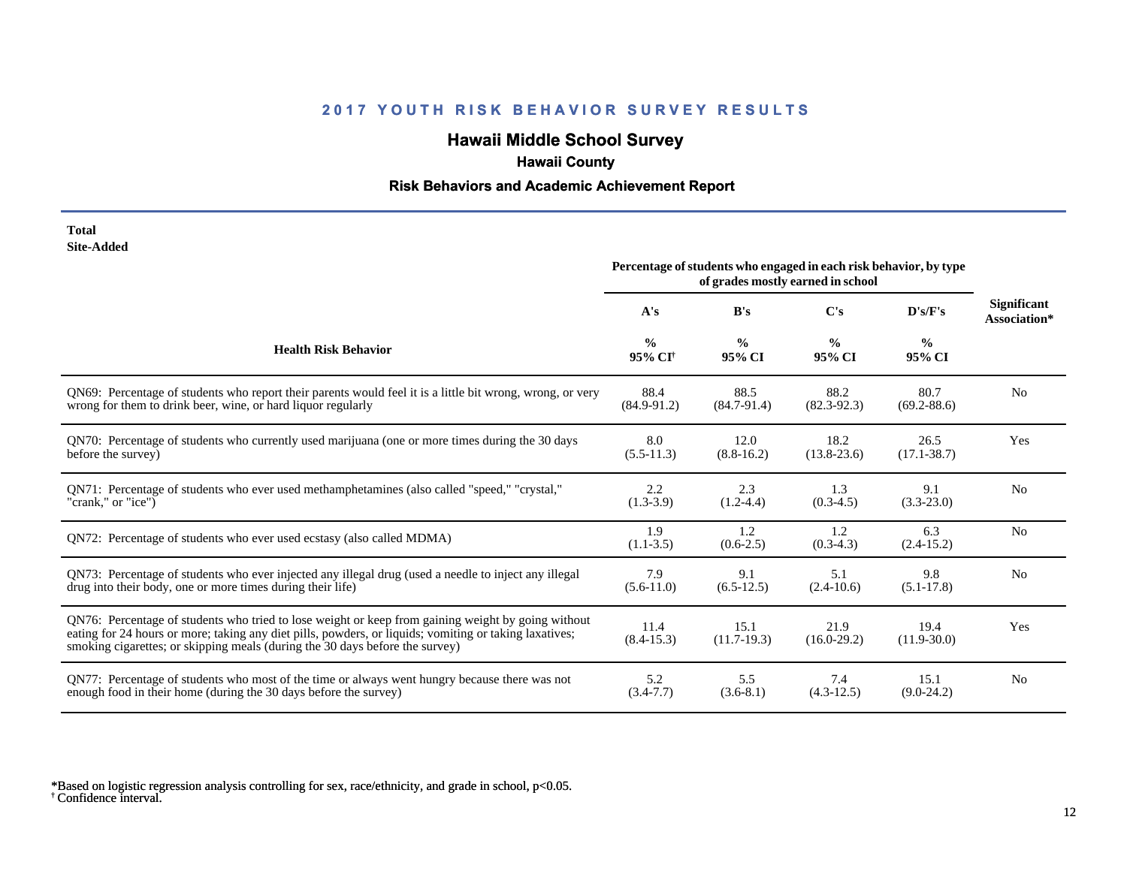# **Hawaii Middle School Survey**

## **Hawaii County**

#### **Risk Behaviors and Academic Achievement Report**

| Total             |
|-------------------|
| <b>Site-Added</b> |

|                                                                                                                                                                                                                                                                                              | Percentage of students who engaged in each risk behavior, by type<br>of grades mostly earned in school |                         |                         |                         |                                    |
|----------------------------------------------------------------------------------------------------------------------------------------------------------------------------------------------------------------------------------------------------------------------------------------------|--------------------------------------------------------------------------------------------------------|-------------------------|-------------------------|-------------------------|------------------------------------|
|                                                                                                                                                                                                                                                                                              | A's                                                                                                    | B's                     | $\bf C's$               | D's/F's                 | <b>Significant</b><br>Association* |
| <b>Health Risk Behavior</b>                                                                                                                                                                                                                                                                  | $\frac{0}{0}$<br>95% CI <sup>+</sup>                                                                   | $\frac{0}{0}$<br>95% CI | $\frac{0}{0}$<br>95% CI | $\frac{0}{0}$<br>95% CI |                                    |
| QN69: Percentage of students who report their parents would feel it is a little bit wrong, wrong, or very                                                                                                                                                                                    | 88.4                                                                                                   | 88.5                    | 88.2                    | 80.7                    | No                                 |
| wrong for them to drink beer, wine, or hard liquor regularly                                                                                                                                                                                                                                 | $(84.9 - 91.2)$                                                                                        | $(84.7-91.4)$           | $(82.3-92.3)$           | $(69.2 - 88.6)$         |                                    |
| QN70: Percentage of students who currently used marijuana (one or more times during the 30 days                                                                                                                                                                                              | 8.0                                                                                                    | 12.0                    | 18.2                    | 26.5                    | Yes                                |
| before the survey)                                                                                                                                                                                                                                                                           | $(5.5-11.3)$                                                                                           | $(8.8-16.2)$            | $(13.8 - 23.6)$         | $(17.1 - 38.7)$         |                                    |
| QN71: Percentage of students who ever used methamphetamines (also called "speed," "crystal,"                                                                                                                                                                                                 | 2.2                                                                                                    | 2.3                     | 1.3                     | 9.1                     | No                                 |
| "crank," or "ice")                                                                                                                                                                                                                                                                           | $(1.3-3.9)$                                                                                            | $(1.2-4.4)$             | $(0.3-4.5)$             | $(3.3 - 23.0)$          |                                    |
| QN72: Percentage of students who ever used ecstasy (also called MDMA)                                                                                                                                                                                                                        | 1.9<br>$(1.1 - 3.5)$                                                                                   | 1.2<br>$(0.6-2.5)$      | 1.2<br>$(0.3-4.3)$      | 6.3<br>$(2.4-15.2)$     | N <sub>0</sub>                     |
| QN73: Percentage of students who ever injected any illegal drug (used a needle to inject any illegal                                                                                                                                                                                         | 7.9                                                                                                    | 9.1                     | 5.1                     | 9.8                     | N <sub>0</sub>                     |
| drug into their body, one or more times during their life)                                                                                                                                                                                                                                   | $(5.6-11.0)$                                                                                           | $(6.5-12.5)$            | $(2.4-10.6)$            | $(5.1 - 17.8)$          |                                    |
| QN76: Percentage of students who tried to lose weight or keep from gaining weight by going without<br>eating for 24 hours or more; taking any diet pills, powders, or liquids; vomiting or taking laxatives;<br>smoking cigarettes; or skipping meals (during the 30 days before the survey) | 11.4<br>$(8.4 - 15.3)$                                                                                 | 15.1<br>$(11.7-19.3)$   | 21.9<br>$(16.0-29.2)$   | 19.4<br>$(11.9 - 30.0)$ | Yes                                |
| QN77: Percentage of students who most of the time or always went hungry because there was not                                                                                                                                                                                                | 5.2                                                                                                    | 5.5                     | 7.4                     | 15.1                    | N <sub>0</sub>                     |
| enough food in their home (during the 30 days before the survey)                                                                                                                                                                                                                             | $(3.4 - 7.7)$                                                                                          | $(3.6-8.1)$             | $(4.3-12.5)$            | $(9.0-24.2)$            |                                    |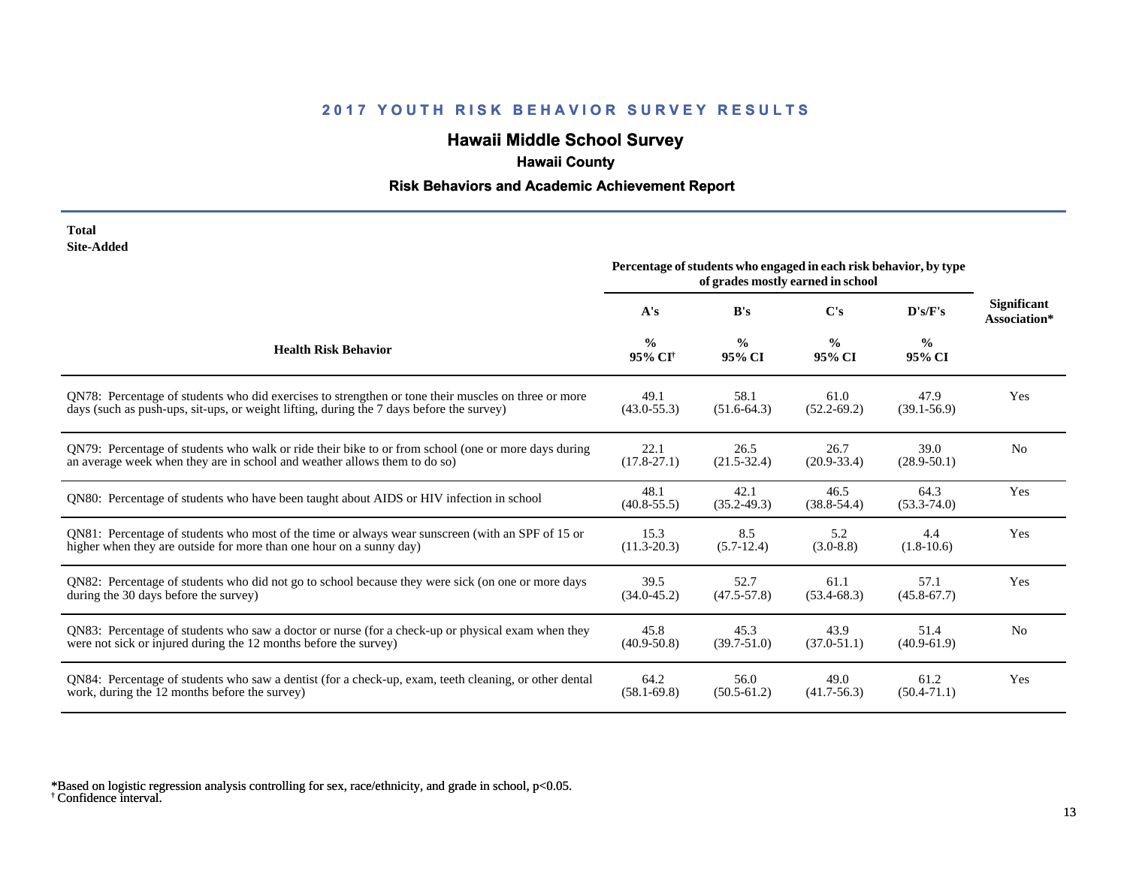# **Hawaii Middle School Survey**

## **Hawaii County**

#### **Risk Behaviors and Academic Achievement Report**

| Total      |
|------------|
| Site-Added |

|                                                                                                       | Percentage of students who engaged in each risk behavior, by type<br>of grades mostly earned in school |                         |                         |                         |                                    |
|-------------------------------------------------------------------------------------------------------|--------------------------------------------------------------------------------------------------------|-------------------------|-------------------------|-------------------------|------------------------------------|
|                                                                                                       | A's                                                                                                    | B's                     | C's                     | D's/F's                 | <b>Significant</b><br>Association* |
| <b>Health Risk Behavior</b>                                                                           | $\frac{0}{0}$<br>95% CI <sup>+</sup>                                                                   | $\frac{0}{0}$<br>95% CI | $\frac{0}{0}$<br>95% CI | $\frac{0}{0}$<br>95% CI |                                    |
| ON78: Percentage of students who did exercises to strengthen or tone their muscles on three or more   | 49.1                                                                                                   | 58.1                    | 61.0                    | 47.9                    | Yes                                |
| days (such as push-ups, sit-ups, or weight lifting, during the 7 days before the survey)              | $(43.0 - 55.3)$                                                                                        | $(51.6-64.3)$           | $(52.2 - 69.2)$         | $(39.1 - 56.9)$         |                                    |
| QN79: Percentage of students who walk or ride their bike to or from school (one or more days during   | 22.1                                                                                                   | 26.5                    | 26.7                    | 39.0                    | N <sub>0</sub>                     |
| an average week when they are in school and weather allows them to do so)                             | $(17.8 - 27.1)$                                                                                        | $(21.5 - 32.4)$         | $(20.9 - 33.4)$         | $(28.9 - 50.1)$         |                                    |
| QN80: Percentage of students who have been taught about AIDS or HIV infection in school               | 48.1<br>$(40.8 - 55.5)$                                                                                | 42.1<br>$(35.2 - 49.3)$ | 46.5<br>$(38.8 - 54.4)$ | 64.3<br>$(53.3 - 74.0)$ | Yes                                |
| QN81: Percentage of students who most of the time or always wear sunscreen (with an SPF of 15 or      | 15.3                                                                                                   | 8.5                     | 5.2                     | 4.4                     | Yes                                |
| higher when they are outside for more than one hour on a sunny day)                                   | $(11.3 - 20.3)$                                                                                        | $(5.7-12.4)$            | $(3.0-8.8)$             | $(1.8-10.6)$            |                                    |
| QN82: Percentage of students who did not go to school because they were sick (on one or more days     | 39.5                                                                                                   | 52.7                    | 61.1                    | 57.1                    | Yes                                |
| during the 30 days before the survey)                                                                 | $(34.0 - 45.2)$                                                                                        | $(47.5 - 57.8)$         | $(53.4 - 68.3)$         | $(45.8 - 67.7)$         |                                    |
| QN83: Percentage of students who saw a doctor or nurse (for a check-up or physical exam when they     | 45.8                                                                                                   | 45.3                    | 43.9                    | 51.4                    | N <sub>0</sub>                     |
| were not sick or injured during the 12 months before the survey)                                      | $(40.9 - 50.8)$                                                                                        | $(39.7 - 51.0)$         | $(37.0 - 51.1)$         | $(40.9 - 61.9)$         |                                    |
| QN84: Percentage of students who saw a dentist (for a check-up, exam, teeth cleaning, or other dental | 64.2                                                                                                   | 56.0                    | 49.0                    | 61.2                    | Yes                                |
| work, during the 12 months before the survey)                                                         | $(58.1 - 69.8)$                                                                                        | $(50.5-61.2)$           | $(41.7-56.3)$           | $(50.4 - 71.1)$         |                                    |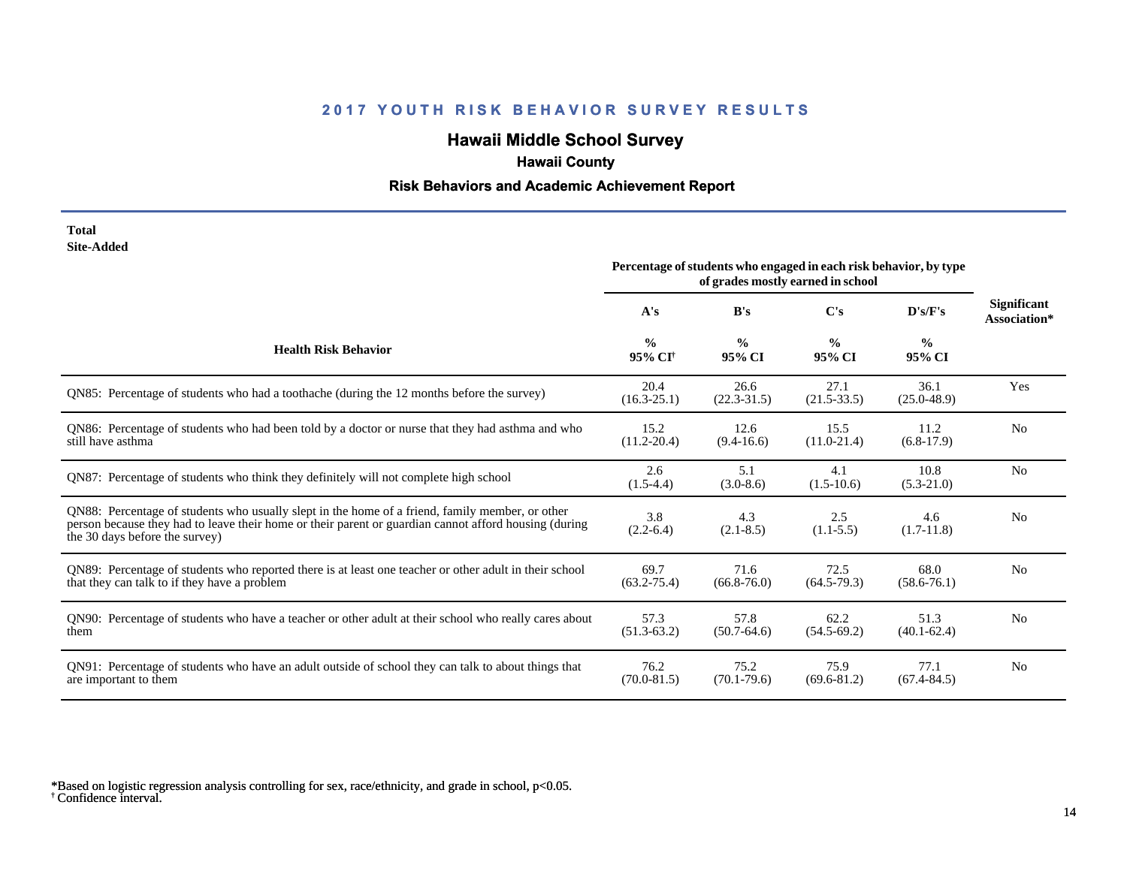# **Hawaii Middle School Survey**

## **Hawaii County**

#### **Risk Behaviors and Academic Achievement Report**

#### **Total Site-Added**

|                                                                                                                                                                                                                                            | Percentage of students who engaged in each risk behavior, by type<br>of grades mostly earned in school |                         |                         |                         |                                    |
|--------------------------------------------------------------------------------------------------------------------------------------------------------------------------------------------------------------------------------------------|--------------------------------------------------------------------------------------------------------|-------------------------|-------------------------|-------------------------|------------------------------------|
|                                                                                                                                                                                                                                            | A's                                                                                                    | B's                     | C's                     | D's/F's                 | <b>Significant</b><br>Association* |
| <b>Health Risk Behavior</b>                                                                                                                                                                                                                | $\frac{0}{0}$<br>95% CI <sup>+</sup>                                                                   | $\frac{0}{0}$<br>95% CI | $\frac{0}{0}$<br>95% CI | $\frac{0}{0}$<br>95% CI |                                    |
| QN85: Percentage of students who had a toothache (during the 12 months before the survey)                                                                                                                                                  | 20.4<br>$(16.3 - 25.1)$                                                                                | 26.6<br>$(22.3-31.5)$   | 27.1<br>$(21.5-33.5)$   | 36.1<br>$(25.0 - 48.9)$ | Yes                                |
| QN86: Percentage of students who had been told by a doctor or nurse that they had asthma and who<br>still have asthma                                                                                                                      | 15.2<br>$(11.2 - 20.4)$                                                                                | 12.6<br>$(9.4 - 16.6)$  | 15.5<br>$(11.0 - 21.4)$ | 11.2<br>$(6.8-17.9)$    | N <sub>o</sub>                     |
| ON87: Percentage of students who think they definitely will not complete high school                                                                                                                                                       | 2.6<br>$(1.5-4.4)$                                                                                     | 5.1<br>$(3.0-8.6)$      | 4.1<br>$(1.5-10.6)$     | 10.8<br>$(5.3-21.0)$    | N <sub>o</sub>                     |
| QN88: Percentage of students who usually slept in the home of a friend, family member, or other<br>person because they had to leave their home or their parent or guardian cannot afford housing (during<br>the 30 days before the survey) | 3.8<br>$(2.2-6.4)$                                                                                     | 4.3<br>$(2.1 - 8.5)$    | 2.5<br>$(1.1-5.5)$      | 4.6<br>$(1.7-11.8)$     | N <sub>0</sub>                     |
| QN89: Percentage of students who reported there is at least one teacher or other adult in their school<br>that they can talk to if they have a problem                                                                                     | 69.7<br>$(63.2 - 75.4)$                                                                                | 71.6<br>$(66.8 - 76.0)$ | 72.5<br>$(64.5-79.3)$   | 68.0<br>$(58.6 - 76.1)$ | N <sub>o</sub>                     |
| QN90: Percentage of students who have a teacher or other adult at their school who really cares about<br>them                                                                                                                              | 57.3<br>$(51.3-63.2)$                                                                                  | 57.8<br>$(50.7-64.6)$   | 62.2<br>$(54.5-69.2)$   | 51.3<br>$(40.1 - 62.4)$ | N <sub>o</sub>                     |
| QN91: Percentage of students who have an adult outside of school they can talk to about things that<br>are important to them                                                                                                               | 76.2<br>$(70.0 - 81.5)$                                                                                | 75.2<br>$(70.1 - 79.6)$ | 75.9<br>$(69.6 - 81.2)$ | 77.1<br>$(67.4 - 84.5)$ | N <sub>0</sub>                     |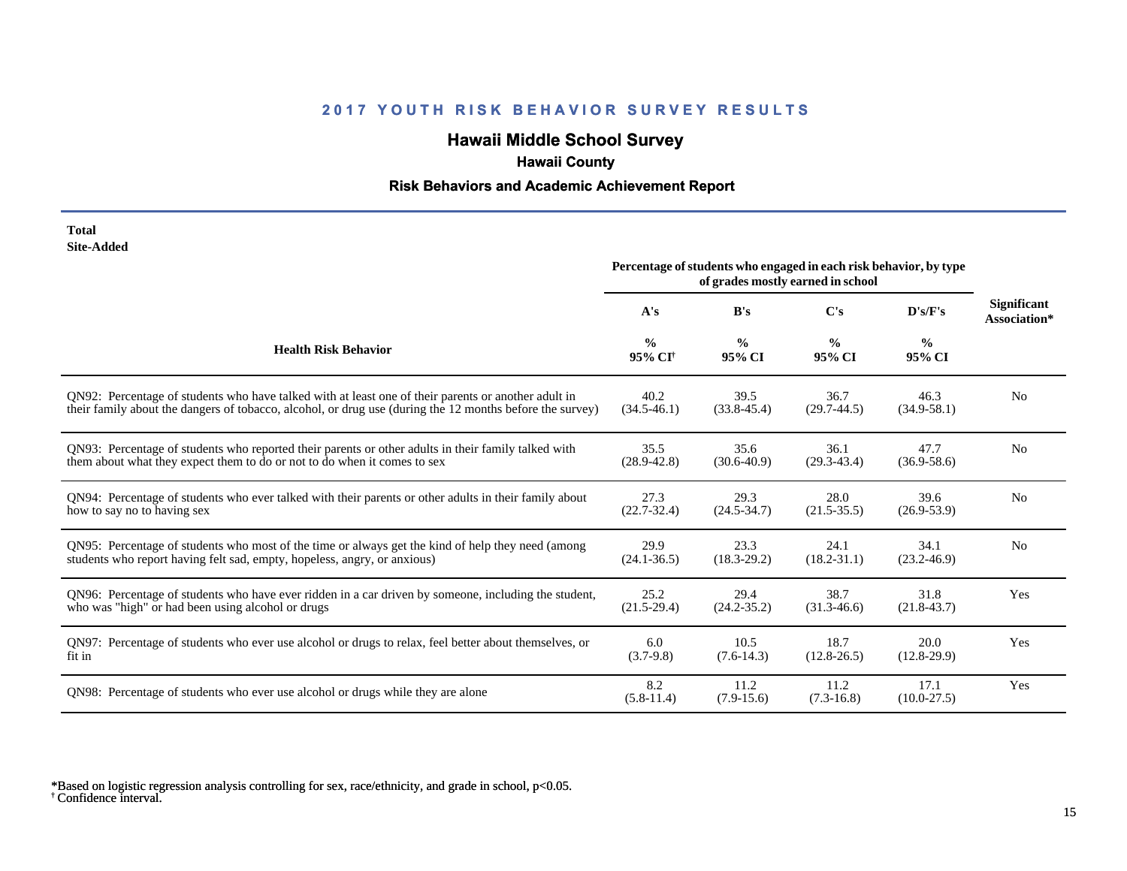# **Hawaii Middle School Survey**

## **Hawaii County**

#### **Risk Behaviors and Academic Achievement Report**

| Total      |
|------------|
| Site-Added |

|                                                                                                          | Percentage of students who engaged in each risk behavior, by type<br>of grades mostly earned in school |                         |                         |                         |                                    |
|----------------------------------------------------------------------------------------------------------|--------------------------------------------------------------------------------------------------------|-------------------------|-------------------------|-------------------------|------------------------------------|
|                                                                                                          | A's                                                                                                    | B's                     | C's                     | D's/F's                 | <b>Significant</b><br>Association* |
| <b>Health Risk Behavior</b>                                                                              | $\frac{0}{0}$<br>95% CI <sup>+</sup>                                                                   | $\frac{0}{0}$<br>95% CI | $\frac{0}{0}$<br>95% CI | $\frac{6}{9}$<br>95% CI |                                    |
| ON92: Percentage of students who have talked with at least one of their parents or another adult in      | 40.2                                                                                                   | 39.5                    | 36.7                    | 46.3                    | N <sub>0</sub>                     |
| their family about the dangers of tobacco, alcohol, or drug use (during the 12 months before the survey) | $(34.5 - 46.1)$                                                                                        | $(33.8 - 45.4)$         | $(29.7-44.5)$           | $(34.9 - 58.1)$         |                                    |
| QN93: Percentage of students who reported their parents or other adults in their family talked with      | 35.5                                                                                                   | 35.6                    | 36.1                    | 47.7                    | N <sub>o</sub>                     |
| them about what they expect them to do or not to do when it comes to sex                                 | $(28.9 - 42.8)$                                                                                        | $(30.6 - 40.9)$         | $(29.3 - 43.4)$         | $(36.9 - 58.6)$         |                                    |
| QN94: Percentage of students who ever talked with their parents or other adults in their family about    | 27.3                                                                                                   | 29.3                    | 28.0                    | 39.6                    | N <sub>o</sub>                     |
| how to say no to having sex                                                                              | $(22.7 - 32.4)$                                                                                        | $(24.5 - 34.7)$         | $(21.5 - 35.5)$         | $(26.9 - 53.9)$         |                                    |
| QN95: Percentage of students who most of the time or always get the kind of help they need (among        | 29.9                                                                                                   | 23.3                    | 24.1                    | 34.1                    | N <sub>o</sub>                     |
| students who report having felt sad, empty, hopeless, angry, or anxious)                                 | $(24.1 - 36.5)$                                                                                        | $(18.3 - 29.2)$         | $(18.2 - 31.1)$         | $(23.2 - 46.9)$         |                                    |
| QN96: Percentage of students who have ever ridden in a car driven by someone, including the student,     | 25.2                                                                                                   | 29.4                    | 38.7                    | 31.8                    | Yes                                |
| who was "high" or had been using alcohol or drugs                                                        | $(21.5-29.4)$                                                                                          | $(24.2 - 35.2)$         | $(31.3-46.6)$           | $(21.8 - 43.7)$         |                                    |
| QN97: Percentage of students who ever use alcohol or drugs to relax, feel better about themselves, or    | 6.0                                                                                                    | 10.5                    | 18.7                    | 20.0                    | Yes                                |
| fit in                                                                                                   | $(3.7-9.8)$                                                                                            | $(7.6-14.3)$            | $(12.8 - 26.5)$         | $(12.8-29.9)$           |                                    |
| QN98: Percentage of students who ever use alcohol or drugs while they are alone                          | 8.2<br>$(5.8-11.4)$                                                                                    | 11.2<br>$(7.9-15.6)$    | 11.2<br>$(7.3-16.8)$    | 17.1<br>$(10.0-27.5)$   | Yes                                |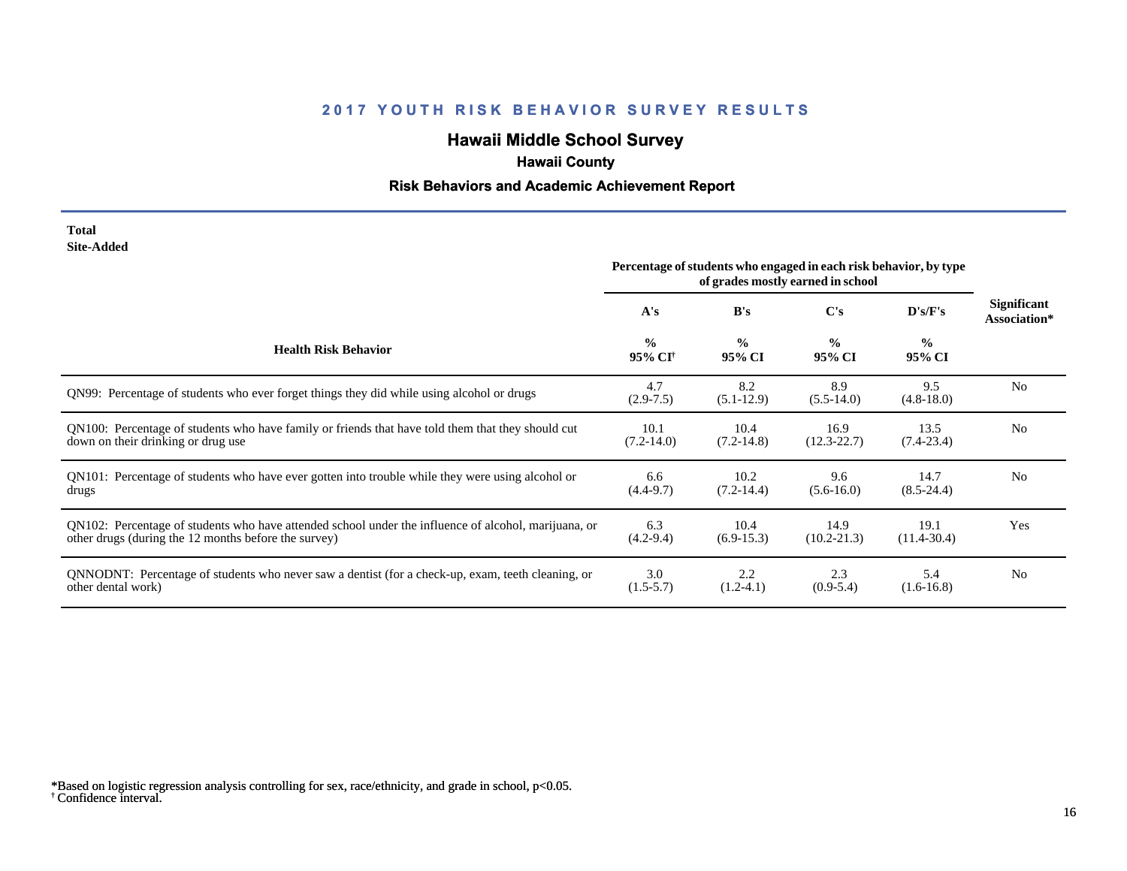# **Hawaii Middle School Survey**

## **Hawaii County**

#### **Risk Behaviors and Academic Achievement Report**

#### **Total Site-Added**

|                                                                                                      | Percentage of students who engaged in each risk behavior, by type<br>of grades mostly earned in school |                         |                         |                         |                                    |
|------------------------------------------------------------------------------------------------------|--------------------------------------------------------------------------------------------------------|-------------------------|-------------------------|-------------------------|------------------------------------|
|                                                                                                      | A's                                                                                                    | B's                     | C's                     | D's/F's                 | <b>Significant</b><br>Association* |
| <b>Health Risk Behavior</b>                                                                          | $\frac{0}{0}$<br>95% CI <sup>+</sup>                                                                   | $\frac{0}{0}$<br>95% CI | $\frac{0}{0}$<br>95% CI | $\frac{0}{0}$<br>95% CI |                                    |
| QN99: Percentage of students who ever forget things they did while using alcohol or drugs            | 4.7<br>$(2.9 - 7.5)$                                                                                   | 8.2<br>$(5.1-12.9)$     | 8.9<br>$(5.5-14.0)$     | 9.5<br>$(4.8-18.0)$     | N <sub>0</sub>                     |
| QN100: Percentage of students who have family or friends that have told them that they should cut    | 10.1                                                                                                   | 10.4                    | 16.9                    | 13.5                    | N <sub>0</sub>                     |
| down on their drinking or drug use                                                                   | $(7.2-14.0)$                                                                                           | $(7.2 - 14.8)$          | $(12.3 - 22.7)$         | $(7.4-23.4)$            |                                    |
| QN101: Percentage of students who have ever gotten into trouble while they were using alcohol or     | 6.6                                                                                                    | 10.2                    | 9.6                     | 14.7                    | N <sub>0</sub>                     |
| drugs                                                                                                | $(4.4-9.7)$                                                                                            | $(7.2 - 14.4)$          | $(5.6-16.0)$            | $(8.5 - 24.4)$          |                                    |
| QN102: Percentage of students who have attended school under the influence of alcohol, marijuana, or | 6.3                                                                                                    | 10.4                    | 14.9                    | 19.1                    | Yes                                |
| other drugs (during the 12 months before the survey)                                                 | $(4.2 - 9.4)$                                                                                          | $(6.9-15.3)$            | $(10.2 - 21.3)$         | $(11.4 - 30.4)$         |                                    |
| QNNODNT: Percentage of students who never saw a dentist (for a check-up, exam, teeth cleaning, or    | 3.0                                                                                                    | 2.2                     | 2.3                     | 5.4                     | N <sub>0</sub>                     |
| other dental work)                                                                                   | $(1.5-5.7)$                                                                                            | $(1.2-4.1)$             | $(0.9-5.4)$             | $(1.6-16.8)$            |                                    |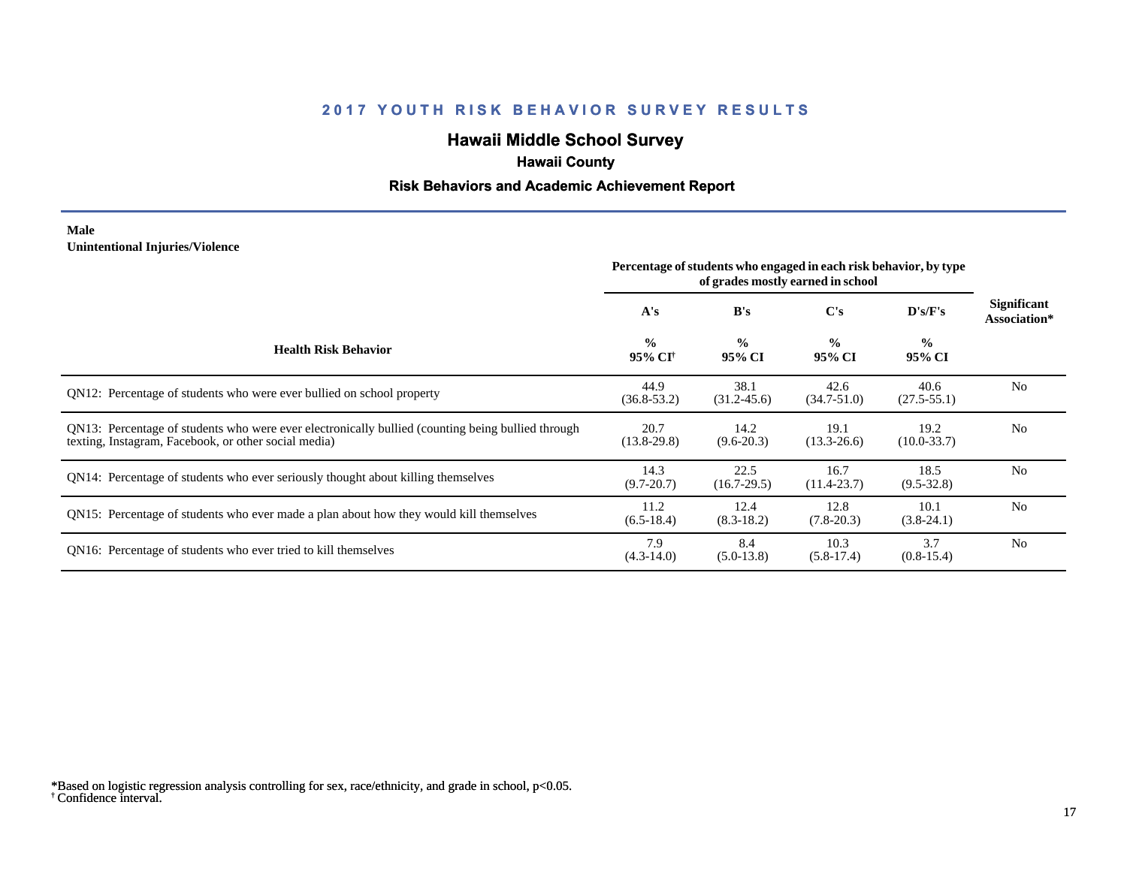# **Hawaii Middle School Survey**

## **Hawaii County**

#### **Risk Behaviors and Academic Achievement Report**

#### **Male Unintentional Injuries/Violence**

|                                                                                                                                                           | Percentage of students who engaged in each risk behavior, by type<br>of grades mostly earned in school |                         |                         |                         |                                    |
|-----------------------------------------------------------------------------------------------------------------------------------------------------------|--------------------------------------------------------------------------------------------------------|-------------------------|-------------------------|-------------------------|------------------------------------|
|                                                                                                                                                           | A's                                                                                                    | B's                     | $\bf C's$               | D's/F's                 | <b>Significant</b><br>Association* |
| <b>Health Risk Behavior</b>                                                                                                                               | $\frac{0}{0}$<br>95% CI <sup>+</sup>                                                                   | $\frac{0}{0}$<br>95% CI | $\frac{0}{0}$<br>95% CI | $\frac{0}{0}$<br>95% CI |                                    |
| QN12: Percentage of students who were ever bullied on school property                                                                                     | 44.9<br>$(36.8 - 53.2)$                                                                                | 38.1<br>$(31.2 - 45.6)$ | 42.6<br>$(34.7 - 51.0)$ | 40.6<br>$(27.5 - 55.1)$ | N <sub>0</sub>                     |
| QN13: Percentage of students who were ever electronically bullied (counting being bullied through<br>texting, Instagram, Facebook, or other social media) | 20.7<br>$(13.8-29.8)$                                                                                  | 14.2<br>$(9.6 - 20.3)$  | 19.1<br>$(13.3 - 26.6)$ | 19.2<br>$(10.0 - 33.7)$ | N <sub>o</sub>                     |
| QN14: Percentage of students who ever seriously thought about killing themselves                                                                          | 14.3<br>$(9.7 - 20.7)$                                                                                 | 22.5<br>$(16.7-29.5)$   | 16.7<br>$(11.4 - 23.7)$ | 18.5<br>$(9.5 - 32.8)$  | N <sub>o</sub>                     |
| QN15: Percentage of students who ever made a plan about how they would kill themselves                                                                    | 11.2<br>$(6.5-18.4)$                                                                                   | 12.4<br>$(8.3-18.2)$    | 12.8<br>$(7.8-20.3)$    | 10.1<br>$(3.8-24.1)$    | N <sub>0</sub>                     |
| QN16: Percentage of students who ever tried to kill themselves                                                                                            | 7.9<br>$(4.3-14.0)$                                                                                    | 8.4<br>$(5.0-13.8)$     | 10.3<br>$(5.8-17.4)$    | 3.7<br>$(0.8-15.4)$     | N <sub>o</sub>                     |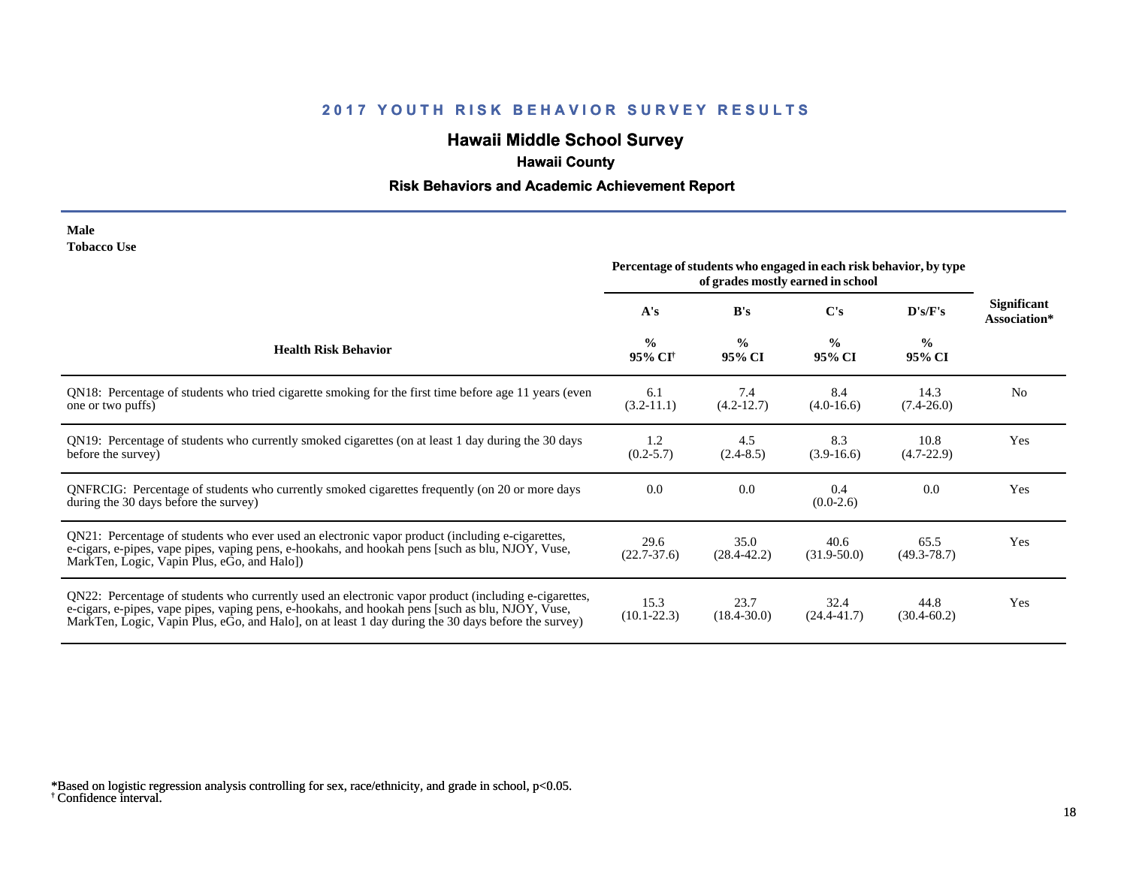# **Hawaii Middle School Survey**

## **Hawaii County**

#### **Risk Behaviors and Academic Achievement Report**

| Male               |  |
|--------------------|--|
| <b>Tobacco Use</b> |  |

|                                                                                                                                                                                                                                                                                                                | Percentage of students who engaged in each risk behavior, by type<br>of grades mostly earned in school |                         |                         |                         |                             |
|----------------------------------------------------------------------------------------------------------------------------------------------------------------------------------------------------------------------------------------------------------------------------------------------------------------|--------------------------------------------------------------------------------------------------------|-------------------------|-------------------------|-------------------------|-----------------------------|
|                                                                                                                                                                                                                                                                                                                | A's                                                                                                    | B's                     | C's                     | D's/F's                 | Significant<br>Association* |
| <b>Health Risk Behavior</b>                                                                                                                                                                                                                                                                                    | $\frac{0}{0}$<br>95% CI <sup>+</sup>                                                                   | $\frac{0}{0}$<br>95% CI | $\frac{0}{0}$<br>95% CI | $\frac{0}{0}$<br>95% CI |                             |
| QN18: Percentage of students who tried cigarette smoking for the first time before age 11 years (even<br>one or two puffs)                                                                                                                                                                                     | 6.1<br>$(3.2-11.1)$                                                                                    | 7.4<br>$(4.2 - 12.7)$   | 8.4<br>$(4.0-16.6)$     | 14.3<br>$(7.4 - 26.0)$  | N <sub>0</sub>              |
| QN19: Percentage of students who currently smoked cigarettes (on at least 1 day during the 30 days<br>before the survey)                                                                                                                                                                                       | 1.2<br>$(0.2 - 5.7)$                                                                                   | 4.5<br>$(2.4-8.5)$      | 8.3<br>$(3.9-16.6)$     | 10.8<br>$(4.7-22.9)$    | Yes                         |
| QNFRCIG: Percentage of students who currently smoked cigarettes frequently (on 20 or more days<br>during the 30 days before the survey)                                                                                                                                                                        | 0.0                                                                                                    | 0.0                     | 0.4<br>$(0.0-2.6)$      | 0.0                     | Yes                         |
| QN21: Percentage of students who ever used an electronic vapor product (including e-cigarettes,<br>e-cigars, e-pipes, vape pipes, vaping pens, e-hookahs, and hookah pens [such as blu, NJOY, Vuse,<br>MarkTen, Logic, Vapin Plus, eGo, and Halo])                                                             | 29.6<br>$(22.7-37.6)$                                                                                  | 35.0<br>$(28.4 - 42.2)$ | 40.6<br>$(31.9-50.0)$   | 65.5<br>$(49.3 - 78.7)$ | Yes                         |
| QN22: Percentage of students who currently used an electronic vapor product (including e-cigarettes,<br>e-cigars, e-pipes, vape pipes, vaping pens, e-hookahs, and hookah pens [such as blu, NJOY, Vuse,<br>MarkTen, Logic, Vapin Plus, eGo, and Halo, on at least 1 day during the 30 days before the survey) | 15.3<br>$(10.1 - 22.3)$                                                                                | 23.7<br>$(18.4 - 30.0)$ | 32.4<br>$(24.4 - 41.7)$ | 44.8<br>$(30.4 - 60.2)$ | Yes                         |

<sup>†</sup> Confidence interval. \*Based on logistic regression analysis controlling for sex, race/ethnicity, and grade in school, p<0.05.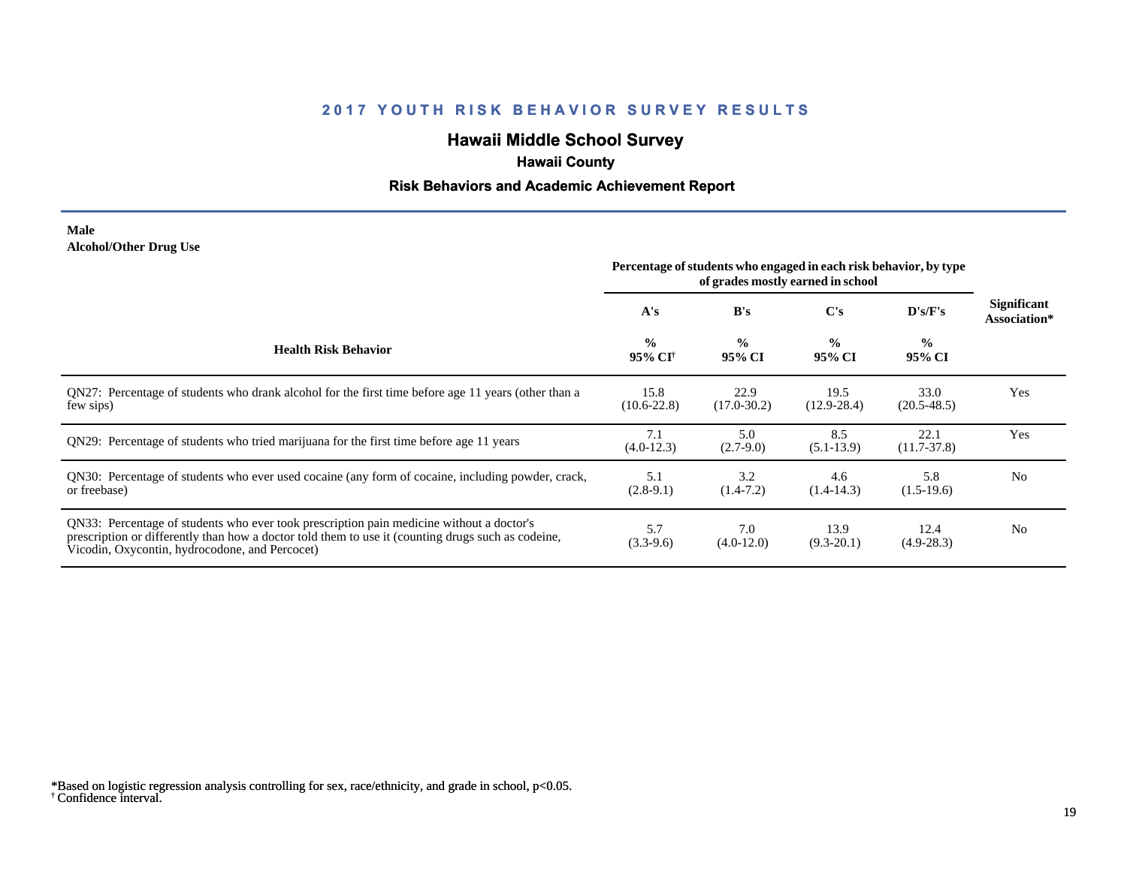# **Hawaii Middle School Survey**

## **Hawaii County**

#### **Risk Behaviors and Academic Achievement Report**

#### **Male Alcohol/Other Drug Use**

|                                                                                                                                                                                                                                                  | Percentage of students who engaged in each risk behavior, by type<br>of grades mostly earned in school |                         |                         |                         |                             |
|--------------------------------------------------------------------------------------------------------------------------------------------------------------------------------------------------------------------------------------------------|--------------------------------------------------------------------------------------------------------|-------------------------|-------------------------|-------------------------|-----------------------------|
|                                                                                                                                                                                                                                                  | A's                                                                                                    | B's                     | C's                     | D's/F's                 | Significant<br>Association* |
| <b>Health Risk Behavior</b>                                                                                                                                                                                                                      | $\frac{0}{0}$<br>95% CI <sup>†</sup>                                                                   | $\frac{0}{0}$<br>95% CI | $\frac{0}{0}$<br>95% CI | $\frac{0}{0}$<br>95% CI |                             |
| QN27: Percentage of students who drank alcohol for the first time before age 11 years (other than a<br>few sips)                                                                                                                                 | 15.8<br>$(10.6 - 22.8)$                                                                                | 22.9<br>$(17.0 - 30.2)$ | 19.5<br>$(12.9 - 28.4)$ | 33.0<br>$(20.5 - 48.5)$ | Yes                         |
| QN29: Percentage of students who tried marijuana for the first time before age 11 years                                                                                                                                                          | 7.1<br>$(4.0-12.3)$                                                                                    | 5.0<br>$(2.7-9.0)$      | 8.5<br>$(5.1-13.9)$     | 22.1<br>$(11.7 - 37.8)$ | Yes                         |
| QN30: Percentage of students who ever used cocaine (any form of cocaine, including powder, crack,<br>or freebase)                                                                                                                                | 5.1<br>$(2.8-9.1)$                                                                                     | 3.2<br>$(1.4-7.2)$      | 4.6<br>$(1.4-14.3)$     | 5.8<br>$(1.5-19.6)$     | N <sub>0</sub>              |
| QN33: Percentage of students who ever took prescription pain medicine without a doctor's<br>prescription or differently than how a doctor told them to use it (counting drugs such as codeine,<br>Vicodin, Oxycontin, hydrocodone, and Percocet) | 5.7<br>$(3.3-9.6)$                                                                                     | 7.0<br>$(4.0-12.0)$     | 13.9<br>$(9.3-20.1)$    | 12.4<br>$(4.9-28.3)$    | N <sub>0</sub>              |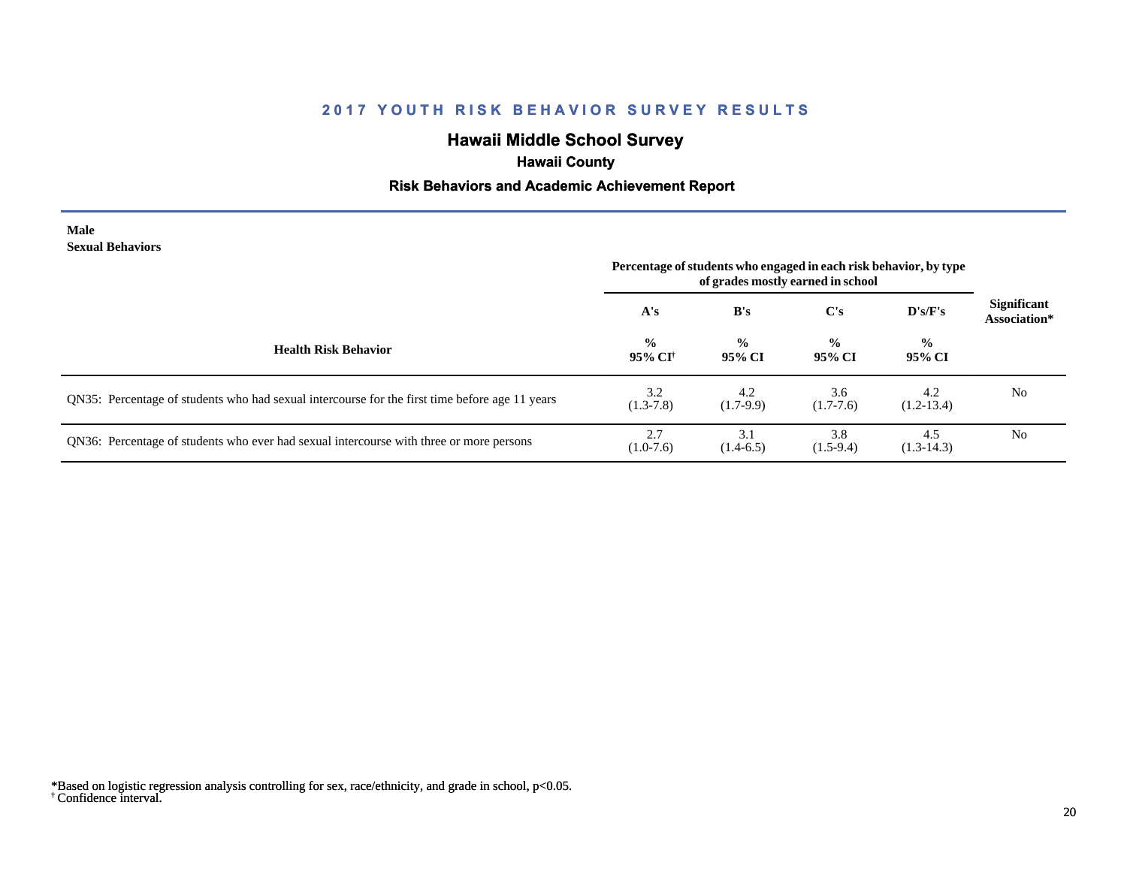# **Hawaii Middle School Survey**

## **Hawaii County**

#### **Risk Behaviors and Academic Achievement Report**

#### **Male Sexual Behaviors**

|                                                                                                | Percentage of students who engaged in each risk behavior, by type<br>of grades mostly earned in school |                         |                         |                         |                                    |
|------------------------------------------------------------------------------------------------|--------------------------------------------------------------------------------------------------------|-------------------------|-------------------------|-------------------------|------------------------------------|
|                                                                                                | A's                                                                                                    | B's                     | $\bf C's$               | D's/F's                 | <b>Significant</b><br>Association* |
| <b>Health Risk Behavior</b>                                                                    | $\frac{0}{0}$<br>95% CI <sup>†</sup>                                                                   | $\frac{0}{0}$<br>95% CI | $\frac{6}{9}$<br>95% CI | $\frac{6}{9}$<br>95% CI |                                    |
| QN35: Percentage of students who had sexual intercourse for the first time before age 11 years | 3.2<br>$(1.3-7.8)$                                                                                     | 4.2<br>$(1.7-9.9)$      | 3.6<br>$(1.7-7.6)$      | 4.2<br>$(1.2-13.4)$     | N <sub>0</sub>                     |
| QN36: Percentage of students who ever had sexual intercourse with three or more persons        | 2.7<br>$(1.0-7.6)$                                                                                     | 3.1<br>$(1.4-6.5)$      | 3.8<br>$(1.5-9.4)$      | 4.5<br>$(1.3-14.3)$     | N <sub>0</sub>                     |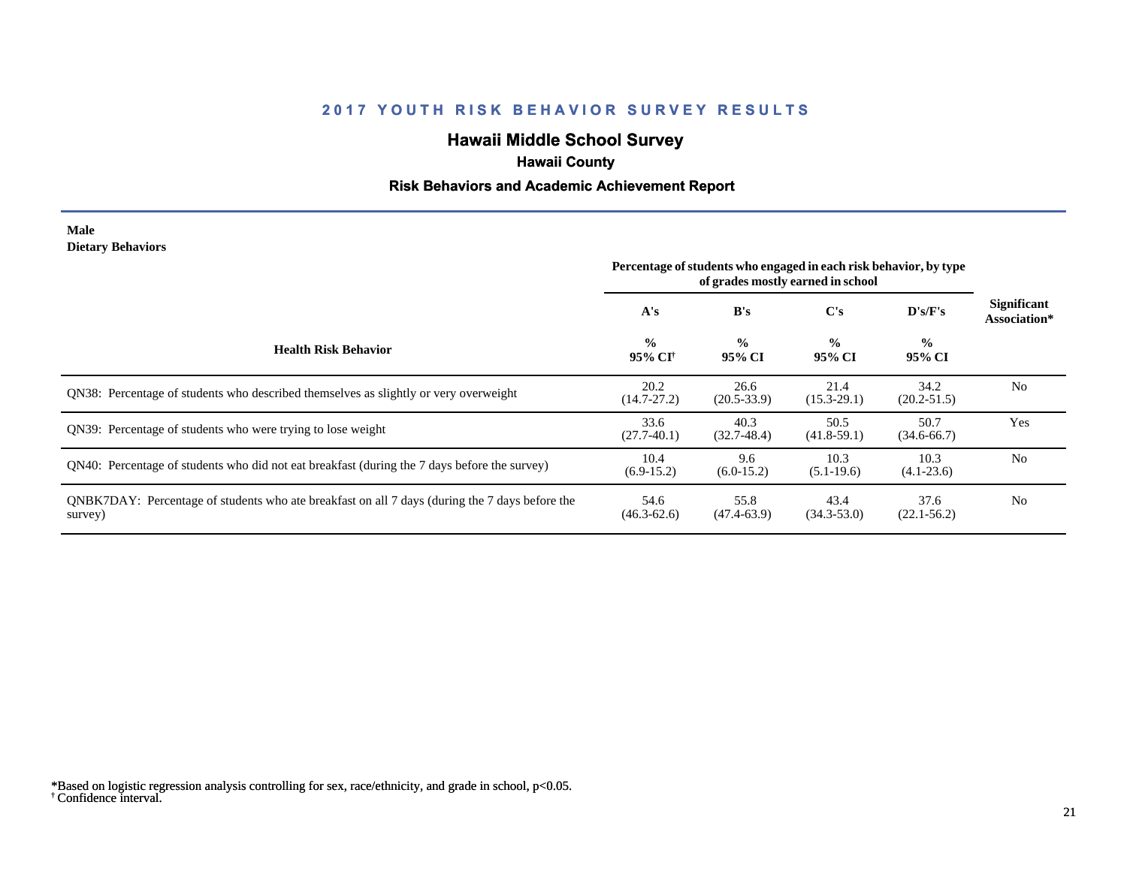# **Hawaii Middle School Survey**

## **Hawaii County**

#### **Risk Behaviors and Academic Achievement Report**

#### **Male Dietary Behaviors**

|                                                                                                           | Percentage of students who engaged in each risk behavior, by type<br>of grades mostly earned in school |                         |                         |                         |                                    |
|-----------------------------------------------------------------------------------------------------------|--------------------------------------------------------------------------------------------------------|-------------------------|-------------------------|-------------------------|------------------------------------|
|                                                                                                           | A's                                                                                                    | B's                     | C's                     | $\bf{D's/F's}$          | <b>Significant</b><br>Association* |
| <b>Health Risk Behavior</b>                                                                               | $\frac{0}{0}$<br>95% CI†                                                                               | $\frac{0}{0}$<br>95% CI | $\frac{0}{0}$<br>95% CI | $\frac{0}{0}$<br>95% CI |                                    |
| QN38: Percentage of students who described themselves as slightly or very overweight                      | 20.2<br>$(14.7 - 27.2)$                                                                                | 26.6<br>$(20.5 - 33.9)$ | 21.4<br>$(15.3 - 29.1)$ | 34.2<br>$(20.2 - 51.5)$ | N <sub>0</sub>                     |
| QN39: Percentage of students who were trying to lose weight                                               | 33.6<br>$(27.7-40.1)$                                                                                  | 40.3<br>$(32.7-48.4)$   | 50.5<br>$(41.8-59.1)$   | 50.7<br>$(34.6 - 66.7)$ | Yes                                |
| ON40: Percentage of students who did not eat breakfast (during the 7 days before the survey)              | 10.4<br>$(6.9-15.2)$                                                                                   | 9.6<br>$(6.0-15.2)$     | 10.3<br>$(5.1-19.6)$    | 10.3<br>$(4.1 - 23.6)$  | N <sub>0</sub>                     |
| QNBK7DAY: Percentage of students who ate breakfast on all 7 days (during the 7 days before the<br>survey) | 54.6<br>$(46.3 - 62.6)$                                                                                | 55.8<br>$(47.4 - 63.9)$ | 43.4<br>$(34.3 - 53.0)$ | 37.6<br>$(22.1 - 56.2)$ | N <sub>0</sub>                     |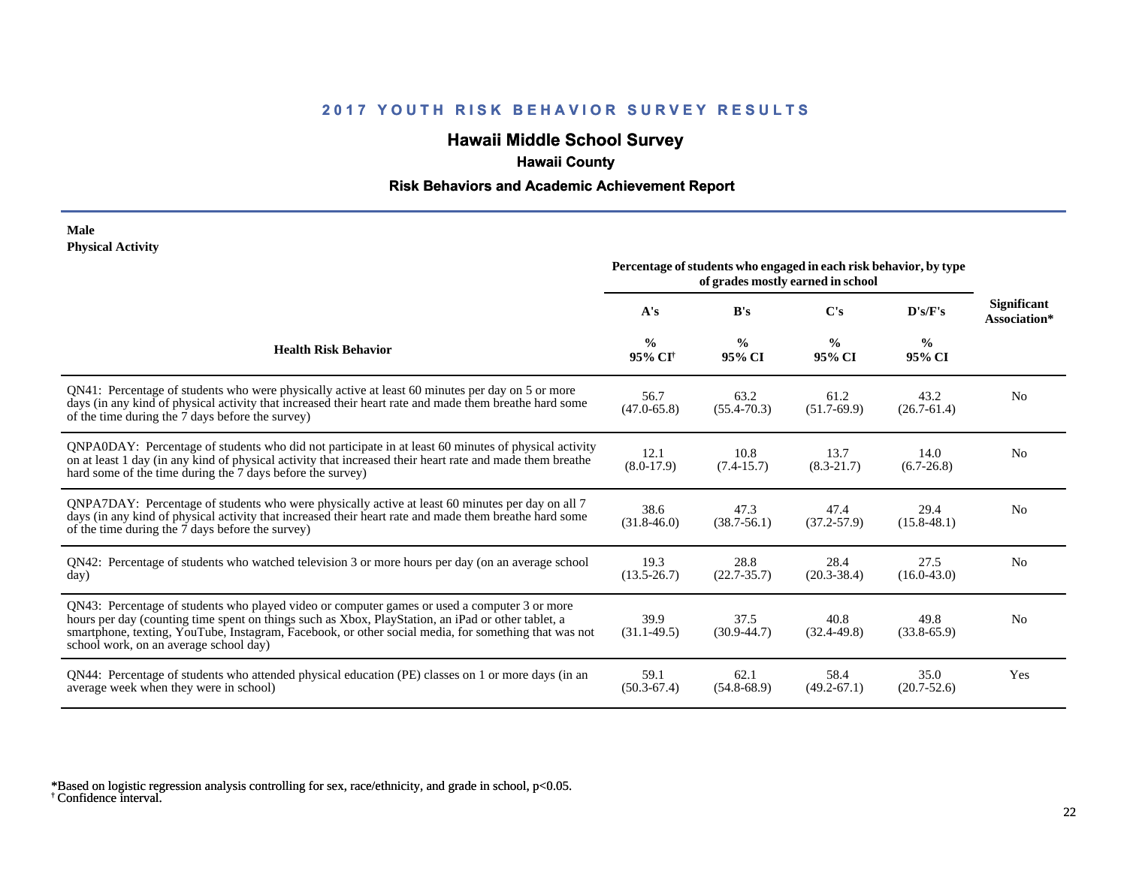# **Hawaii Middle School Survey**

## **Hawaii County**

#### **Risk Behaviors and Academic Achievement Report**

#### **Male Physical Activity**

|                                                                                                                                                                                                                                                                                                                                                      | Percentage of students who engaged in each risk behavior, by type<br>of grades mostly earned in school |                         |                         |                         |                                    |
|------------------------------------------------------------------------------------------------------------------------------------------------------------------------------------------------------------------------------------------------------------------------------------------------------------------------------------------------------|--------------------------------------------------------------------------------------------------------|-------------------------|-------------------------|-------------------------|------------------------------------|
|                                                                                                                                                                                                                                                                                                                                                      | A's                                                                                                    | B's                     | $\bf C's$               | D's/F's                 | <b>Significant</b><br>Association* |
| <b>Health Risk Behavior</b>                                                                                                                                                                                                                                                                                                                          | $\frac{0}{0}$<br>95% CI <sup>+</sup>                                                                   | $\frac{0}{0}$<br>95% CI | $\frac{6}{9}$<br>95% CI | $\frac{0}{0}$<br>95% CI |                                    |
| QN41: Percentage of students who were physically active at least 60 minutes per day on 5 or more<br>days (in any kind of physical activity that increased their heart rate and made them breathe hard some<br>of the time during the 7 days before the survey)                                                                                       | 56.7<br>$(47.0 - 65.8)$                                                                                | 63.2<br>$(55.4 - 70.3)$ | 61.2<br>$(51.7-69.9)$   | 43.2<br>$(26.7 - 61.4)$ | N <sub>0</sub>                     |
| QNPA0DAY: Percentage of students who did not participate in at least 60 minutes of physical activity<br>on at least 1 day (in any kind of physical activity that increased their heart rate and made them breathe<br>hard some of the time during the 7 days before the survey)                                                                      | 12.1<br>$(8.0-17.9)$                                                                                   | 10.8<br>$(7.4 - 15.7)$  | 13.7<br>$(8.3 - 21.7)$  | 14.0<br>$(6.7-26.8)$    | N <sub>0</sub>                     |
| ONPA7DAY: Percentage of students who were physically active at least 60 minutes per day on all 7<br>days (in any kind of physical activity that increased their heart rate and made them breathe hard some<br>of the time during the 7 days before the survey)                                                                                       | 38.6<br>$(31.8 - 46.0)$                                                                                | 47.3<br>$(38.7 - 56.1)$ | 47.4<br>$(37.2 - 57.9)$ | 29.4<br>$(15.8 - 48.1)$ | No                                 |
| QN42: Percentage of students who watched television 3 or more hours per day (on an average school<br>day)                                                                                                                                                                                                                                            | 19.3<br>$(13.5 - 26.7)$                                                                                | 28.8<br>$(22.7 - 35.7)$ | 28.4<br>$(20.3 - 38.4)$ | 27.5<br>$(16.0 - 43.0)$ | N <sub>0</sub>                     |
| QN43: Percentage of students who played video or computer games or used a computer 3 or more<br>hours per day (counting time spent on things such as Xbox, PlayStation, an iPad or other tablet, a<br>smartphone, texting, YouTube, Instagram, Facebook, or other social media, for something that was not<br>school work, on an average school day) | 39.9<br>$(31.1 - 49.5)$                                                                                | 37.5<br>$(30.9 - 44.7)$ | 40.8<br>$(32.4 - 49.8)$ | 49.8<br>$(33.8-65.9)$   | N <sub>0</sub>                     |
| QN44: Percentage of students who attended physical education (PE) classes on 1 or more days (in an<br>average week when they were in school)                                                                                                                                                                                                         | 59.1<br>$(50.3 - 67.4)$                                                                                | 62.1<br>$(54.8 - 68.9)$ | 58.4<br>$(49.2 - 67.1)$ | 35.0<br>$(20.7 - 52.6)$ | Yes                                |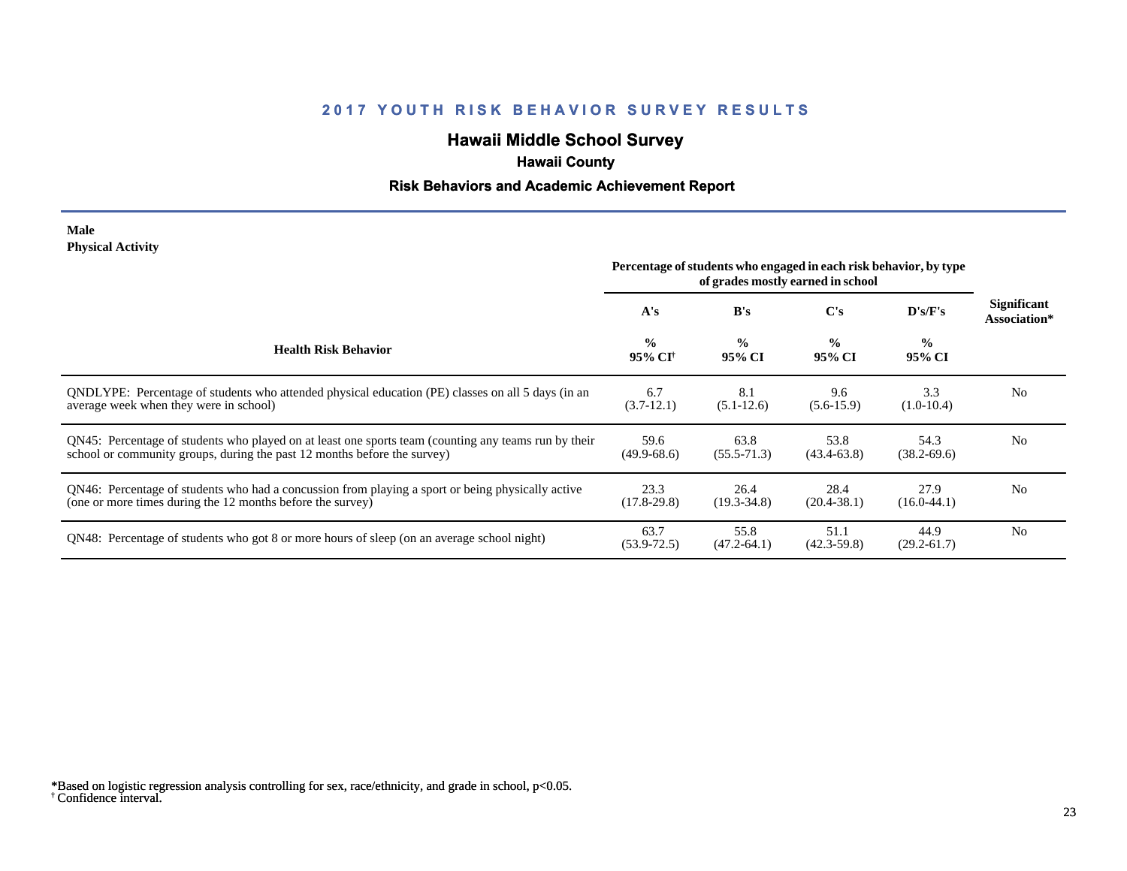# **Hawaii Middle School Survey**

## **Hawaii County**

#### **Risk Behaviors and Academic Achievement Report**

#### **Male Physical Activity**

|                                                                                                                                                                                  | Percentage of students who engaged in each risk behavior, by type<br>of grades mostly earned in school |                         |                         |                          |                                    |
|----------------------------------------------------------------------------------------------------------------------------------------------------------------------------------|--------------------------------------------------------------------------------------------------------|-------------------------|-------------------------|--------------------------|------------------------------------|
|                                                                                                                                                                                  | A's                                                                                                    | B's                     | C's                     | $\bf{D}$ 's/ $\bf{F}$ 's | <b>Significant</b><br>Association* |
| <b>Health Risk Behavior</b>                                                                                                                                                      | $\frac{0}{0}$<br>95% CI†                                                                               | $\frac{0}{0}$<br>95% CI | $\frac{0}{0}$<br>95% CI | $\frac{0}{0}$<br>95% CI  |                                    |
| ONDLYPE: Percentage of students who attended physical education (PE) classes on all 5 days (in an<br>average week when they were in school)                                      | 6.7<br>$(3.7-12.1)$                                                                                    | 8.1<br>$(5.1-12.6)$     | 9.6<br>$(5.6-15.9)$     | 3.3<br>$(1.0-10.4)$      | N <sub>0</sub>                     |
| QN45: Percentage of students who played on at least one sports team (counting any teams run by their<br>school or community groups, during the past 12 months before the survey) | 59.6<br>$(49.9-68.6)$                                                                                  | 63.8<br>$(55.5 - 71.3)$ | 53.8<br>$(43.4 - 63.8)$ | 54.3<br>$(38.2 - 69.6)$  | N <sub>0</sub>                     |
| QN46: Percentage of students who had a concussion from playing a sport or being physically active<br>(one or more times during the 12 months before the survey)                  | 23.3<br>$(17.8-29.8)$                                                                                  | 26.4<br>$(19.3 - 34.8)$ | 28.4<br>$(20.4 - 38.1)$ | 27.9<br>$(16.0-44.1)$    | N <sub>0</sub>                     |
| QN48: Percentage of students who got 8 or more hours of sleep (on an average school night)                                                                                       | 63.7<br>$(53.9 - 72.5)$                                                                                | 55.8<br>$(47.2 - 64.1)$ | 51.1<br>$(42.3 - 59.8)$ | 44.9<br>$(29.2 - 61.7)$  | N <sub>0</sub>                     |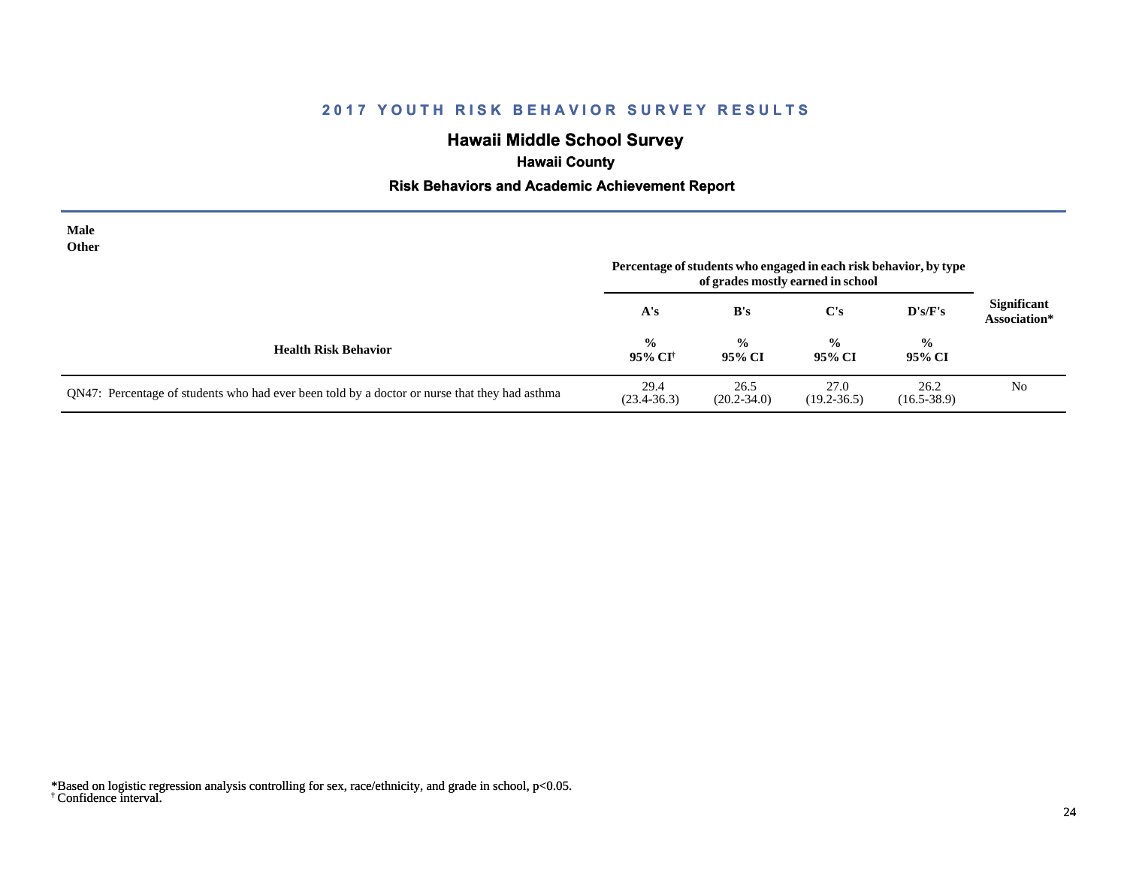# **Hawaii Middle School Survey**

## **Hawaii County**

#### **Risk Behaviors and Academic Achievement Report**

| Male<br><b>Other</b>                                                                          | Percentage of students who engaged in each risk behavior, by type |                         |                         |                         |                                    |
|-----------------------------------------------------------------------------------------------|-------------------------------------------------------------------|-------------------------|-------------------------|-------------------------|------------------------------------|
|                                                                                               | A's                                                               | B's                     | $\bf C's$               | D's/F's                 | <b>Significant</b><br>Association* |
| <b>Health Risk Behavior</b>                                                                   | $\frac{6}{10}$<br>95% CI†                                         | $\frac{0}{0}$<br>95% CI | $\frac{0}{0}$<br>95% CI | $\frac{0}{0}$<br>95% CI |                                    |
| QN47: Percentage of students who had ever been told by a doctor or nurse that they had asthma | 29.4<br>$(23.4 - 36.3)$                                           | 26.5<br>$(20.2 - 34.0)$ | 27.0<br>$(19.2 - 36.5)$ | 26.2<br>$(16.5 - 38.9)$ | N <sub>0</sub>                     |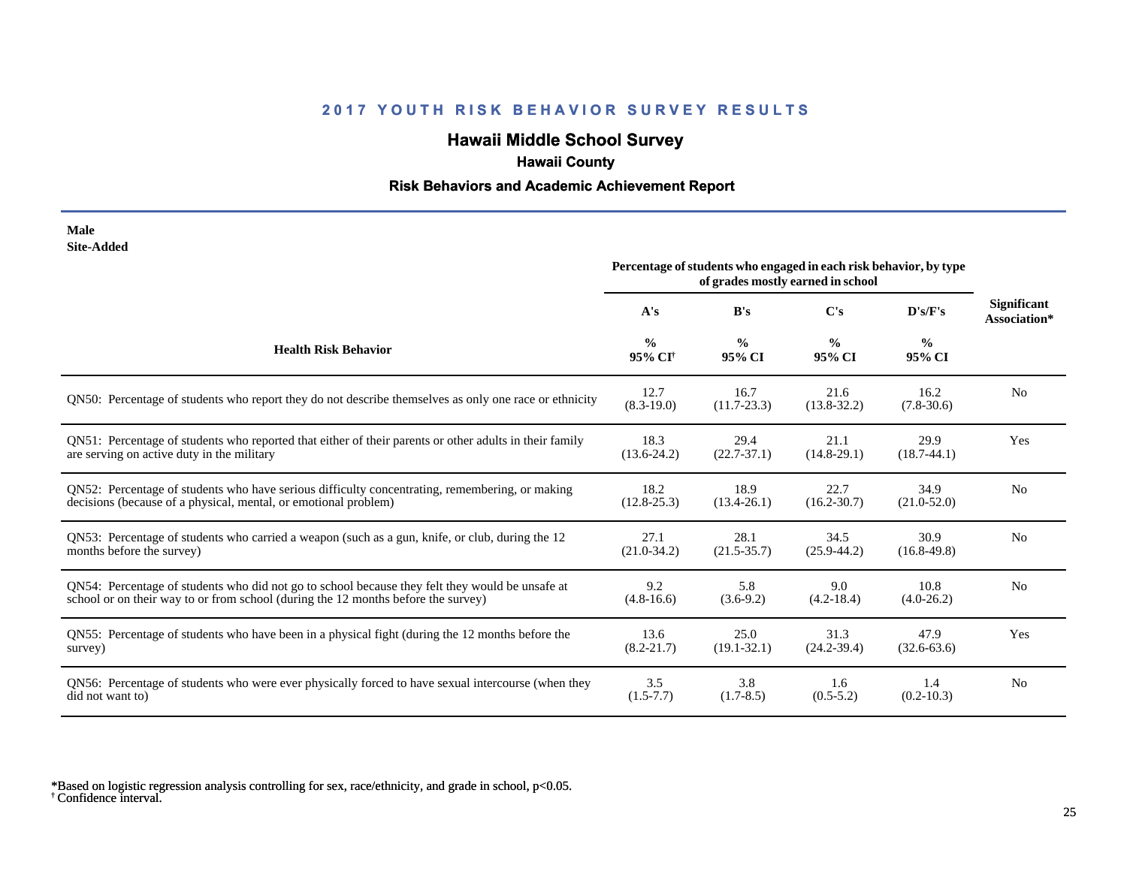# **Hawaii Middle School Survey**

## **Hawaii County**

#### **Risk Behaviors and Academic Achievement Report**

| Male       |
|------------|
| Site-Added |

| one maae                                                                                               | Percentage of students who engaged in each risk behavior, by type<br>of grades mostly earned in school |                         |                         |                         |                                    |
|--------------------------------------------------------------------------------------------------------|--------------------------------------------------------------------------------------------------------|-------------------------|-------------------------|-------------------------|------------------------------------|
|                                                                                                        | A's                                                                                                    | B's                     | C's                     | D's/F's                 | <b>Significant</b><br>Association* |
| <b>Health Risk Behavior</b>                                                                            | $\frac{0}{0}$<br>95% CI <sup>+</sup>                                                                   | $\frac{0}{0}$<br>95% CI | $\frac{6}{9}$<br>95% CI | $\frac{0}{0}$<br>95% CI |                                    |
| QN50: Percentage of students who report they do not describe themselves as only one race or ethnicity  | 12.7<br>$(8.3 - 19.0)$                                                                                 | 16.7<br>$(11.7 - 23.3)$ | 21.6<br>$(13.8 - 32.2)$ | 16.2<br>$(7.8-30.6)$    | N <sub>0</sub>                     |
| QN51: Percentage of students who reported that either of their parents or other adults in their family | 18.3                                                                                                   | 29.4                    | 21.1                    | 29.9                    | Yes                                |
| are serving on active duty in the military                                                             | $(13.6 - 24.2)$                                                                                        | $(22.7 - 37.1)$         | $(14.8-29.1)$           | $(18.7-44.1)$           |                                    |
| QN52: Percentage of students who have serious difficulty concentrating, remembering, or making         | 18.2                                                                                                   | 18.9                    | 22.7                    | 34.9                    | N <sub>0</sub>                     |
| decisions (because of a physical, mental, or emotional problem)                                        | $(12.8 - 25.3)$                                                                                        | $(13.4 - 26.1)$         | $(16.2 - 30.7)$         | $(21.0 - 52.0)$         |                                    |
| QN53: Percentage of students who carried a weapon (such as a gun, knife, or club, during the 12        | 27.1                                                                                                   | 28.1                    | 34.5                    | 30.9                    | N <sub>0</sub>                     |
| months before the survey)                                                                              | $(21.0-34.2)$                                                                                          | $(21.5 - 35.7)$         | $(25.9 - 44.2)$         | $(16.8-49.8)$           |                                    |
| QN54: Percentage of students who did not go to school because they felt they would be unsafe at        | 9.2                                                                                                    | 5.8                     | 9.0                     | 10.8                    | N <sub>0</sub>                     |
| school or on their way to or from school (during the 12 months before the survey)                      | $(4.8-16.6)$                                                                                           | $(3.6-9.2)$             | $(4.2 - 18.4)$          | $(4.0-26.2)$            |                                    |
| QN55: Percentage of students who have been in a physical fight (during the 12 months before the        | 13.6                                                                                                   | 25.0                    | 31.3                    | 47.9                    | Yes                                |
| survey)                                                                                                | $(8.2 - 21.7)$                                                                                         | $(19.1 - 32.1)$         | $(24.2 - 39.4)$         | $(32.6 - 63.6)$         |                                    |
| QN56: Percentage of students who were ever physically forced to have sexual intercourse (when they     | 3.5                                                                                                    | 3.8                     | 1.6                     | 1.4                     | N <sub>0</sub>                     |
| did not want to)                                                                                       | $(1.5 - 7.7)$                                                                                          | $(1.7 - 8.5)$           | $(0.5 - 5.2)$           | $(0.2 - 10.3)$          |                                    |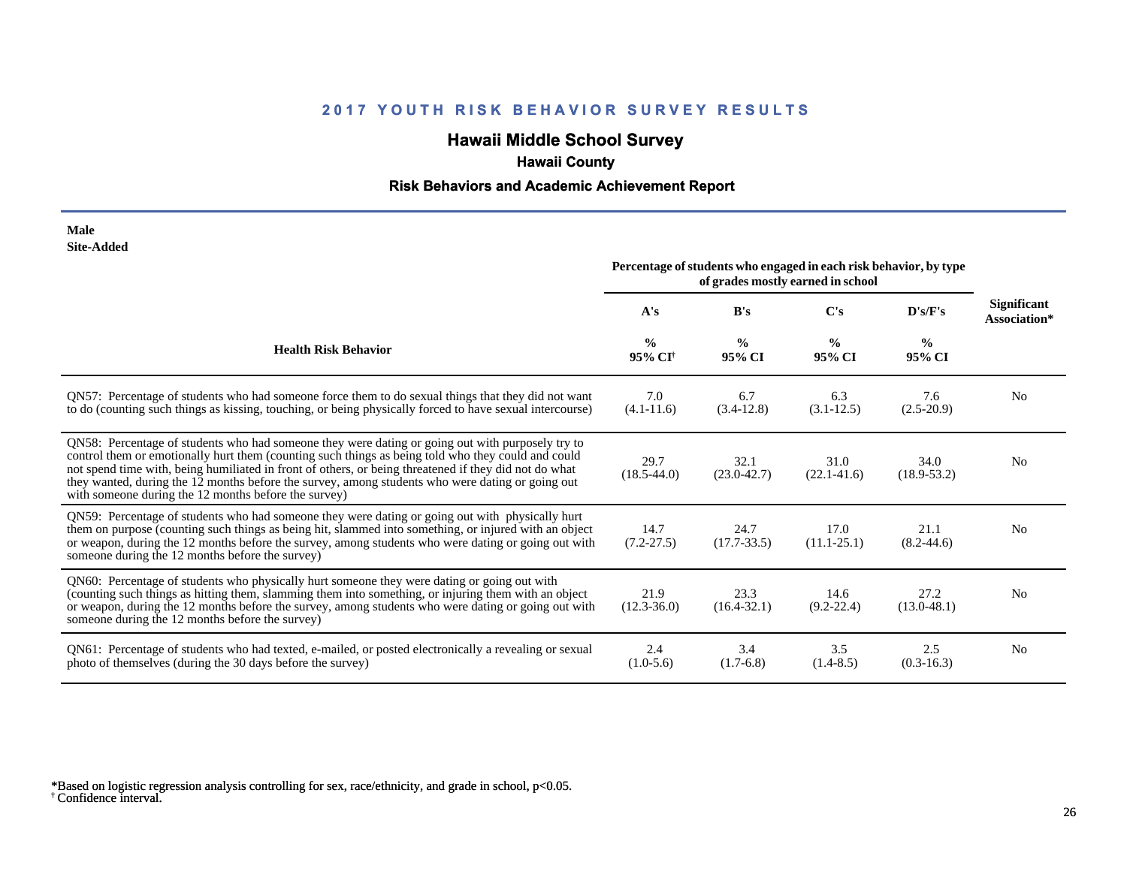# **Hawaii Middle School Survey**

## **Hawaii County**

#### **Risk Behaviors and Academic Achievement Report**

| Male       |
|------------|
| Site-Added |

| one-nuuvu                                                                                                                                                                                                                                                                                                                                                                                                                                                                   | Percentage of students who engaged in each risk behavior, by type<br>of grades mostly earned in school |                         |                         |                         |                             |
|-----------------------------------------------------------------------------------------------------------------------------------------------------------------------------------------------------------------------------------------------------------------------------------------------------------------------------------------------------------------------------------------------------------------------------------------------------------------------------|--------------------------------------------------------------------------------------------------------|-------------------------|-------------------------|-------------------------|-----------------------------|
|                                                                                                                                                                                                                                                                                                                                                                                                                                                                             | A's                                                                                                    | B's                     | C's                     | D's/F's                 | Significant<br>Association* |
| <b>Health Risk Behavior</b>                                                                                                                                                                                                                                                                                                                                                                                                                                                 | $\frac{0}{0}$<br>95% CI <sup>+</sup>                                                                   | $\frac{0}{0}$<br>95% CI | $\frac{0}{0}$<br>95% CI | $\frac{6}{9}$<br>95% CI |                             |
| QN57: Percentage of students who had someone force them to do sexual things that they did not want<br>to do (counting such things as kissing, touching, or being physically forced to have sexual intercourse)                                                                                                                                                                                                                                                              | 7.0<br>$(4.1 - 11.6)$                                                                                  | 6.7<br>$(3.4-12.8)$     | 6.3<br>$(3.1-12.5)$     | 7.6<br>$(2.5-20.9)$     | N <sub>0</sub>              |
| QN58: Percentage of students who had someone they were dating or going out with purposely try to<br>control them or emotionally hurt them (counting such things as being told who they could and could<br>not spend time with, being humiliated in front of others, or being threatened if they did not do what<br>they wanted, during the 12 months before the survey, among students who were dating or going out<br>with someone during the 12 months before the survey) | 29.7<br>$(18.5 - 44.0)$                                                                                | 32.1<br>$(23.0 - 42.7)$ | 31.0<br>$(22.1 - 41.6)$ | 34.0<br>$(18.9 - 53.2)$ | N <sub>0</sub>              |
| QN59: Percentage of students who had someone they were dating or going out with physically hurt<br>them on purpose (counting such things as being hit, slammed into something, or injured with an object<br>or weapon, during the 12 months before the survey, among students who were dating or going out with<br>someone during the 12 months before the survey)                                                                                                          | 14.7<br>$(7.2 - 27.5)$                                                                                 | 24.7<br>$(17.7 - 33.5)$ | 17.0<br>$(11.1 - 25.1)$ | 21.1<br>$(8.2 - 44.6)$  | N <sub>0</sub>              |
| QN60: Percentage of students who physically hurt someone they were dating or going out with<br>(counting such things as hitting them, slamming them into something, or injuring them with an object<br>or weapon, during the 12 months before the survey, among students who were dating or going out with<br>someone during the 12 months before the survey)                                                                                                               | 21.9<br>$(12.3 - 36.0)$                                                                                | 23.3<br>$(16.4 - 32.1)$ | 14.6<br>$(9.2 - 22.4)$  | 27.2<br>$(13.0 - 48.1)$ | N <sub>0</sub>              |
| QN61: Percentage of students who had texted, e-mailed, or posted electronically a revealing or sexual<br>photo of themselves (during the 30 days before the survey)                                                                                                                                                                                                                                                                                                         | 2.4<br>$(1.0-5.6)$                                                                                     | 3.4<br>$(1.7-6.8)$      | 3.5<br>$(1.4 - 8.5)$    | 2.5<br>$(0.3-16.3)$     | N <sub>0</sub>              |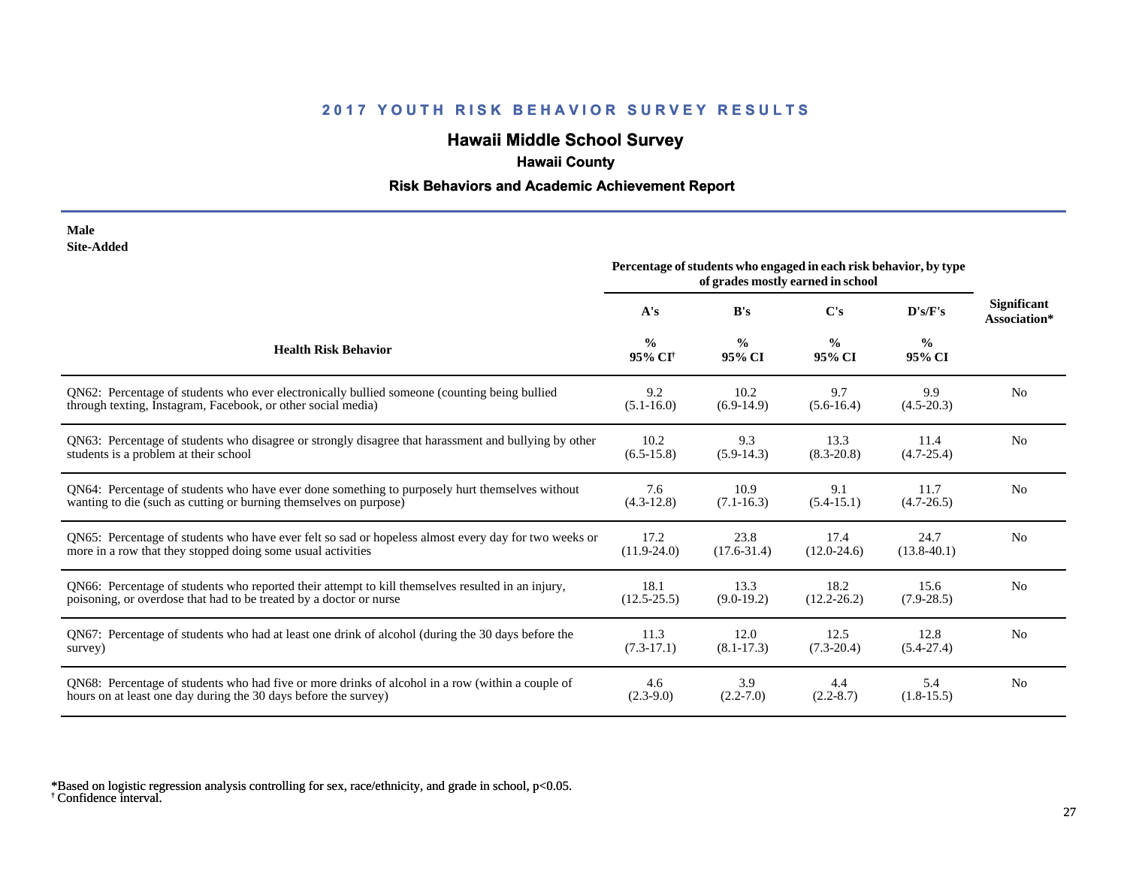# **Hawaii Middle School Survey**

## **Hawaii County**

#### **Risk Behaviors and Academic Achievement Report**

#### **Male Site-Added**

|                                                                                                      | Percentage of students who engaged in each risk behavior, by type<br>of grades mostly earned in school |                         |                         |                         |                                    |
|------------------------------------------------------------------------------------------------------|--------------------------------------------------------------------------------------------------------|-------------------------|-------------------------|-------------------------|------------------------------------|
|                                                                                                      | A's                                                                                                    | B's                     | C's                     | D's/F's                 | <b>Significant</b><br>Association* |
| <b>Health Risk Behavior</b>                                                                          | $\frac{0}{0}$<br>95% CI <sup>+</sup>                                                                   | $\frac{0}{0}$<br>95% CI | $\frac{0}{0}$<br>95% CI | $\frac{0}{0}$<br>95% CI |                                    |
| QN62: Percentage of students who ever electronically bullied someone (counting being bullied         | 9.2                                                                                                    | 10.2                    | 9.7                     | 9.9                     | N <sub>0</sub>                     |
| through texting, Instagram, Facebook, or other social media)                                         | $(5.1 - 16.0)$                                                                                         | $(6.9-14.9)$            | $(5.6-16.4)$            | $(4.5-20.3)$            |                                    |
| QN63: Percentage of students who disagree or strongly disagree that harassment and bullying by other | 10.2                                                                                                   | 9.3                     | 13.3                    | 11.4                    | N <sub>0</sub>                     |
| students is a problem at their school                                                                | $(6.5-15.8)$                                                                                           | $(5.9-14.3)$            | $(8.3 - 20.8)$          | $(4.7 - 25.4)$          |                                    |
| QN64: Percentage of students who have ever done something to purposely hurt themselves without       | 7.6                                                                                                    | 10.9                    | 9.1                     | 11.7                    | N <sub>0</sub>                     |
| wanting to die (such as cutting or burning themselves on purpose)                                    | $(4.3-12.8)$                                                                                           | $(7.1 - 16.3)$          | $(5.4-15.1)$            | $(4.7-26.5)$            |                                    |
| QN65: Percentage of students who have ever felt so sad or hopeless almost every day for two weeks or | 17.2                                                                                                   | 23.8                    | 17.4                    | 24.7                    | N <sub>0</sub>                     |
| more in a row that they stopped doing some usual activities                                          | $(11.9 - 24.0)$                                                                                        | $(17.6 - 31.4)$         | $(12.0 - 24.6)$         | $(13.8-40.1)$           |                                    |
| QN66: Percentage of students who reported their attempt to kill themselves resulted in an injury,    | 18.1                                                                                                   | 13.3                    | 18.2                    | 15.6                    | N <sub>0</sub>                     |
| poisoning, or overdose that had to be treated by a doctor or nurse                                   | $(12.5 - 25.5)$                                                                                        | $(9.0-19.2)$            | $(12.2 - 26.2)$         | $(7.9-28.5)$            |                                    |
| QN67: Percentage of students who had at least one drink of alcohol (during the 30 days before the    | 11.3                                                                                                   | 12.0                    | 12.5                    | 12.8                    | N <sub>0</sub>                     |
| survey)                                                                                              | $(7.3-17.1)$                                                                                           | $(8.1 - 17.3)$          | $(7.3-20.4)$            | $(5.4-27.4)$            |                                    |
| QN68: Percentage of students who had five or more drinks of alcohol in a row (within a couple of     | 4.6                                                                                                    | 3.9                     | 4.4                     | 5.4                     | N <sub>0</sub>                     |
| hours on at least one day during the 30 days before the survey)                                      | $(2.3-9.0)$                                                                                            | $(2.2 - 7.0)$           | $(2.2 - 8.7)$           | $(1.8-15.5)$            |                                    |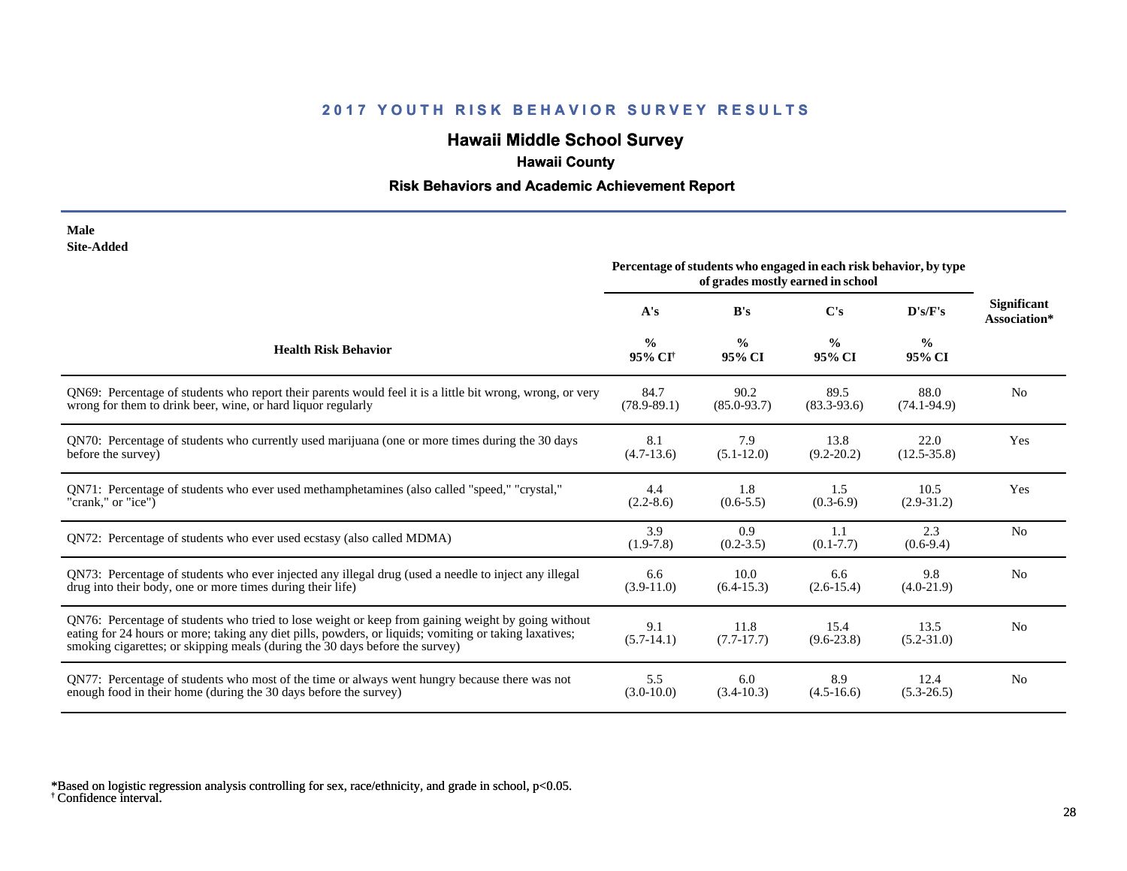# **Hawaii Middle School Survey**

## **Hawaii County**

#### **Risk Behaviors and Academic Achievement Report**

| Male              |
|-------------------|
| <b>Site-Added</b> |

|                                                                                                                                                                                                                                                                                              | Percentage of students who engaged in each risk behavior, by type<br>of grades mostly earned in school |                         |                         |                         |                                    |
|----------------------------------------------------------------------------------------------------------------------------------------------------------------------------------------------------------------------------------------------------------------------------------------------|--------------------------------------------------------------------------------------------------------|-------------------------|-------------------------|-------------------------|------------------------------------|
|                                                                                                                                                                                                                                                                                              | A's                                                                                                    | B's                     | C's                     | D's/F's                 | <b>Significant</b><br>Association* |
| <b>Health Risk Behavior</b>                                                                                                                                                                                                                                                                  | $\frac{0}{0}$<br>95% CI <sup>+</sup>                                                                   | $\frac{0}{0}$<br>95% CI | $\frac{0}{0}$<br>95% CI | $\frac{0}{0}$<br>95% CI |                                    |
| QN69: Percentage of students who report their parents would feel it is a little bit wrong, wrong, or very                                                                                                                                                                                    | 84.7                                                                                                   | 90.2                    | 89.5                    | 88.0                    | N <sub>0</sub>                     |
| wrong for them to drink beer, wine, or hard liquor regularly                                                                                                                                                                                                                                 | $(78.9 - 89.1)$                                                                                        | $(85.0 - 93.7)$         | $(83.3-93.6)$           | $(74.1 - 94.9)$         |                                    |
| QN70: Percentage of students who currently used marijuana (one or more times during the 30 days                                                                                                                                                                                              | 8.1                                                                                                    | 7.9                     | 13.8                    | 22.0                    | Yes                                |
| before the survey)                                                                                                                                                                                                                                                                           | $(4.7-13.6)$                                                                                           | $(5.1 - 12.0)$          | $(9.2 - 20.2)$          | $(12.5 - 35.8)$         |                                    |
| ON71: Percentage of students who ever used methamphetamines (also called "speed," "crystal,"                                                                                                                                                                                                 | 4.4                                                                                                    | 1.8                     | 1.5                     | 10.5                    | Yes                                |
| "crank," or "ice")                                                                                                                                                                                                                                                                           | $(2.2 - 8.6)$                                                                                          | $(0.6-5.5)$             | $(0.3-6.9)$             | $(2.9 - 31.2)$          |                                    |
| QN72: Percentage of students who ever used ecstasy (also called MDMA)                                                                                                                                                                                                                        | 3.9<br>$(1.9-7.8)$                                                                                     | 0.9<br>$(0.2 - 3.5)$    | 1.1<br>$(0.1 - 7.7)$    | 2.3<br>$(0.6-9.4)$      | N <sub>0</sub>                     |
| QN73: Percentage of students who ever injected any illegal drug (used a needle to inject any illegal                                                                                                                                                                                         | 6.6                                                                                                    | 10.0                    | 6.6                     | 9.8                     | N <sub>0</sub>                     |
| drug into their body, one or more times during their life)                                                                                                                                                                                                                                   | $(3.9-11.0)$                                                                                           | $(6.4-15.3)$            | $(2.6 - 15.4)$          | $(4.0-21.9)$            |                                    |
| QN76: Percentage of students who tried to lose weight or keep from gaining weight by going without<br>eating for 24 hours or more; taking any diet pills, powders, or liquids; vomiting or taking laxatives;<br>smoking cigarettes; or skipping meals (during the 30 days before the survey) | 9.1<br>$(5.7-14.1)$                                                                                    | 11.8<br>$(7.7-17.7)$    | 15.4<br>$(9.6-23.8)$    | 13.5<br>$(5.2 - 31.0)$  | N <sub>0</sub>                     |
| QN77: Percentage of students who most of the time or always went hungry because there was not                                                                                                                                                                                                | 5.5                                                                                                    | 6.0                     | 8.9                     | 12.4                    | N <sub>0</sub>                     |
| enough food in their home (during the 30 days before the survey)                                                                                                                                                                                                                             | $(3.0-10.0)$                                                                                           | $(3.4 - 10.3)$          | $(4.5 - 16.6)$          | $(5.3 - 26.5)$          |                                    |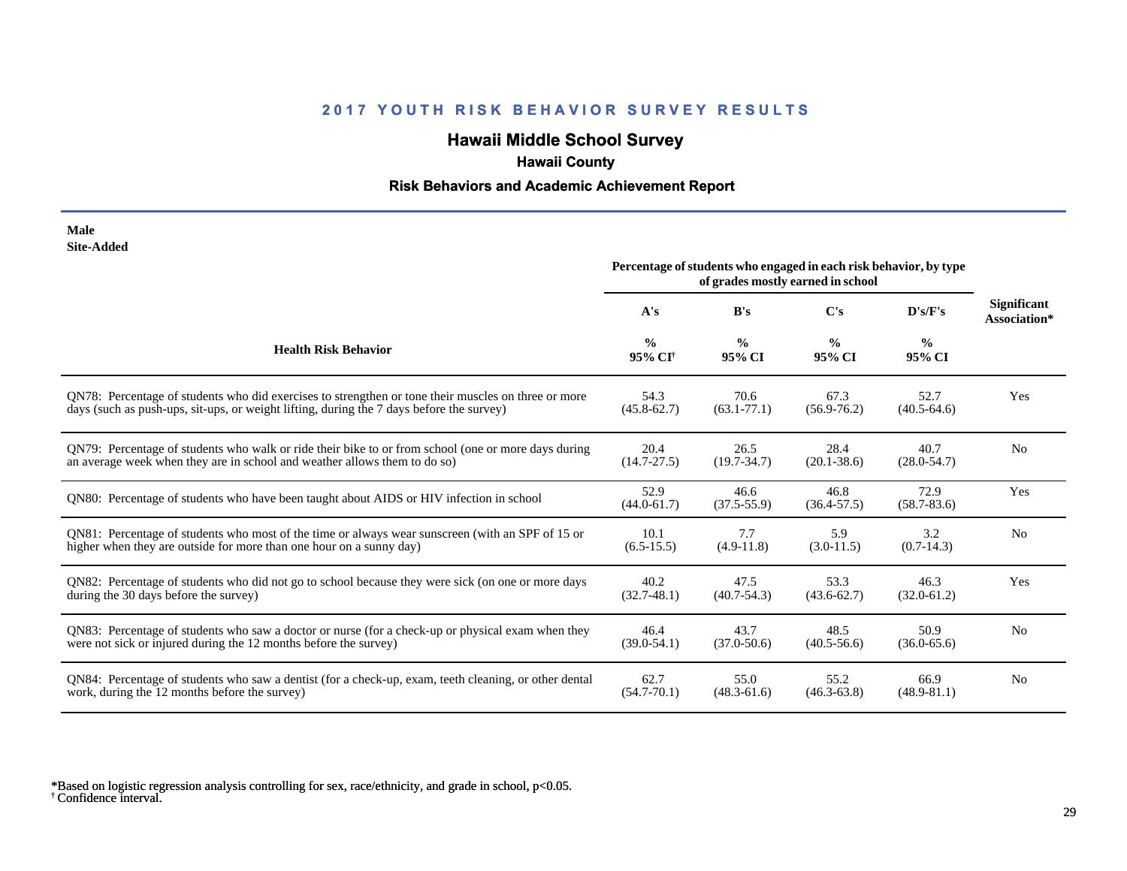# **Hawaii Middle School Survey**

## **Hawaii County**

#### **Risk Behaviors and Academic Achievement Report**

| Male              |
|-------------------|
| <b>Site-Added</b> |

|                                                                                                       | Percentage of students who engaged in each risk behavior, by type<br>of grades mostly earned in school |                         |                         |                         |                                    |
|-------------------------------------------------------------------------------------------------------|--------------------------------------------------------------------------------------------------------|-------------------------|-------------------------|-------------------------|------------------------------------|
|                                                                                                       | A's                                                                                                    | B's                     | $\bf C's$               | D's/F's                 | <b>Significant</b><br>Association* |
| <b>Health Risk Behavior</b>                                                                           | $\frac{0}{0}$<br>95% CI <sup>†</sup>                                                                   | $\frac{0}{0}$<br>95% CI | $\frac{6}{9}$<br>95% CI | $\frac{0}{0}$<br>95% CI |                                    |
| QN78: Percentage of students who did exercises to strengthen or tone their muscles on three or more   | 54.3                                                                                                   | 70.6                    | 67.3                    | 52.7                    | Yes                                |
| days (such as push-ups, sit-ups, or weight lifting, during the 7 days before the survey)              | $(45.8 - 62.7)$                                                                                        | $(63.1 - 77.1)$         | $(56.9 - 76.2)$         | $(40.5 - 64.6)$         |                                    |
| ON79: Percentage of students who walk or ride their bike to or from school (one or more days during   | 20.4                                                                                                   | 26.5                    | 28.4                    | 40.7                    | N <sub>0</sub>                     |
| an average week when they are in school and weather allows them to do so)                             | $(14.7 - 27.5)$                                                                                        | $(19.7 - 34.7)$         | $(20.1 - 38.6)$         | $(28.0 - 54.7)$         |                                    |
| QN80: Percentage of students who have been taught about AIDS or HIV infection in school               | 52.9<br>$(44.0 - 61.7)$                                                                                | 46.6<br>$(37.5 - 55.9)$ | 46.8<br>$(36.4 - 57.5)$ | 72.9<br>$(58.7 - 83.6)$ | Yes                                |
| QN81: Percentage of students who most of the time or always wear sunscreen (with an SPF of 15 or      | 10.1                                                                                                   | 7.7                     | 5.9                     | 3.2                     | N <sub>0</sub>                     |
| higher when they are outside for more than one hour on a sunny day)                                   | $(6.5-15.5)$                                                                                           | $(4.9-11.8)$            | $(3.0-11.5)$            | $(0.7-14.3)$            |                                    |
| QN82: Percentage of students who did not go to school because they were sick (on one or more days     | 40.2                                                                                                   | 47.5                    | 53.3                    | 46.3                    | Yes                                |
| during the 30 days before the survey)                                                                 | $(32.7-48.1)$                                                                                          | $(40.7 - 54.3)$         | $(43.6 - 62.7)$         | $(32.0 - 61.2)$         |                                    |
| QN83: Percentage of students who saw a doctor or nurse (for a check-up or physical exam when they     | 46.4                                                                                                   | 43.7                    | 48.5                    | 50.9                    | N <sub>0</sub>                     |
| were not sick or injured during the 12 months before the survey)                                      | $(39.0 - 54.1)$                                                                                        | $(37.0 - 50.6)$         | $(40.5 - 56.6)$         | $(36.0 - 65.6)$         |                                    |
| QN84: Percentage of students who saw a dentist (for a check-up, exam, teeth cleaning, or other dental | 62.7                                                                                                   | 55.0                    | 55.2                    | 66.9                    | N <sub>0</sub>                     |
| work, during the 12 months before the survey)                                                         | $(54.7 - 70.1)$                                                                                        | $(48.3 - 61.6)$         | $(46.3 - 63.8)$         | $(48.9 - 81.1)$         |                                    |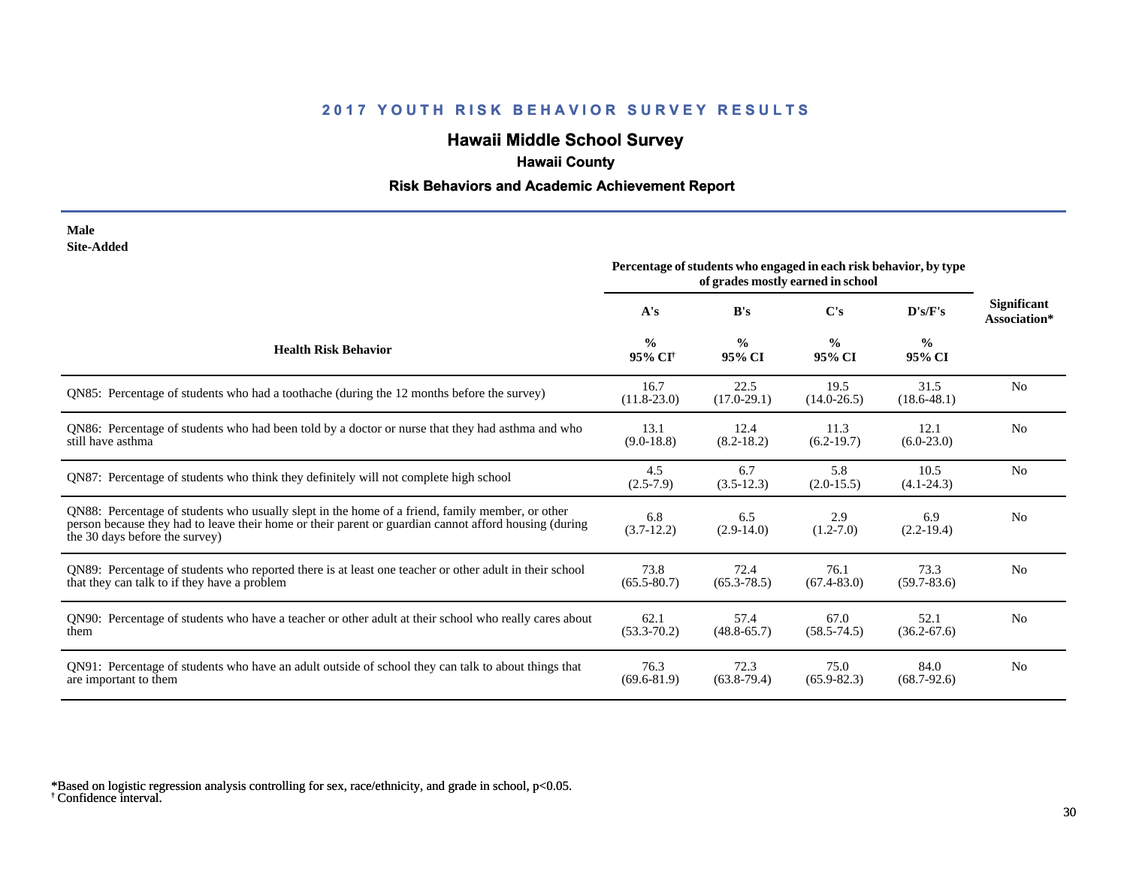# **Hawaii Middle School Survey**

## **Hawaii County**

#### **Risk Behaviors and Academic Achievement Report**

#### **Male Site-Added**

|                                                                                                                                                                                                                                            | Percentage of students who engaged in each risk behavior, by type<br>of grades mostly earned in school |                         |                         |                         |                                    |
|--------------------------------------------------------------------------------------------------------------------------------------------------------------------------------------------------------------------------------------------|--------------------------------------------------------------------------------------------------------|-------------------------|-------------------------|-------------------------|------------------------------------|
|                                                                                                                                                                                                                                            | A's                                                                                                    | B's                     | $\bf C$ 's              | D's/F's                 | <b>Significant</b><br>Association* |
| <b>Health Risk Behavior</b>                                                                                                                                                                                                                | $\frac{0}{0}$<br>95% CI <sup>+</sup>                                                                   | $\frac{0}{0}$<br>95% CI | $\frac{0}{0}$<br>95% CI | $\frac{0}{0}$<br>95% CI |                                    |
| QN85: Percentage of students who had a toothache (during the 12 months before the survey)                                                                                                                                                  | 16.7<br>$(11.8 - 23.0)$                                                                                | 22.5<br>$(17.0-29.1)$   | 19.5<br>$(14.0 - 26.5)$ | 31.5<br>$(18.6 - 48.1)$ | N <sub>0</sub>                     |
| QN86: Percentage of students who had been told by a doctor or nurse that they had asthma and who<br>still have asthma                                                                                                                      | 13.1<br>$(9.0 - 18.8)$                                                                                 | 12.4<br>$(8.2 - 18.2)$  | 11.3<br>$(6.2-19.7)$    | 12.1<br>$(6.0-23.0)$    | N <sub>0</sub>                     |
| QN87: Percentage of students who think they definitely will not complete high school                                                                                                                                                       | 4.5<br>$(2.5 - 7.9)$                                                                                   | 6.7<br>$(3.5-12.3)$     | 5.8<br>$(2.0-15.5)$     | 10.5<br>$(4.1 - 24.3)$  | N <sub>0</sub>                     |
| QN88: Percentage of students who usually slept in the home of a friend, family member, or other<br>person because they had to leave their home or their parent or guardian cannot afford housing (during<br>the 30 days before the survey) | 6.8<br>$(3.7-12.2)$                                                                                    | 6.5<br>$(2.9-14.0)$     | 2.9<br>$(1.2 - 7.0)$    | 6.9<br>$(2.2-19.4)$     | N <sub>0</sub>                     |
| QN89: Percentage of students who reported there is at least one teacher or other adult in their school<br>that they can talk to if they have a problem                                                                                     | 73.8<br>$(65.5 - 80.7)$                                                                                | 72.4<br>$(65.3 - 78.5)$ | 76.1<br>$(67.4 - 83.0)$ | 73.3<br>$(59.7 - 83.6)$ | N <sub>0</sub>                     |
| QN90: Percentage of students who have a teacher or other adult at their school who really cares about<br>them                                                                                                                              | 62.1<br>$(53.3 - 70.2)$                                                                                | 57.4<br>$(48.8 - 65.7)$ | 67.0<br>$(58.5 - 74.5)$ | 52.1<br>$(36.2 - 67.6)$ | N <sub>0</sub>                     |
| QN91: Percentage of students who have an adult outside of school they can talk to about things that<br>are important to them                                                                                                               | 76.3<br>$(69.6 - 81.9)$                                                                                | 72.3<br>$(63.8-79.4)$   | 75.0<br>$(65.9 - 82.3)$ | 84.0<br>$(68.7-92.6)$   | N <sub>0</sub>                     |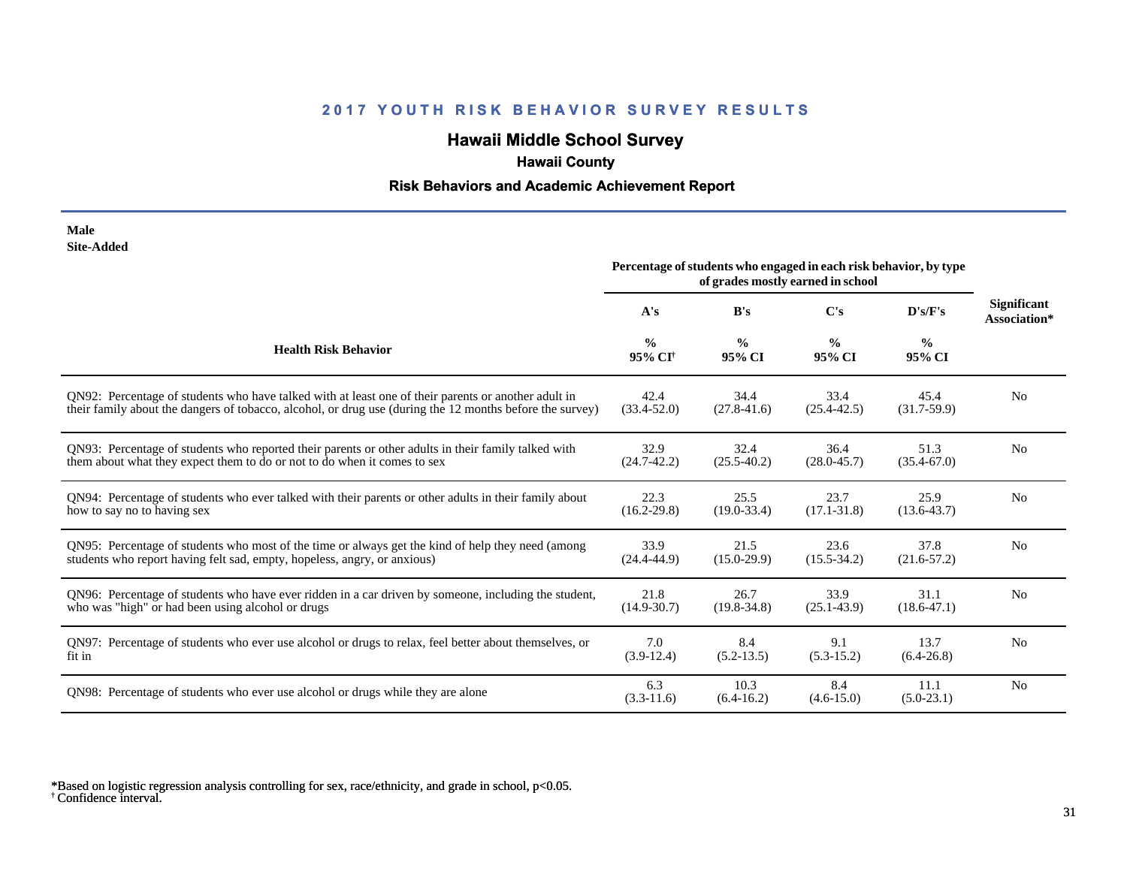# **Hawaii Middle School Survey**

## **Hawaii County**

#### **Risk Behaviors and Academic Achievement Report**

| Male              |
|-------------------|
| <b>Site-Added</b> |

|                                                                                                          | Percentage of students who engaged in each risk behavior, by type<br>of grades mostly earned in school |                         |                         |                         |                                    |
|----------------------------------------------------------------------------------------------------------|--------------------------------------------------------------------------------------------------------|-------------------------|-------------------------|-------------------------|------------------------------------|
|                                                                                                          | A's                                                                                                    | B's                     | C's                     | D's/F's                 | <b>Significant</b><br>Association* |
| <b>Health Risk Behavior</b>                                                                              | $\frac{0}{0}$<br>95% CI <sup>+</sup>                                                                   | $\frac{0}{0}$<br>95% CI | $\frac{6}{9}$<br>95% CI | $\frac{0}{0}$<br>95% CI |                                    |
| ON92: Percentage of students who have talked with at least one of their parents or another adult in      | 42.4                                                                                                   | 34.4                    | 33.4                    | 45.4                    | N <sub>0</sub>                     |
| their family about the dangers of tobacco, alcohol, or drug use (during the 12 months before the survey) | $(33.4 - 52.0)$                                                                                        | $(27.8 - 41.6)$         | $(25.4 - 42.5)$         | $(31.7-59.9)$           |                                    |
| QN93: Percentage of students who reported their parents or other adults in their family talked with      | 32.9                                                                                                   | 32.4                    | 36.4                    | 51.3                    | N <sub>0</sub>                     |
| them about what they expect them to do or not to do when it comes to sex                                 | $(24.7 - 42.2)$                                                                                        | $(25.5 - 40.2)$         | $(28.0 - 45.7)$         | $(35.4 - 67.0)$         |                                    |
| QN94: Percentage of students who ever talked with their parents or other adults in their family about    | 22.3                                                                                                   | 25.5                    | 23.7                    | 25.9                    | N <sub>o</sub>                     |
| how to say no to having sex                                                                              | $(16.2 - 29.8)$                                                                                        | $(19.0 - 33.4)$         | $(17.1 - 31.8)$         | $(13.6 - 43.7)$         |                                    |
| QN95: Percentage of students who most of the time or always get the kind of help they need (among        | 33.9                                                                                                   | 21.5                    | 23.6                    | 37.8                    | N <sub>0</sub>                     |
| students who report having felt sad, empty, hopeless, angry, or anxious)                                 | $(24.4 - 44.9)$                                                                                        | $(15.0-29.9)$           | $(15.5 - 34.2)$         | $(21.6 - 57.2)$         |                                    |
| QN96: Percentage of students who have ever ridden in a car driven by someone, including the student,     | 21.8                                                                                                   | 26.7                    | 33.9                    | 31.1                    | N <sub>0</sub>                     |
| who was "high" or had been using alcohol or drugs                                                        | $(14.9 - 30.7)$                                                                                        | $(19.8 - 34.8)$         | $(25.1 - 43.9)$         | $(18.6 - 47.1)$         |                                    |
| QN97: Percentage of students who ever use alcohol or drugs to relax, feel better about themselves, or    | 7.0                                                                                                    | 8.4                     | 9.1                     | 13.7                    | N <sub>o</sub>                     |
| fit in                                                                                                   | $(3.9-12.4)$                                                                                           | $(5.2-13.5)$            | $(5.3-15.2)$            | $(6.4-26.8)$            |                                    |
| QN98: Percentage of students who ever use alcohol or drugs while they are alone                          | 6.3<br>$(3.3-11.6)$                                                                                    | 10.3<br>$(6.4-16.2)$    | 8.4<br>$(4.6 - 15.0)$   | 11.1<br>$(5.0-23.1)$    | N <sub>0</sub>                     |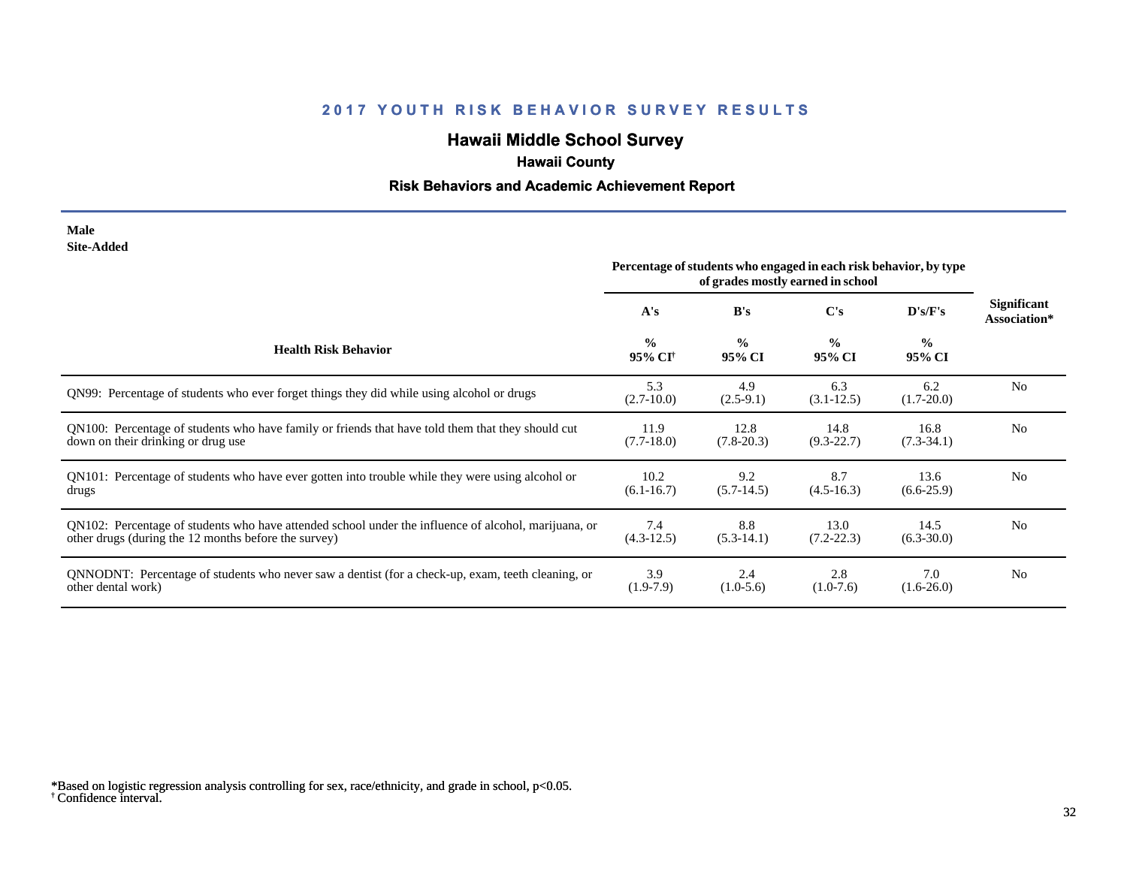# **Hawaii Middle School Survey**

## **Hawaii County**

#### **Risk Behaviors and Academic Achievement Report**

#### **Male Site-Added**

|                                                                                                      | Percentage of students who engaged in each risk behavior, by type<br>of grades mostly earned in school |                         |                         |                          |                             |
|------------------------------------------------------------------------------------------------------|--------------------------------------------------------------------------------------------------------|-------------------------|-------------------------|--------------------------|-----------------------------|
|                                                                                                      | A's                                                                                                    | B's                     | C's                     | $\bf{D}$ 's/ $\bf{F}$ 's | Significant<br>Association* |
| <b>Health Risk Behavior</b>                                                                          | $\frac{0}{0}$<br>95% CI <sup>†</sup>                                                                   | $\frac{0}{0}$<br>95% CI | $\frac{0}{0}$<br>95% CI | $\frac{0}{0}$<br>95% CI  |                             |
| QN99: Percentage of students who ever forget things they did while using alcohol or drugs            | 5.3<br>$(2.7-10.0)$                                                                                    | 4.9<br>$(2.5-9.1)$      | 6.3<br>$(3.1 - 12.5)$   | 6.2<br>$(1.7 - 20.0)$    | N <sub>0</sub>              |
| QN100: Percentage of students who have family or friends that have told them that they should cut    | 11.9                                                                                                   | 12.8                    | 14.8                    | 16.8                     | No                          |
| down on their drinking or drug use                                                                   | $(7.7-18.0)$                                                                                           | $(7.8-20.3)$            | $(9.3 - 22.7)$          | $(7.3-34.1)$             |                             |
| QN101: Percentage of students who have ever gotten into trouble while they were using alcohol or     | 10.2                                                                                                   | 9.2                     | 8.7                     | 13.6                     | N <sub>0</sub>              |
| drugs                                                                                                | $(6.1 - 16.7)$                                                                                         | $(5.7-14.5)$            | $(4.5 - 16.3)$          | $(6.6-25.9)$             |                             |
| QN102: Percentage of students who have attended school under the influence of alcohol, marijuana, or | 7.4                                                                                                    | 8.8                     | 13.0                    | 14.5                     | N <sub>0</sub>              |
| other drugs (during the 12 months before the survey)                                                 | $(4.3-12.5)$                                                                                           | $(5.3-14.1)$            | $(7.2 - 22.3)$          | $(6.3 - 30.0)$           |                             |
| QNNODNT: Percentage of students who never saw a dentist (for a check-up, exam, teeth cleaning, or    | 3.9                                                                                                    | 2.4                     | 2.8                     | 7.0                      | N <sub>0</sub>              |
| other dental work)                                                                                   | $(1.9-7.9)$                                                                                            | $(1.0-5.6)$             | $(1.0-7.6)$             | $(1.6-26.0)$             |                             |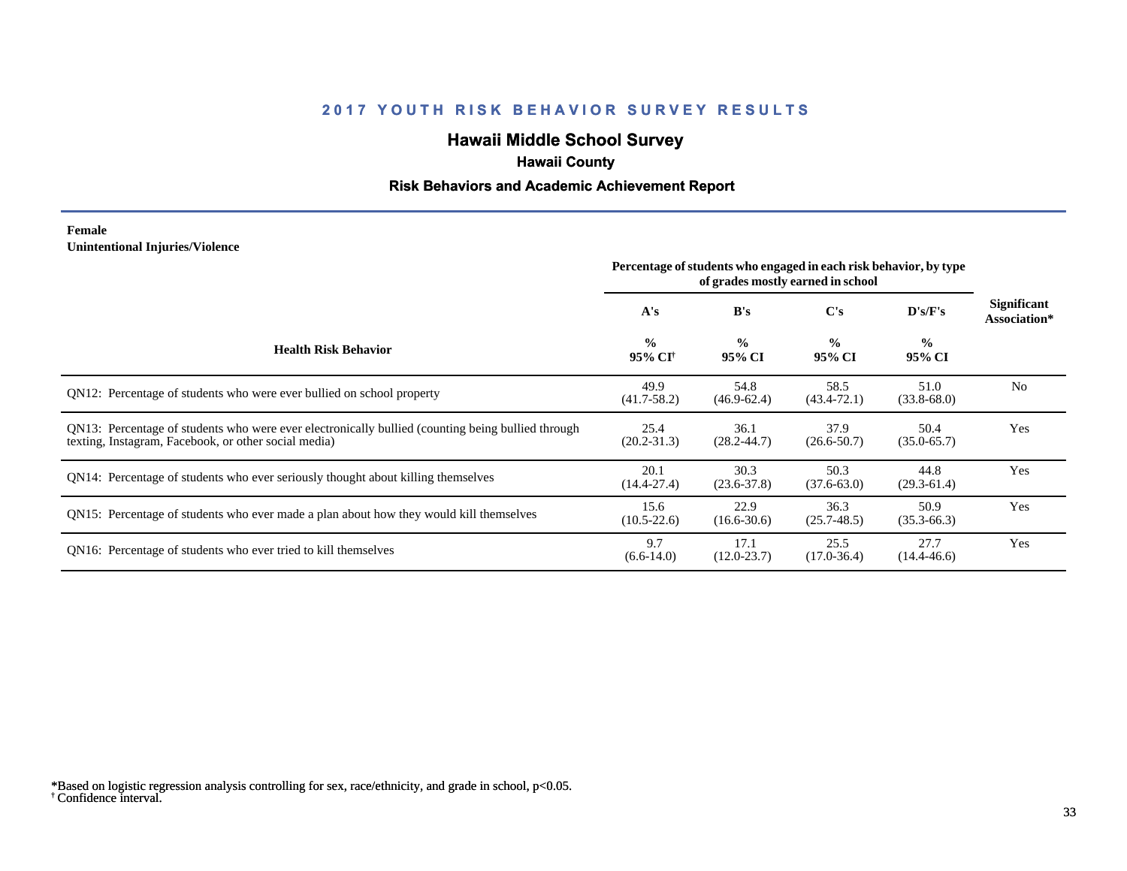# **Hawaii Middle School Survey**

## **Hawaii County**

#### **Risk Behaviors and Academic Achievement Report**

#### **Female Unintentional Injuries/Violence**

|                                                                                                                                                           | Percentage of students who engaged in each risk behavior, by type<br>of grades mostly earned in school |                         |                         |                         |                                    |
|-----------------------------------------------------------------------------------------------------------------------------------------------------------|--------------------------------------------------------------------------------------------------------|-------------------------|-------------------------|-------------------------|------------------------------------|
|                                                                                                                                                           | A's                                                                                                    | B's                     | C's                     | D's/F's                 | <b>Significant</b><br>Association* |
| <b>Health Risk Behavior</b>                                                                                                                               | $\frac{0}{0}$<br>95% CI <sup>†</sup>                                                                   | $\frac{6}{6}$<br>95% CI | $\frac{0}{0}$<br>95% CI | $\frac{0}{0}$<br>95% CI |                                    |
| QN12: Percentage of students who were ever bullied on school property                                                                                     | 49.9<br>$(41.7 - 58.2)$                                                                                | 54.8<br>$(46.9 - 62.4)$ | 58.5<br>$(43.4 - 72.1)$ | 51.0<br>$(33.8 - 68.0)$ | N <sub>0</sub>                     |
| QN13: Percentage of students who were ever electronically bullied (counting being bullied through<br>texting, Instagram, Facebook, or other social media) | 25.4<br>$(20.2 - 31.3)$                                                                                | 36.1<br>$(28.2 - 44.7)$ | 37.9<br>$(26.6 - 50.7)$ | 50.4<br>$(35.0 - 65.7)$ | Yes                                |
| QN14: Percentage of students who ever seriously thought about killing themselves                                                                          | 20.1<br>$(14.4 - 27.4)$                                                                                | 30.3<br>$(23.6 - 37.8)$ | 50.3<br>$(37.6 - 63.0)$ | 44.8<br>$(29.3-61.4)$   | Yes                                |
| QN15: Percentage of students who ever made a plan about how they would kill themselves                                                                    | 15.6<br>$(10.5 - 22.6)$                                                                                | 22.9<br>$(16.6 - 30.6)$ | 36.3<br>$(25.7 - 48.5)$ | 50.9<br>$(35.3 - 66.3)$ | Yes                                |
| QN16: Percentage of students who ever tried to kill themselves                                                                                            | 9.7<br>$(6.6-14.0)$                                                                                    | 17.1<br>$(12.0 - 23.7)$ | 25.5<br>$(17.0 - 36.4)$ | 27.7<br>$(14.4 - 46.6)$ | Yes                                |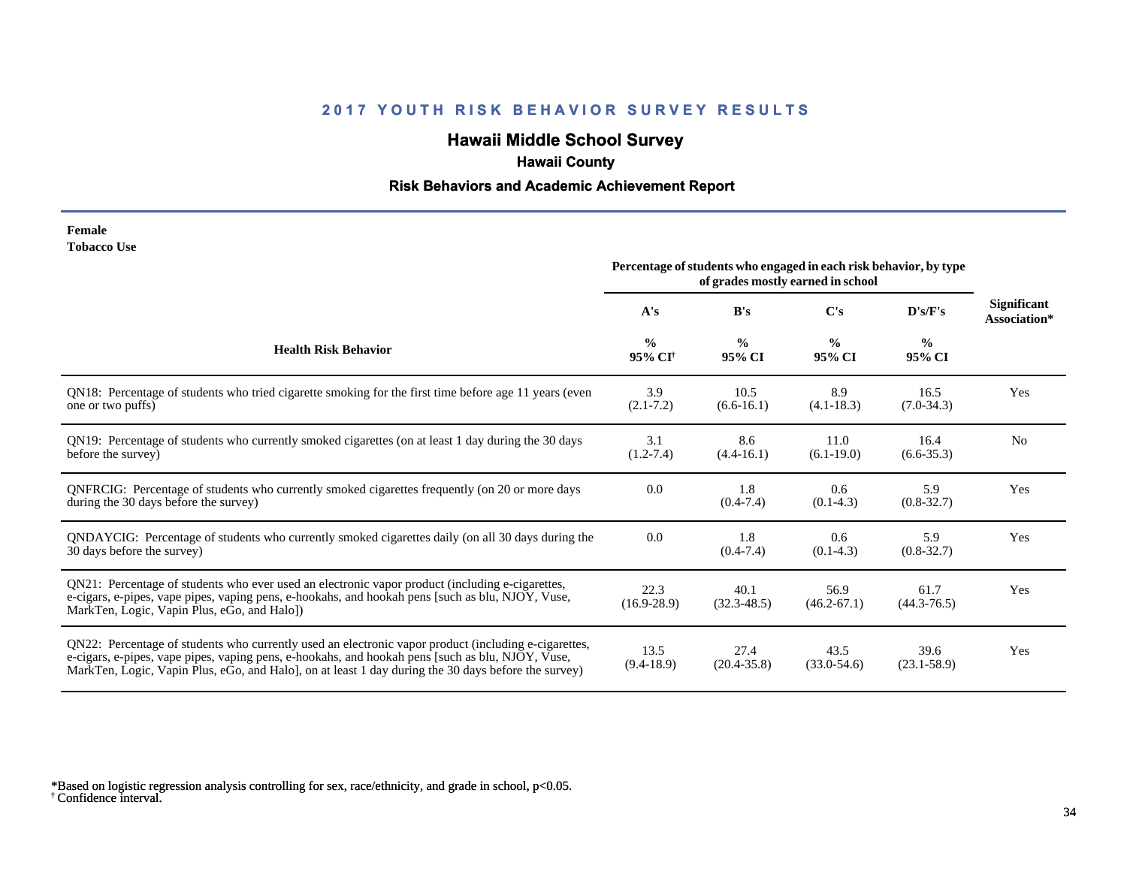# **Hawaii Middle School Survey**

## **Hawaii County**

#### **Risk Behaviors and Academic Achievement Report**

| Female             |  |
|--------------------|--|
| <b>Tobacco Use</b> |  |

|                                                                                                                                                                                                                                                                                                                 | Percentage of students who engaged in each risk behavior, by type<br>of grades mostly earned in school |                         |                              |                         |                             |
|-----------------------------------------------------------------------------------------------------------------------------------------------------------------------------------------------------------------------------------------------------------------------------------------------------------------|--------------------------------------------------------------------------------------------------------|-------------------------|------------------------------|-------------------------|-----------------------------|
|                                                                                                                                                                                                                                                                                                                 | A's                                                                                                    | B's                     | C's                          | D's/F's                 | Significant<br>Association* |
| <b>Health Risk Behavior</b>                                                                                                                                                                                                                                                                                     | $\frac{0}{0}$<br>95% CI <sup>+</sup>                                                                   | $\frac{0}{0}$<br>95% CI | $\frac{0}{0}$<br>95% CI      | $\frac{0}{0}$<br>95% CI |                             |
| QN18: Percentage of students who tried cigarette smoking for the first time before age 11 years (even<br>one or two puffs)                                                                                                                                                                                      | 3.9<br>$(2.1 - 7.2)$                                                                                   | 10.5<br>$(6.6-16.1)$    | 8.9<br>$(4.1 - 18.3)$        | 16.5<br>$(7.0-34.3)$    | Yes                         |
| QN19: Percentage of students who currently smoked cigarettes (on at least 1 day during the 30 days<br>before the survey)                                                                                                                                                                                        | 3.1<br>$(1.2 - 7.4)$                                                                                   | 8.6<br>$(4.4 - 16.1)$   | 11.0<br>$(6.1-19.0)$         | 16.4<br>$(6.6 - 35.3)$  | N <sub>0</sub>              |
| QNFRCIG: Percentage of students who currently smoked cigarettes frequently (on 20 or more days<br>during the 30 days before the survey)                                                                                                                                                                         | 0.0                                                                                                    | 1.8<br>$(0.4 - 7.4)$    | $0.6^{\circ}$<br>$(0.1-4.3)$ | 5.9<br>$(0.8 - 32.7)$   | Yes                         |
| QNDAYCIG: Percentage of students who currently smoked cigarettes daily (on all 30 days during the<br>30 days before the survey)                                                                                                                                                                                 | 0.0                                                                                                    | 1.8<br>$(0.4 - 7.4)$    | 0.6<br>$(0.1-4.3)$           | 5.9<br>$(0.8 - 32.7)$   | Yes                         |
| QN21: Percentage of students who ever used an electronic vapor product (including e-cigarettes,<br>e-cigars, e-pipes, vape pipes, vaping pens, e-hookahs, and hookah pens [such as blu, NJOY, Vuse,<br>MarkTen, Logic, Vapin Plus, eGo, and Halo])                                                              | 22.3<br>$(16.9 - 28.9)$                                                                                | 40.1<br>$(32.3 - 48.5)$ | 56.9<br>$(46.2 - 67.1)$      | 61.7<br>$(44.3 - 76.5)$ | Yes                         |
| QN22: Percentage of students who currently used an electronic vapor product (including e-cigarettes,<br>e-cigars, e-pipes, vape pipes, vaping pens, e-hookahs, and hookah pens [such as blu, NJOY, Vuse,<br>MarkTen, Logic, Vapin Plus, eGo, and Halo], on at least 1 day during the 30 days before the survey) | 13.5<br>$(9.4-18.9)$                                                                                   | 27.4<br>$(20.4 - 35.8)$ | 43.5<br>$(33.0 - 54.6)$      | 39.6<br>$(23.1 - 58.9)$ | Yes                         |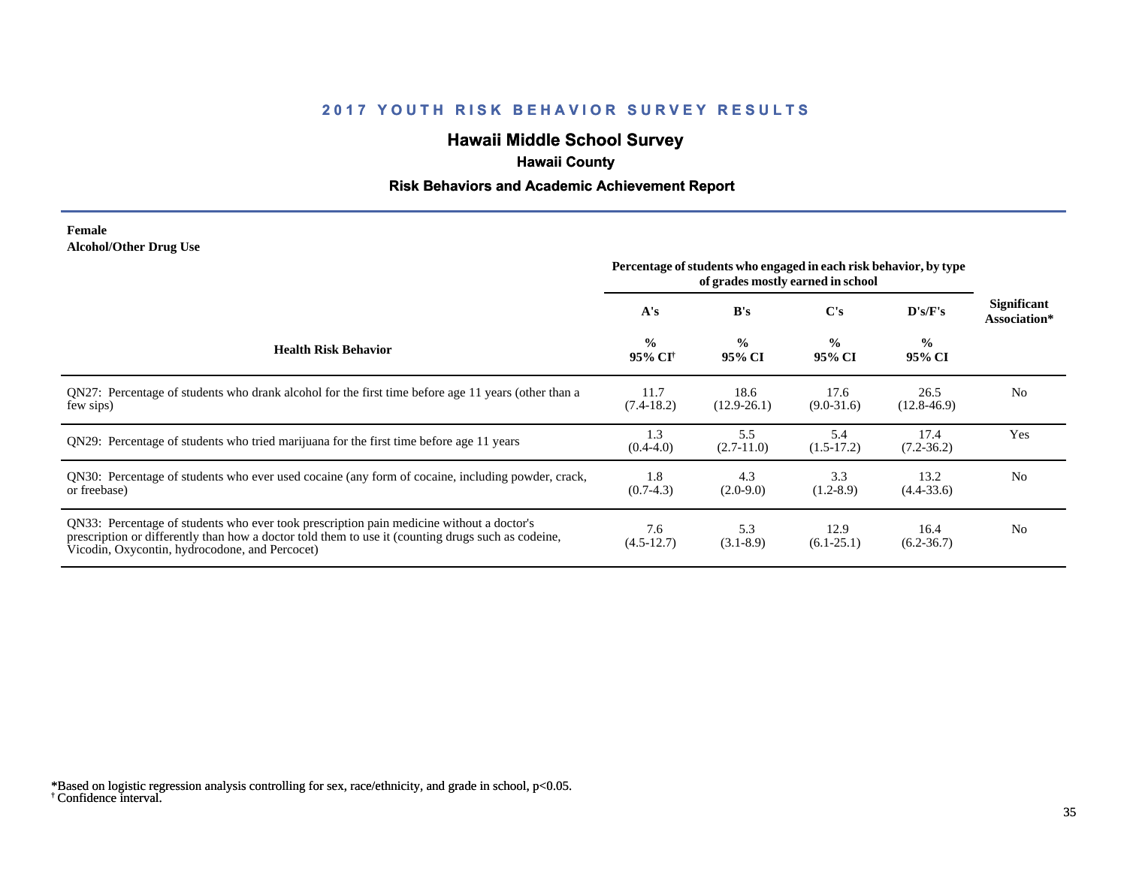# **Hawaii Middle School Survey**

## **Hawaii County**

#### **Risk Behaviors and Academic Achievement Report**

#### **Female Alcohol/Other Drug Use**

|                                                                                                                                                                                                                                                  | Percentage of students who engaged in each risk behavior, by type<br>of grades mostly earned in school |                         |                         |                         |                             |
|--------------------------------------------------------------------------------------------------------------------------------------------------------------------------------------------------------------------------------------------------|--------------------------------------------------------------------------------------------------------|-------------------------|-------------------------|-------------------------|-----------------------------|
|                                                                                                                                                                                                                                                  | A's                                                                                                    | B's                     | $\bf C's$               | D's/F's                 | Significant<br>Association* |
| <b>Health Risk Behavior</b>                                                                                                                                                                                                                      | $\frac{0}{0}$<br>95% CI <sup>†</sup>                                                                   | $\frac{6}{6}$<br>95% CI | $\frac{0}{0}$<br>95% CI | $\frac{0}{0}$<br>95% CI |                             |
| QN27: Percentage of students who drank alcohol for the first time before age 11 years (other than a<br>few sips)                                                                                                                                 | 11.7<br>$(7.4-18.2)$                                                                                   | 18.6<br>$(12.9 - 26.1)$ | 17.6<br>$(9.0 - 31.6)$  | 26.5<br>$(12.8 - 46.9)$ | N <sub>0</sub>              |
| QN29: Percentage of students who tried marijuana for the first time before age 11 years                                                                                                                                                          | 1.3<br>$(0.4-4.0)$                                                                                     | 5.5<br>$(2.7-11.0)$     | 5.4<br>$(1.5-17.2)$     | 17.4<br>$(7.2 - 36.2)$  | Yes                         |
| QN30: Percentage of students who ever used cocaine (any form of cocaine, including powder, crack,<br>or freebase)                                                                                                                                | 1.8<br>$(0.7-4.3)$                                                                                     | 4.3<br>$(2.0-9.0)$      | 3.3<br>$(1.2 - 8.9)$    | 13.2<br>$(4.4 - 33.6)$  | N <sub>0</sub>              |
| QN33: Percentage of students who ever took prescription pain medicine without a doctor's<br>prescription or differently than how a doctor told them to use it (counting drugs such as codeine,<br>Vicodin, Oxycontin, hydrocodone, and Percocet) | 7.6<br>$(4.5-12.7)$                                                                                    | 5.3<br>$(3.1 - 8.9)$    | 12.9<br>$(6.1-25.1)$    | 16.4<br>$(6.2 - 36.7)$  | N <sub>0</sub>              |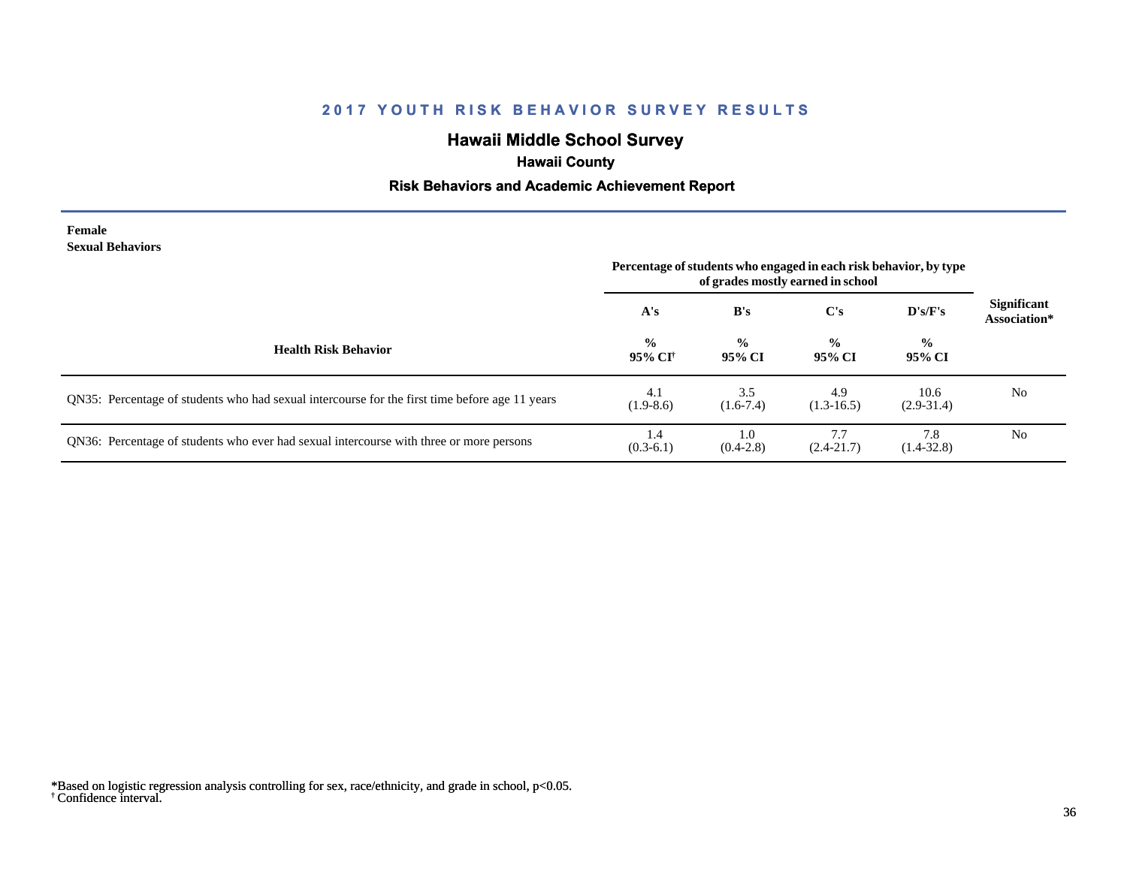# **Hawaii Middle School Survey**

## **Hawaii County**

#### **Risk Behaviors and Academic Achievement Report**

#### **Female Sexual Behaviors**

|                                                                                                | Percentage of students who engaged in each risk behavior, by type<br>of grades mostly earned in school |                         |                         |                         |                                    |
|------------------------------------------------------------------------------------------------|--------------------------------------------------------------------------------------------------------|-------------------------|-------------------------|-------------------------|------------------------------------|
|                                                                                                | A's                                                                                                    | B's                     | C's                     | D's/F's                 | <b>Significant</b><br>Association* |
| <b>Health Risk Behavior</b>                                                                    | $\frac{6}{6}$<br>95% CI <sup>†</sup>                                                                   | $\frac{0}{0}$<br>95% CI | $\frac{6}{9}$<br>95% CI | $\frac{0}{0}$<br>95% CI |                                    |
| QN35: Percentage of students who had sexual intercourse for the first time before age 11 years | 4.1<br>$(1.9-8.6)$                                                                                     | 3.5<br>$(1.6-7.4)$      | 4.9<br>$(1.3-16.5)$     | 10.6<br>$(2.9-31.4)$    | N <sub>0</sub>                     |
| QN36: Percentage of students who ever had sexual intercourse with three or more persons        | 1.4<br>$(0.3-6.1)$                                                                                     | 1.0<br>$(0.4-2.8)$      | 7.7<br>$(2.4 - 21.7)$   | 7.8<br>$(1.4 - 32.8)$   | N <sub>0</sub>                     |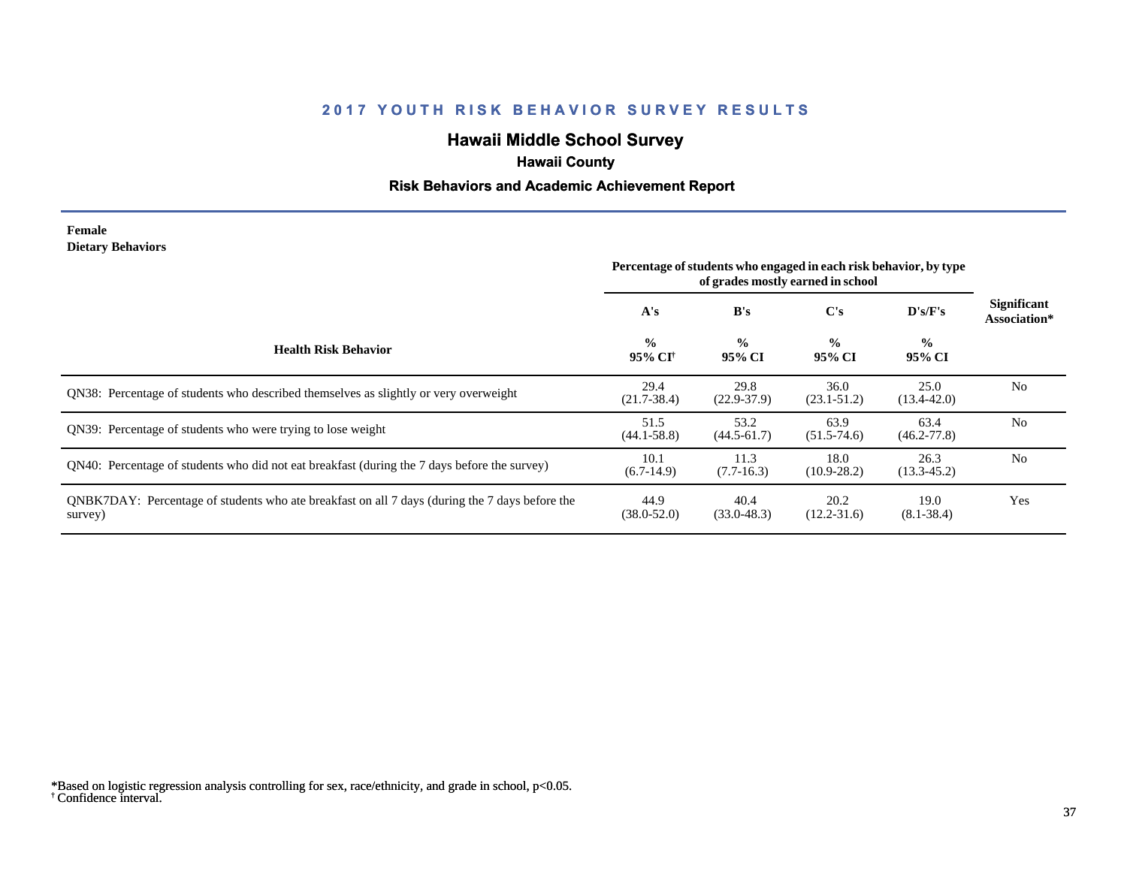# **Hawaii Middle School Survey**

## **Hawaii County**

#### **Risk Behaviors and Academic Achievement Report**

#### **Female Dietary Behaviors**

|                                                                                                           | Percentage of students who engaged in each risk behavior, by type<br>of grades mostly earned in school |                         |                         |                          |                                    |
|-----------------------------------------------------------------------------------------------------------|--------------------------------------------------------------------------------------------------------|-------------------------|-------------------------|--------------------------|------------------------------------|
|                                                                                                           | A's                                                                                                    | B's                     | C's                     | $\bf{D's/F's}$           | <b>Significant</b><br>Association* |
| <b>Health Risk Behavior</b>                                                                               | $\frac{0}{0}$<br>95% CI <sup>†</sup>                                                                   | $\frac{0}{0}$<br>95% CI | $\frac{0}{0}$<br>95% CI | $\frac{6}{10}$<br>95% CI |                                    |
| ON38: Percentage of students who described themselves as slightly or very overweight                      | 29.4<br>$(21.7 - 38.4)$                                                                                | 29.8<br>$(22.9 - 37.9)$ | 36.0<br>$(23.1 - 51.2)$ | 25.0<br>$(13.4 - 42.0)$  | N <sub>o</sub>                     |
| ON39: Percentage of students who were trying to lose weight                                               | 51.5<br>$(44.1 - 58.8)$                                                                                | 53.2<br>$(44.5 - 61.7)$ | 63.9<br>$(51.5 - 74.6)$ | 63.4<br>$(46.2 - 77.8)$  | N <sub>0</sub>                     |
| QN40: Percentage of students who did not eat breakfast (during the 7 days before the survey)              | 10.1<br>$(6.7-14.9)$                                                                                   | 11.3<br>$(7.7-16.3)$    | 18.0<br>$(10.9 - 28.2)$ | 26.3<br>$(13.3 - 45.2)$  | N <sub>0</sub>                     |
| QNBK7DAY: Percentage of students who ate breakfast on all 7 days (during the 7 days before the<br>survey) | 44.9<br>$(38.0 - 52.0)$                                                                                | 40.4<br>$(33.0 - 48.3)$ | 20.2<br>$(12.2 - 31.6)$ | 19.0<br>$(8.1 - 38.4)$   | Yes                                |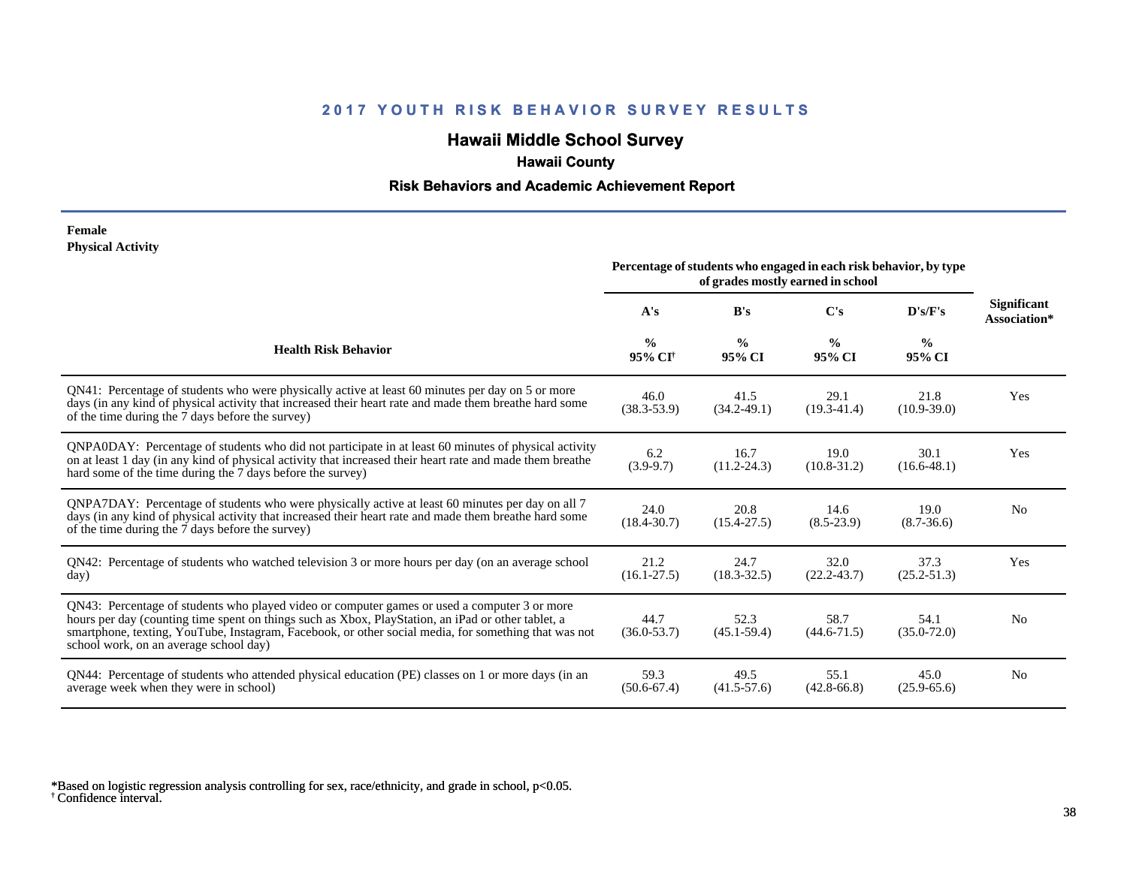# **Hawaii Middle School Survey**

## **Hawaii County**

#### **Risk Behaviors and Academic Achievement Report**

#### **Female Physical Activity**

|                                                                                                                                                                                                                                                                                                                                                      | Percentage of students who engaged in each risk behavior, by type<br>of grades mostly earned in school |                         |                         |                         |                                    |
|------------------------------------------------------------------------------------------------------------------------------------------------------------------------------------------------------------------------------------------------------------------------------------------------------------------------------------------------------|--------------------------------------------------------------------------------------------------------|-------------------------|-------------------------|-------------------------|------------------------------------|
|                                                                                                                                                                                                                                                                                                                                                      | A's                                                                                                    | B's                     | $\bf C's$               | D's/F's                 | <b>Significant</b><br>Association* |
| <b>Health Risk Behavior</b>                                                                                                                                                                                                                                                                                                                          | $\frac{0}{0}$<br>95% CI <sup>+</sup>                                                                   | $\frac{6}{9}$<br>95% CI | $\frac{6}{9}$<br>95% CI | $\frac{0}{0}$<br>95% CI |                                    |
| QN41: Percentage of students who were physically active at least 60 minutes per day on 5 or more<br>days (in any kind of physical activity that increased their heart rate and made them breathe hard some<br>of the time during the 7 days before the survey)                                                                                       | 46.0<br>$(38.3 - 53.9)$                                                                                | 41.5<br>$(34.2 - 49.1)$ | 29.1<br>$(19.3 - 41.4)$ | 21.8<br>$(10.9 - 39.0)$ | Yes                                |
| QNPA0DAY: Percentage of students who did not participate in at least 60 minutes of physical activity<br>on at least 1 day (in any kind of physical activity that increased their heart rate and made them breathe<br>hard some of the time during the 7 days before the survey)                                                                      | 6.2<br>$(3.9-9.7)$                                                                                     | 16.7<br>$(11.2 - 24.3)$ | 19.0<br>$(10.8 - 31.2)$ | 30.1<br>$(16.6 - 48.1)$ | Yes                                |
| ONPA7DAY: Percentage of students who were physically active at least 60 minutes per day on all 7<br>days (in any kind of physical activity that increased their heart rate and made them breathe hard some<br>of the time during the 7 days before the survey)                                                                                       | 24.0<br>$(18.4 - 30.7)$                                                                                | 20.8<br>$(15.4 - 27.5)$ | 14.6<br>$(8.5 - 23.9)$  | 19.0<br>$(8.7 - 36.6)$  | No                                 |
| QN42: Percentage of students who watched television 3 or more hours per day (on an average school<br>day)                                                                                                                                                                                                                                            | 21.2<br>$(16.1 - 27.5)$                                                                                | 24.7<br>$(18.3 - 32.5)$ | 32.0<br>$(22.2 - 43.7)$ | 37.3<br>$(25.2 - 51.3)$ | Yes                                |
| QN43: Percentage of students who played video or computer games or used a computer 3 or more<br>hours per day (counting time spent on things such as Xbox, PlayStation, an iPad or other tablet, a<br>smartphone, texting, YouTube, Instagram, Facebook, or other social media, for something that was not<br>school work, on an average school day) | 44.7<br>$(36.0 - 53.7)$                                                                                | 52.3<br>$(45.1 - 59.4)$ | 58.7<br>$(44.6 - 71.5)$ | 54.1<br>$(35.0 - 72.0)$ | N <sub>0</sub>                     |
| QN44: Percentage of students who attended physical education (PE) classes on 1 or more days (in an<br>average week when they were in school)                                                                                                                                                                                                         | 59.3<br>$(50.6 - 67.4)$                                                                                | 49.5<br>$(41.5 - 57.6)$ | 55.1<br>$(42.8 - 66.8)$ | 45.0<br>$(25.9 - 65.6)$ | N <sub>0</sub>                     |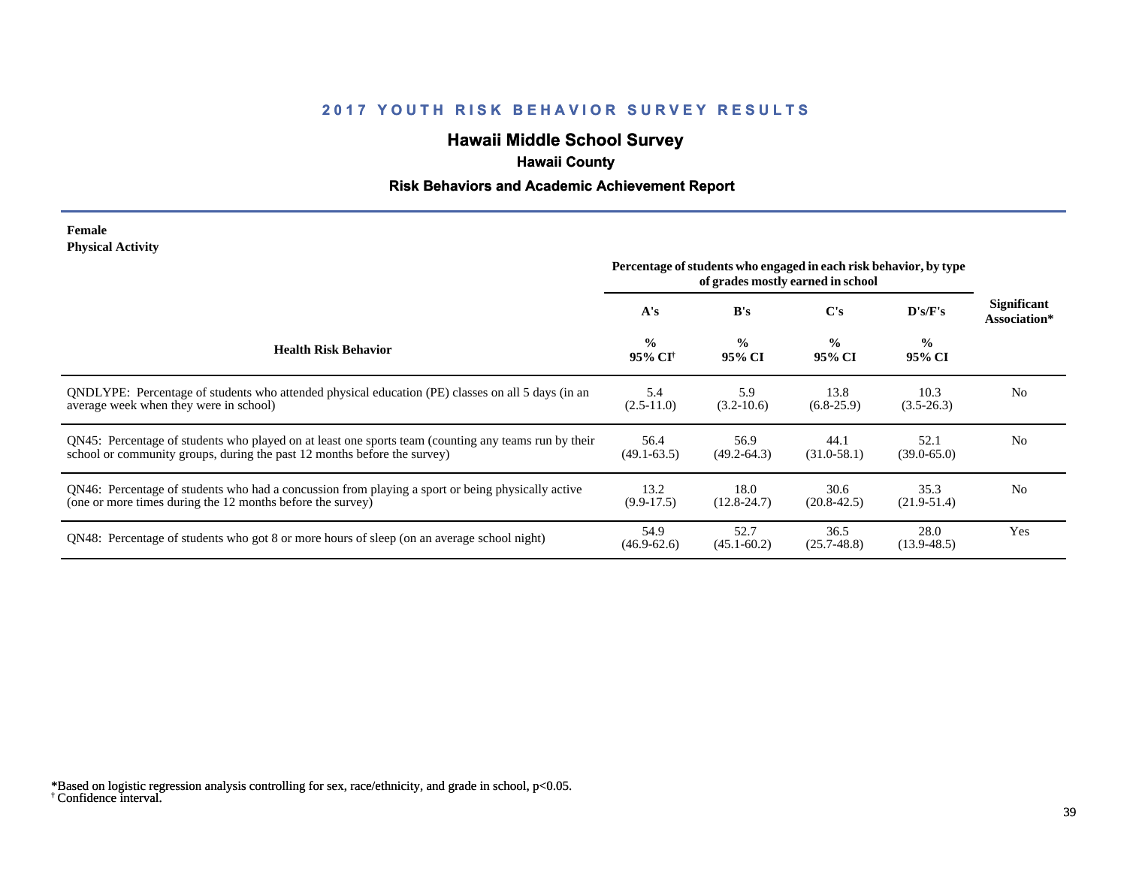# **Hawaii Middle School Survey**

## **Hawaii County**

#### **Risk Behaviors and Academic Achievement Report**

#### **Female Physical Activity**

|                                                                                                                                                                                  | Percentage of students who engaged in each risk behavior, by type<br>of grades mostly earned in school |                         |                         |                         |                             |  |
|----------------------------------------------------------------------------------------------------------------------------------------------------------------------------------|--------------------------------------------------------------------------------------------------------|-------------------------|-------------------------|-------------------------|-----------------------------|--|
|                                                                                                                                                                                  | A's                                                                                                    | B's                     | C's                     | D's/F's                 | Significant<br>Association* |  |
| <b>Health Risk Behavior</b>                                                                                                                                                      | $\frac{0}{0}$<br>95% CI†                                                                               | $\frac{0}{0}$<br>95% CI | $\frac{0}{0}$<br>95% CI | $\frac{6}{6}$<br>95% CI |                             |  |
| ONDLYPE: Percentage of students who attended physical education (PE) classes on all 5 days (in an<br>average week when they were in school)                                      | 5.4<br>$(2.5-11.0)$                                                                                    | 5.9<br>$(3.2-10.6)$     | 13.8<br>$(6.8-25.9)$    | 10.3<br>$(3.5-26.3)$    | N <sub>0</sub>              |  |
| QN45: Percentage of students who played on at least one sports team (counting any teams run by their<br>school or community groups, during the past 12 months before the survey) | 56.4<br>$(49.1 - 63.5)$                                                                                | 56.9<br>$(49.2 - 64.3)$ | 44.1<br>$(31.0 - 58.1)$ | 52.1<br>$(39.0 - 65.0)$ | N <sub>0</sub>              |  |
| QN46: Percentage of students who had a concussion from playing a sport or being physically active<br>(one or more times during the 12 months before the survey)                  | 13.2<br>$(9.9-17.5)$                                                                                   | 18.0<br>$(12.8 - 24.7)$ | 30.6<br>$(20.8 - 42.5)$ | 35.3<br>$(21.9-51.4)$   | N <sub>0</sub>              |  |
| QN48: Percentage of students who got 8 or more hours of sleep (on an average school night)                                                                                       | 54.9<br>$(46.9 - 62.6)$                                                                                | 52.7<br>$(45.1 - 60.2)$ | 36.5<br>$(25.7 - 48.8)$ | 28.0<br>$(13.9 - 48.5)$ | Yes                         |  |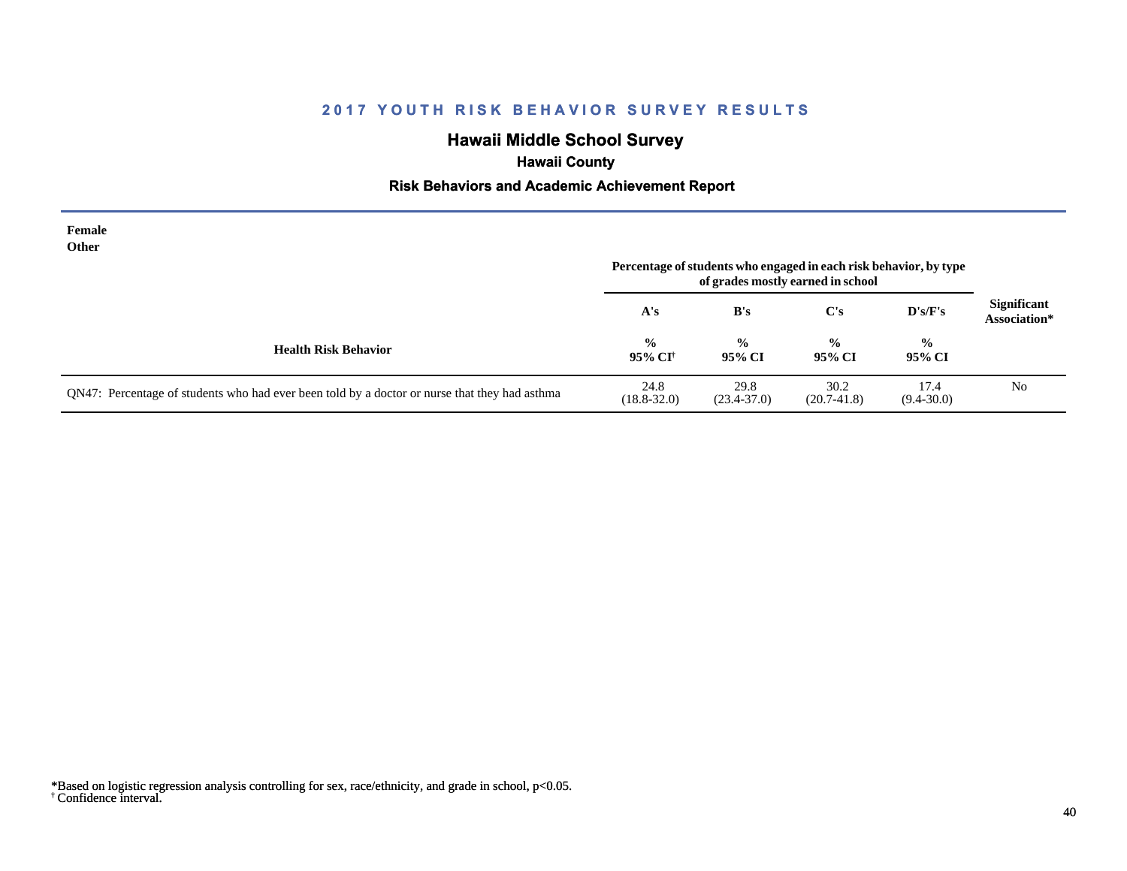# **Hawaii Middle School Survey**

# **Hawaii County**

#### **Risk Behaviors and Academic Achievement Report**

| Female<br>Other                                                                               |                                      |                         | Percentage of students who engaged in each risk behavior, by type<br>of grades mostly earned in school |                         |                                    |
|-----------------------------------------------------------------------------------------------|--------------------------------------|-------------------------|--------------------------------------------------------------------------------------------------------|-------------------------|------------------------------------|
|                                                                                               | A's                                  | B's                     | $\bf C's$                                                                                              | $\bf{D's/F's}$          | <b>Significant</b><br>Association* |
| <b>Health Risk Behavior</b>                                                                   | $\frac{0}{0}$<br>95% CI <sup>†</sup> | $\frac{0}{0}$<br>95% CI | $\frac{0}{0}$<br>95% CI                                                                                | $\frac{0}{0}$<br>95% CI |                                    |
| QN47: Percentage of students who had ever been told by a doctor or nurse that they had asthma | 24.8<br>$(18.8 - 32.0)$              | 29.8<br>$(23.4 - 37.0)$ | 30.2<br>$(20.7-41.8)$                                                                                  | 17.4<br>$(9.4 - 30.0)$  | N <sub>0</sub>                     |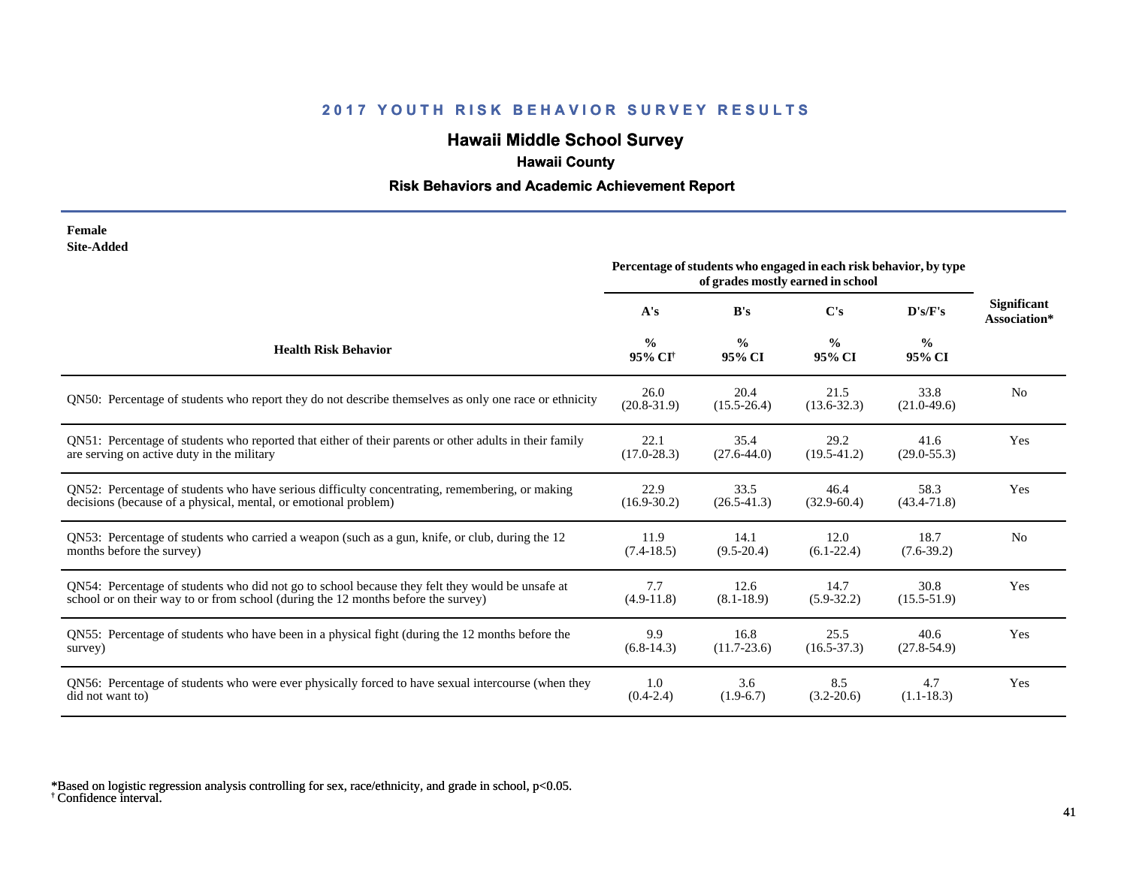# **Hawaii Middle School Survey**

# **Hawaii County**

#### **Risk Behaviors and Academic Achievement Report**

| Female            |
|-------------------|
| <b>Site-Added</b> |

|                                                                                                        | Percentage of students who engaged in each risk behavior, by type<br>of grades mostly earned in school |                         |                         |                         |                                    |
|--------------------------------------------------------------------------------------------------------|--------------------------------------------------------------------------------------------------------|-------------------------|-------------------------|-------------------------|------------------------------------|
|                                                                                                        | A's                                                                                                    | B's                     | C's                     | D's/F's                 | <b>Significant</b><br>Association* |
| <b>Health Risk Behavior</b>                                                                            | $\frac{0}{0}$<br>95% CI <sup>+</sup>                                                                   | $\frac{0}{0}$<br>95% CI | $\frac{6}{9}$<br>95% CI | $\frac{0}{0}$<br>95% CI |                                    |
| ON50: Percentage of students who report they do not describe themselves as only one race or ethnicity  | 26.0<br>$(20.8 - 31.9)$                                                                                | 20.4<br>$(15.5 - 26.4)$ | 21.5<br>$(13.6 - 32.3)$ | 33.8<br>$(21.0-49.6)$   | N <sub>0</sub>                     |
| QN51: Percentage of students who reported that either of their parents or other adults in their family | 22.1                                                                                                   | 35.4                    | 29.2                    | 41.6                    | Yes                                |
| are serving on active duty in the military                                                             | $(17.0 - 28.3)$                                                                                        | $(27.6 - 44.0)$         | $(19.5 - 41.2)$         | $(29.0 - 55.3)$         |                                    |
| QN52: Percentage of students who have serious difficulty concentrating, remembering, or making         | 22.9                                                                                                   | 33.5                    | 46.4                    | 58.3                    | Yes                                |
| decisions (because of a physical, mental, or emotional problem)                                        | $(16.9 - 30.2)$                                                                                        | $(26.5 - 41.3)$         | $(32.9 - 60.4)$         | $(43.4 - 71.8)$         |                                    |
| QN53: Percentage of students who carried a weapon (such as a gun, knife, or club, during the 12        | 11.9                                                                                                   | 14.1                    | 12.0                    | 18.7                    | N <sub>0</sub>                     |
| months before the survey)                                                                              | $(7.4-18.5)$                                                                                           | $(9.5 - 20.4)$          | $(6.1-22.4)$            | $(7.6-39.2)$            |                                    |
| QN54: Percentage of students who did not go to school because they felt they would be unsafe at        | 7.7                                                                                                    | 12.6                    | 14.7                    | 30.8                    | Yes                                |
| school or on their way to or from school (during the 12 months before the survey)                      | $(4.9-11.8)$                                                                                           | $(8.1 - 18.9)$          | $(5.9-32.2)$            | $(15.5 - 51.9)$         |                                    |
| QN55: Percentage of students who have been in a physical fight (during the 12 months before the        | 9.9                                                                                                    | 16.8                    | 25.5                    | 40.6                    | Yes                                |
| survey)                                                                                                | $(6.8-14.3)$                                                                                           | $(11.7 - 23.6)$         | $(16.5 - 37.3)$         | $(27.8 - 54.9)$         |                                    |
| QN56: Percentage of students who were ever physically forced to have sexual intercourse (when they     | 1.0                                                                                                    | 3.6                     | 8.5                     | 4.7                     | Yes                                |
| did not want to)                                                                                       | $(0.4 - 2.4)$                                                                                          | $(1.9-6.7)$             | $(3.2 - 20.6)$          | $(1.1-18.3)$            |                                    |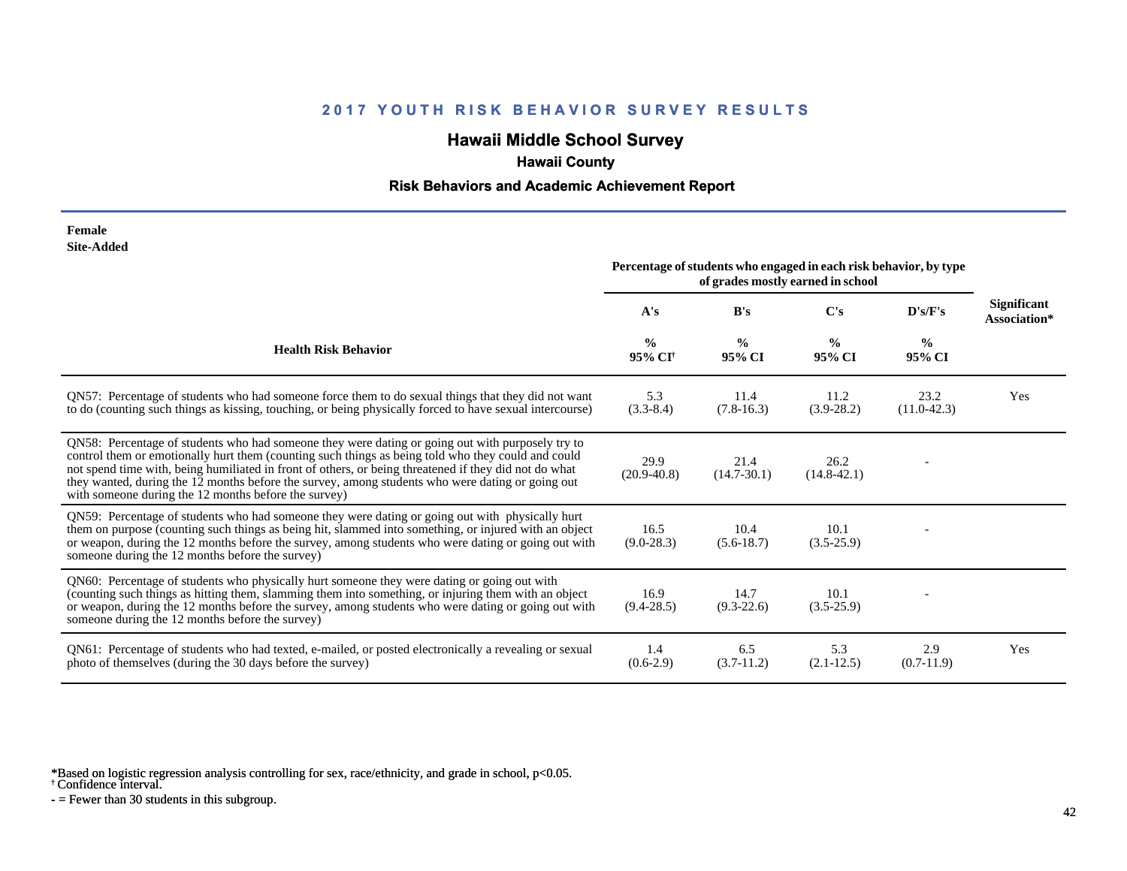# **Hawaii Middle School Survey**

## **Hawaii County**

#### **Risk Behaviors and Academic Achievement Report**

| Female            |
|-------------------|
| <b>Site-Added</b> |

|                                                                                                                                                                                                                                                                                                                                                                                                                                                                             | Percentage of students who engaged in each risk behavior, by type<br>of grades mostly earned in school |                         |                         |                         |                                    |
|-----------------------------------------------------------------------------------------------------------------------------------------------------------------------------------------------------------------------------------------------------------------------------------------------------------------------------------------------------------------------------------------------------------------------------------------------------------------------------|--------------------------------------------------------------------------------------------------------|-------------------------|-------------------------|-------------------------|------------------------------------|
|                                                                                                                                                                                                                                                                                                                                                                                                                                                                             | A's                                                                                                    | B's                     | C's                     | D's/F's                 | <b>Significant</b><br>Association* |
| <b>Health Risk Behavior</b>                                                                                                                                                                                                                                                                                                                                                                                                                                                 | $\frac{0}{0}$<br>95% CI <sup>†</sup>                                                                   | $\frac{0}{0}$<br>95% CI | $\frac{0}{0}$<br>95% CI | $\frac{6}{6}$<br>95% CI |                                    |
| QN57: Percentage of students who had someone force them to do sexual things that they did not want<br>to do (counting such things as kissing, touching, or being physically forced to have sexual intercourse)                                                                                                                                                                                                                                                              | 5.3<br>$(3.3-8.4)$                                                                                     | 11.4<br>$(7.8-16.3)$    | 11.2<br>$(3.9-28.2)$    | 23.2<br>$(11.0-42.3)$   | Yes                                |
| QN58: Percentage of students who had someone they were dating or going out with purposely try to<br>control them or emotionally hurt them (counting such things as being told who they could and could<br>not spend time with, being humiliated in front of others, or being threatened if they did not do what<br>they wanted, during the 12 months before the survey, among students who were dating or going out<br>with someone during the 12 months before the survey) | 29.9<br>$(20.9 - 40.8)$                                                                                | 21.4<br>$(14.7 - 30.1)$ | 26.2<br>$(14.8 - 42.1)$ |                         |                                    |
| QN59: Percentage of students who had someone they were dating or going out with physically hurt<br>them on purpose (counting such things as being hit, slammed into something, or injured with an object<br>or weapon, during the 12 months before the survey, among students who were dating or going out with<br>someone during the 12 months before the survey)                                                                                                          | 16.5<br>$(9.0-28.3)$                                                                                   | 10.4<br>$(5.6-18.7)$    | 10.1<br>$(3.5-25.9)$    |                         |                                    |
| QN60: Percentage of students who physically hurt someone they were dating or going out with<br>(counting such things as hitting them, slamming them into something, or injuring them with an object<br>or weapon, during the 12 months before the survey, among students who were dating or going out with<br>someone during the 12 months before the survey)                                                                                                               | 16.9<br>$(9.4 - 28.5)$                                                                                 | 14.7<br>$(9.3-22.6)$    | 10.1<br>$(3.5-25.9)$    |                         |                                    |
| QN61: Percentage of students who had texted, e-mailed, or posted electronically a revealing or sexual<br>photo of themselves (during the 30 days before the survey)                                                                                                                                                                                                                                                                                                         | 1.4<br>$(0.6-2.9)$                                                                                     | 6.5<br>$(3.7-11.2)$     | 5.3<br>$(2.1-12.5)$     | 2.9<br>$(0.7-11.9)$     | Yes                                |

\*Based on logistic regression analysis controlling for sex, race/ethnicity, and grade in school, p<0.05.

† Confidence interval.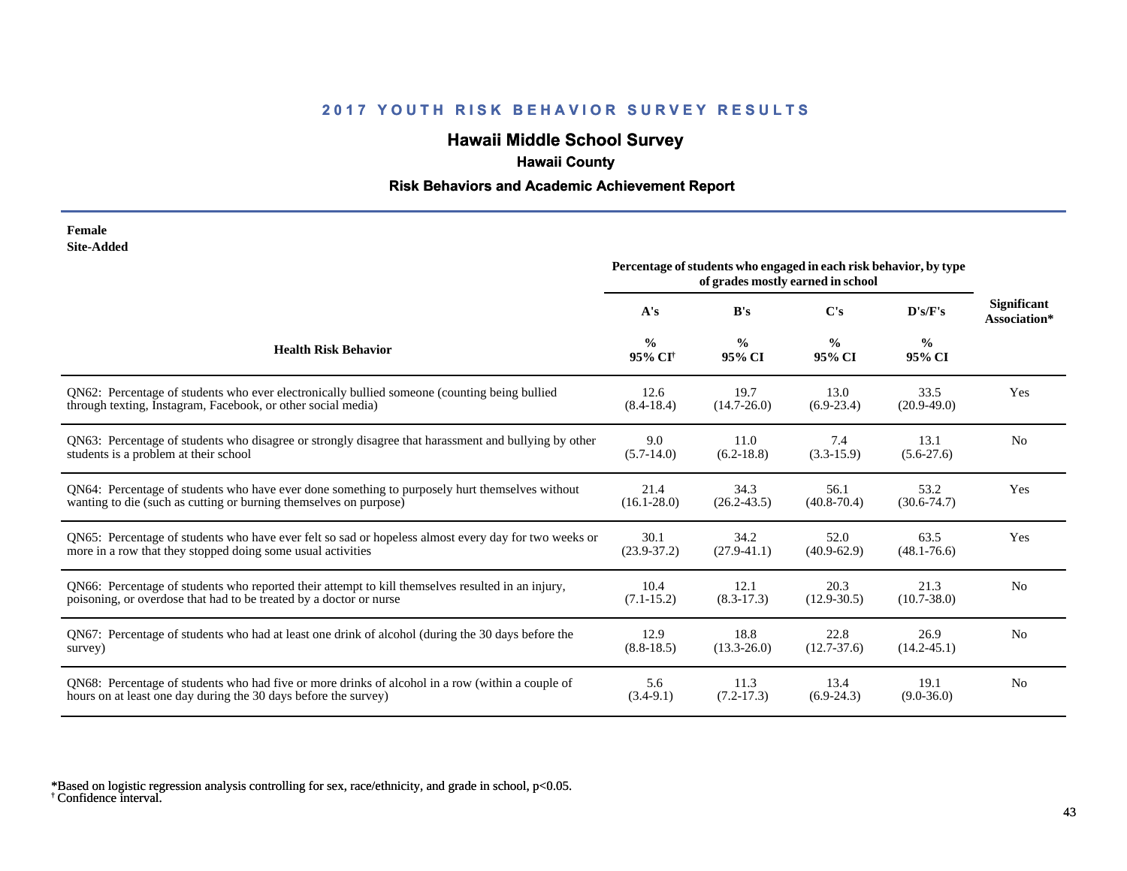# **Hawaii Middle School Survey**

## **Hawaii County**

#### **Risk Behaviors and Academic Achievement Report**

#### **Female Site-Added**

|                                                                                                      | Percentage of students who engaged in each risk behavior, by type<br>of grades mostly earned in school |                         |                         |                         |                                    |
|------------------------------------------------------------------------------------------------------|--------------------------------------------------------------------------------------------------------|-------------------------|-------------------------|-------------------------|------------------------------------|
|                                                                                                      | A's                                                                                                    | B's                     | $\bf C's$               | D's/F's                 | <b>Significant</b><br>Association* |
| <b>Health Risk Behavior</b>                                                                          | $\frac{0}{0}$<br>95% CI <sup>+</sup>                                                                   | $\frac{0}{0}$<br>95% CI | $\frac{0}{0}$<br>95% CI | $\frac{0}{0}$<br>95% CI |                                    |
| QN62: Percentage of students who ever electronically bullied someone (counting being bullied         | 12.6                                                                                                   | 19.7                    | 13.0                    | 33.5                    | Yes                                |
| through texting, Instagram, Facebook, or other social media)                                         | $(8.4 - 18.4)$                                                                                         | $(14.7 - 26.0)$         | $(6.9-23.4)$            | $(20.9-49.0)$           |                                    |
| QN63: Percentage of students who disagree or strongly disagree that harassment and bullying by other | 9.0                                                                                                    | 11.0                    | 7.4                     | 13.1                    | N <sub>0</sub>                     |
| students is a problem at their school                                                                | $(5.7-14.0)$                                                                                           | $(6.2 - 18.8)$          | $(3.3-15.9)$            | $(5.6-27.6)$            |                                    |
| QN64: Percentage of students who have ever done something to purposely hurt themselves without       | 21.4                                                                                                   | 34.3                    | 56.1                    | 53.2                    | Yes                                |
| wanting to die (such as cutting or burning themselves on purpose)                                    | $(16.1 - 28.0)$                                                                                        | $(26.2 - 43.5)$         | $(40.8 - 70.4)$         | $(30.6 - 74.7)$         |                                    |
| QN65: Percentage of students who have ever felt so sad or hopeless almost every day for two weeks or | 30.1                                                                                                   | 34.2                    | 52.0                    | 63.5                    | Yes                                |
| more in a row that they stopped doing some usual activities                                          | $(23.9 - 37.2)$                                                                                        | $(27.9-41.1)$           | $(40.9 - 62.9)$         | $(48.1 - 76.6)$         |                                    |
| QN66: Percentage of students who reported their attempt to kill themselves resulted in an injury,    | 10.4                                                                                                   | 12.1                    | 20.3                    | 21.3                    | N <sub>0</sub>                     |
| poisoning, or overdose that had to be treated by a doctor or nurse                                   | $(7.1 - 15.2)$                                                                                         | $(8.3 - 17.3)$          | $(12.9 - 30.5)$         | $(10.7 - 38.0)$         |                                    |
| QN67: Percentage of students who had at least one drink of alcohol (during the 30 days before the    | 12.9                                                                                                   | 18.8                    | 22.8                    | 26.9                    | N <sub>0</sub>                     |
| survey)                                                                                              | $(8.8-18.5)$                                                                                           | $(13.3 - 26.0)$         | $(12.7 - 37.6)$         | $(14.2 - 45.1)$         |                                    |
| QN68: Percentage of students who had five or more drinks of alcohol in a row (within a couple of     | 5.6                                                                                                    | 11.3                    | 13.4                    | 19.1                    | N <sub>0</sub>                     |
| hours on at least one day during the 30 days before the survey)                                      | $(3.4-9.1)$                                                                                            | $(7.2 - 17.3)$          | $(6.9-24.3)$            | $(9.0 - 36.0)$          |                                    |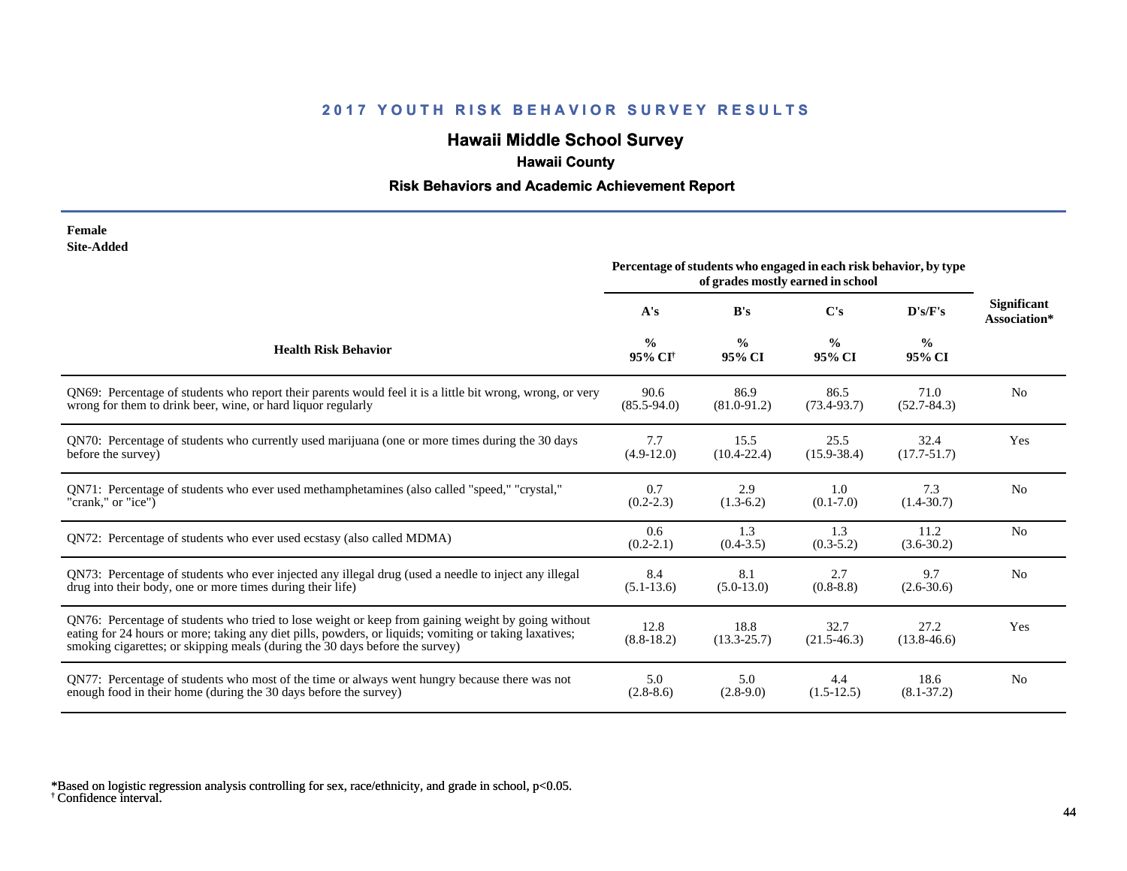# **Hawaii Middle School Survey**

# **Hawaii County**

#### **Risk Behaviors and Academic Achievement Report**

| Female     |
|------------|
| Site-Added |

|                                                                                                                                                                                                                                                                                              | Percentage of students who engaged in each risk behavior, by type<br>of grades mostly earned in school |                         |                         |                         |                                    |
|----------------------------------------------------------------------------------------------------------------------------------------------------------------------------------------------------------------------------------------------------------------------------------------------|--------------------------------------------------------------------------------------------------------|-------------------------|-------------------------|-------------------------|------------------------------------|
|                                                                                                                                                                                                                                                                                              | A's                                                                                                    | B's                     | $\bf C's$               | D's/F's                 | <b>Significant</b><br>Association* |
| <b>Health Risk Behavior</b>                                                                                                                                                                                                                                                                  | $\frac{0}{0}$<br>95% CI <sup>+</sup>                                                                   | $\frac{0}{0}$<br>95% CI | $\frac{0}{0}$<br>95% CI | $\frac{0}{0}$<br>95% CI |                                    |
| QN69: Percentage of students who report their parents would feel it is a little bit wrong, wrong, or very                                                                                                                                                                                    | 90.6                                                                                                   | 86.9                    | 86.5                    | 71.0                    | N <sub>0</sub>                     |
| wrong for them to drink beer, wine, or hard liquor regularly                                                                                                                                                                                                                                 | $(85.5 - 94.0)$                                                                                        | $(81.0 - 91.2)$         | $(73.4 - 93.7)$         | $(52.7 - 84.3)$         |                                    |
| QN70: Percentage of students who currently used marijuana (one or more times during the 30 days                                                                                                                                                                                              | 7.7                                                                                                    | 15.5                    | 25.5                    | 32.4                    | Yes                                |
| before the survey)                                                                                                                                                                                                                                                                           | $(4.9-12.0)$                                                                                           | $(10.4 - 22.4)$         | $(15.9 - 38.4)$         | $(17.7 - 51.7)$         |                                    |
| QN71: Percentage of students who ever used methamphetamines (also called "speed," "crystal,"                                                                                                                                                                                                 | 0.7                                                                                                    | 2.9                     | 1.0                     | 7.3                     | N <sub>0</sub>                     |
| "crank," or "ice")                                                                                                                                                                                                                                                                           | $(0.2 - 2.3)$                                                                                          | $(1.3-6.2)$             | $(0.1 - 7.0)$           | $(1.4 - 30.7)$          |                                    |
| QN72: Percentage of students who ever used ecstasy (also called MDMA)                                                                                                                                                                                                                        | 0.6<br>$(0.2 - 2.1)$                                                                                   | 1.3<br>$(0.4 - 3.5)$    | 1.3<br>$(0.3 - 5.2)$    | 11.2<br>$(3.6 - 30.2)$  | N <sub>0</sub>                     |
| QN73: Percentage of students who ever injected any illegal drug (used a needle to inject any illegal                                                                                                                                                                                         | 8.4                                                                                                    | 8.1                     | 2.7                     | 9.7                     | N <sub>0</sub>                     |
| drug into their body, one or more times during their life)                                                                                                                                                                                                                                   | $(5.1 - 13.6)$                                                                                         | $(5.0-13.0)$            | $(0.8 - 8.8)$           | $(2.6 - 30.6)$          |                                    |
| QN76: Percentage of students who tried to lose weight or keep from gaining weight by going without<br>eating for 24 hours or more; taking any diet pills, powders, or liquids; vomiting or taking laxatives;<br>smoking cigarettes; or skipping meals (during the 30 days before the survey) | 12.8<br>$(8.8-18.2)$                                                                                   | 18.8<br>$(13.3 - 25.7)$ | 32.7<br>$(21.5 - 46.3)$ | 27.2<br>$(13.8 - 46.6)$ | Yes                                |
| QN77: Percentage of students who most of the time or always went hungry because there was not                                                                                                                                                                                                | 5.0                                                                                                    | 5.0                     | 4.4                     | 18.6                    | N <sub>o</sub>                     |
| enough food in their home (during the 30 days before the survey)                                                                                                                                                                                                                             | $(2.8-8.6)$                                                                                            | $(2.8-9.0)$             | $(1.5-12.5)$            | $(8.1 - 37.2)$          |                                    |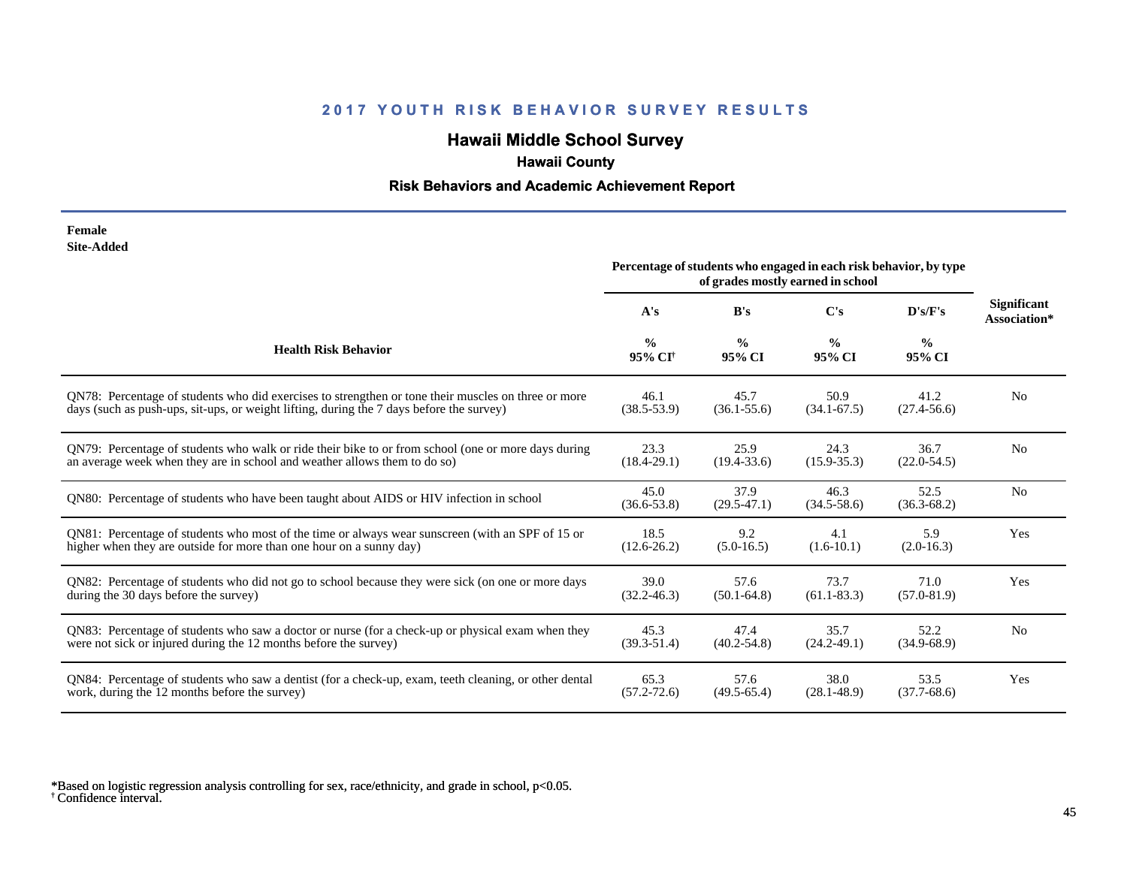# **Hawaii Middle School Survey**

# **Hawaii County**

#### **Risk Behaviors and Academic Achievement Report**

| Female            |
|-------------------|
| <b>Site-Added</b> |

|                                                                                                       | Percentage of students who engaged in each risk behavior, by type<br>of grades mostly earned in school |                         |                         |                         |                                    |
|-------------------------------------------------------------------------------------------------------|--------------------------------------------------------------------------------------------------------|-------------------------|-------------------------|-------------------------|------------------------------------|
|                                                                                                       | A's                                                                                                    | B's                     | $\bf C's$               | D's/F's                 | <b>Significant</b><br>Association* |
| <b>Health Risk Behavior</b>                                                                           | $\frac{0}{0}$<br>95% CI <sup>+</sup>                                                                   | $\frac{0}{0}$<br>95% CI | $\frac{6}{9}$<br>95% CI | $\frac{6}{9}$<br>95% CI |                                    |
| QN78: Percentage of students who did exercises to strengthen or tone their muscles on three or more   | 46.1                                                                                                   | 45.7                    | 50.9                    | 41.2                    | N <sub>o</sub>                     |
| days (such as push-ups, sit-ups, or weight lifting, during the 7 days before the survey)              | $(38.5 - 53.9)$                                                                                        | $(36.1 - 55.6)$         | $(34.1 - 67.5)$         | $(27.4 - 56.6)$         |                                    |
| QN79: Percentage of students who walk or ride their bike to or from school (one or more days during   | 23.3                                                                                                   | 25.9                    | 24.3                    | 36.7                    | N <sub>0</sub>                     |
| an average week when they are in school and weather allows them to do so)                             | $(18.4 - 29.1)$                                                                                        | $(19.4 - 33.6)$         | $(15.9 - 35.3)$         | $(22.0 - 54.5)$         |                                    |
| QN80: Percentage of students who have been taught about AIDS or HIV infection in school               | 45.0<br>$(36.6 - 53.8)$                                                                                | 37.9<br>$(29.5 - 47.1)$ | 46.3<br>$(34.5 - 58.6)$ | 52.5<br>$(36.3 - 68.2)$ | N <sub>o</sub>                     |
| QN81: Percentage of students who most of the time or always wear sunscreen (with an SPF of 15 or      | 18.5                                                                                                   | 9.2                     | 4.1                     | 5.9                     | Yes                                |
| higher when they are outside for more than one hour on a sunny day)                                   | $(12.6 - 26.2)$                                                                                        | $(5.0-16.5)$            | $(1.6-10.1)$            | $(2.0-16.3)$            |                                    |
| QN82: Percentage of students who did not go to school because they were sick (on one or more days     | 39.0                                                                                                   | 57.6                    | 73.7                    | 71.0                    | Yes                                |
| during the 30 days before the survey)                                                                 | $(32.2 - 46.3)$                                                                                        | $(50.1 - 64.8)$         | $(61.1 - 83.3)$         | $(57.0 - 81.9)$         |                                    |
| QN83: Percentage of students who saw a doctor or nurse (for a check-up or physical exam when they     | 45.3                                                                                                   | 47.4                    | 35.7                    | 52.2                    | N <sub>0</sub>                     |
| were not sick or injured during the 12 months before the survey)                                      | $(39.3 - 51.4)$                                                                                        | $(40.2 - 54.8)$         | $(24.2 - 49.1)$         | $(34.9 - 68.9)$         |                                    |
| QN84: Percentage of students who saw a dentist (for a check-up, exam, teeth cleaning, or other dental | 65.3                                                                                                   | 57.6                    | 38.0                    | 53.5                    | Yes                                |
| work, during the 12 months before the survey)                                                         | $(57.2 - 72.6)$                                                                                        | $(49.5 - 65.4)$         | $(28.1 - 48.9)$         | $(37.7 - 68.6)$         |                                    |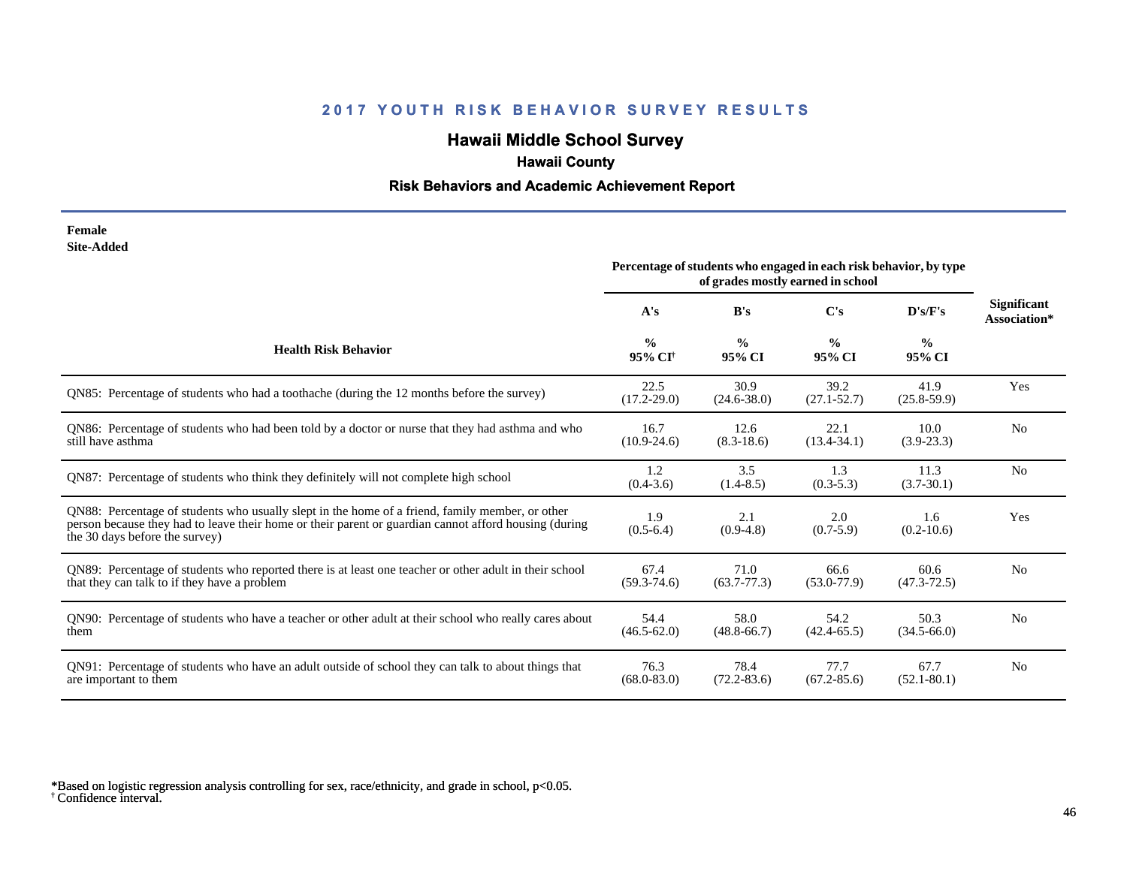# **Hawaii Middle School Survey**

## **Hawaii County**

#### **Risk Behaviors and Academic Achievement Report**

#### **Female Site-Added**

|                                                                                                                                                                                                                                            | Percentage of students who engaged in each risk behavior, by type<br>of grades mostly earned in school |                         |                         |                         |                                    |
|--------------------------------------------------------------------------------------------------------------------------------------------------------------------------------------------------------------------------------------------|--------------------------------------------------------------------------------------------------------|-------------------------|-------------------------|-------------------------|------------------------------------|
|                                                                                                                                                                                                                                            | A's                                                                                                    | B's                     | C's                     | D's/F's                 | <b>Significant</b><br>Association* |
| <b>Health Risk Behavior</b>                                                                                                                                                                                                                | $\frac{0}{0}$<br>95% CI <sup>+</sup>                                                                   | $\frac{0}{0}$<br>95% CI | $\frac{0}{0}$<br>95% CI | $\frac{0}{0}$<br>95% CI |                                    |
| QN85: Percentage of students who had a toothache (during the 12 months before the survey)                                                                                                                                                  | 22.5<br>$(17.2 - 29.0)$                                                                                | 30.9<br>$(24.6 - 38.0)$ | 39.2<br>$(27.1 - 52.7)$ | 41.9<br>$(25.8 - 59.9)$ | Yes                                |
| QN86: Percentage of students who had been told by a doctor or nurse that they had asthma and who<br>still have asthma                                                                                                                      | 16.7<br>$(10.9-24.6)$                                                                                  | 12.6<br>$(8.3-18.6)$    | 22.1<br>$(13.4 - 34.1)$ | 10.0<br>$(3.9-23.3)$    | N <sub>0</sub>                     |
| QN87: Percentage of students who think they definitely will not complete high school                                                                                                                                                       | 1.2<br>$(0.4 - 3.6)$                                                                                   | 3.5<br>$(1.4 - 8.5)$    | 1.3<br>$(0.3-5.3)$      | 11.3<br>$(3.7 - 30.1)$  | N <sub>0</sub>                     |
| QN88: Percentage of students who usually slept in the home of a friend, family member, or other<br>person because they had to leave their home or their parent or guardian cannot afford housing (during<br>the 30 days before the survey) | 1.9<br>$(0.5-6.4)$                                                                                     | 2.1<br>$(0.9-4.8)$      | 2.0<br>$(0.7-5.9)$      | 1.6<br>$(0.2-10.6)$     | Yes                                |
| QN89: Percentage of students who reported there is at least one teacher or other adult in their school<br>that they can talk to if they have a problem                                                                                     | 67.4<br>$(59.3 - 74.6)$                                                                                | 71.0<br>$(63.7 - 77.3)$ | 66.6<br>$(53.0 - 77.9)$ | 60.6<br>$(47.3 - 72.5)$ | No                                 |
| QN90: Percentage of students who have a teacher or other adult at their school who really cares about<br>them                                                                                                                              | 54.4<br>$(46.5 - 62.0)$                                                                                | 58.0<br>$(48.8 - 66.7)$ | 54.2<br>$(42.4 - 65.5)$ | 50.3<br>$(34.5 - 66.0)$ | N <sub>0</sub>                     |
| QN91: Percentage of students who have an adult outside of school they can talk to about things that<br>are important to them                                                                                                               | 76.3<br>$(68.0 - 83.0)$                                                                                | 78.4<br>$(72.2 - 83.6)$ | 77.7<br>$(67.2 - 85.6)$ | 67.7<br>$(52.1 - 80.1)$ | N <sub>0</sub>                     |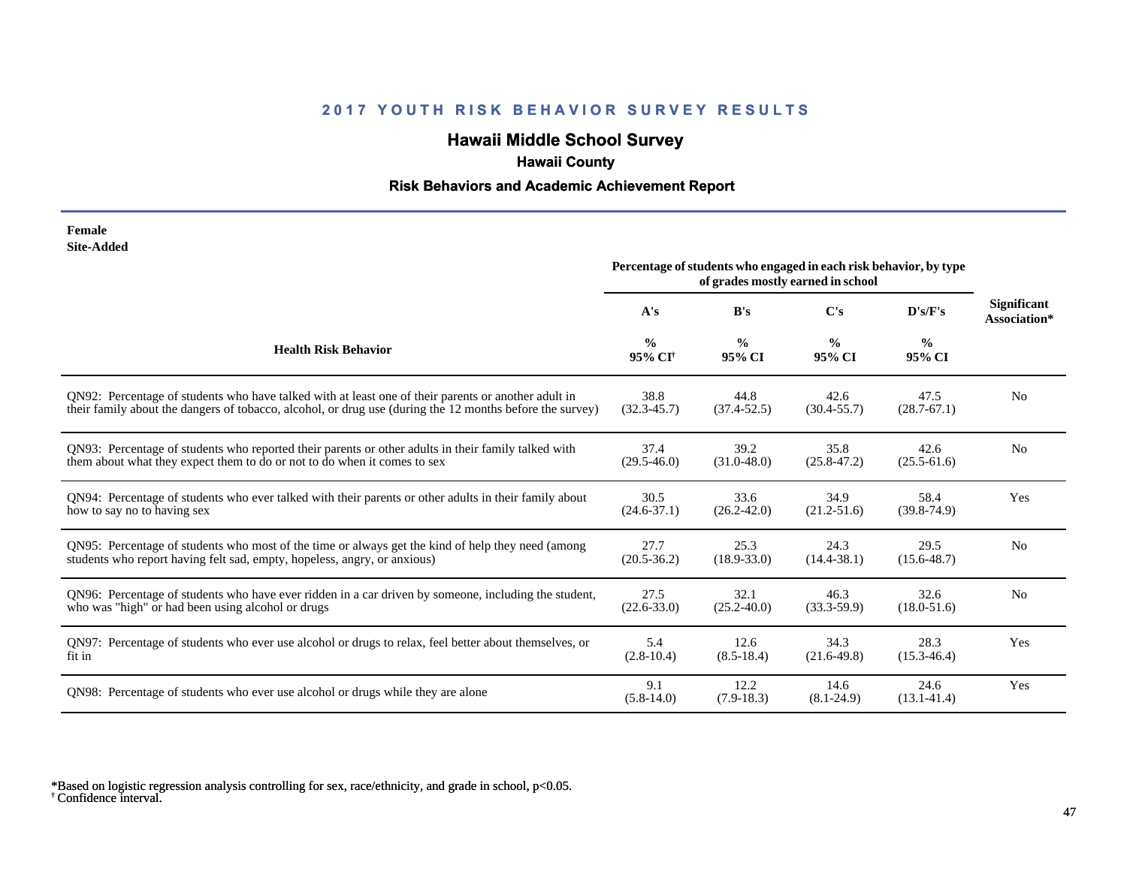# **Hawaii Middle School Survey**

# **Hawaii County**

#### **Risk Behaviors and Academic Achievement Report**

| Female            |
|-------------------|
| <b>Site-Added</b> |

|                                                                                                          | Percentage of students who engaged in each risk behavior, by type<br>of grades mostly earned in school |                         |                         |                         |                                    |
|----------------------------------------------------------------------------------------------------------|--------------------------------------------------------------------------------------------------------|-------------------------|-------------------------|-------------------------|------------------------------------|
|                                                                                                          | A's                                                                                                    | B's                     | C's                     | D's/F's                 | <b>Significant</b><br>Association* |
| <b>Health Risk Behavior</b>                                                                              | $\frac{0}{0}$<br>95% CI <sup>+</sup>                                                                   | $\frac{0}{0}$<br>95% CI | $\frac{0}{0}$<br>95% CI | $\frac{0}{0}$<br>95% CI |                                    |
| QN92: Percentage of students who have talked with at least one of their parents or another adult in      | 38.8                                                                                                   | 44.8                    | 42.6                    | 47.5                    | N <sub>0</sub>                     |
| their family about the dangers of tobacco, alcohol, or drug use (during the 12 months before the survey) | $(32.3 - 45.7)$                                                                                        | $(37.4 - 52.5)$         | $(30.4 - 55.7)$         | $(28.7 - 67.1)$         |                                    |
| QN93: Percentage of students who reported their parents or other adults in their family talked with      | 37.4                                                                                                   | 39.2                    | 35.8                    | 42.6                    | N <sub>o</sub>                     |
| them about what they expect them to do or not to do when it comes to sex                                 | $(29.5 - 46.0)$                                                                                        | $(31.0 - 48.0)$         | $(25.8 - 47.2)$         | $(25.5 - 61.6)$         |                                    |
| QN94: Percentage of students who ever talked with their parents or other adults in their family about    | 30.5                                                                                                   | 33.6                    | 34.9                    | 58.4                    | Yes                                |
| how to say no to having sex                                                                              | $(24.6 - 37.1)$                                                                                        | $(26.2 - 42.0)$         | $(21.2 - 51.6)$         | $(39.8 - 74.9)$         |                                    |
| QN95: Percentage of students who most of the time or always get the kind of help they need (among        | 27.7                                                                                                   | 25.3                    | 24.3                    | 29.5                    | N <sub>o</sub>                     |
| students who report having felt sad, empty, hopeless, angry, or anxious)                                 | $(20.5 - 36.2)$                                                                                        | $(18.9 - 33.0)$         | $(14.4 - 38.1)$         | $(15.6 - 48.7)$         |                                    |
| QN96: Percentage of students who have ever ridden in a car driven by someone, including the student,     | 27.5                                                                                                   | 32.1                    | 46.3                    | 32.6                    | N <sub>0</sub>                     |
| who was "high" or had been using alcohol or drugs                                                        | $(22.6 - 33.0)$                                                                                        | $(25.2 - 40.0)$         | $(33.3 - 59.9)$         | $(18.0 - 51.6)$         |                                    |
| QN97: Percentage of students who ever use alcohol or drugs to relax, feel better about themselves, or    | 5.4                                                                                                    | 12.6                    | 34.3                    | 28.3                    | Yes                                |
| fit in                                                                                                   | $(2.8-10.4)$                                                                                           | $(8.5-18.4)$            | $(21.6-49.8)$           | $(15.3 - 46.4)$         |                                    |
| QN98: Percentage of students who ever use alcohol or drugs while they are alone                          | 9.1<br>$(5.8-14.0)$                                                                                    | 12.2<br>$(7.9-18.3)$    | 14.6<br>$(8.1 - 24.9)$  | 24.6<br>$(13.1 - 41.4)$ | Yes                                |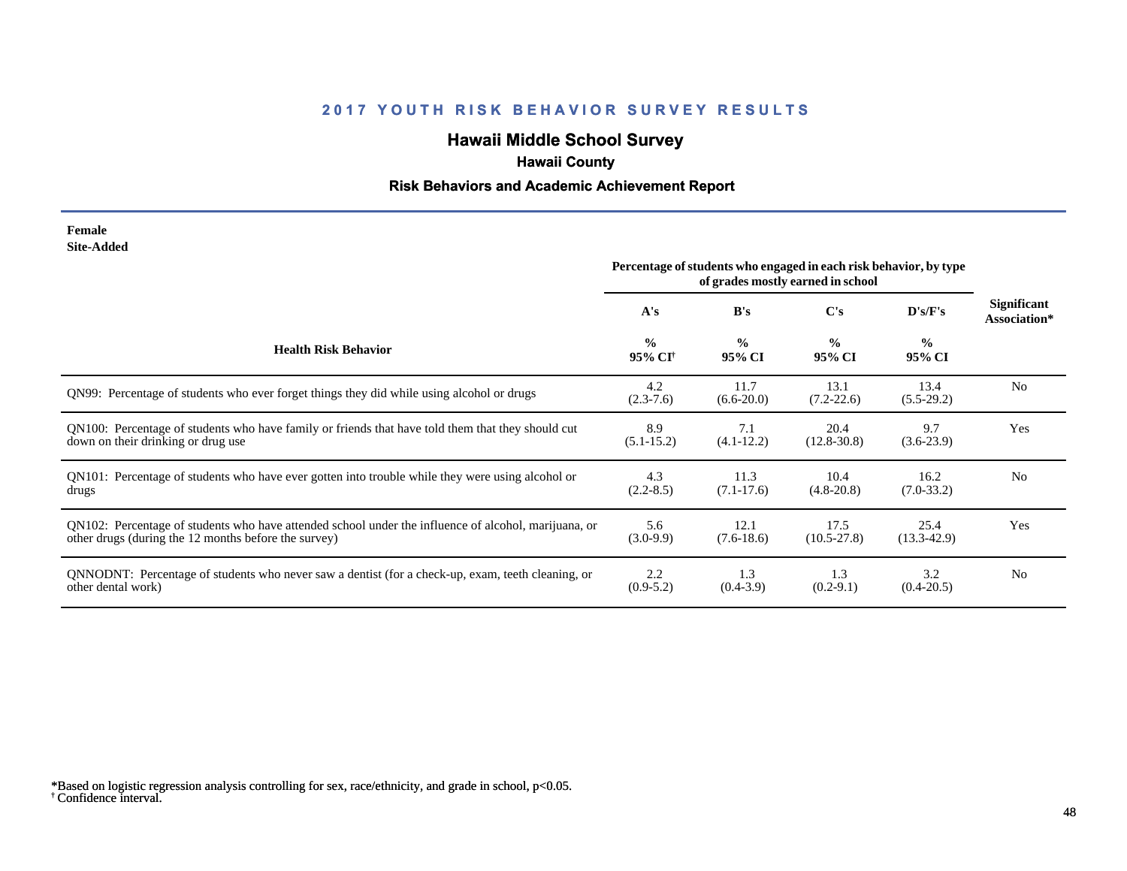# **Hawaii Middle School Survey**

## **Hawaii County**

#### **Risk Behaviors and Academic Achievement Report**

#### **Female Site-Added**

|                                                                                                      | Percentage of students who engaged in each risk behavior, by type |                         |                         |                         |                                    |
|------------------------------------------------------------------------------------------------------|-------------------------------------------------------------------|-------------------------|-------------------------|-------------------------|------------------------------------|
|                                                                                                      | A's                                                               | B's                     | $\bf C's$               | D's/F's                 | <b>Significant</b><br>Association* |
| <b>Health Risk Behavior</b>                                                                          | $\frac{0}{0}$<br>95% CI <sup>+</sup>                              | $\frac{0}{0}$<br>95% CI | $\frac{0}{0}$<br>95% CI | $\frac{0}{0}$<br>95% CI |                                    |
| QN99: Percentage of students who ever forget things they did while using alcohol or drugs            | 4.2<br>$(2.3 - 7.6)$                                              | 11.7<br>$(6.6-20.0)$    | 13.1<br>$(7.2 - 22.6)$  | 13.4<br>$(5.5-29.2)$    | N <sub>0</sub>                     |
| QN100: Percentage of students who have family or friends that have told them that they should cut    | 8.9                                                               | 7.1                     | 20.4                    | 9.7                     | Yes                                |
| down on their drinking or drug use                                                                   | $(5.1 - 15.2)$                                                    | $(4.1 - 12.2)$          | $(12.8 - 30.8)$         | $(3.6-23.9)$            |                                    |
| QN101: Percentage of students who have ever gotten into trouble while they were using alcohol or     | 4.3                                                               | 11.3                    | 10.4                    | 16.2                    | N <sub>o</sub>                     |
| drugs                                                                                                | $(2.2 - 8.5)$                                                     | $(7.1 - 17.6)$          | $(4.8-20.8)$            | $(7.0-33.2)$            |                                    |
| QN102: Percentage of students who have attended school under the influence of alcohol, marijuana, or | 5.6                                                               | 12.1                    | 17.5                    | 25.4                    | Yes                                |
| other drugs (during the 12 months before the survey)                                                 | $(3.0-9.9)$                                                       | $(7.6-18.6)$            | $(10.5 - 27.8)$         | $(13.3-42.9)$           |                                    |
| QNNODNT: Percentage of students who never saw a dentist (for a check-up, exam, teeth cleaning, or    | 2.2                                                               | 1.3                     | 1.3                     | 3.2                     | N <sub>0</sub>                     |
| other dental work)                                                                                   | $(0.9-5.2)$                                                       | $(0.4-3.9)$             | $(0.2-9.1)$             | $(0.4 - 20.5)$          |                                    |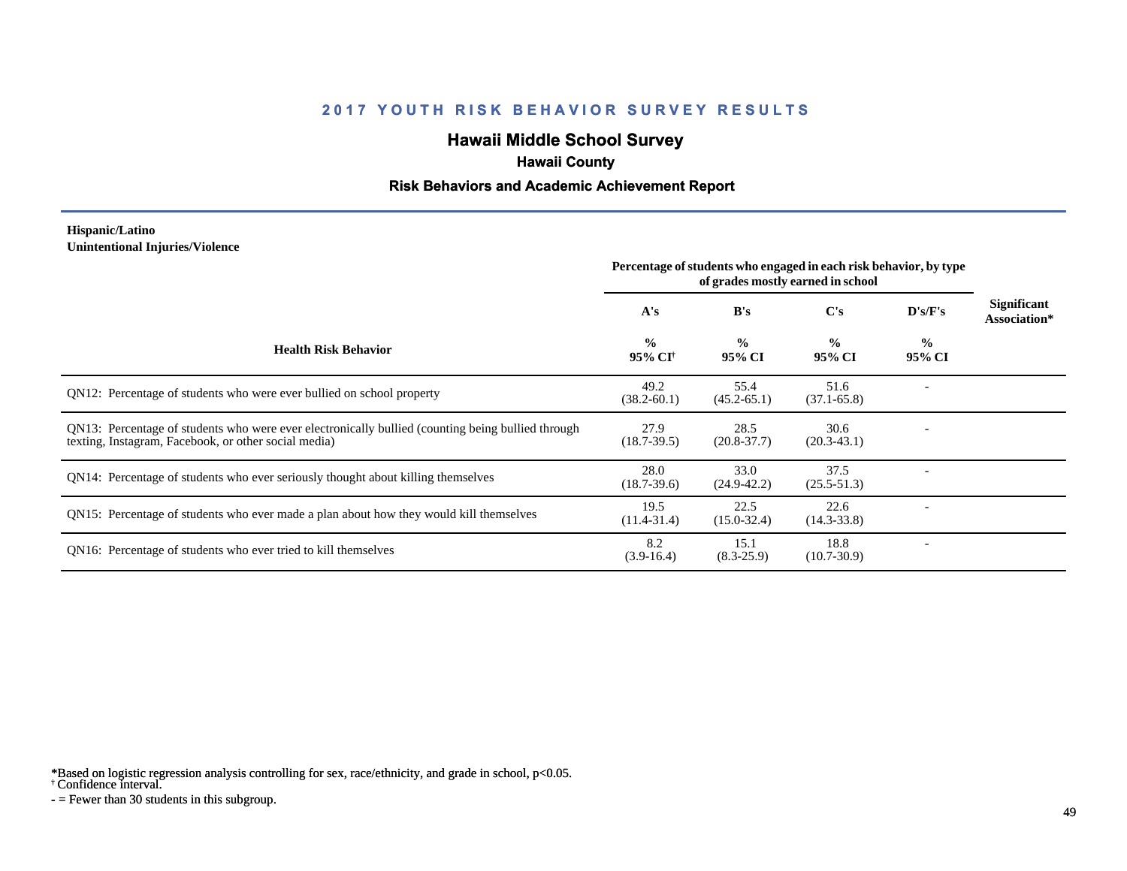# **Hawaii Middle School Survey**

## **Hawaii County**

#### **Risk Behaviors and Academic Achievement Report**

#### **Hispanic/Latino Unintentional Injuries/Violence**

|                                                                                                                                                           | Percentage of students who engaged in each risk behavior, by type<br>of grades mostly earned in school |                         |                         |                         |                                    |
|-----------------------------------------------------------------------------------------------------------------------------------------------------------|--------------------------------------------------------------------------------------------------------|-------------------------|-------------------------|-------------------------|------------------------------------|
|                                                                                                                                                           | A's                                                                                                    | B's                     | C's                     | D's/F's                 | <b>Significant</b><br>Association* |
| <b>Health Risk Behavior</b>                                                                                                                               | $\frac{0}{0}$<br>95% CI <sup>+</sup>                                                                   | $\frac{0}{0}$<br>95% CI | $\frac{0}{0}$<br>95% CI | $\frac{0}{0}$<br>95% CI |                                    |
| QN12: Percentage of students who were ever bullied on school property                                                                                     | 49.2<br>$(38.2 - 60.1)$                                                                                | 55.4<br>$(45.2 - 65.1)$ | 51.6<br>$(37.1 - 65.8)$ |                         |                                    |
| QN13: Percentage of students who were ever electronically bullied (counting being bullied through<br>texting, Instagram, Facebook, or other social media) | 27.9<br>$(18.7 - 39.5)$                                                                                | 28.5<br>$(20.8 - 37.7)$ | 30.6<br>$(20.3-43.1)$   |                         |                                    |
| QN14: Percentage of students who ever seriously thought about killing themselves                                                                          | 28.0<br>$(18.7 - 39.6)$                                                                                | 33.0<br>$(24.9 - 42.2)$ | 37.5<br>$(25.5 - 51.3)$ |                         |                                    |
| QN15: Percentage of students who ever made a plan about how they would kill themselves                                                                    | 19.5<br>$(11.4 - 31.4)$                                                                                | 22.5<br>$(15.0 - 32.4)$ | 22.6<br>$(14.3 - 33.8)$ |                         |                                    |
| QN16: Percentage of students who ever tried to kill themselves                                                                                            | 8.2<br>$(3.9-16.4)$                                                                                    | 15.1<br>$(8.3 - 25.9)$  | 18.8<br>$(10.7 - 30.9)$ |                         |                                    |

\*Based on logistic regression analysis controlling for sex, race/ethnicity, and grade in school, p<0.05.

† Confidence interval.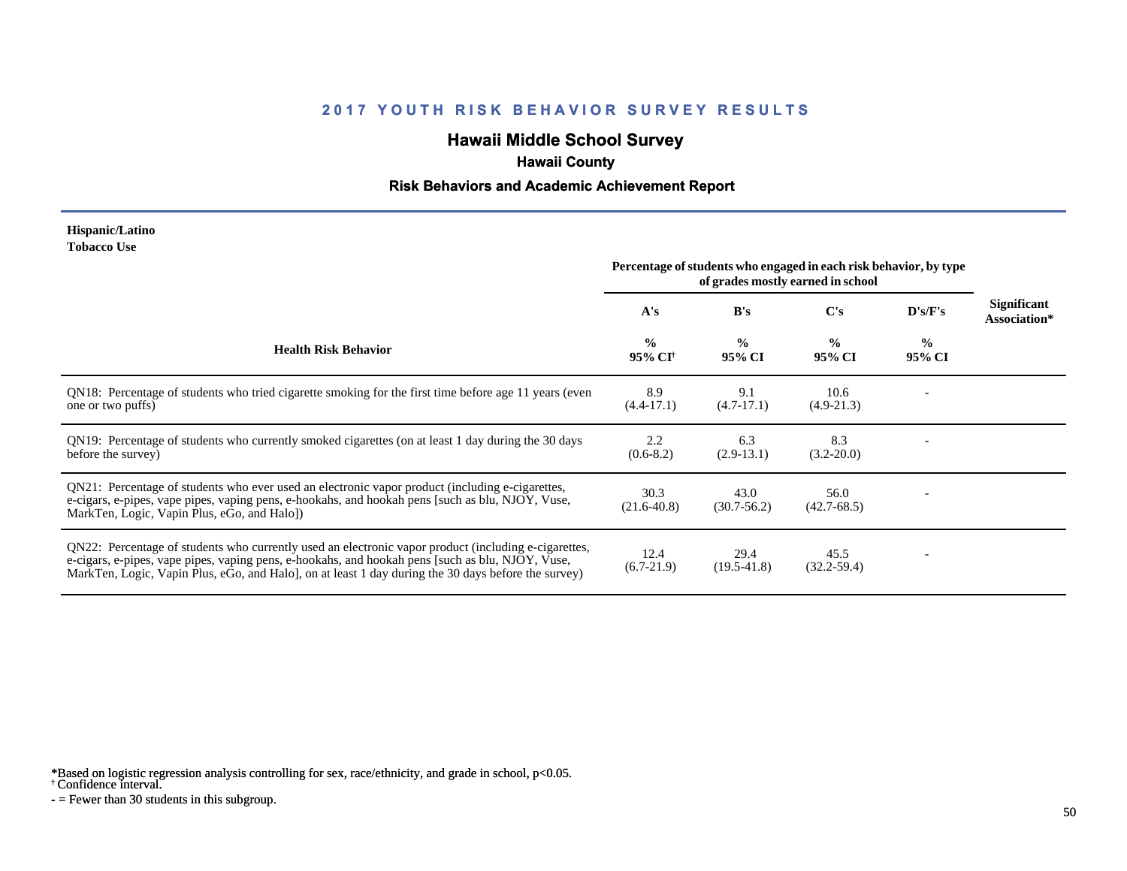# **Hawaii Middle School Survey**

## **Hawaii County**

#### **Risk Behaviors and Academic Achievement Report**

#### **Hispanic/Latino Tobacco Use**

|                                                                                                                                                                                                                                                                                                                | Percentage of students who engaged in each risk behavior, by type<br>of grades mostly earned in school |                         |                         |                         |                                    |
|----------------------------------------------------------------------------------------------------------------------------------------------------------------------------------------------------------------------------------------------------------------------------------------------------------------|--------------------------------------------------------------------------------------------------------|-------------------------|-------------------------|-------------------------|------------------------------------|
|                                                                                                                                                                                                                                                                                                                | A's                                                                                                    | B's                     | $\bf C's$               | D's/F's                 | <b>Significant</b><br>Association* |
| <b>Health Risk Behavior</b>                                                                                                                                                                                                                                                                                    | $\frac{0}{0}$<br>95% CI <sup>+</sup>                                                                   | $\frac{0}{0}$<br>95% CI | $\frac{0}{0}$<br>95% CI | $\frac{0}{0}$<br>95% CI |                                    |
| QN18: Percentage of students who tried cigarette smoking for the first time before age 11 years (even<br>one or two puffs)                                                                                                                                                                                     | 8.9<br>$(4.4 - 17.1)$                                                                                  | 9.1<br>$(4.7-17.1)$     | 10.6<br>$(4.9-21.3)$    |                         |                                    |
| QN19: Percentage of students who currently smoked cigarettes (on at least 1 day during the 30 days<br>before the survey)                                                                                                                                                                                       | 2.2<br>$(0.6-8.2)$                                                                                     | 6.3<br>$(2.9-13.1)$     | 8.3<br>$(3.2 - 20.0)$   |                         |                                    |
| QN21: Percentage of students who ever used an electronic vapor product (including e-cigarettes,<br>e-cigars, e-pipes, vape pipes, vaping pens, e-hookahs, and hookah pens [such as blu, NJOY, Vuse,<br>MarkTen, Logic, Vapin Plus, eGo, and Halo])                                                             | 30.3<br>$(21.6 - 40.8)$                                                                                | 43.0<br>$(30.7 - 56.2)$ | 56.0<br>$(42.7 - 68.5)$ |                         |                                    |
| QN22: Percentage of students who currently used an electronic vapor product (including e-cigarettes,<br>e-cigars, e-pipes, vape pipes, vaping pens, e-hookahs, and hookah pens [such as blu, NJOY, Vuse,<br>MarkTen, Logic, Vapin Plus, eGo, and Halo, on at least 1 day during the 30 days before the survey) | 12.4<br>$(6.7-21.9)$                                                                                   | 29.4<br>$(19.5-41.8)$   | 45.5<br>$(32.2 - 59.4)$ |                         |                                    |

\*Based on logistic regression analysis controlling for sex, race/ethnicity, and grade in school, p<0.05.

† Confidence interval.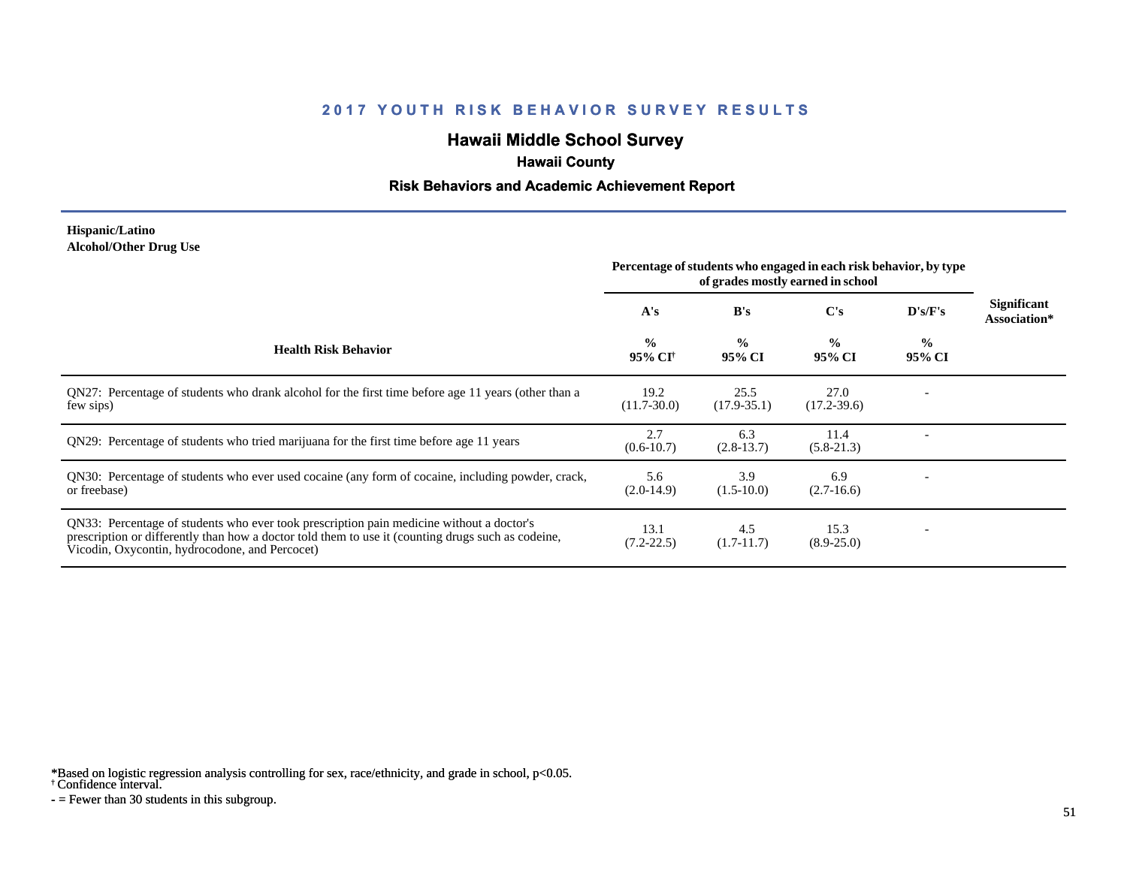# **Hawaii Middle School Survey**

## **Hawaii County**

#### **Risk Behaviors and Academic Achievement Report**

#### **Hispanic/Latino Alcohol/Other Drug Use**

|                                                                                                                                                                                                                                                  | Percentage of students who engaged in each risk behavior, by type<br>of grades mostly earned in school |                         |                         |                         |                                    |
|--------------------------------------------------------------------------------------------------------------------------------------------------------------------------------------------------------------------------------------------------|--------------------------------------------------------------------------------------------------------|-------------------------|-------------------------|-------------------------|------------------------------------|
|                                                                                                                                                                                                                                                  | A's                                                                                                    | B's                     | $\bf C's$               | $\bf{D's/F's}$          | <b>Significant</b><br>Association* |
| <b>Health Risk Behavior</b>                                                                                                                                                                                                                      | $\frac{0}{0}$<br>95% CI <sup>†</sup>                                                                   | $\frac{0}{0}$<br>95% CI | $\frac{0}{0}$<br>95% CI | $\frac{0}{0}$<br>95% CI |                                    |
| QN27: Percentage of students who drank alcohol for the first time before age 11 years (other than a<br>few sips)                                                                                                                                 | 19.2<br>$(11.7 - 30.0)$                                                                                | 25.5<br>$(17.9 - 35.1)$ | 27.0<br>$(17.2 - 39.6)$ |                         |                                    |
| QN29: Percentage of students who tried marijuana for the first time before age 11 years                                                                                                                                                          | 2.7<br>$(0.6 - 10.7)$                                                                                  | 6.3<br>$(2.8-13.7)$     | 11.4<br>$(5.8-21.3)$    |                         |                                    |
| QN30: Percentage of students who ever used cocaine (any form of cocaine, including powder, crack,<br>or freebase)                                                                                                                                | 5.6<br>$(2.0-14.9)$                                                                                    | 3.9<br>$(1.5-10.0)$     | 6.9<br>$(2.7-16.6)$     |                         |                                    |
| QN33: Percentage of students who ever took prescription pain medicine without a doctor's<br>prescription or differently than how a doctor told them to use it (counting drugs such as codeine,<br>Vicodin, Oxycontin, hydrocodone, and Percocet) | 13.1<br>$(7.2 - 22.5)$                                                                                 | 4.5<br>$(1.7-11.7)$     | 15.3<br>$(8.9 - 25.0)$  |                         |                                    |

\*Based on logistic regression analysis controlling for sex, race/ethnicity, and grade in school, p<0.05.

† Confidence interval.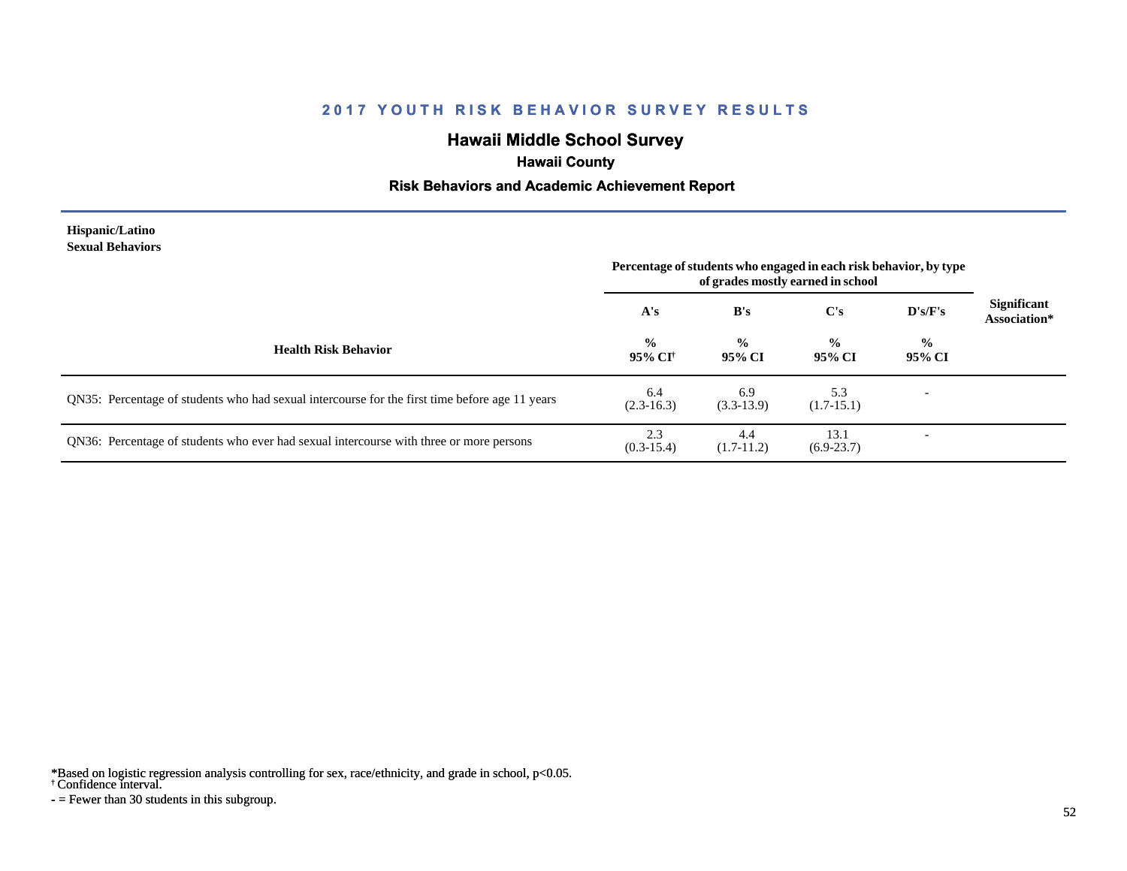# **Hawaii Middle School Survey**

# **Hawaii County**

#### **Risk Behaviors and Academic Achievement Report**

#### **Hispanic/Latino Sexual Behaviors**

|                                                                                                | Percentage of students who engaged in each risk behavior, by type<br>of grades mostly earned in school |                         |                         |                          |                                    |
|------------------------------------------------------------------------------------------------|--------------------------------------------------------------------------------------------------------|-------------------------|-------------------------|--------------------------|------------------------------------|
|                                                                                                | A's                                                                                                    | B's                     | $\bf C's$               | D's/F's                  | <b>Significant</b><br>Association* |
| <b>Health Risk Behavior</b>                                                                    | $\frac{6}{10}$<br>95% CI <sup>+</sup>                                                                  | $\frac{0}{0}$<br>95% CI | $\frac{0}{0}$<br>95% CI | $\frac{0}{0}$<br>95% CI  |                                    |
| QN35: Percentage of students who had sexual intercourse for the first time before age 11 years | 6.4<br>$(2.3-16.3)$                                                                                    | 6.9<br>$(3.3-13.9)$     | 5.3<br>$(1.7-15.1)$     | $\overline{\phantom{0}}$ |                                    |
| QN36: Percentage of students who ever had sexual intercourse with three or more persons        | 2.3<br>$(0.3-15.4)$                                                                                    | 4.4<br>$(1.7-11.2)$     | 13.1<br>$(6.9-23.7)$    | -                        |                                    |

\*Based on logistic regression analysis controlling for sex, race/ethnicity, and grade in school, p<0.05.

† Confidence interval.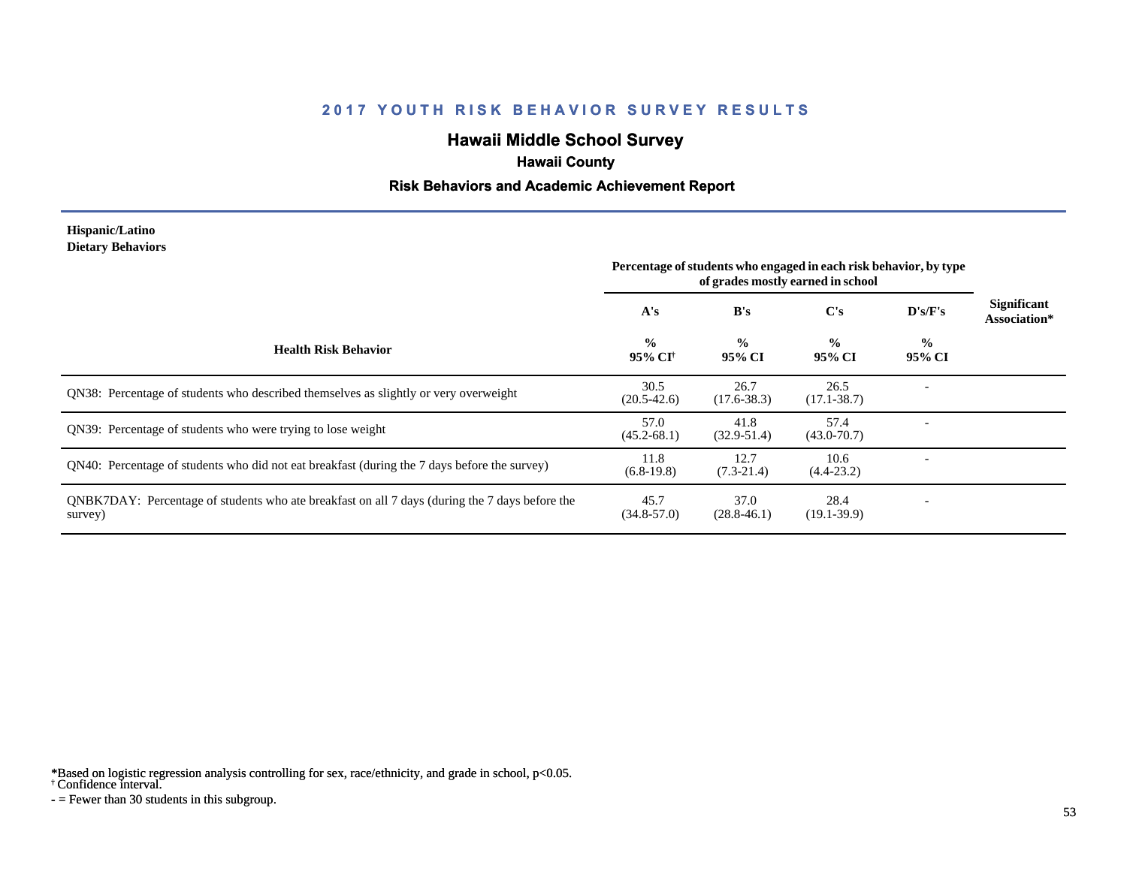# **Hawaii Middle School Survey**

## **Hawaii County**

#### **Risk Behaviors and Academic Achievement Report**

#### **Hispanic/Latino Dietary Behaviors**

|                                                                                                           | Percentage of students who engaged in each risk behavior, by type<br>of grades mostly earned in school |                         |                         |                          |                                    |
|-----------------------------------------------------------------------------------------------------------|--------------------------------------------------------------------------------------------------------|-------------------------|-------------------------|--------------------------|------------------------------------|
|                                                                                                           | A's                                                                                                    | B's                     | $\bf C's$               | D's/F's                  | <b>Significant</b><br>Association* |
| <b>Health Risk Behavior</b>                                                                               | $\frac{0}{0}$<br>95% CI <sup>†</sup>                                                                   | $\frac{0}{0}$<br>95% CI | $\frac{6}{9}$<br>95% CI | $\frac{0}{0}$<br>95% CI  |                                    |
| QN38: Percentage of students who described themselves as slightly or very overweight                      | 30.5<br>$(20.5 - 42.6)$                                                                                | 26.7<br>$(17.6 - 38.3)$ | 26.5<br>$(17.1 - 38.7)$ |                          |                                    |
| QN39: Percentage of students who were trying to lose weight                                               | 57.0<br>$(45.2 - 68.1)$                                                                                | 41.8<br>$(32.9 - 51.4)$ | 57.4<br>$(43.0 - 70.7)$ |                          |                                    |
| ON40: Percentage of students who did not eat breakfast (during the 7 days before the survey)              | 11.8<br>$(6.8-19.8)$                                                                                   | 12.7<br>$(7.3-21.4)$    | 10.6<br>$(4.4 - 23.2)$  |                          |                                    |
| QNBK7DAY: Percentage of students who ate breakfast on all 7 days (during the 7 days before the<br>survey) | 45.7<br>$(34.8 - 57.0)$                                                                                | 37.0<br>$(28.8 - 46.1)$ | 28.4<br>$(19.1 - 39.9)$ | $\overline{\phantom{0}}$ |                                    |

\*Based on logistic regression analysis controlling for sex, race/ethnicity, and grade in school, p<0.05.

† Confidence interval.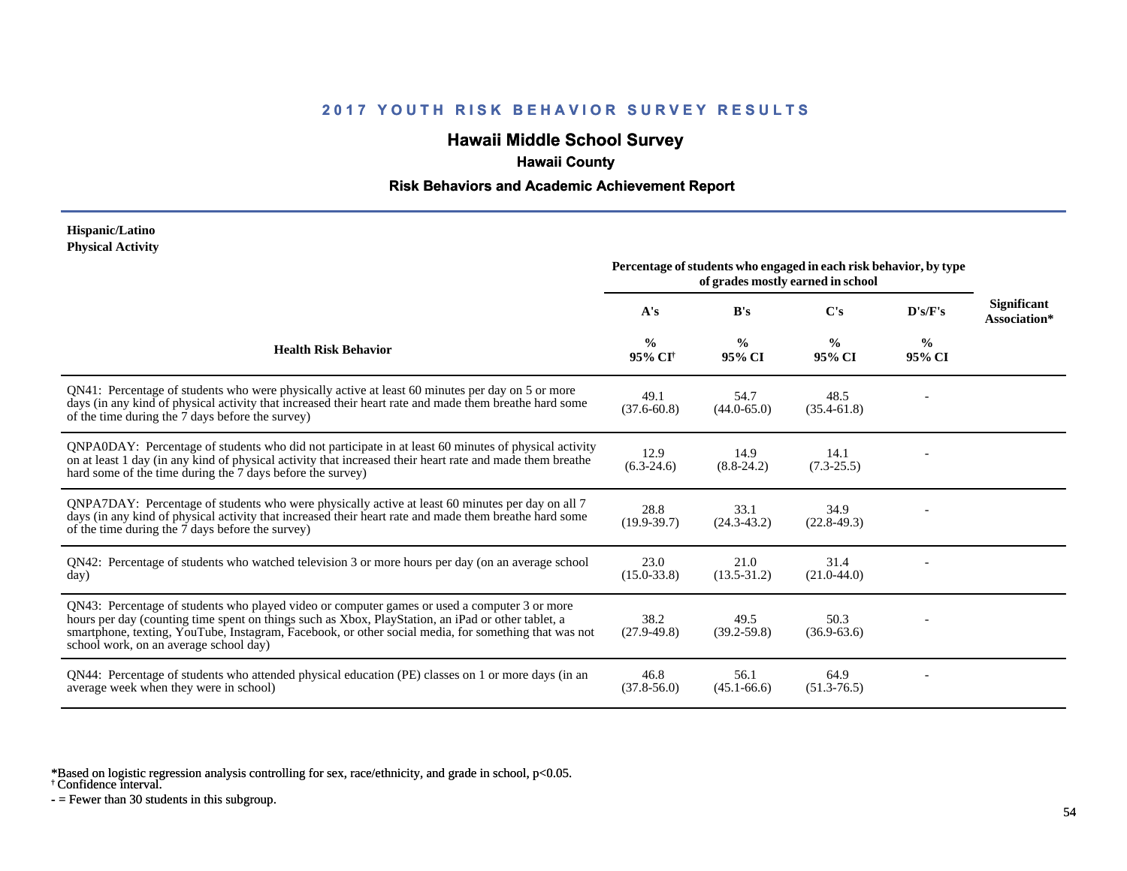# **Hawaii Middle School Survey**

## **Hawaii County**

#### **Risk Behaviors and Academic Achievement Report**

#### **Hispanic/Latino Physical Activity**

|                                                                                                                                                                                                                                                                                                                                                      | Percentage of students who engaged in each risk behavior, by type<br>of grades mostly earned in school |                         |                         |                         |                                    |
|------------------------------------------------------------------------------------------------------------------------------------------------------------------------------------------------------------------------------------------------------------------------------------------------------------------------------------------------------|--------------------------------------------------------------------------------------------------------|-------------------------|-------------------------|-------------------------|------------------------------------|
|                                                                                                                                                                                                                                                                                                                                                      | A's                                                                                                    | B's                     | $\bf C's$               | D's/F's                 | <b>Significant</b><br>Association* |
| <b>Health Risk Behavior</b>                                                                                                                                                                                                                                                                                                                          | $\frac{0}{0}$<br>95% CI†                                                                               | $\frac{0}{0}$<br>95% CI | $\frac{0}{0}$<br>95% CI | $\frac{0}{0}$<br>95% CI |                                    |
| QN41: Percentage of students who were physically active at least 60 minutes per day on 5 or more<br>days (in any kind of physical activity that increased their heart rate and made them breathe hard some<br>of the time during the 7 days before the survey)                                                                                       | 49.1<br>$(37.6 - 60.8)$                                                                                | 54.7<br>$(44.0 - 65.0)$ | 48.5<br>$(35.4 - 61.8)$ |                         |                                    |
| QNPA0DAY: Percentage of students who did not participate in at least 60 minutes of physical activity<br>on at least 1 day (in any kind of physical activity that increased their heart rate and made them breather<br>hard some of the time during the 7 days before the survey)                                                                     | 12.9<br>$(6.3-24.6)$                                                                                   | 14.9<br>$(8.8-24.2)$    | 14.1<br>$(7.3 - 25.5)$  |                         |                                    |
| ONPA7DAY: Percentage of students who were physically active at least 60 minutes per day on all 7<br>days (in any kind of physical activity that increased their heart rate and made them breathe hard some<br>of the time during the 7 days before the survey)                                                                                       | 28.8<br>$(19.9 - 39.7)$                                                                                | 33.1<br>$(24.3 - 43.2)$ | 34.9<br>$(22.8-49.3)$   |                         |                                    |
| QN42: Percentage of students who watched television 3 or more hours per day (on an average school<br>day)                                                                                                                                                                                                                                            | 23.0<br>$(15.0 - 33.8)$                                                                                | 21.0<br>$(13.5 - 31.2)$ | 31.4<br>$(21.0-44.0)$   |                         |                                    |
| QN43: Percentage of students who played video or computer games or used a computer 3 or more<br>hours per day (counting time spent on things such as Xbox, PlayStation, an iPad or other tablet, a<br>smartphone, texting, YouTube, Instagram, Facebook, or other social media, for something that was not<br>school work, on an average school day) | 38.2<br>$(27.9-49.8)$                                                                                  | 49.5<br>$(39.2 - 59.8)$ | 50.3<br>$(36.9 - 63.6)$ |                         |                                    |
| QN44: Percentage of students who attended physical education (PE) classes on 1 or more days (in an<br>average week when they were in school)                                                                                                                                                                                                         | 46.8<br>$(37.8 - 56.0)$                                                                                | 56.1<br>$(45.1 - 66.6)$ | 64.9<br>$(51.3 - 76.5)$ |                         |                                    |

\*Based on logistic regression analysis controlling for sex, race/ethnicity, and grade in school, p<0.05.

† Confidence interval.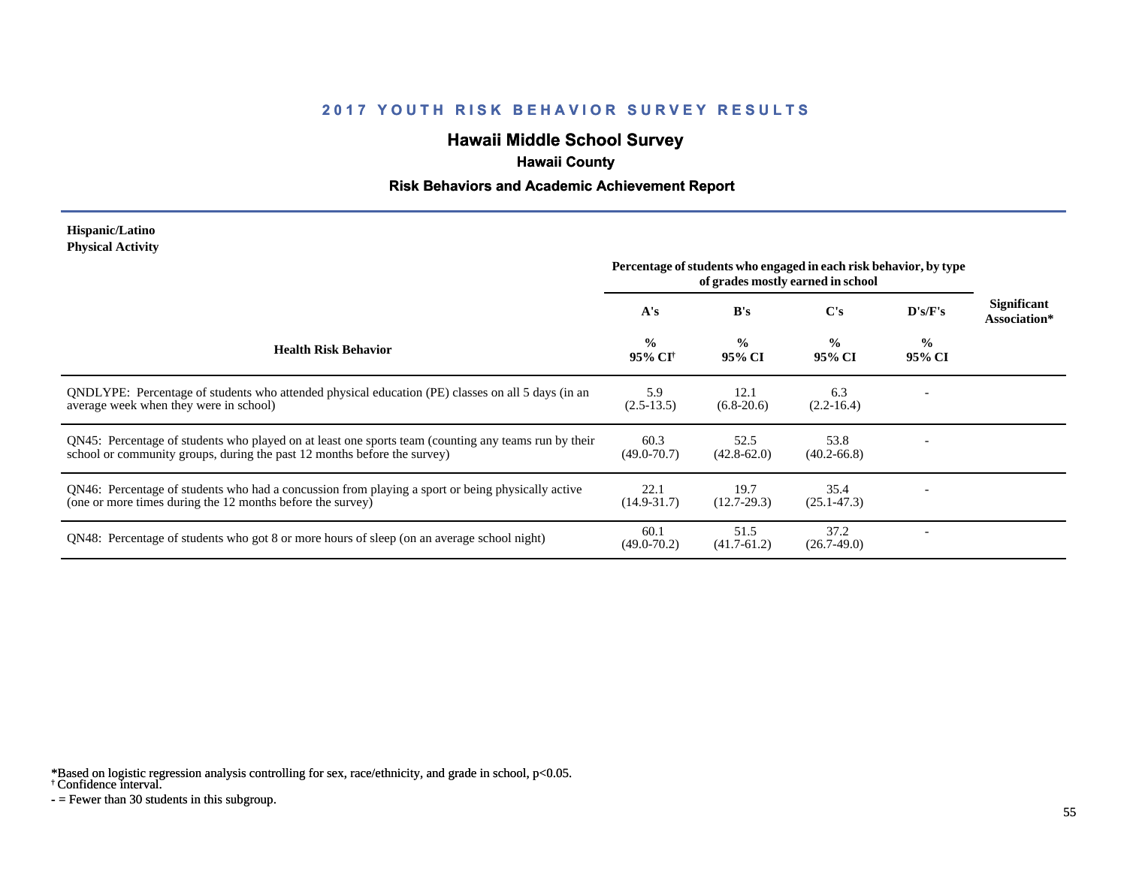# **Hawaii Middle School Survey**

## **Hawaii County**

#### **Risk Behaviors and Academic Achievement Report**

#### **Hispanic/Latino Physical Activity**

|                                                                                                                                                                                  | Percentage of students who engaged in each risk behavior, by type<br>of grades mostly earned in school |                         |                         |                          |                                    |
|----------------------------------------------------------------------------------------------------------------------------------------------------------------------------------|--------------------------------------------------------------------------------------------------------|-------------------------|-------------------------|--------------------------|------------------------------------|
|                                                                                                                                                                                  | A's                                                                                                    | B's                     | C's                     | $\bf{D's/F's}$           | <b>Significant</b><br>Association* |
| <b>Health Risk Behavior</b>                                                                                                                                                      | $\frac{0}{0}$<br>95% CI <sup>†</sup>                                                                   | $\frac{0}{0}$<br>95% CI | $\frac{0}{0}$<br>95% CI | $\frac{0}{0}$<br>95% CI  |                                    |
| QNDLYPE: Percentage of students who attended physical education (PE) classes on all 5 days (in an<br>average week when they were in school)                                      | 5.9<br>$(2.5-13.5)$                                                                                    | 12.1<br>$(6.8-20.6)$    | 6.3<br>$(2.2 - 16.4)$   |                          |                                    |
| QN45: Percentage of students who played on at least one sports team (counting any teams run by their<br>school or community groups, during the past 12 months before the survey) | 60.3<br>$(49.0 - 70.7)$                                                                                | 52.5<br>$(42.8 - 62.0)$ | 53.8<br>$(40.2 - 66.8)$ |                          |                                    |
| QN46: Percentage of students who had a concussion from playing a sport or being physically active<br>(one or more times during the 12 months before the survey)                  | 22.1<br>$(14.9 - 31.7)$                                                                                | 19.7<br>$(12.7 - 29.3)$ | 35.4<br>$(25.1 - 47.3)$ |                          |                                    |
| QN48: Percentage of students who got 8 or more hours of sleep (on an average school night)                                                                                       | 60.1<br>$(49.0 - 70.2)$                                                                                | 51.5<br>$(41.7-61.2)$   | 37.2<br>$(26.7-49.0)$   | $\overline{\phantom{a}}$ |                                    |

\*Based on logistic regression analysis controlling for sex, race/ethnicity, and grade in school, p<0.05.

† Confidence interval.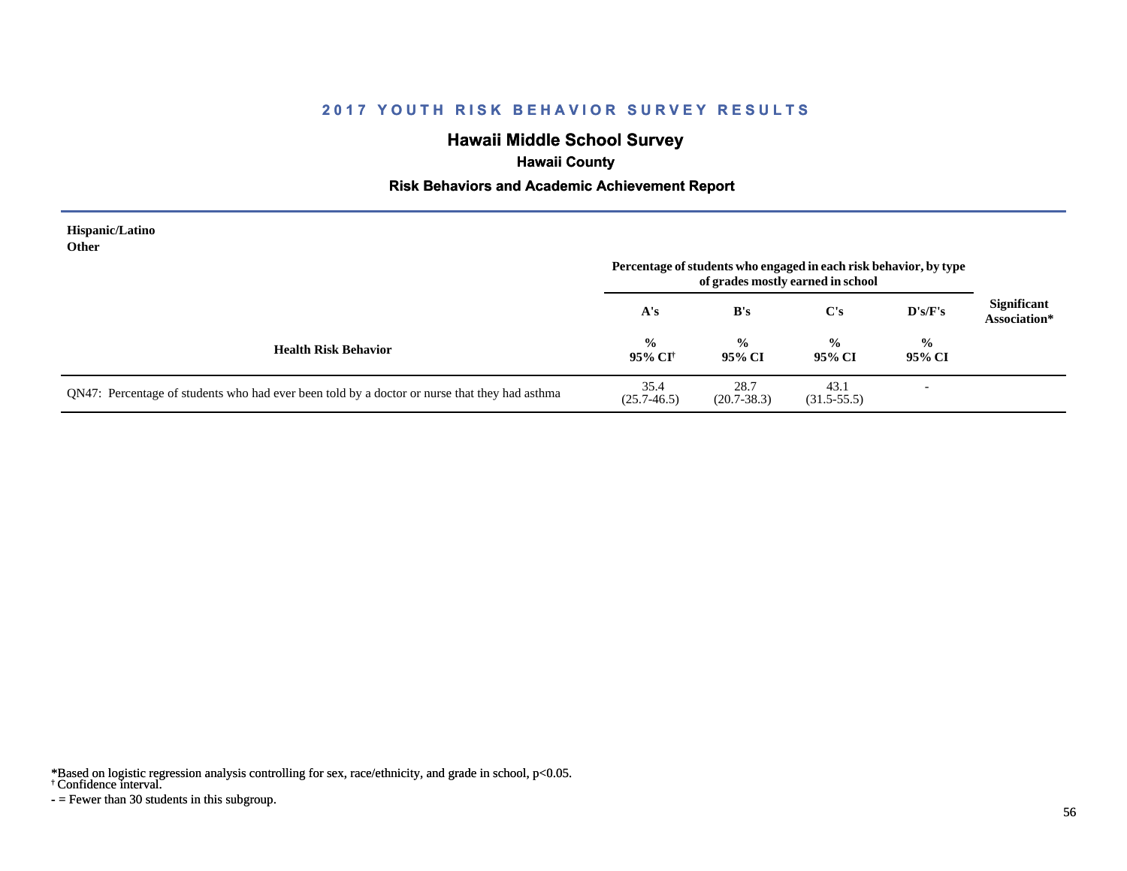# **Hawaii Middle School Survey**

# **Hawaii County**

#### **Risk Behaviors and Academic Achievement Report**

| Hispanic/Latino<br>Other                                                                      | Percentage of students who engaged in each risk behavior, by type<br>of grades mostly earned in school |                         |                         |                          |                                    |
|-----------------------------------------------------------------------------------------------|--------------------------------------------------------------------------------------------------------|-------------------------|-------------------------|--------------------------|------------------------------------|
|                                                                                               | A's                                                                                                    | B's                     | $\bf C's$               | $\bf{D's/F's}$           | <b>Significant</b><br>Association* |
| <b>Health Risk Behavior</b>                                                                   | $\frac{6}{6}$<br>95% CI†                                                                               | $\frac{0}{0}$<br>95% CI | $\frac{0}{0}$<br>95% CI | $\frac{0}{0}$<br>95% CI  |                                    |
| QN47: Percentage of students who had ever been told by a doctor or nurse that they had asthma | 35.4<br>$(25.7 - 46.5)$                                                                                | 28.7<br>$(20.7 - 38.3)$ | 43.1<br>$(31.5 - 55.5)$ | $\overline{\phantom{a}}$ |                                    |

\*Based on logistic regression analysis controlling for sex, race/ethnicity, and grade in school, p<0.05.

† Confidence interval.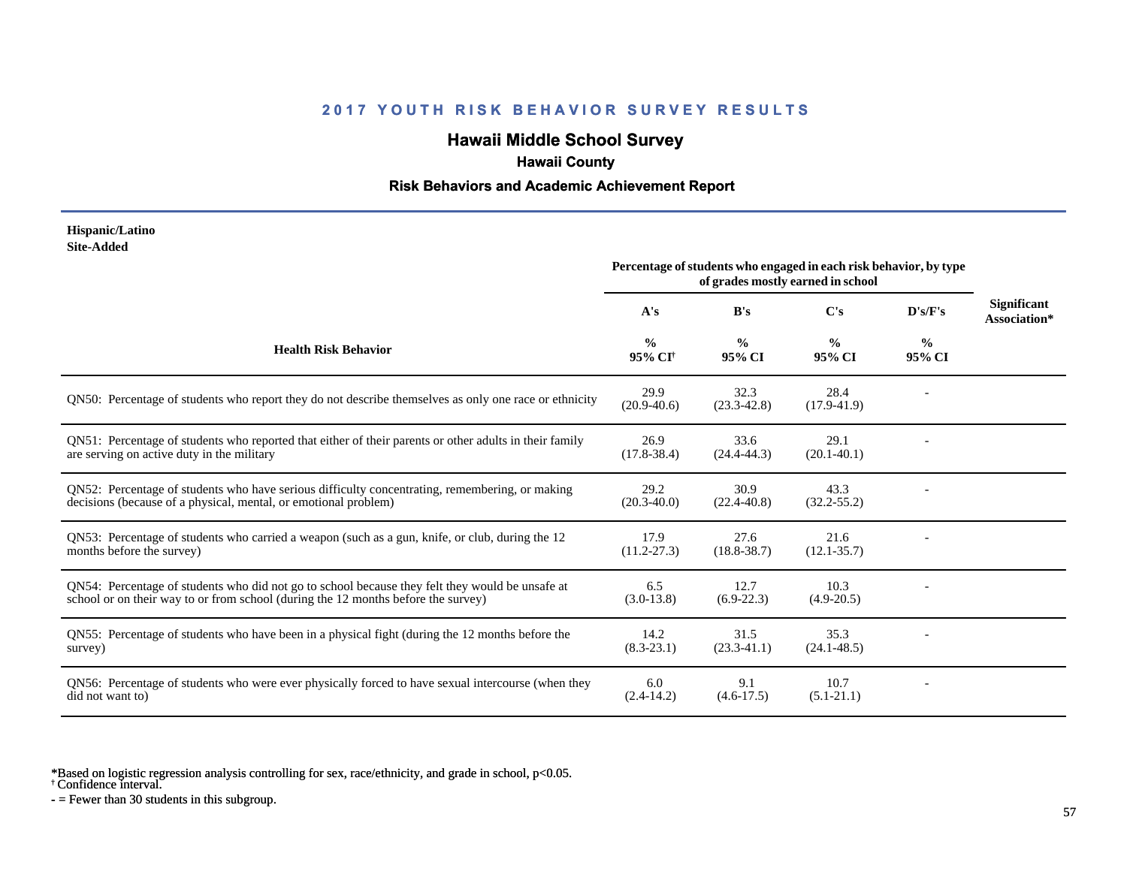# **Hawaii Middle School Survey**

## **Hawaii County**

#### **Risk Behaviors and Academic Achievement Report**

#### **Hispanic/Latino Site-Added**

|                                                                                                                                                                                      | Percentage of students who engaged in each risk behavior, by type<br>of grades mostly earned in school |                         |                         |                         |                                    |
|--------------------------------------------------------------------------------------------------------------------------------------------------------------------------------------|--------------------------------------------------------------------------------------------------------|-------------------------|-------------------------|-------------------------|------------------------------------|
|                                                                                                                                                                                      | A's                                                                                                    | B's                     | C's                     | D's/F's                 | <b>Significant</b><br>Association* |
| <b>Health Risk Behavior</b>                                                                                                                                                          | $\frac{0}{0}$<br>95% CI <sup>+</sup>                                                                   | $\frac{0}{0}$<br>95% CI | $\frac{0}{0}$<br>95% CI | $\frac{0}{0}$<br>95% CI |                                    |
| QN50: Percentage of students who report they do not describe themselves as only one race or ethnicity                                                                                | 29.9<br>$(20.9-40.6)$                                                                                  | 32.3<br>$(23.3 - 42.8)$ | 28.4<br>$(17.9 - 41.9)$ |                         |                                    |
| QN51: Percentage of students who reported that either of their parents or other adults in their family<br>are serving on active duty in the military                                 | 26.9<br>$(17.8 - 38.4)$                                                                                | 33.6<br>$(24.4 - 44.3)$ | 29.1<br>$(20.1 - 40.1)$ |                         |                                    |
| QN52: Percentage of students who have serious difficulty concentrating, remembering, or making<br>decisions (because of a physical, mental, or emotional problem)                    | 29.2<br>$(20.3 - 40.0)$                                                                                | 30.9<br>$(22.4 - 40.8)$ | 43.3<br>$(32.2 - 55.2)$ |                         |                                    |
| QN53: Percentage of students who carried a weapon (such as a gun, knife, or club, during the 12<br>months before the survey)                                                         | 17.9<br>$(11.2 - 27.3)$                                                                                | 27.6<br>$(18.8 - 38.7)$ | 21.6<br>$(12.1 - 35.7)$ |                         |                                    |
| QN54: Percentage of students who did not go to school because they felt they would be unsafe at<br>school or on their way to or from school (during the 12 months before the survey) | 6.5<br>$(3.0-13.8)$                                                                                    | 12.7<br>$(6.9-22.3)$    | 10.3<br>$(4.9 - 20.5)$  |                         |                                    |
| QN55: Percentage of students who have been in a physical fight (during the 12 months before the<br>survey)                                                                           | 14.2<br>$(8.3 - 23.1)$                                                                                 | 31.5<br>$(23.3-41.1)$   | 35.3<br>$(24.1 - 48.5)$ |                         |                                    |
| QN56: Percentage of students who were ever physically forced to have sexual intercourse (when they<br>did not want to)                                                               | 6.0<br>$(2.4-14.2)$                                                                                    | 9.1<br>$(4.6-17.5)$     | 10.7<br>$(5.1-21.1)$    |                         |                                    |

\*Based on logistic regression analysis controlling for sex, race/ethnicity, and grade in school, p<0.05.

† Confidence interval.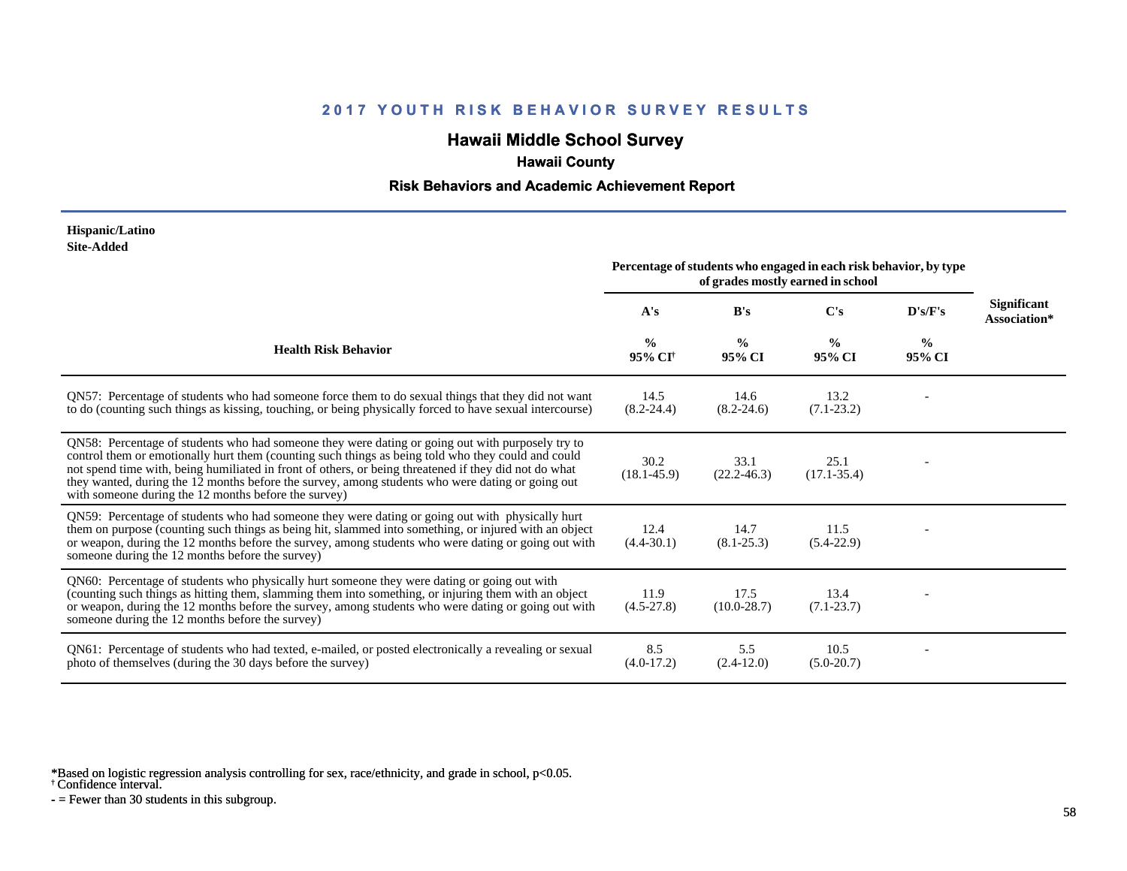# **Hawaii Middle School Survey**

## **Hawaii County**

#### **Risk Behaviors and Academic Achievement Report**

#### **Hispanic/Latino Site-Added**

|                                                                                                                                                                                                                                                                                                                                                                                                                                                                             | Percentage of students who engaged in each risk behavior, by type<br>of grades mostly earned in school |                         |                         |                         |                             |  |  |  |
|-----------------------------------------------------------------------------------------------------------------------------------------------------------------------------------------------------------------------------------------------------------------------------------------------------------------------------------------------------------------------------------------------------------------------------------------------------------------------------|--------------------------------------------------------------------------------------------------------|-------------------------|-------------------------|-------------------------|-----------------------------|--|--|--|
|                                                                                                                                                                                                                                                                                                                                                                                                                                                                             | A's                                                                                                    | B's                     | C's                     | D's/F's                 | Significant<br>Association* |  |  |  |
| <b>Health Risk Behavior</b>                                                                                                                                                                                                                                                                                                                                                                                                                                                 | $\frac{0}{0}$<br>95% CI <sup>†</sup>                                                                   | $\frac{0}{0}$<br>95% CI | $\frac{0}{0}$<br>95% CI | $\frac{0}{0}$<br>95% CI |                             |  |  |  |
| QN57: Percentage of students who had someone force them to do sexual things that they did not want<br>to do (counting such things as kissing, touching, or being physically forced to have sexual intercourse)                                                                                                                                                                                                                                                              | 14.5<br>$(8.2 - 24.4)$                                                                                 | 14.6<br>$(8.2 - 24.6)$  | 13.2<br>$(7.1 - 23.2)$  |                         |                             |  |  |  |
| QN58: Percentage of students who had someone they were dating or going out with purposely try to<br>control them or emotionally hurt them (counting such things as being told who they could and could<br>not spend time with, being humiliated in front of others, or being threatened if they did not do what<br>they wanted, during the 12 months before the survey, among students who were dating or going out<br>with someone during the 12 months before the survey) | 30.2<br>$(18.1 - 45.9)$                                                                                | 33.1<br>$(22.2 - 46.3)$ | 25.1<br>$(17.1 - 35.4)$ |                         |                             |  |  |  |
| QN59: Percentage of students who had someone they were dating or going out with physically hurt<br>them on purpose (counting such things as being hit, slammed into something, or injured with an object<br>or weapon, during the 12 months before the survey, among students who were dating or going out with<br>someone during the 12 months before the survey)                                                                                                          | 12.4<br>$(4.4 - 30.1)$                                                                                 | 14.7<br>$(8.1 - 25.3)$  | 11.5<br>$(5.4-22.9)$    |                         |                             |  |  |  |
| QN60: Percentage of students who physically hurt someone they were dating or going out with<br>(counting such things as hitting them, slamming them into something, or injuring them with an object<br>or weapon, during the 12 months before the survey, among students who were dating or going out with<br>someone during the 12 months before the survey)                                                                                                               | 11.9<br>$(4.5-27.8)$                                                                                   | 17.5<br>$(10.0 - 28.7)$ | 13.4<br>$(7.1 - 23.7)$  |                         |                             |  |  |  |
| QN61: Percentage of students who had texted, e-mailed, or posted electronically a revealing or sexual<br>photo of themselves (during the 30 days before the survey)                                                                                                                                                                                                                                                                                                         | 8.5<br>$(4.0-17.2)$                                                                                    | 5.5<br>$(2.4-12.0)$     | 10.5<br>$(5.0-20.7)$    |                         |                             |  |  |  |

\*Based on logistic regression analysis controlling for sex, race/ethnicity, and grade in school, p<0.05.

† Confidence interval.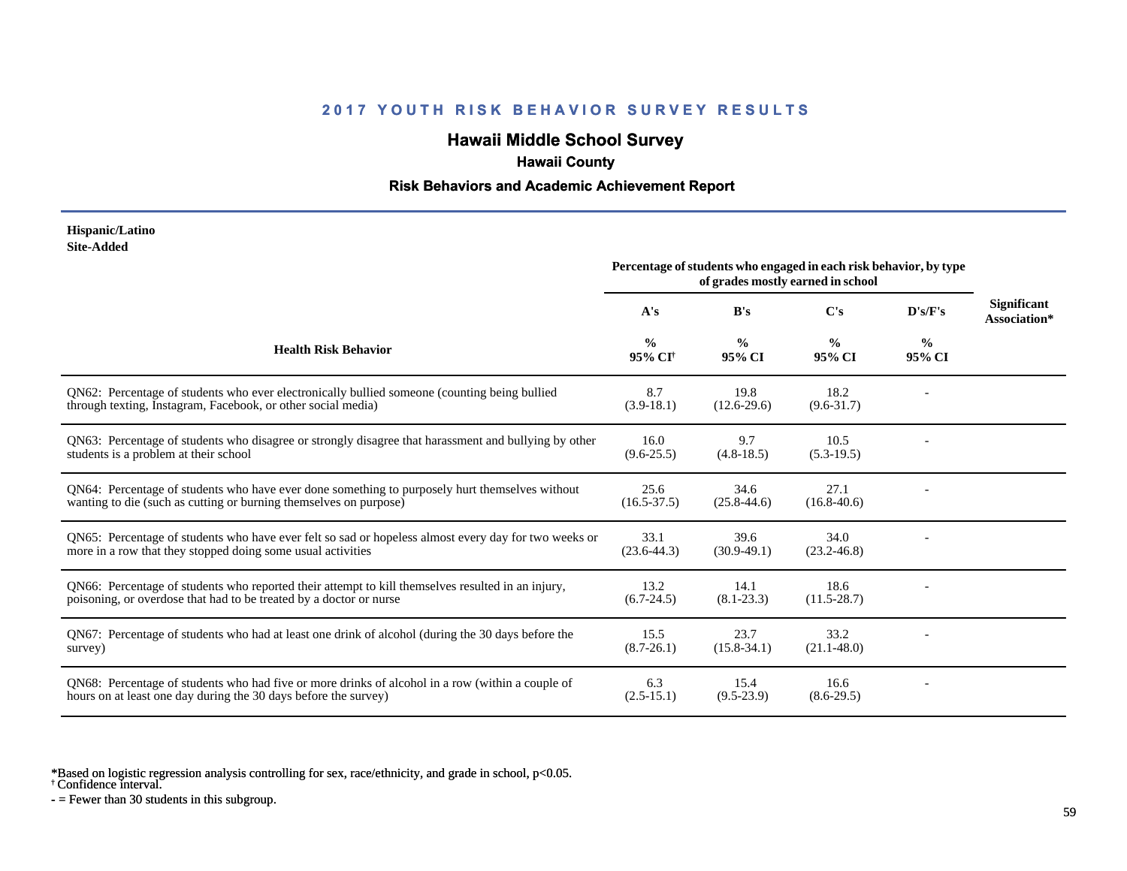# **Hawaii Middle School Survey**

## **Hawaii County**

#### **Risk Behaviors and Academic Achievement Report**

#### **Hispanic/Latino Site-Added**

|                                                                                                                                                                         | Percentage of students who engaged in each risk behavior, by type<br>of grades mostly earned in school |                         |                         |                         |                                    |
|-------------------------------------------------------------------------------------------------------------------------------------------------------------------------|--------------------------------------------------------------------------------------------------------|-------------------------|-------------------------|-------------------------|------------------------------------|
|                                                                                                                                                                         | A's                                                                                                    | B's                     | C's                     | D's/F's                 | <b>Significant</b><br>Association* |
| <b>Health Risk Behavior</b>                                                                                                                                             | $\frac{0}{0}$<br>95% CI <sup>†</sup>                                                                   | $\frac{0}{0}$<br>95% CI | $\frac{0}{0}$<br>95% CI | $\frac{0}{0}$<br>95% CI |                                    |
| QN62: Percentage of students who ever electronically bullied someone (counting being bullied<br>through texting, Instagram, Facebook, or other social media)            | 8.7<br>$(3.9-18.1)$                                                                                    | 19.8<br>$(12.6 - 29.6)$ | 18.2<br>$(9.6 - 31.7)$  |                         |                                    |
| QN63: Percentage of students who disagree or strongly disagree that harassment and bullying by other<br>students is a problem at their school                           | 16.0<br>$(9.6 - 25.5)$                                                                                 | 9.7<br>$(4.8-18.5)$     | 10.5<br>$(5.3-19.5)$    |                         |                                    |
| QN64: Percentage of students who have ever done something to purposely hurt themselves without<br>wanting to die (such as cutting or burning themselves on purpose)     | 25.6<br>$(16.5 - 37.5)$                                                                                | 34.6<br>$(25.8 - 44.6)$ | 27.1<br>$(16.8 - 40.6)$ |                         |                                    |
| QN65: Percentage of students who have ever felt so sad or hopeless almost every day for two weeks or<br>more in a row that they stopped doing some usual activities     | 33.1<br>$(23.6 - 44.3)$                                                                                | 39.6<br>$(30.9-49.1)$   | 34.0<br>$(23.2 - 46.8)$ |                         |                                    |
| QN66: Percentage of students who reported their attempt to kill themselves resulted in an injury,<br>poisoning, or overdose that had to be treated by a doctor or nurse | 13.2<br>$(6.7 - 24.5)$                                                                                 | 14.1<br>$(8.1 - 23.3)$  | 18.6<br>$(11.5 - 28.7)$ |                         |                                    |
| QN67: Percentage of students who had at least one drink of alcohol (during the 30 days before the<br>survey)                                                            | 15.5<br>$(8.7 - 26.1)$                                                                                 | 23.7<br>$(15.8 - 34.1)$ | 33.2<br>$(21.1 - 48.0)$ |                         |                                    |
| QN68: Percentage of students who had five or more drinks of alcohol in a row (within a couple of<br>hours on at least one day during the 30 days before the survey)     | 6.3<br>$(2.5-15.1)$                                                                                    | 15.4<br>$(9.5-23.9)$    | 16.6<br>$(8.6-29.5)$    |                         |                                    |

\*Based on logistic regression analysis controlling for sex, race/ethnicity, and grade in school, p<0.05.

† Confidence interval.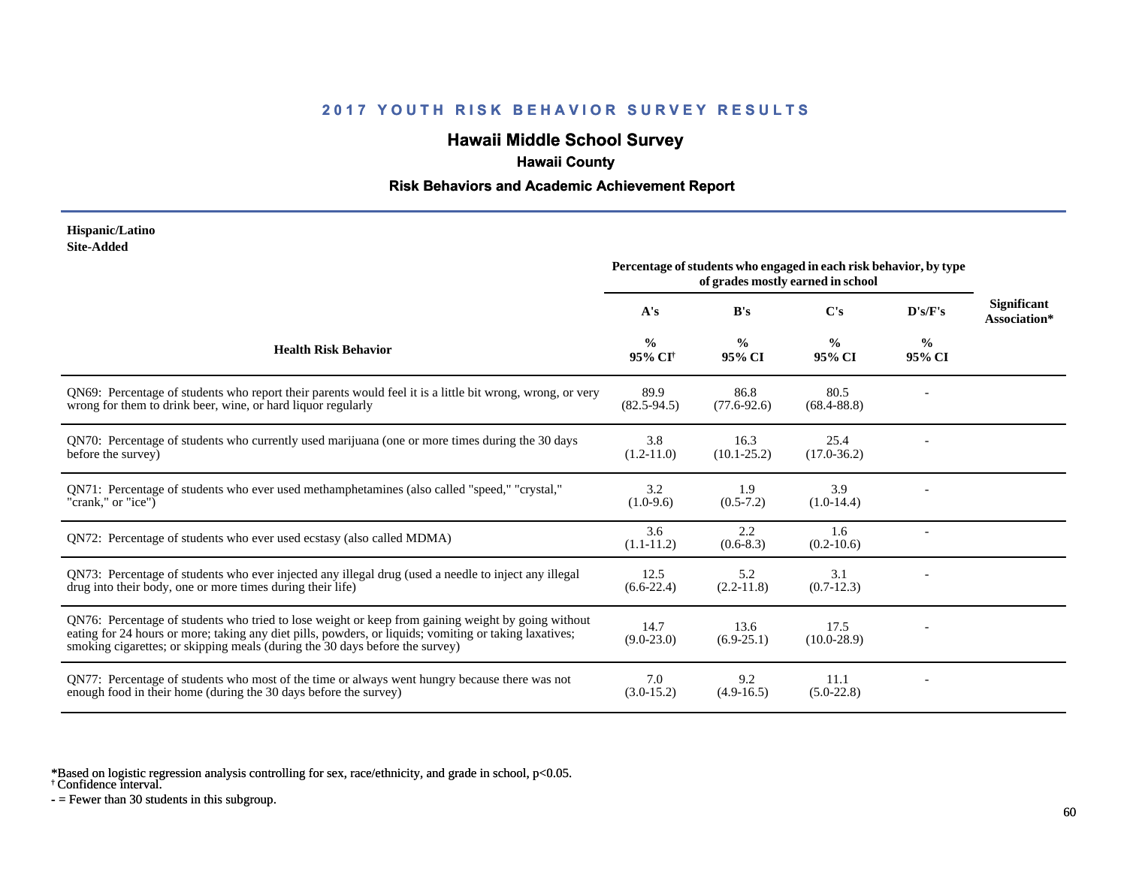# **Hawaii Middle School Survey**

## **Hawaii County**

#### **Risk Behaviors and Academic Achievement Report**

#### **Hispanic/Latino Site-Added**

|                                                                                                                                                                                                                                                                                              | Percentage of students who engaged in each risk behavior, by type<br>of grades mostly earned in school |                         |                         |                         |                                    |
|----------------------------------------------------------------------------------------------------------------------------------------------------------------------------------------------------------------------------------------------------------------------------------------------|--------------------------------------------------------------------------------------------------------|-------------------------|-------------------------|-------------------------|------------------------------------|
|                                                                                                                                                                                                                                                                                              | A's                                                                                                    | B's                     | C's                     | D's/F's                 | <b>Significant</b><br>Association* |
| <b>Health Risk Behavior</b>                                                                                                                                                                                                                                                                  | $\frac{0}{0}$<br>95% CI <sup>†</sup>                                                                   | $\frac{0}{0}$<br>95% CI | $\frac{0}{0}$<br>95% CI | $\frac{0}{0}$<br>95% CI |                                    |
| QN69: Percentage of students who report their parents would feel it is a little bit wrong, wrong, or very<br>wrong for them to drink beer, wine, or hard liquor regularly                                                                                                                    | 89.9<br>$(82.5 - 94.5)$                                                                                | 86.8<br>$(77.6 - 92.6)$ | 80.5<br>$(68.4 - 88.8)$ |                         |                                    |
| ON70: Percentage of students who currently used marijuana (one or more times during the 30 days<br>before the survey)                                                                                                                                                                        | 3.8<br>$(1.2 - 11.0)$                                                                                  | 16.3<br>$(10.1 - 25.2)$ | 25.4<br>$(17.0 - 36.2)$ |                         |                                    |
| QN71: Percentage of students who ever used methamphetamines (also called "speed," "crystal,"<br>"crank," or "ice")                                                                                                                                                                           | 3.2<br>$(1.0-9.6)$                                                                                     | 1.9<br>$(0.5 - 7.2)$    | 3.9<br>$(1.0-14.4)$     |                         |                                    |
| ON72: Percentage of students who ever used ecstasy (also called MDMA)                                                                                                                                                                                                                        | 3.6<br>$(1.1-11.2)$                                                                                    | 2.2<br>$(0.6-8.3)$      | 1.6<br>$(0.2-10.6)$     |                         |                                    |
| QN73: Percentage of students who ever injected any illegal drug (used a needle to inject any illegal<br>drug into their body, one or more times during their life)                                                                                                                           | 12.5<br>$(6.6-22.4)$                                                                                   | 5.2<br>$(2.2-11.8)$     | 3.1<br>$(0.7-12.3)$     |                         |                                    |
| QN76: Percentage of students who tried to lose weight or keep from gaining weight by going without<br>eating for 24 hours or more; taking any diet pills, powders, or liquids; vomiting or taking laxatives;<br>smoking cigarettes; or skipping meals (during the 30 days before the survey) | 14.7<br>$(9.0 - 23.0)$                                                                                 | 13.6<br>$(6.9-25.1)$    | 17.5<br>$(10.0 - 28.9)$ |                         |                                    |
| QN77: Percentage of students who most of the time or always went hungry because there was not<br>enough food in their home (during the 30 days before the survey)                                                                                                                            | 7.0<br>$(3.0-15.2)$                                                                                    | 9.2<br>$(4.9-16.5)$     | 11.1<br>$(5.0-22.8)$    |                         |                                    |

\*Based on logistic regression analysis controlling for sex, race/ethnicity, and grade in school, p<0.05.

† Confidence interval.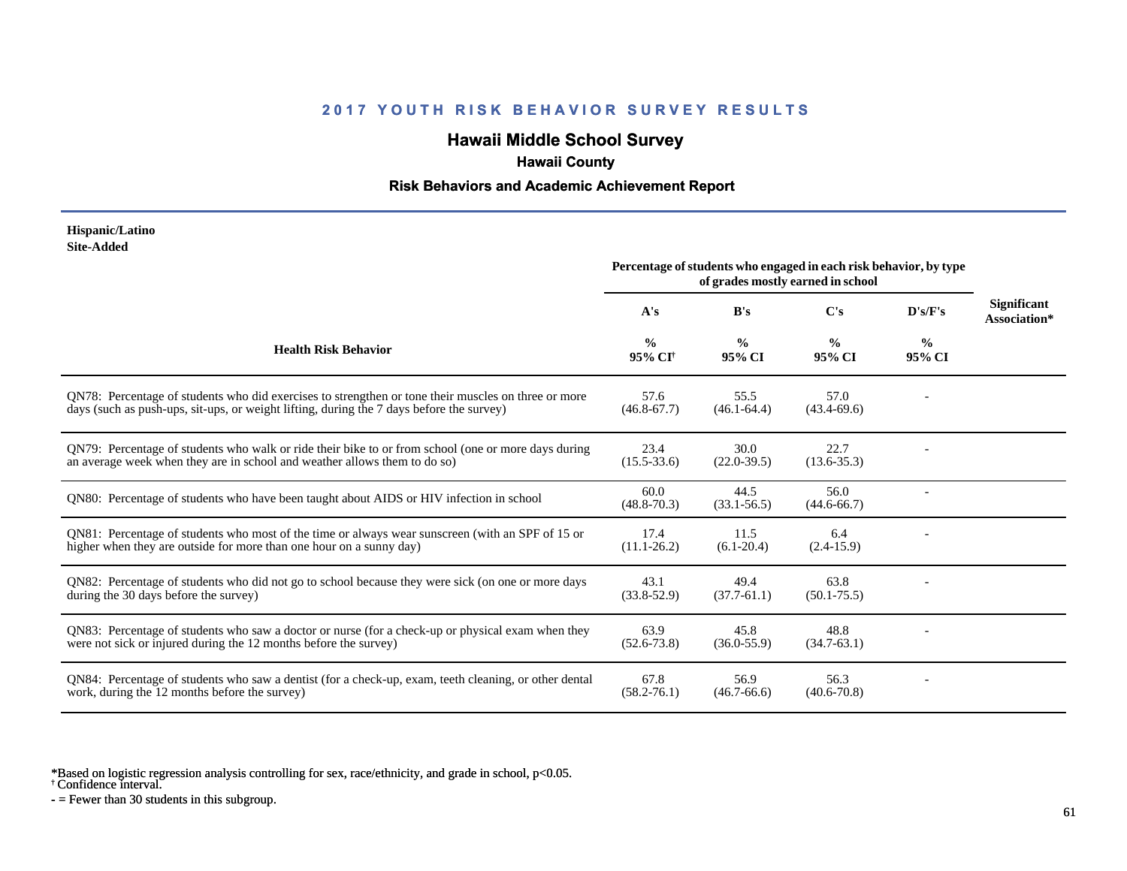# **Hawaii Middle School Survey**

## **Hawaii County**

#### **Risk Behaviors and Academic Achievement Report**

#### **Hispanic/Latino Site-Added**

|                                                                                                                                                                                                 | Percentage of students who engaged in each risk behavior, by type<br>of grades mostly earned in school |                         |                         |                         |                                    |
|-------------------------------------------------------------------------------------------------------------------------------------------------------------------------------------------------|--------------------------------------------------------------------------------------------------------|-------------------------|-------------------------|-------------------------|------------------------------------|
|                                                                                                                                                                                                 | A's                                                                                                    | B's                     | C's                     | D's/F's                 | <b>Significant</b><br>Association* |
| <b>Health Risk Behavior</b>                                                                                                                                                                     | $\frac{0}{0}$<br>95% CI <sup>+</sup>                                                                   | $\frac{0}{0}$<br>95% CI | $\frac{0}{0}$<br>95% CI | $\frac{0}{0}$<br>95% CI |                                    |
| QN78: Percentage of students who did exercises to strengthen or tone their muscles on three or more<br>days (such as push-ups, sit-ups, or weight lifting, during the 7 days before the survey) | 57.6<br>$(46.8 - 67.7)$                                                                                | 55.5<br>$(46.1 - 64.4)$ | 57.0<br>$(43.4 - 69.6)$ |                         |                                    |
| QN79: Percentage of students who walk or ride their bike to or from school (one or more days during<br>an average week when they are in school and weather allows them to do so)                | 23.4<br>$(15.5 - 33.6)$                                                                                | 30.0<br>$(22.0-39.5)$   | 22.7<br>$(13.6 - 35.3)$ |                         |                                    |
| QN80: Percentage of students who have been taught about AIDS or HIV infection in school                                                                                                         | 60.0<br>$(48.8 - 70.3)$                                                                                | 44.5<br>$(33.1 - 56.5)$ | 56.0<br>$(44.6 - 66.7)$ |                         |                                    |
| QN81: Percentage of students who most of the time or always wear sunscreen (with an SPF of 15 or<br>higher when they are outside for more than one hour on a sunny day)                         | 17.4<br>$(11.1 - 26.2)$                                                                                | 11.5<br>$(6.1 - 20.4)$  | 6.4<br>$(2.4-15.9)$     |                         |                                    |
| QN82: Percentage of students who did not go to school because they were sick (on one or more days<br>during the 30 days before the survey)                                                      | 43.1<br>$(33.8 - 52.9)$                                                                                | 49.4<br>$(37.7-61.1)$   | 63.8<br>$(50.1 - 75.5)$ |                         |                                    |
| QN83: Percentage of students who saw a doctor or nurse (for a check-up or physical exam when they<br>were not sick or injured during the 12 months before the survey)                           | 63.9<br>$(52.6 - 73.8)$                                                                                | 45.8<br>$(36.0 - 55.9)$ | 48.8<br>$(34.7-63.1)$   |                         |                                    |
| QN84: Percentage of students who saw a dentist (for a check-up, exam, teeth cleaning, or other dental<br>work, during the 12 months before the survey)                                          | 67.8<br>$(58.2 - 76.1)$                                                                                | 56.9<br>$(46.7 - 66.6)$ | 56.3<br>$(40.6 - 70.8)$ |                         |                                    |

\*Based on logistic regression analysis controlling for sex, race/ethnicity, and grade in school, p<0.05.

† Confidence interval.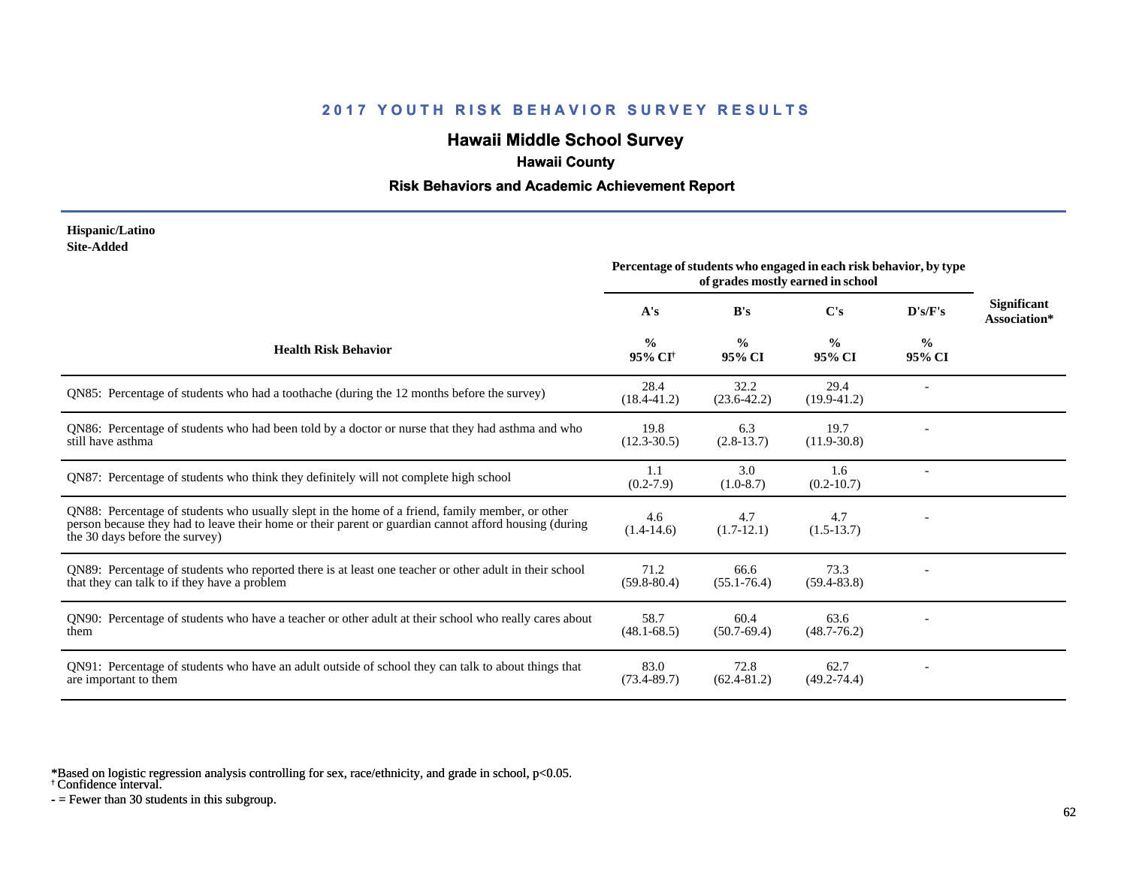# **Hawaii Middle School Survey**

## **Hawaii County**

#### **Risk Behaviors and Academic Achievement Report**

#### **Hispanic/Latino Site-Added**

|                                                                                                                                                                                                                                            | Percentage of students who engaged in each risk behavior, by type<br>of grades mostly earned in school |                         |                         |                         |                                    |
|--------------------------------------------------------------------------------------------------------------------------------------------------------------------------------------------------------------------------------------------|--------------------------------------------------------------------------------------------------------|-------------------------|-------------------------|-------------------------|------------------------------------|
|                                                                                                                                                                                                                                            | A's                                                                                                    | B's                     | $\bf C's$               | D's/F's                 | <b>Significant</b><br>Association* |
| <b>Health Risk Behavior</b>                                                                                                                                                                                                                | $\frac{0}{0}$<br>95% CI†                                                                               | $\frac{0}{0}$<br>95% CI | $\frac{0}{0}$<br>95% CI | $\frac{0}{0}$<br>95% CI |                                    |
| QN85: Percentage of students who had a toothache (during the 12 months before the survey)                                                                                                                                                  | 28.4<br>$(18.4 - 41.2)$                                                                                | 32.2<br>$(23.6 - 42.2)$ | 29.4<br>$(19.9-41.2)$   |                         |                                    |
| QN86: Percentage of students who had been told by a doctor or nurse that they had asthma and who<br>still have asthma                                                                                                                      | 19.8<br>$(12.3 - 30.5)$                                                                                | 6.3<br>$(2.8-13.7)$     | 19.7<br>$(11.9-30.8)$   |                         |                                    |
| ON87: Percentage of students who think they definitely will not complete high school                                                                                                                                                       | 1.1<br>$(0.2 - 7.9)$                                                                                   | 3.0<br>$(1.0-8.7)$      | 1.6<br>$(0.2 - 10.7)$   |                         |                                    |
| QN88: Percentage of students who usually slept in the home of a friend, family member, or other<br>person because they had to leave their home or their parent or guardian cannot afford housing (during<br>the 30 days before the survey) | 4.6<br>$(1.4-14.6)$                                                                                    | 4.7<br>$(1.7-12.1)$     | 4.7<br>$(1.5-13.7)$     |                         |                                    |
| QN89: Percentage of students who reported there is at least one teacher or other adult in their school<br>that they can talk to if they have a problem                                                                                     | 71.2<br>$(59.8 - 80.4)$                                                                                | 66.6<br>$(55.1 - 76.4)$ | 73.3<br>$(59.4 - 83.8)$ |                         |                                    |
| QN90: Percentage of students who have a teacher or other adult at their school who really cares about<br>them                                                                                                                              | 58.7<br>$(48.1 - 68.5)$                                                                                | 60.4<br>$(50.7-69.4)$   | 63.6<br>$(48.7 - 76.2)$ |                         |                                    |
| QN91: Percentage of students who have an adult outside of school they can talk to about things that<br>are important to them                                                                                                               | 83.0<br>$(73.4 - 89.7)$                                                                                | 72.8<br>$(62.4 - 81.2)$ | 62.7<br>$(49.2 - 74.4)$ |                         |                                    |

\*Based on logistic regression analysis controlling for sex, race/ethnicity, and grade in school, p<0.05.

† Confidence interval.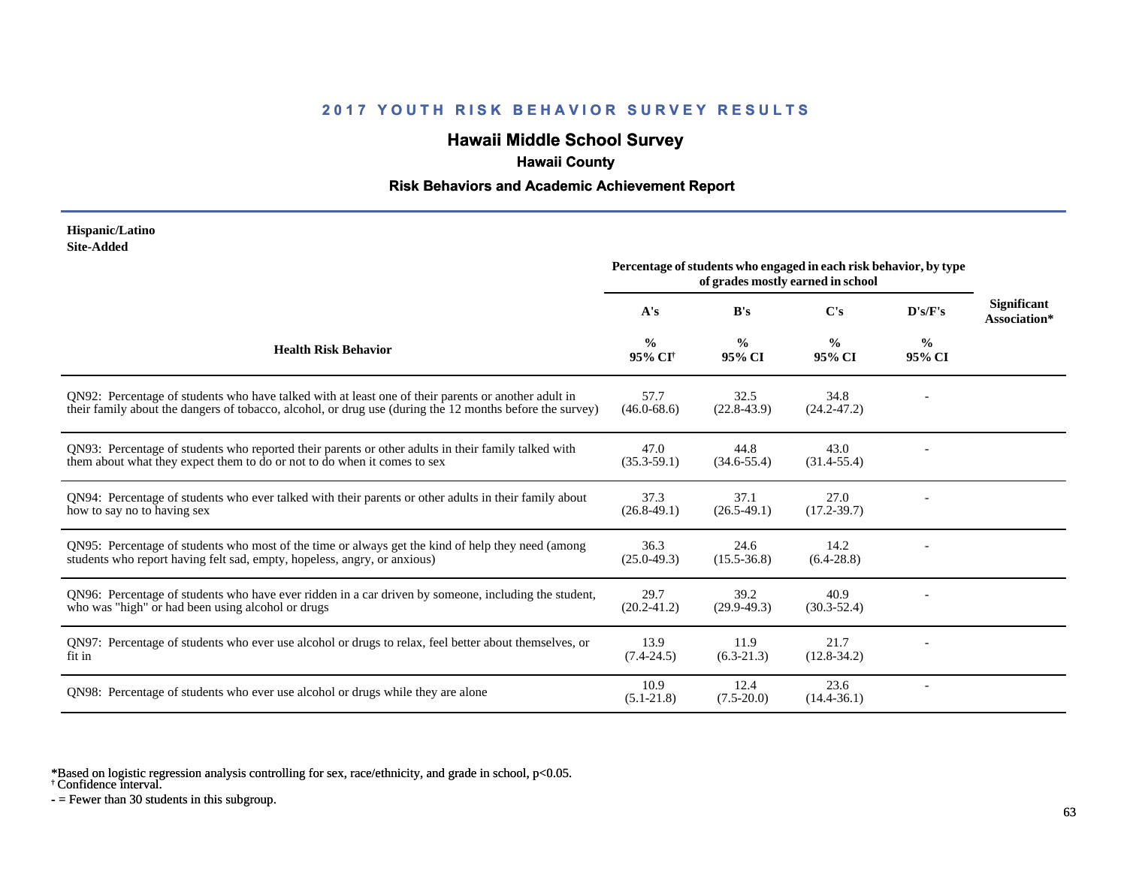# **Hawaii Middle School Survey**

## **Hawaii County**

#### **Risk Behaviors and Academic Achievement Report**

#### **Hispanic/Latino Site-Added**

|                                                                                                                                                                                                                 | Percentage of students who engaged in each risk behavior, by type<br>of grades mostly earned in school |                         |                         |                         |                                    |
|-----------------------------------------------------------------------------------------------------------------------------------------------------------------------------------------------------------------|--------------------------------------------------------------------------------------------------------|-------------------------|-------------------------|-------------------------|------------------------------------|
|                                                                                                                                                                                                                 | A's                                                                                                    | B's                     | C's                     | D's/F's                 | <b>Significant</b><br>Association* |
| <b>Health Risk Behavior</b>                                                                                                                                                                                     | $\frac{0}{0}$<br>95% CI <sup>†</sup>                                                                   | $\frac{0}{0}$<br>95% CI | $\frac{0}{0}$<br>95% CI | $\frac{0}{0}$<br>95% CI |                                    |
| QN92: Percentage of students who have talked with at least one of their parents or another adult in<br>their family about the dangers of tobacco, alcohol, or drug use (during the 12 months before the survey) | 57.7<br>$(46.0 - 68.6)$                                                                                | 32.5<br>$(22.8-43.9)$   | 34.8<br>$(24.2 - 47.2)$ |                         |                                    |
| QN93: Percentage of students who reported their parents or other adults in their family talked with<br>them about what they expect them to do or not to do when it comes to sex                                 | 47.0<br>$(35.3 - 59.1)$                                                                                | 44.8<br>$(34.6 - 55.4)$ | 43.0<br>$(31.4 - 55.4)$ |                         |                                    |
| QN94: Percentage of students who ever talked with their parents or other adults in their family about<br>how to say no to having sex                                                                            | 37.3<br>$(26.8-49.1)$                                                                                  | 37.1<br>$(26.5-49.1)$   | 27.0<br>$(17.2 - 39.7)$ |                         |                                    |
| QN95: Percentage of students who most of the time or always get the kind of help they need (among<br>students who report having felt sad, empty, hopeless, angry, or anxious)                                   | 36.3<br>$(25.0-49.3)$                                                                                  | 24.6<br>$(15.5 - 36.8)$ | 14.2<br>$(6.4-28.8)$    |                         |                                    |
| QN96: Percentage of students who have ever ridden in a car driven by someone, including the student,<br>who was "high" or had been using alcohol or drugs                                                       | 29.7<br>$(20.2 - 41.2)$                                                                                | 39.2<br>$(29.9-49.3)$   | 40.9<br>$(30.3 - 52.4)$ |                         |                                    |
| QN97: Percentage of students who ever use alcohol or drugs to relax, feel better about themselves, or<br>fit in                                                                                                 | 13.9<br>$(7.4 - 24.5)$                                                                                 | 11.9<br>$(6.3-21.3)$    | 21.7<br>$(12.8-34.2)$   |                         |                                    |
| QN98: Percentage of students who ever use alcohol or drugs while they are alone                                                                                                                                 | 10.9<br>$(5.1 - 21.8)$                                                                                 | 12.4<br>$(7.5 - 20.0)$  | 23.6<br>$(14.4 - 36.1)$ |                         |                                    |

\*Based on logistic regression analysis controlling for sex, race/ethnicity, and grade in school, p<0.05.

† Confidence interval.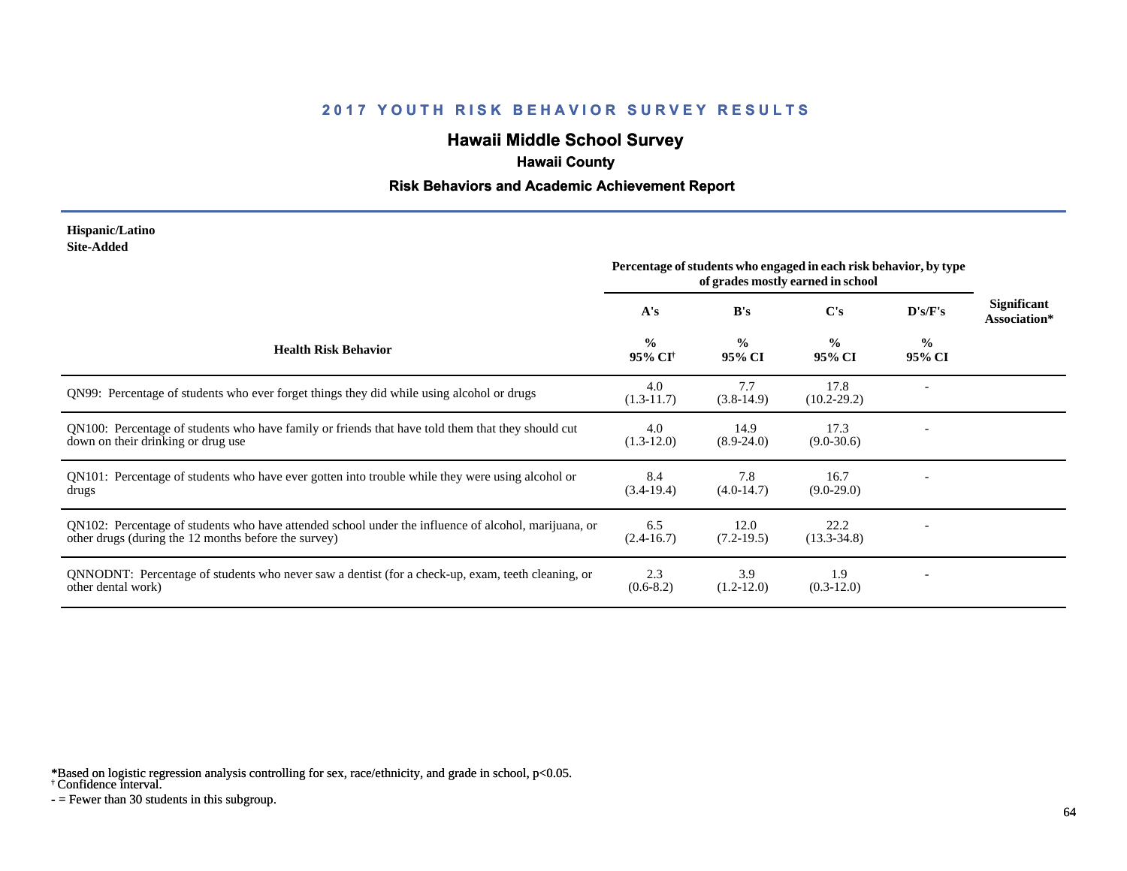# **Hawaii Middle School Survey**

## **Hawaii County**

#### **Risk Behaviors and Academic Achievement Report**

#### **Hispanic/Latino Site-Added**

|                                                                                                                                                              | Percentage of students who engaged in each risk behavior, by type<br>of grades mostly earned in school |                         |                         |                         |                                    |  |  |  |  |
|--------------------------------------------------------------------------------------------------------------------------------------------------------------|--------------------------------------------------------------------------------------------------------|-------------------------|-------------------------|-------------------------|------------------------------------|--|--|--|--|
|                                                                                                                                                              | A's                                                                                                    | B's                     | C's                     | D's/F's                 | <b>Significant</b><br>Association* |  |  |  |  |
| <b>Health Risk Behavior</b>                                                                                                                                  | $\frac{0}{0}$<br>95% CI <sup>†</sup>                                                                   | $\frac{0}{0}$<br>95% CI | $\frac{0}{0}$<br>95% CI | $\frac{0}{0}$<br>95% CI |                                    |  |  |  |  |
| QN99: Percentage of students who ever forget things they did while using alcohol or drugs                                                                    | 4.0<br>$(1.3-11.7)$                                                                                    | 7.7<br>$(3.8-14.9)$     | 17.8<br>$(10.2 - 29.2)$ |                         |                                    |  |  |  |  |
| QN100: Percentage of students who have family or friends that have told them that they should cut<br>down on their drinking or drug use                      | 4.0<br>$(1.3-12.0)$                                                                                    | 14.9<br>$(8.9 - 24.0)$  | 17.3<br>$(9.0 - 30.6)$  |                         |                                    |  |  |  |  |
| QN101: Percentage of students who have ever gotten into trouble while they were using alcohol or<br>drugs                                                    | 8.4<br>$(3.4-19.4)$                                                                                    | 7.8<br>$(4.0-14.7)$     | 16.7<br>$(9.0-29.0)$    |                         |                                    |  |  |  |  |
| QN102: Percentage of students who have attended school under the influence of alcohol, marijuana, or<br>other drugs (during the 12 months before the survey) | 6.5<br>$(2.4 - 16.7)$                                                                                  | 12.0<br>$(7.2-19.5)$    | 22.2<br>$(13.3 - 34.8)$ |                         |                                    |  |  |  |  |
| QNNODNT: Percentage of students who never saw a dentist (for a check-up, exam, teeth cleaning, or<br>other dental work)                                      | 2.3<br>$(0.6-8.2)$                                                                                     | 3.9<br>$(1.2 - 12.0)$   | 1.9<br>$(0.3-12.0)$     |                         |                                    |  |  |  |  |

\*Based on logistic regression analysis controlling for sex, race/ethnicity, and grade in school, p<0.05.

† Confidence interval.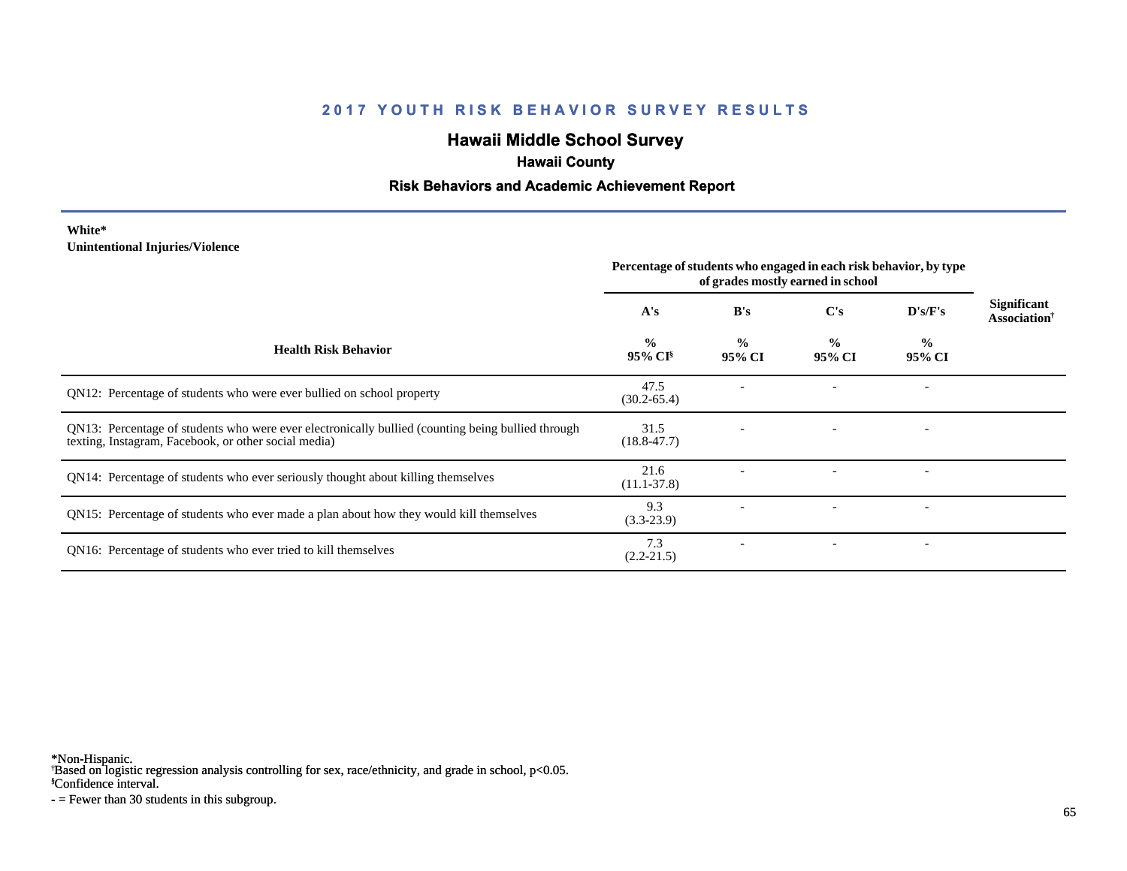# **Hawaii Middle School Survey**

# **Hawaii County**

#### **Risk Behaviors and Academic Achievement Report**

#### **White\* Unintentional Injuries/Violence**

|                                                                                                                                                           | Percentage of students who engaged in each risk behavior, by type<br>of grades mostly earned in school |                         |                         |                          |                                                |
|-----------------------------------------------------------------------------------------------------------------------------------------------------------|--------------------------------------------------------------------------------------------------------|-------------------------|-------------------------|--------------------------|------------------------------------------------|
|                                                                                                                                                           | A's                                                                                                    | B's                     | $\bf C's$               | $\bf{D's/F's}$           | Significant<br><b>Association</b> <sup>†</sup> |
| <b>Health Risk Behavior</b>                                                                                                                               | $\frac{0}{0}$<br>$95\%$ CI <sup>§</sup>                                                                | $\frac{0}{0}$<br>95% CI | $\frac{0}{0}$<br>95% CI | $\frac{0}{0}$<br>95% CI  |                                                |
| QN12: Percentage of students who were ever bullied on school property                                                                                     | 47.5<br>$(30.2 - 65.4)$                                                                                |                         |                         |                          |                                                |
| QN13: Percentage of students who were ever electronically bullied (counting being bullied through<br>texting, Instagram, Facebook, or other social media) | 31.5<br>$(18.8 - 47.7)$                                                                                |                         |                         |                          |                                                |
| QN14: Percentage of students who ever seriously thought about killing themselves                                                                          | 21.6<br>$(11.1 - 37.8)$                                                                                |                         |                         |                          |                                                |
| QN15: Percentage of students who ever made a plan about how they would kill themselves                                                                    | 9.3<br>$(3.3-23.9)$                                                                                    |                         |                         | $\overline{\phantom{a}}$ |                                                |
| QN16: Percentage of students who ever tried to kill themselves                                                                                            | 7.3<br>$(2.2 - 21.5)$                                                                                  |                         |                         |                          |                                                |

\*Non-Hispanic.

† Based on logistic regression analysis controlling for sex, race/ethnicity, and grade in school, p<0.05.

§Confidence interval.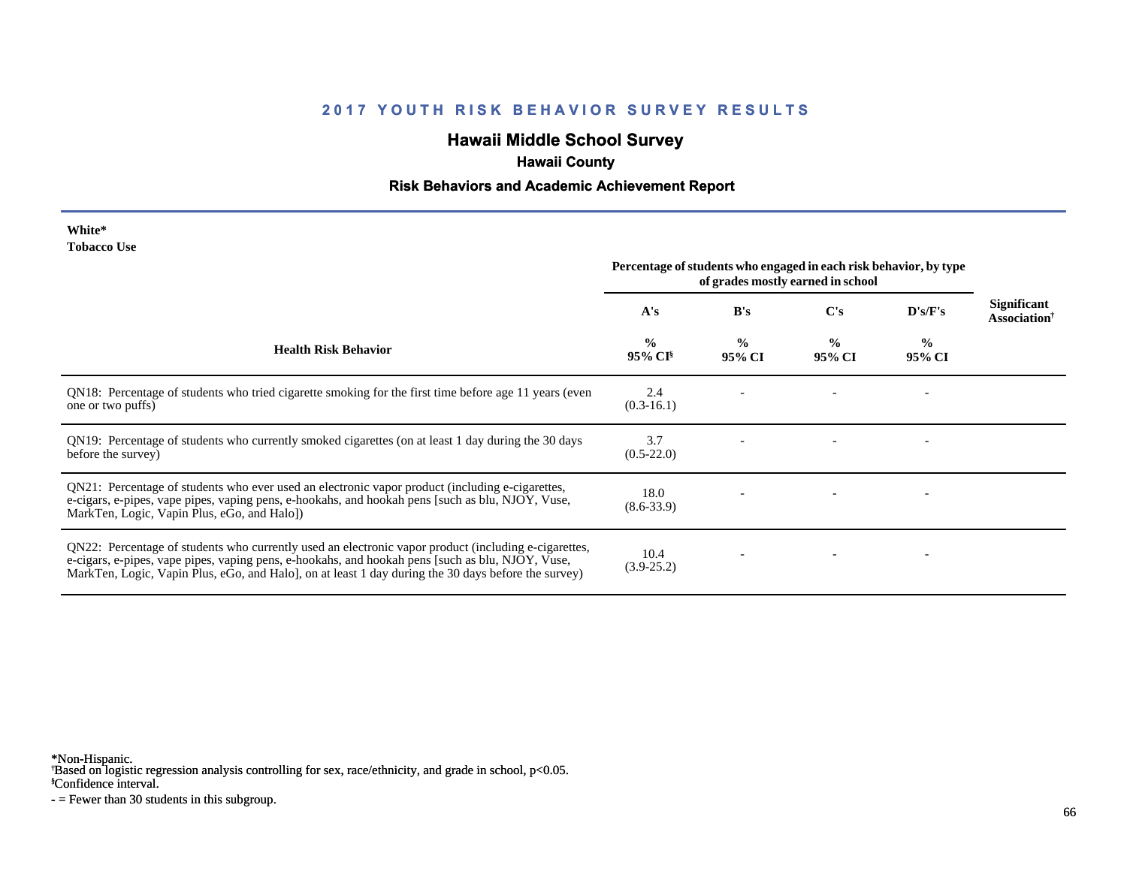# **Hawaii Middle School Survey**

# **Hawaii County**

#### **Risk Behaviors and Academic Achievement Report**

| White*             |  |
|--------------------|--|
| <b>Tobacco Use</b> |  |

|                                                                                                                                                                                                                                                                                                                | Percentage of students who engaged in each risk behavior, by type<br>of grades mostly earned in school |                         |                         |                         |                                                       |
|----------------------------------------------------------------------------------------------------------------------------------------------------------------------------------------------------------------------------------------------------------------------------------------------------------------|--------------------------------------------------------------------------------------------------------|-------------------------|-------------------------|-------------------------|-------------------------------------------------------|
|                                                                                                                                                                                                                                                                                                                | A's                                                                                                    | B's                     | C's                     | D's/F's                 | <b>Significant</b><br><b>Association</b> <sup>†</sup> |
| <b>Health Risk Behavior</b>                                                                                                                                                                                                                                                                                    | $\frac{0}{0}$<br>95% CI <sup>§</sup>                                                                   | $\frac{0}{0}$<br>95% CI | $\frac{0}{0}$<br>95% CI | $\frac{0}{0}$<br>95% CI |                                                       |
| QN18: Percentage of students who tried cigarette smoking for the first time before age 11 years (even<br>one or two puffs)                                                                                                                                                                                     | 2.4<br>$(0.3-16.1)$                                                                                    |                         |                         |                         |                                                       |
| QN19: Percentage of students who currently smoked cigarettes (on at least 1 day during the 30 days<br>before the survey)                                                                                                                                                                                       | 3.7<br>$(0.5-22.0)$                                                                                    |                         |                         |                         |                                                       |
| QN21: Percentage of students who ever used an electronic vapor product (including e-cigarettes,<br>e-cigars, e-pipes, vape pipes, vaping pens, e-hookahs, and hookah pens [such as blu, NJOY, Vuse,<br>MarkTen, Logic, Vapin Plus, eGo, and Halo])                                                             | 18.0<br>$(8.6 - 33.9)$                                                                                 |                         |                         |                         |                                                       |
| QN22: Percentage of students who currently used an electronic vapor product (including e-cigarettes,<br>e-cigars, e-pipes, vape pipes, vaping pens, e-hookahs, and hookah pens [such as blu, NJOY, Vuse,<br>MarkTen, Logic, Vapin Plus, eGo, and Halo, on at least 1 day during the 30 days before the survey) | 10.4<br>$(3.9 - 25.2)$                                                                                 |                         |                         |                         |                                                       |

\*Non-Hispanic.

† Based on logistic regression analysis controlling for sex, race/ethnicity, and grade in school, p<0.05.

§Confidence interval.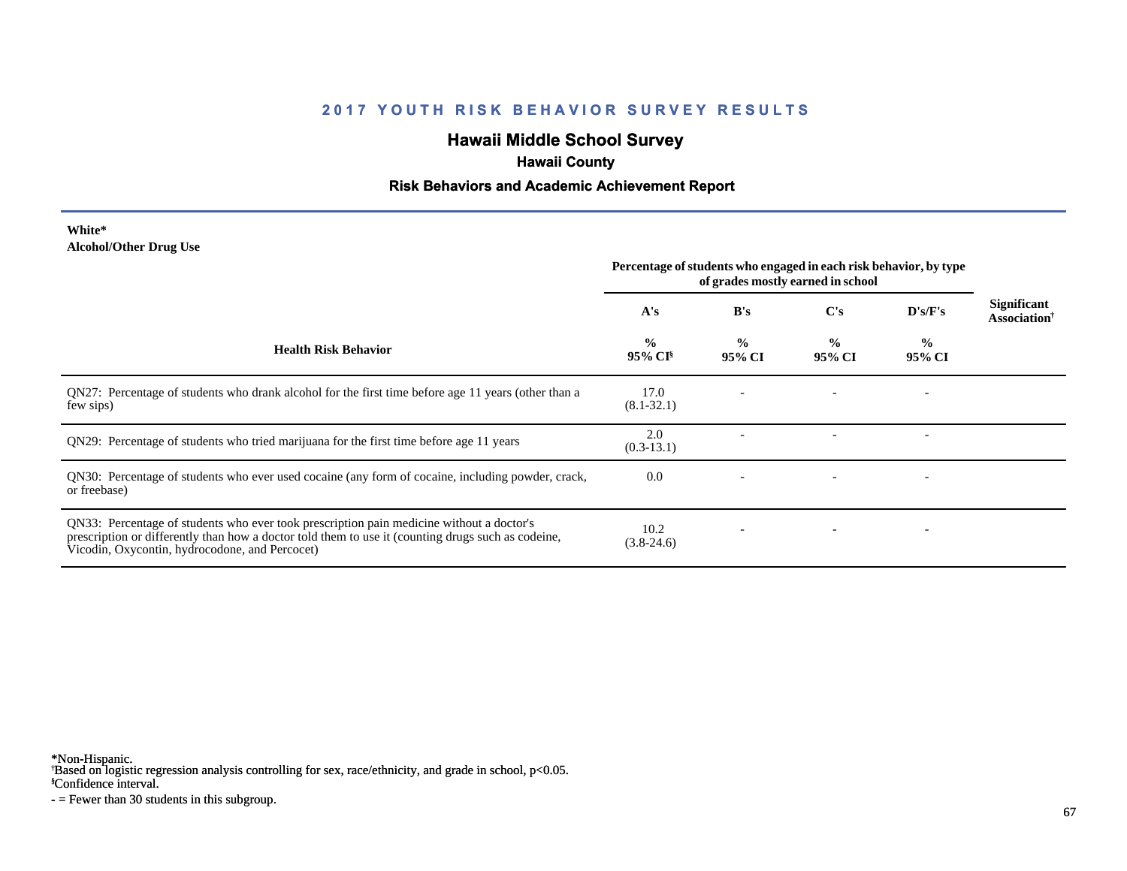# **Hawaii Middle School Survey**

# **Hawaii County**

#### **Risk Behaviors and Academic Achievement Report**

#### **White\* Alcohol/Other Drug Use**

|                                                                                                                                                                                                                                                  | Percentage of students who engaged in each risk behavior, by type<br>of grades mostly earned in school |                         |                         |                          |                                                       |
|--------------------------------------------------------------------------------------------------------------------------------------------------------------------------------------------------------------------------------------------------|--------------------------------------------------------------------------------------------------------|-------------------------|-------------------------|--------------------------|-------------------------------------------------------|
|                                                                                                                                                                                                                                                  | A's                                                                                                    | B's                     | $\bf C's$               | D's/F's                  | <b>Significant</b><br><b>Association</b> <sup>†</sup> |
| <b>Health Risk Behavior</b>                                                                                                                                                                                                                      | $\frac{0}{0}$<br>$95\%$ CI <sup>§</sup>                                                                | $\frac{0}{0}$<br>95% CI | $\frac{0}{0}$<br>95% CI | $\frac{6}{10}$<br>95% CI |                                                       |
| QN27: Percentage of students who drank alcohol for the first time before age 11 years (other than a<br>few sips)                                                                                                                                 | 17.0<br>$(8.1 - 32.1)$                                                                                 |                         |                         |                          |                                                       |
| QN29: Percentage of students who tried marijuana for the first time before age 11 years                                                                                                                                                          | 2.0<br>$(0.3-13.1)$                                                                                    |                         |                         |                          |                                                       |
| QN30: Percentage of students who ever used cocaine (any form of cocaine, including powder, crack,<br>or freebase)                                                                                                                                | 0.0                                                                                                    |                         |                         |                          |                                                       |
| QN33: Percentage of students who ever took prescription pain medicine without a doctor's<br>prescription or differently than how a doctor told them to use it (counting drugs such as codeine,<br>Vicodin, Oxycontin, hydrocodone, and Percocet) | 10.2<br>$(3.8-24.6)$                                                                                   |                         |                         |                          |                                                       |

\*Non-Hispanic.

† Based on logistic regression analysis controlling for sex, race/ethnicity, and grade in school, p<0.05.

§Confidence interval.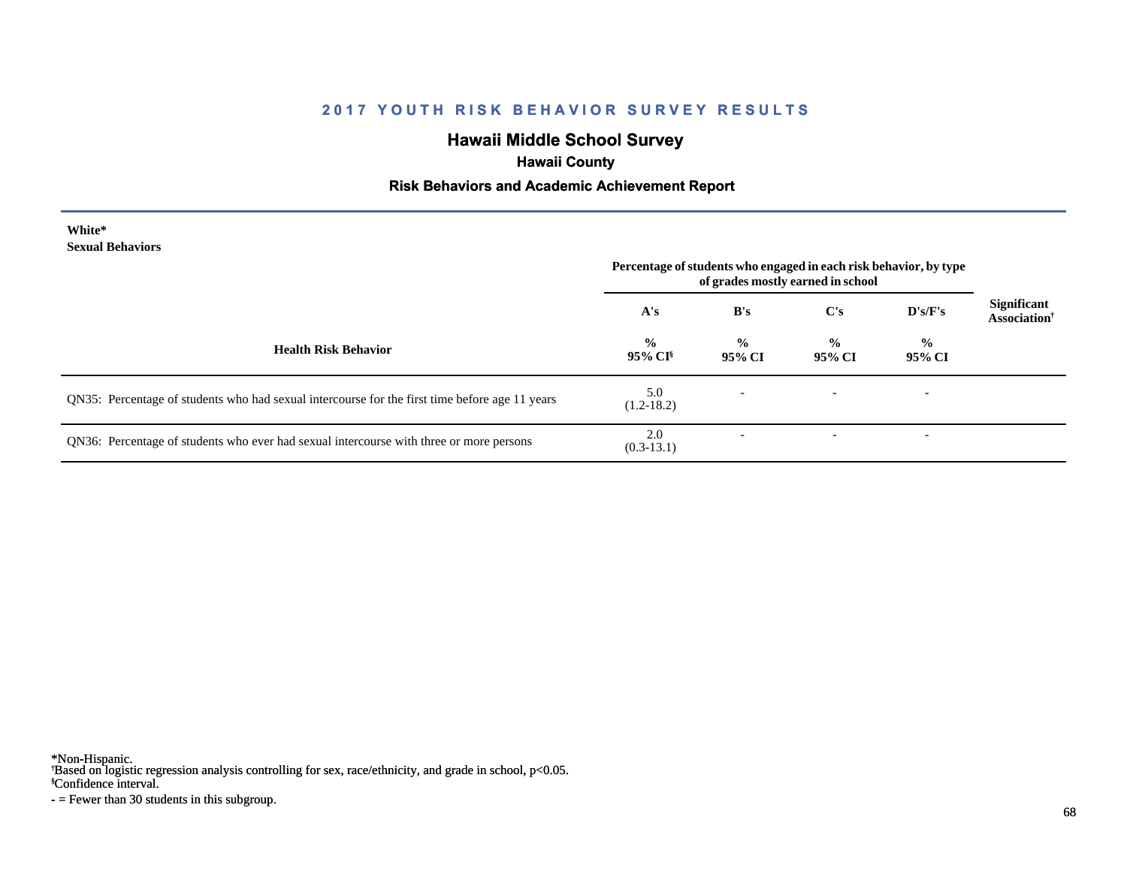# **Hawaii Middle School Survey**

# **Hawaii County**

#### **Risk Behaviors and Academic Achievement Report**

| White*                  |
|-------------------------|
| <b>Sexual Behaviors</b> |

|                                                                                                | Percentage of students who engaged in each risk behavior, by type<br>of grades mostly earned in school |                          |                         |                          |                                                |
|------------------------------------------------------------------------------------------------|--------------------------------------------------------------------------------------------------------|--------------------------|-------------------------|--------------------------|------------------------------------------------|
|                                                                                                | A's                                                                                                    | B's                      | C's                     | D's/F's                  | <b>Significant</b><br>Association <sup>†</sup> |
| <b>Health Risk Behavior</b>                                                                    | $\frac{0}{0}$<br>$95\%$ CI <sup>§</sup>                                                                | $\frac{0}{0}$<br>95% CI  | $\frac{0}{0}$<br>95% CI | $\frac{0}{0}$<br>95% CI  |                                                |
| QN35: Percentage of students who had sexual intercourse for the first time before age 11 years | 5.0<br>$(1.2 - 18.2)$                                                                                  | $\overline{\phantom{a}}$ |                         | $\overline{\phantom{0}}$ |                                                |
| QN36: Percentage of students who ever had sexual intercourse with three or more persons        | 2.0<br>$(0.3-13.1)$                                                                                    |                          |                         | $\overline{\phantom{a}}$ |                                                |

\*Non-Hispanic.

† Based on logistic regression analysis controlling for sex, race/ethnicity, and grade in school, p<0.05.

§Confidence interval.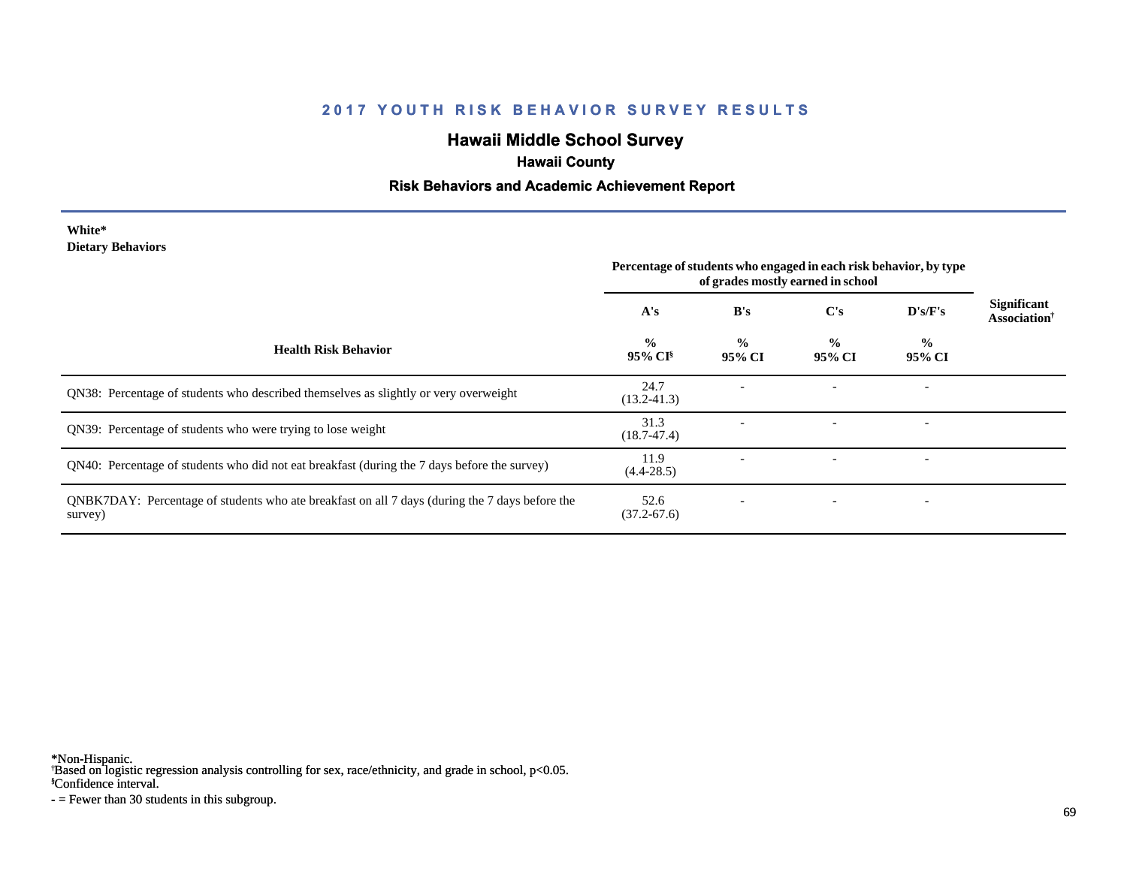# **Hawaii Middle School Survey**

## **Hawaii County**

#### **Risk Behaviors and Academic Achievement Report**

#### **White\* Dietary Behaviors**

|                                                                                                           | Percentage of students who engaged in each risk behavior, by type<br>of grades mostly earned in school |                         |                         |                          |                                                |
|-----------------------------------------------------------------------------------------------------------|--------------------------------------------------------------------------------------------------------|-------------------------|-------------------------|--------------------------|------------------------------------------------|
|                                                                                                           | A's                                                                                                    | B's                     | $\bf C's$               | D's/F's                  | <b>Significant</b><br>Association <sup>†</sup> |
| <b>Health Risk Behavior</b>                                                                               | $\frac{0}{0}$<br>95% CI <sup>§</sup>                                                                   | $\frac{0}{0}$<br>95% CI | $\frac{0}{0}$<br>95% CI | $\frac{0}{0}$<br>95% CI  |                                                |
| QN38: Percentage of students who described themselves as slightly or very overweight                      | 24.7<br>$(13.2 - 41.3)$                                                                                |                         |                         | $\overline{\phantom{a}}$ |                                                |
| QN39: Percentage of students who were trying to lose weight                                               | 31.3<br>$(18.7 - 47.4)$                                                                                |                         |                         | $\overline{\phantom{a}}$ |                                                |
| QN40: Percentage of students who did not eat breakfast (during the 7 days before the survey)              | 11.9<br>$(4.4 - 28.5)$                                                                                 |                         |                         | $\overline{\phantom{a}}$ |                                                |
| QNBK7DAY: Percentage of students who ate breakfast on all 7 days (during the 7 days before the<br>survey) | 52.6<br>$(37.2 - 67.6)$                                                                                |                         |                         | $\overline{\phantom{a}}$ |                                                |

\*Non-Hispanic.

† Based on logistic regression analysis controlling for sex, race/ethnicity, and grade in school, p<0.05.

§Confidence interval.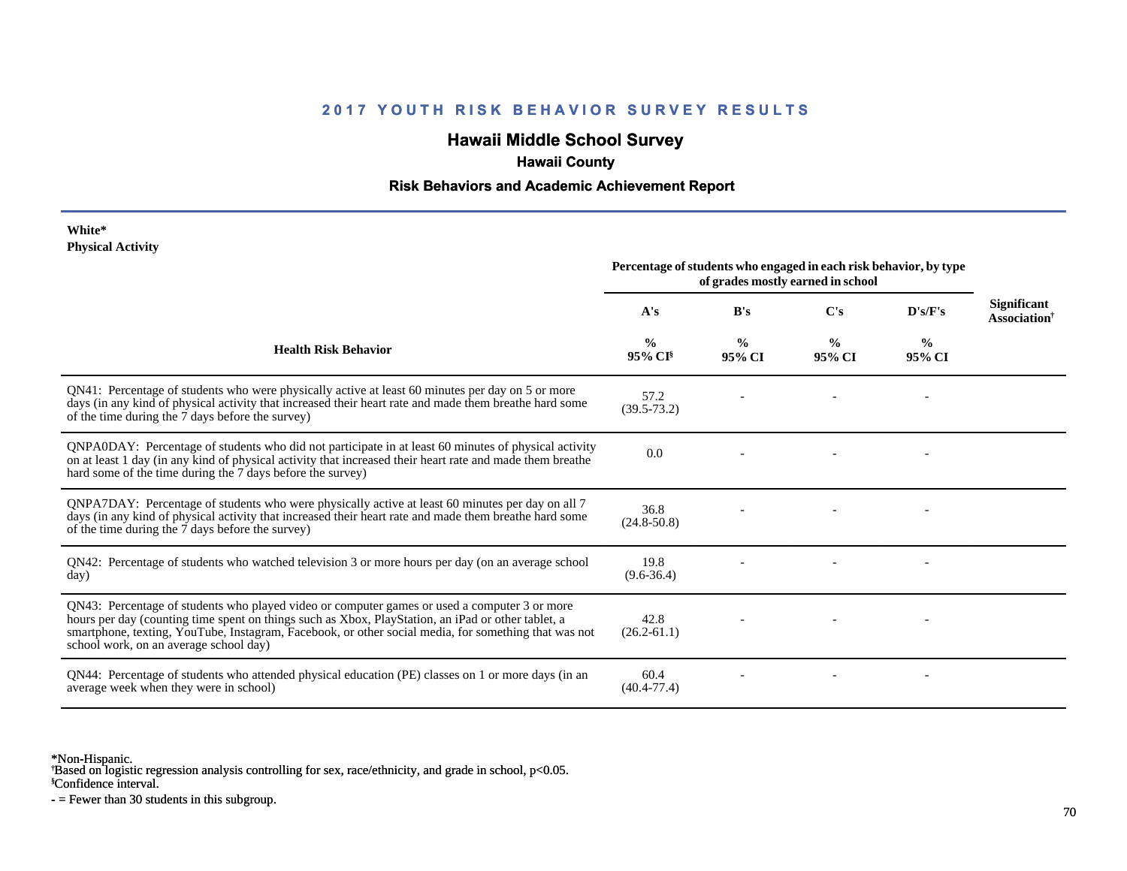# **Hawaii Middle School Survey**

## **Hawaii County**

#### **Risk Behaviors and Academic Achievement Report**

#### **White\* Physical Activity**

|                                                                                                                                                                                                                                                                                                                                                      | Percentage of students who engaged in each risk behavior, by type<br>of grades mostly earned in school |                         |                         |                         |                                                |
|------------------------------------------------------------------------------------------------------------------------------------------------------------------------------------------------------------------------------------------------------------------------------------------------------------------------------------------------------|--------------------------------------------------------------------------------------------------------|-------------------------|-------------------------|-------------------------|------------------------------------------------|
|                                                                                                                                                                                                                                                                                                                                                      | A's                                                                                                    | B's                     | C's                     | D's/F's                 | <b>Significant</b><br>Association <sup>†</sup> |
| <b>Health Risk Behavior</b>                                                                                                                                                                                                                                                                                                                          | $\frac{0}{0}$<br>$95\%$ CI <sup>§</sup>                                                                | $\frac{0}{0}$<br>95% CI | $\frac{0}{0}$<br>95% CI | $\frac{0}{0}$<br>95% CI |                                                |
| QN41: Percentage of students who were physically active at least 60 minutes per day on 5 or more<br>days (in any kind of physical activity that increased their heart rate and made them breathe hard some<br>of the time during the 7 days before the survey)                                                                                       | 57.2<br>$(39.5 - 73.2)$                                                                                |                         |                         |                         |                                                |
| QNPA0DAY: Percentage of students who did not participate in at least 60 minutes of physical activity<br>on at least 1 day (in any kind of physical activity that increased their heart rate and made them breathe<br>hard some of the time during the 7 days before the survey)                                                                      | 0.0                                                                                                    |                         |                         |                         |                                                |
| QNPA7DAY: Percentage of students who were physically active at least 60 minutes per day on all 7<br>days (in any kind of physical activity that increased their heart rate and made them breathe hard some<br>of the time during the 7 days before the survey)                                                                                       | 36.8<br>$(24.8 - 50.8)$                                                                                |                         |                         |                         |                                                |
| QN42: Percentage of students who watched television 3 or more hours per day (on an average school<br>day)                                                                                                                                                                                                                                            | 19.8<br>$(9.6 - 36.4)$                                                                                 |                         |                         |                         |                                                |
| QN43: Percentage of students who played video or computer games or used a computer 3 or more<br>hours per day (counting time spent on things such as Xbox, PlayStation, an iPad or other tablet, a<br>smartphone, texting, YouTube, Instagram, Facebook, or other social media, for something that was not<br>school work, on an average school day) | 42.8<br>$(26.2 - 61.1)$                                                                                |                         |                         |                         |                                                |
| QN44: Percentage of students who attended physical education (PE) classes on 1 or more days (in an<br>average week when they were in school)                                                                                                                                                                                                         | 60.4<br>$(40.4 - 77.4)$                                                                                |                         |                         |                         |                                                |

\*Non-Hispanic.

† Based on logistic regression analysis controlling for sex, race/ethnicity, and grade in school, p<0.05.

§Confidence interval.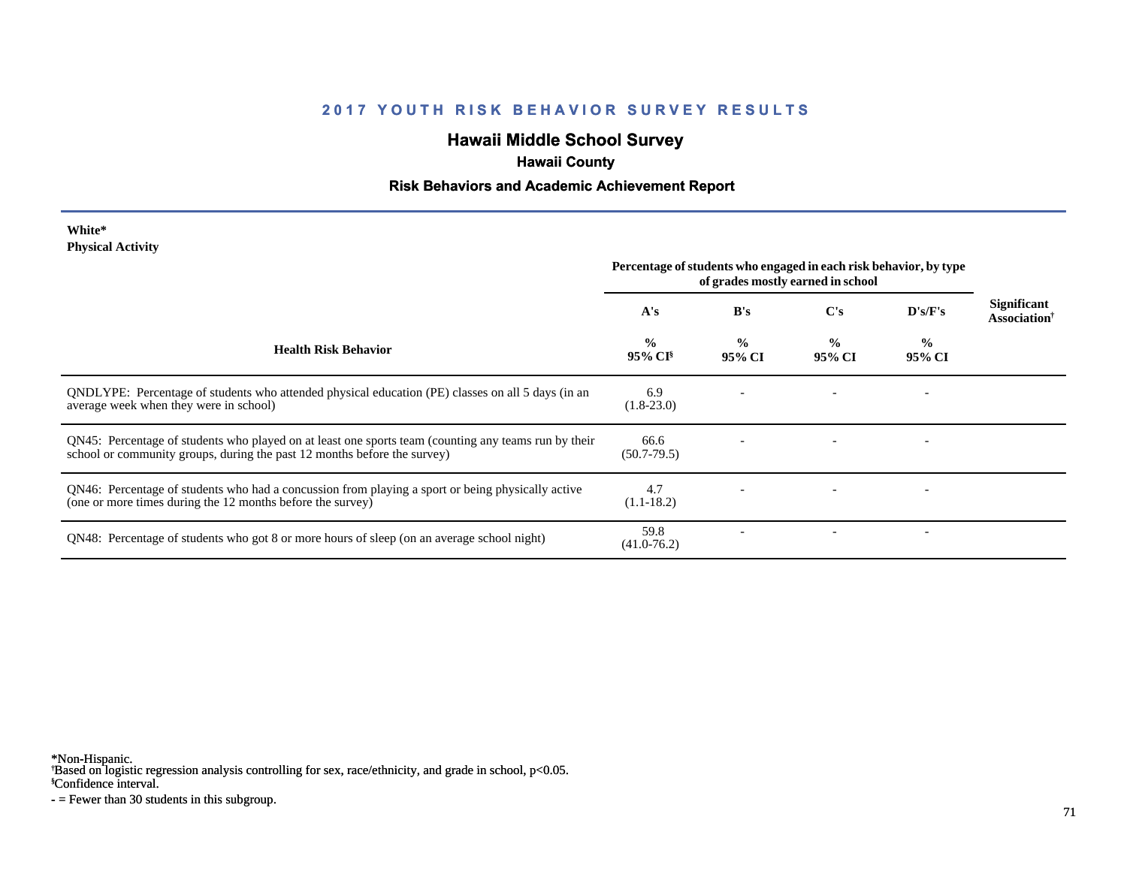# **Hawaii Middle School Survey**

# **Hawaii County**

#### **Risk Behaviors and Academic Achievement Report**

#### **White\* Physical Activity**

|                                                                                                                                                                                  | Percentage of students who engaged in each risk behavior, by type<br>of grades mostly earned in school |                         |                         |                          |                                                |
|----------------------------------------------------------------------------------------------------------------------------------------------------------------------------------|--------------------------------------------------------------------------------------------------------|-------------------------|-------------------------|--------------------------|------------------------------------------------|
|                                                                                                                                                                                  | A's                                                                                                    | B's                     | C's                     | D's/F's                  | <b>Significant</b><br>Association <sup>†</sup> |
| <b>Health Risk Behavior</b>                                                                                                                                                      | $\frac{0}{0}$<br>95% CI <sup>§</sup>                                                                   | $\frac{0}{0}$<br>95% CI | $\frac{0}{0}$<br>95% CI | $\frac{0}{0}$<br>95% CI  |                                                |
| QNDLYPE: Percentage of students who attended physical education (PE) classes on all 5 days (in an<br>average week when they were in school)                                      | 6.9<br>$(1.8-23.0)$                                                                                    |                         |                         |                          |                                                |
| QN45: Percentage of students who played on at least one sports team (counting any teams run by their<br>school or community groups, during the past 12 months before the survey) | 66.6<br>$(50.7 - 79.5)$                                                                                |                         |                         |                          |                                                |
| QN46: Percentage of students who had a concussion from playing a sport or being physically active<br>(one or more times during the 12 months before the survey)                  | 4.7<br>$(1.1-18.2)$                                                                                    |                         |                         |                          |                                                |
| QN48: Percentage of students who got 8 or more hours of sleep (on an average school night)                                                                                       | 59.8<br>$(41.0 - 76.2)$                                                                                |                         |                         | $\overline{\phantom{0}}$ |                                                |

\*Non-Hispanic.

† Based on logistic regression analysis controlling for sex, race/ethnicity, and grade in school, p<0.05.

§Confidence interval.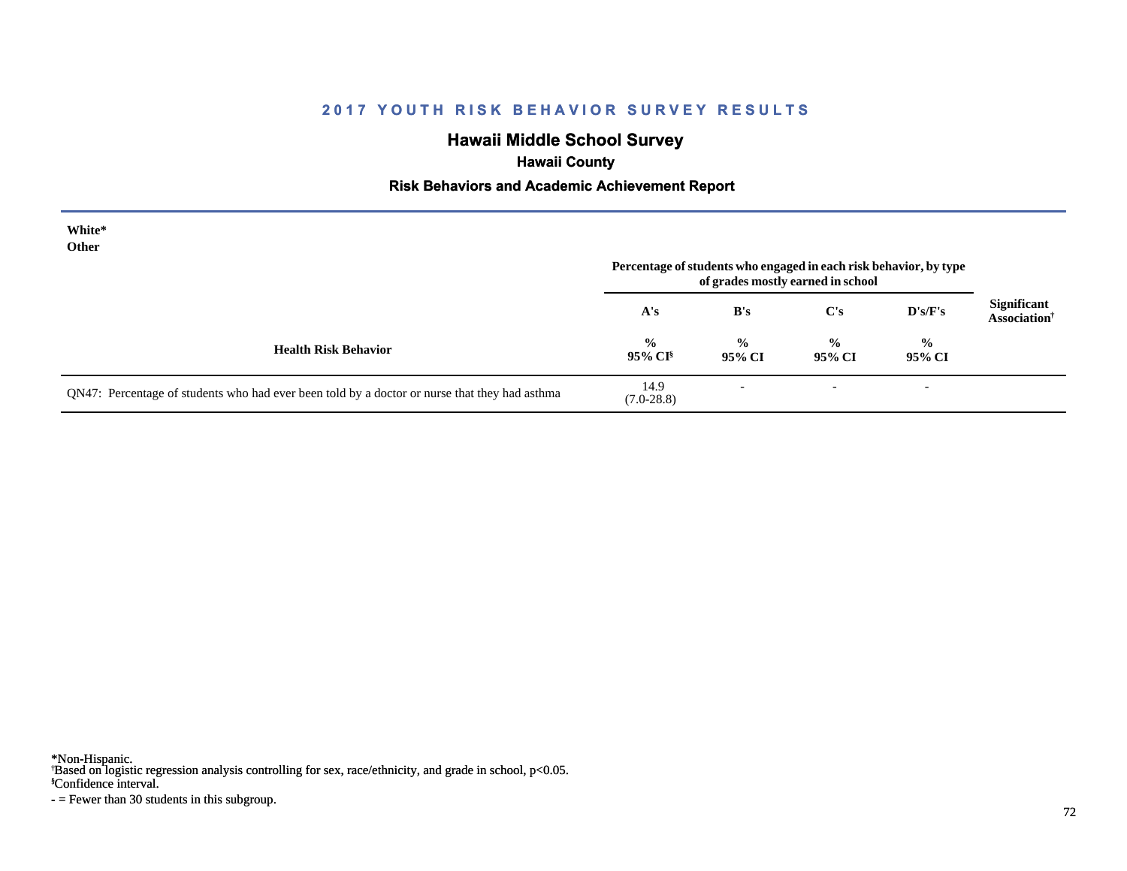# **Hawaii Middle School Survey**

# **Hawaii County**

#### **Risk Behaviors and Academic Achievement Report**

| White*<br>Other                                                                               | Percentage of students who engaged in each risk behavior, by type<br>of grades mostly earned in school |                          |                          |                          |                                                       |
|-----------------------------------------------------------------------------------------------|--------------------------------------------------------------------------------------------------------|--------------------------|--------------------------|--------------------------|-------------------------------------------------------|
|                                                                                               | A's                                                                                                    | B's                      | C's                      | $\bf{D's/F's}$           | <b>Significant</b><br><b>Association</b> <sup>†</sup> |
| <b>Health Risk Behavior</b>                                                                   | $\frac{0}{0}$<br>$95\%$ CI <sup>§</sup>                                                                | $\frac{0}{0}$<br>95% CI  | $\frac{0}{0}$<br>95% CI  | $\frac{0}{0}$<br>95% CI  |                                                       |
| QN47: Percentage of students who had ever been told by a doctor or nurse that they had asthma | 14.9<br>$(7.0-28.8)$                                                                                   | $\overline{\phantom{a}}$ | $\overline{\phantom{a}}$ | $\overline{\phantom{0}}$ |                                                       |

\*Non-Hispanic.

† Based on logistic regression analysis controlling for sex, race/ethnicity, and grade in school, p<0.05.

§Confidence interval.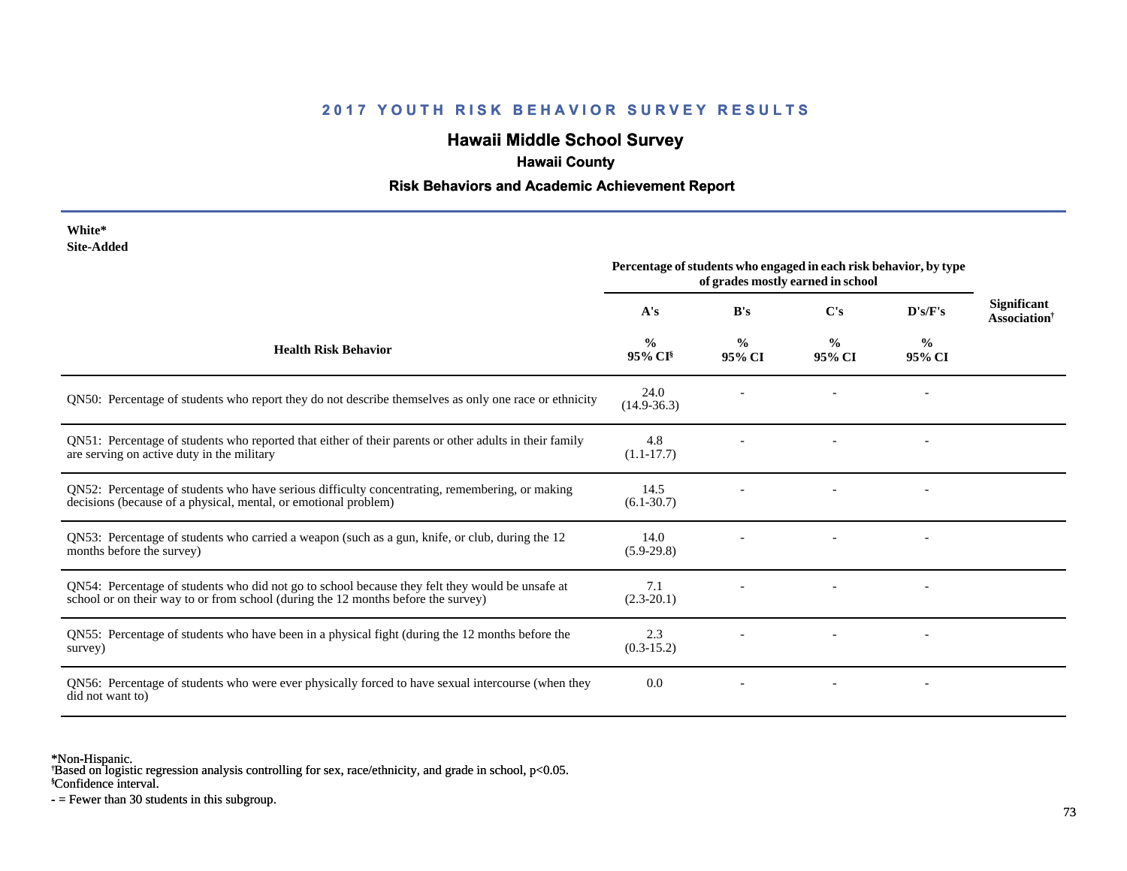## **Hawaii Middle School Survey**

# **Hawaii County**

#### **Risk Behaviors and Academic Achievement Report**

| White*<br><b>Site-Added</b>                                                                                                                                                          |                                                                                                        |                         |                         |                          |                                                |
|--------------------------------------------------------------------------------------------------------------------------------------------------------------------------------------|--------------------------------------------------------------------------------------------------------|-------------------------|-------------------------|--------------------------|------------------------------------------------|
|                                                                                                                                                                                      | Percentage of students who engaged in each risk behavior, by type<br>of grades mostly earned in school |                         |                         |                          |                                                |
|                                                                                                                                                                                      | A's                                                                                                    | B's                     | C's                     | D's/F's                  | <b>Significant</b><br>Association <sup>†</sup> |
| <b>Health Risk Behavior</b>                                                                                                                                                          | $\frac{0}{0}$<br>$95\%$ CI <sup>§</sup>                                                                | $\frac{0}{0}$<br>95% CI | $\frac{0}{0}$<br>95% CI | $\frac{0}{0}$<br>95% CI  |                                                |
| QN50: Percentage of students who report they do not describe themselves as only one race or ethnicity                                                                                | 24.0<br>$(14.9-36.3)$                                                                                  |                         |                         |                          |                                                |
| QN51: Percentage of students who reported that either of their parents or other adults in their family<br>are serving on active duty in the military                                 | 4.8<br>$(1.1 - 17.7)$                                                                                  |                         |                         |                          |                                                |
| QN52: Percentage of students who have serious difficulty concentrating, remembering, or making<br>decisions (because of a physical, mental, or emotional problem)                    | 14.5<br>$(6.1 - 30.7)$                                                                                 |                         |                         | $\overline{\phantom{a}}$ |                                                |
| QN53: Percentage of students who carried a weapon (such as a gun, knife, or club, during the 12<br>months before the survey)                                                         | 14.0<br>$(5.9-29.8)$                                                                                   |                         |                         |                          |                                                |
| QN54: Percentage of students who did not go to school because they felt they would be unsafe at<br>school or on their way to or from school (during the 12 months before the survey) | 7.1<br>$(2.3-20.1)$                                                                                    |                         |                         |                          |                                                |
| QN55: Percentage of students who have been in a physical fight (during the 12 months before the<br>survey)                                                                           | 2.3<br>$(0.3-15.2)$                                                                                    |                         |                         |                          |                                                |
| QN56: Percentage of students who were ever physically forced to have sexual intercourse (when they<br>did not want to)                                                               | 0.0                                                                                                    |                         |                         |                          |                                                |

\*Non-Hispanic.

† Based on logistic regression analysis controlling for sex, race/ethnicity, and grade in school, p<0.05.

§Confidence interval.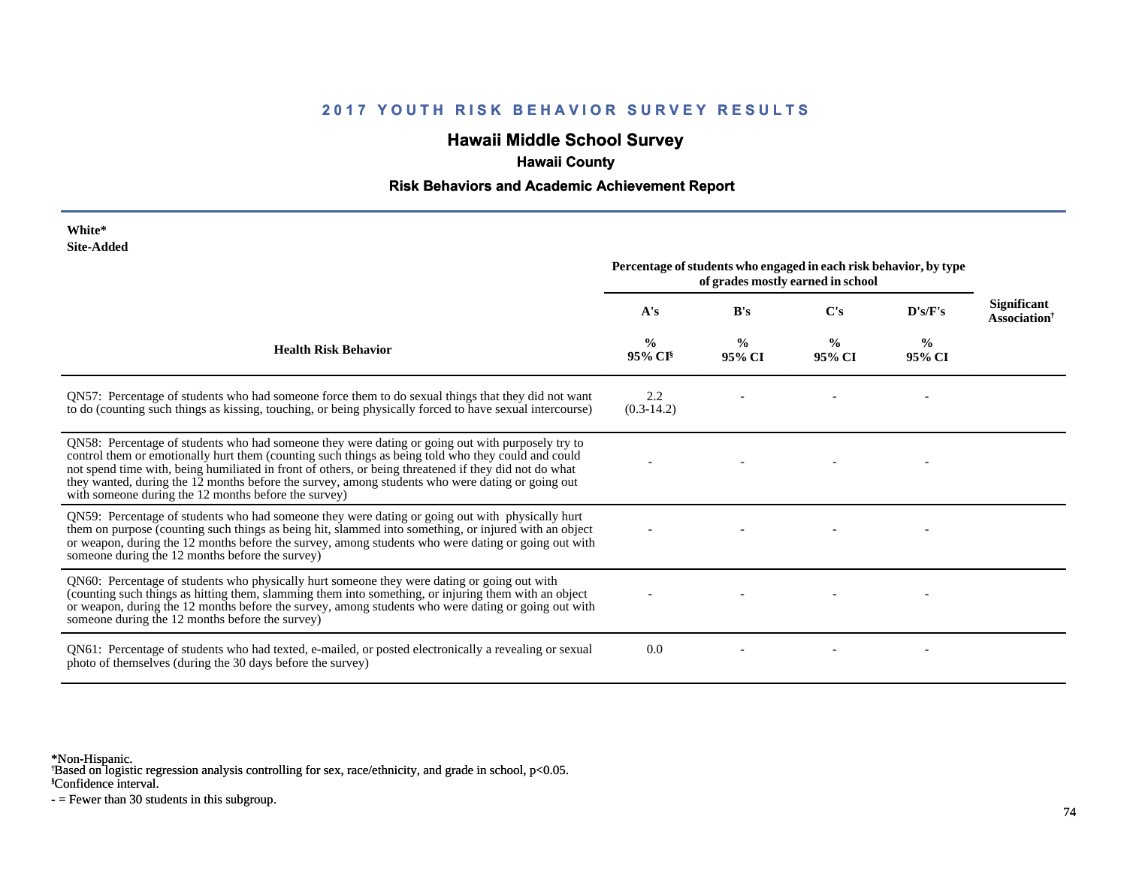## **Hawaii Middle School Survey**

## **Hawaii County**

#### **Risk Behaviors and Academic Achievement Report**

| White*<br><b>Site-Added</b>                                                                                                                                                                                                                                                                                                                                                                                                                                                 |                                                                                                        |                         |                         |                |                                                |
|-----------------------------------------------------------------------------------------------------------------------------------------------------------------------------------------------------------------------------------------------------------------------------------------------------------------------------------------------------------------------------------------------------------------------------------------------------------------------------|--------------------------------------------------------------------------------------------------------|-------------------------|-------------------------|----------------|------------------------------------------------|
|                                                                                                                                                                                                                                                                                                                                                                                                                                                                             | Percentage of students who engaged in each risk behavior, by type<br>of grades mostly earned in school |                         |                         |                |                                                |
|                                                                                                                                                                                                                                                                                                                                                                                                                                                                             | A's                                                                                                    | B's                     | $\bf C's$               | D's/F's        | Significant<br><b>Association</b> <sup>†</sup> |
| <b>Health Risk Behavior</b>                                                                                                                                                                                                                                                                                                                                                                                                                                                 | $\frac{0}{0}$<br>95% CI <sup>§</sup>                                                                   | $\frac{0}{0}$<br>95% CI | $\frac{0}{0}$<br>95% CI | $\%$<br>95% CI |                                                |
| QN57: Percentage of students who had someone force them to do sexual things that they did not want<br>to do (counting such things as kissing, touching, or being physically forced to have sexual intercourse)                                                                                                                                                                                                                                                              | 2.2<br>$(0.3-14.2)$                                                                                    |                         |                         |                |                                                |
| QN58: Percentage of students who had someone they were dating or going out with purposely try to<br>control them or emotionally hurt them (counting such things as being told who they could and could<br>not spend time with, being humiliated in front of others, or being threatened if they did not do what<br>they wanted, during the 12 months before the survey, among students who were dating or going out<br>with someone during the 12 months before the survey) |                                                                                                        |                         |                         |                |                                                |
| QN59: Percentage of students who had someone they were dating or going out with physically hurt<br>them on purpose (counting such things as being hit, slammed into something, or injured with an object<br>or weapon, during the 12 months before the survey, among students who were dating or going out with<br>someone during the 12 months before the survey)                                                                                                          |                                                                                                        |                         |                         |                |                                                |
| QN60: Percentage of students who physically hurt someone they were dating or going out with<br>(counting such things as hitting them, slamming them into something, or injuring them with an object<br>or weapon, during the 12 months before the survey, among students who were dating or going out with<br>someone during the 12 months before the survey)                                                                                                               |                                                                                                        |                         |                         |                |                                                |
| QN61: Percentage of students who had texted, e-mailed, or posted electronically a revealing or sexual<br>photo of themselves (during the 30 days before the survey)                                                                                                                                                                                                                                                                                                         | 0.0                                                                                                    |                         |                         |                |                                                |

\*Non-Hispanic.

† Based on logistic regression analysis controlling for sex, race/ethnicity, and grade in school, p<0.05.

§Confidence interval.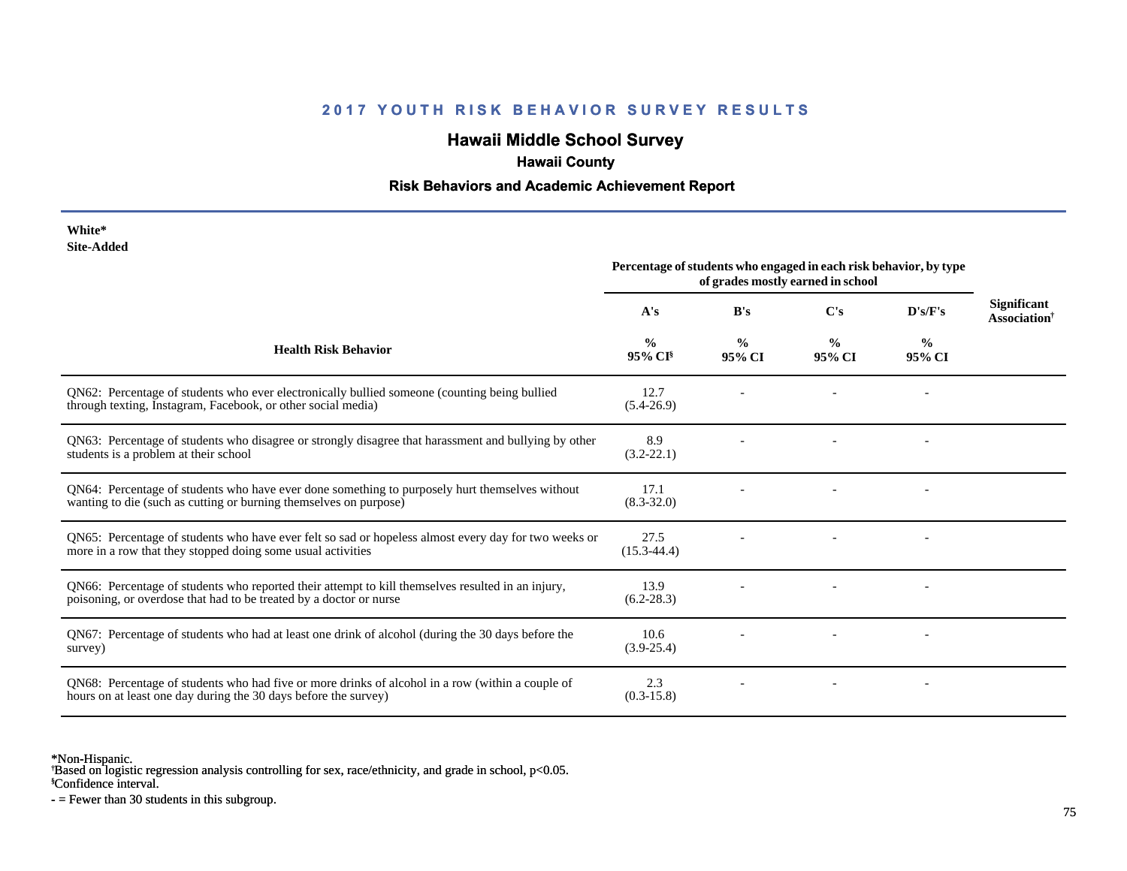## **Hawaii Middle School Survey**

## **Hawaii County**

#### **Risk Behaviors and Academic Achievement Report**

| White*     |
|------------|
| Site-Added |

| one Auucu                                                                                                                                                               | Percentage of students who engaged in each risk behavior, by type<br>of grades mostly earned in school |                         |                         |                          |                                                       |
|-------------------------------------------------------------------------------------------------------------------------------------------------------------------------|--------------------------------------------------------------------------------------------------------|-------------------------|-------------------------|--------------------------|-------------------------------------------------------|
|                                                                                                                                                                         | A's                                                                                                    | B's                     | C's                     | D's/F's                  | <b>Significant</b><br><b>Association</b> <sup>†</sup> |
| <b>Health Risk Behavior</b>                                                                                                                                             | $\frac{6}{6}$<br>$95\%$ CI <sup>§</sup>                                                                | $\frac{0}{0}$<br>95% CI | $\frac{0}{0}$<br>95% CI | $\frac{0}{0}$<br>95% CI  |                                                       |
| QN62: Percentage of students who ever electronically bullied someone (counting being bullied<br>through texting, Instagram, Facebook, or other social media)            | 12.7<br>$(5.4-26.9)$                                                                                   |                         |                         |                          |                                                       |
| QN63: Percentage of students who disagree or strongly disagree that harassment and bullying by other<br>students is a problem at their school                           | 8.9<br>$(3.2 - 22.1)$                                                                                  |                         |                         |                          |                                                       |
| QN64: Percentage of students who have ever done something to purposely hurt themselves without<br>wanting to die (such as cutting or burning themselves on purpose)     | 17.1<br>$(8.3 - 32.0)$                                                                                 |                         |                         | $\overline{\phantom{a}}$ |                                                       |
| QN65: Percentage of students who have ever felt so sad or hopeless almost every day for two weeks or<br>more in a row that they stopped doing some usual activities     | 27.5<br>$(15.3 - 44.4)$                                                                                |                         |                         |                          |                                                       |
| QN66: Percentage of students who reported their attempt to kill themselves resulted in an injury,<br>poisoning, or overdose that had to be treated by a doctor or nurse | 13.9<br>$(6.2 - 28.3)$                                                                                 |                         |                         |                          |                                                       |
| QN67: Percentage of students who had at least one drink of alcohol (during the 30 days before the<br>survey)                                                            | 10.6<br>$(3.9 - 25.4)$                                                                                 |                         |                         |                          |                                                       |
| QN68: Percentage of students who had five or more drinks of alcohol in a row (within a couple of<br>hours on at least one day during the 30 days before the survey)     | 2.3<br>$(0.3-15.8)$                                                                                    |                         |                         | $\overline{\phantom{a}}$ |                                                       |

\*Non-Hispanic.

† Based on logistic regression analysis controlling for sex, race/ethnicity, and grade in school, p<0.05.

§Confidence interval.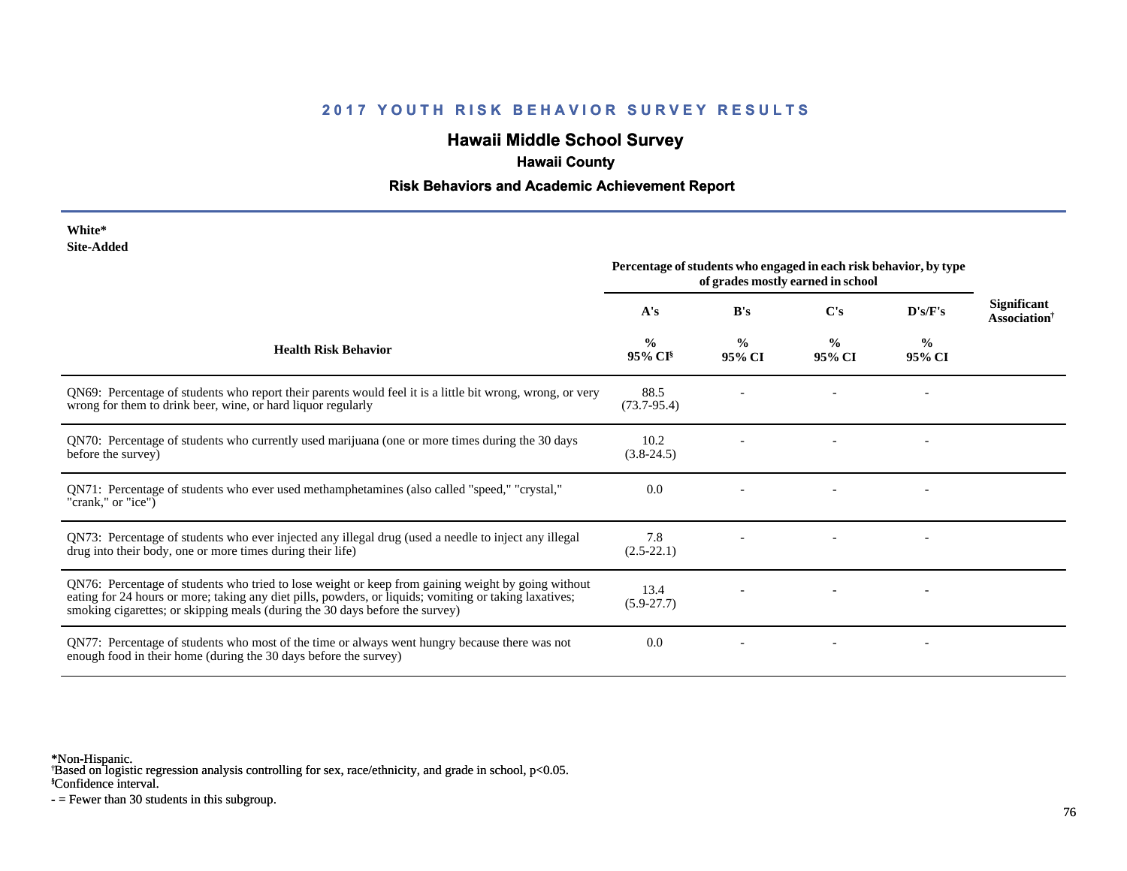## **Hawaii Middle School Survey**

#### **Hawaii County**

#### **Risk Behaviors and Academic Achievement Report**

| White*     |
|------------|
| Site-Added |

| <b>SHC-Audeu</b>                                                                                                                                                                                                                                                                             | Percentage of students who engaged in each risk behavior, by type<br>of grades mostly earned in school |                         |                         |                          |                                                |
|----------------------------------------------------------------------------------------------------------------------------------------------------------------------------------------------------------------------------------------------------------------------------------------------|--------------------------------------------------------------------------------------------------------|-------------------------|-------------------------|--------------------------|------------------------------------------------|
|                                                                                                                                                                                                                                                                                              | A's                                                                                                    | B's                     | C's                     | $\bf{D's/F's}$           | Significant<br><b>Association</b> <sup>†</sup> |
| <b>Health Risk Behavior</b>                                                                                                                                                                                                                                                                  | $\frac{0}{0}$<br>95% CI <sup>§</sup>                                                                   | $\frac{0}{0}$<br>95% CI | $\frac{0}{0}$<br>95% CI | $\frac{0}{0}$<br>95% CI  |                                                |
| QN69: Percentage of students who report their parents would feel it is a little bit wrong, wrong, or very<br>wrong for them to drink beer, wine, or hard liquor regularly                                                                                                                    | 88.5<br>$(73.7-95.4)$                                                                                  |                         |                         |                          |                                                |
| QN70: Percentage of students who currently used marijuana (one or more times during the 30 days<br>before the survey)                                                                                                                                                                        | 10.2<br>$(3.8-24.5)$                                                                                   |                         |                         |                          |                                                |
| QN71: Percentage of students who ever used methamphetamines (also called "speed," "crystal,"<br>"crank," or "ice")                                                                                                                                                                           | 0.0                                                                                                    |                         |                         |                          |                                                |
| QN73: Percentage of students who ever injected any illegal drug (used a needle to inject any illegal<br>drug into their body, one or more times during their life)                                                                                                                           | 7.8<br>$(2.5-22.1)$                                                                                    |                         |                         |                          |                                                |
| QN76: Percentage of students who tried to lose weight or keep from gaining weight by going without<br>eating for 24 hours or more; taking any diet pills, powders, or liquids; vomiting or taking laxatives;<br>smoking cigarettes; or skipping meals (during the 30 days before the survey) | 13.4<br>$(5.9 - 27.7)$                                                                                 |                         |                         | $\overline{\phantom{a}}$ |                                                |
| QN77: Percentage of students who most of the time or always went hungry because there was not<br>enough food in their home (during the 30 days before the survey)                                                                                                                            | 0.0                                                                                                    |                         |                         |                          |                                                |

\*Non-Hispanic.

† Based on logistic regression analysis controlling for sex, race/ethnicity, and grade in school, p<0.05.

§Confidence interval.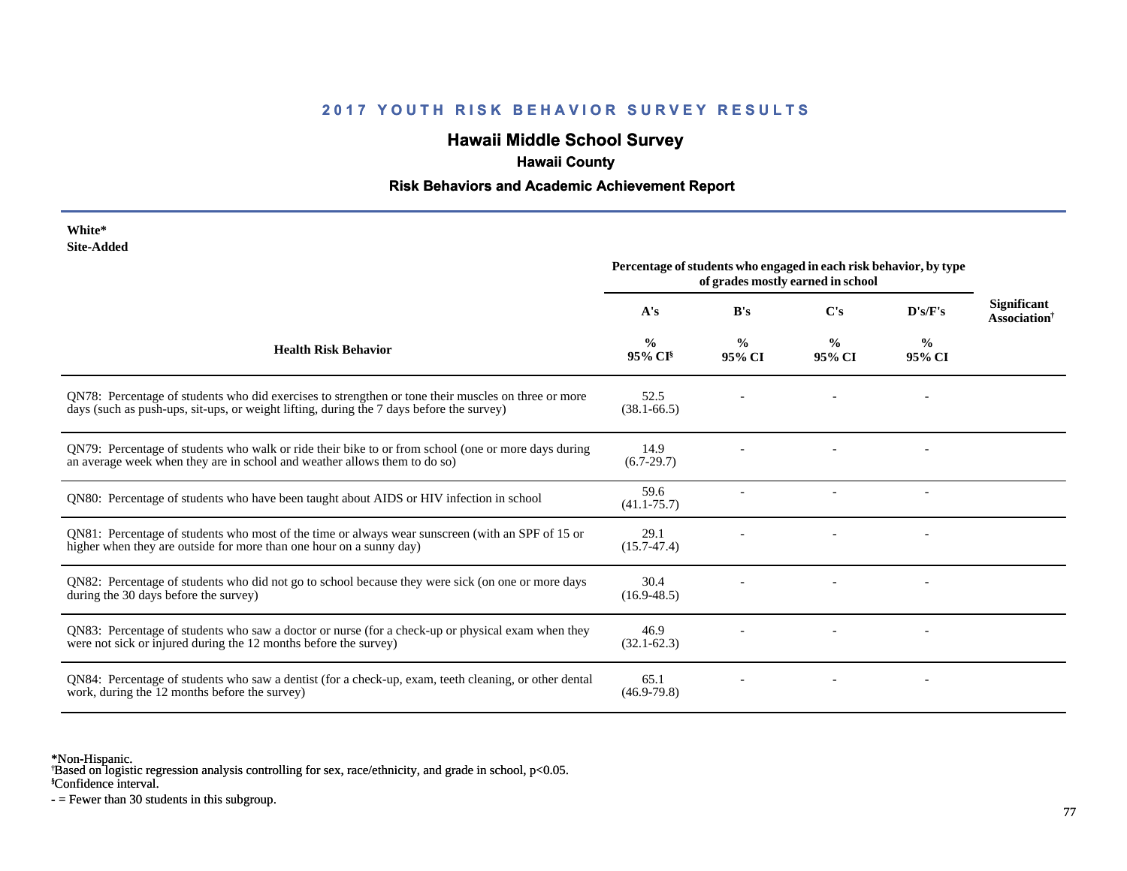## **Hawaii Middle School Survey**

## **Hawaii County**

#### **Risk Behaviors and Academic Achievement Report**

| White*     |
|------------|
| Site-Added |

|                                                                                                                                                                                                 | Percentage of students who engaged in each risk behavior, by type<br>of grades mostly earned in school |                         |                         |                         |                                                       |
|-------------------------------------------------------------------------------------------------------------------------------------------------------------------------------------------------|--------------------------------------------------------------------------------------------------------|-------------------------|-------------------------|-------------------------|-------------------------------------------------------|
|                                                                                                                                                                                                 | A's                                                                                                    | B's                     | C's                     | D's/F's                 | <b>Significant</b><br><b>Association</b> <sup>†</sup> |
| <b>Health Risk Behavior</b>                                                                                                                                                                     | $\frac{0}{0}$<br>$95\%$ CI <sup>§</sup>                                                                | $\frac{0}{0}$<br>95% CI | $\frac{0}{0}$<br>95% CI | $\frac{6}{9}$<br>95% CI |                                                       |
| QN78: Percentage of students who did exercises to strengthen or tone their muscles on three or more<br>days (such as push-ups, sit-ups, or weight lifting, during the 7 days before the survey) | 52.5<br>$(38.1 - 66.5)$                                                                                |                         |                         |                         |                                                       |
| QN79: Percentage of students who walk or ride their bike to or from school (one or more days during<br>an average week when they are in school and weather allows them to do so)                | 14.9<br>$(6.7-29.7)$                                                                                   |                         |                         |                         |                                                       |
| QN80: Percentage of students who have been taught about AIDS or HIV infection in school                                                                                                         | 59.6<br>$(41.1 - 75.7)$                                                                                |                         |                         |                         |                                                       |
| QN81: Percentage of students who most of the time or always wear sunscreen (with an SPF of 15 or<br>higher when they are outside for more than one hour on a sunny day)                         | 29.1<br>$(15.7 - 47.4)$                                                                                |                         |                         |                         |                                                       |
| QN82: Percentage of students who did not go to school because they were sick (on one or more days<br>during the 30 days before the survey)                                                      | 30.4<br>$(16.9 - 48.5)$                                                                                |                         |                         |                         |                                                       |
| QN83: Percentage of students who saw a doctor or nurse (for a check-up or physical exam when they<br>were not sick or injured during the 12 months before the survey)                           | 46.9<br>$(32.1 - 62.3)$                                                                                |                         |                         |                         |                                                       |
| QN84: Percentage of students who saw a dentist (for a check-up, exam, teeth cleaning, or other dental<br>work, during the 12 months before the survey)                                          | 65.1<br>$(46.9 - 79.8)$                                                                                |                         |                         |                         |                                                       |

\*Non-Hispanic.

† Based on logistic regression analysis controlling for sex, race/ethnicity, and grade in school, p<0.05.

§Confidence interval.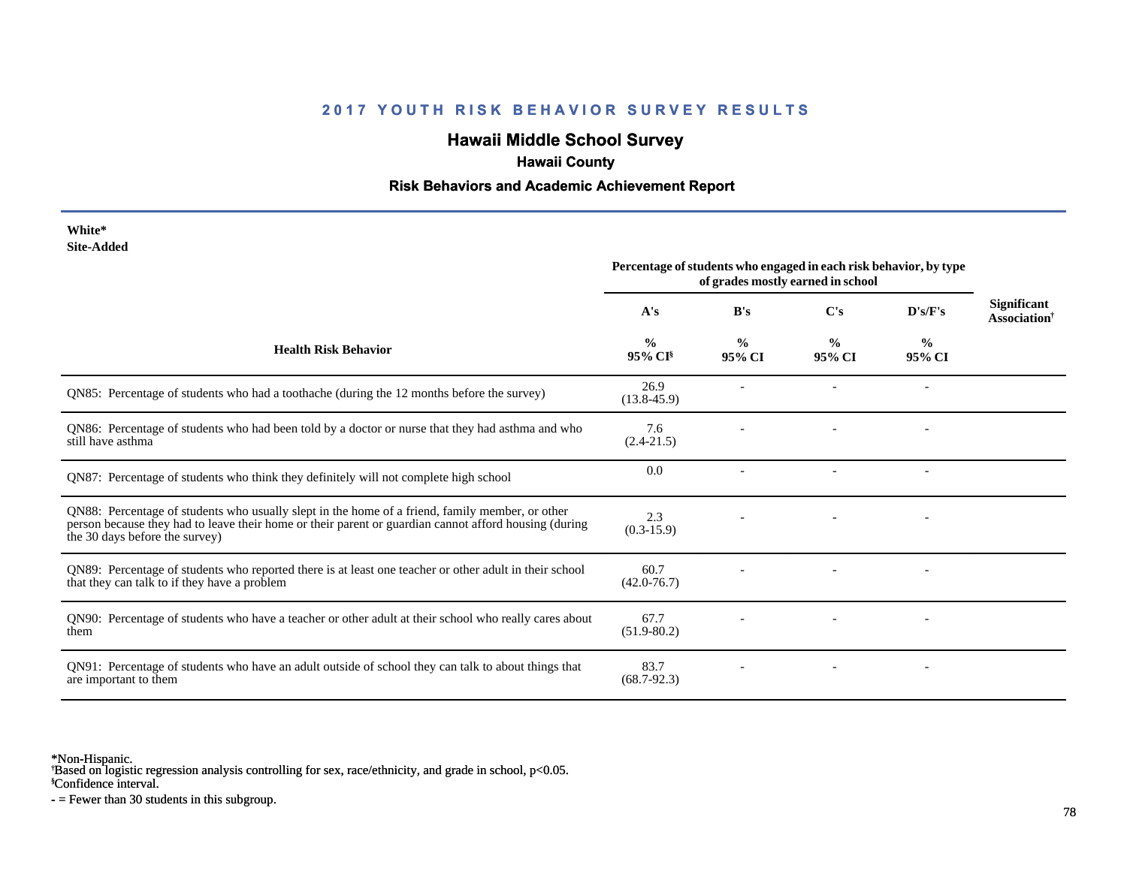## **Hawaii Middle School Survey**

#### **Hawaii County**

#### **Risk Behaviors and Academic Achievement Report**

| White*     |
|------------|
| Site-Added |

|                                                                                                                                                                                                                                            | Percentage of students who engaged in each risk behavior, by type<br>of grades mostly earned in school |                         |                         |                          |                                                       |
|--------------------------------------------------------------------------------------------------------------------------------------------------------------------------------------------------------------------------------------------|--------------------------------------------------------------------------------------------------------|-------------------------|-------------------------|--------------------------|-------------------------------------------------------|
|                                                                                                                                                                                                                                            | A's                                                                                                    | B's                     | C's                     | D's/F's                  | <b>Significant</b><br><b>Association</b> <sup>†</sup> |
| <b>Health Risk Behavior</b>                                                                                                                                                                                                                | $\frac{0}{0}$<br>95% CI                                                                                | $\frac{0}{0}$<br>95% CI | $\frac{0}{0}$<br>95% CI | $\frac{0}{0}$<br>95% CI  |                                                       |
| QN85: Percentage of students who had a toothache (during the 12 months before the survey)                                                                                                                                                  | 26.9<br>$(13.8 - 45.9)$                                                                                |                         |                         |                          |                                                       |
| QN86: Percentage of students who had been told by a doctor or nurse that they had asthma and who<br>still have asthma                                                                                                                      | 7.6<br>$(2.4 - 21.5)$                                                                                  |                         |                         |                          |                                                       |
| QN87: Percentage of students who think they definitely will not complete high school                                                                                                                                                       | 0.0                                                                                                    |                         |                         |                          |                                                       |
| QN88: Percentage of students who usually slept in the home of a friend, family member, or other<br>person because they had to leave their home or their parent or guardian cannot afford housing (during<br>the 30 days before the survey) | 2.3<br>$(0.3-15.9)$                                                                                    |                         |                         |                          |                                                       |
| QN89: Percentage of students who reported there is at least one teacher or other adult in their school<br>that they can talk to if they have a problem                                                                                     | 60.7<br>$(42.0 - 76.7)$                                                                                |                         |                         |                          |                                                       |
| QN90: Percentage of students who have a teacher or other adult at their school who really cares about<br>them                                                                                                                              | 67.7<br>$(51.9 - 80.2)$                                                                                |                         |                         | $\overline{\phantom{a}}$ |                                                       |
| QN91: Percentage of students who have an adult outside of school they can talk to about things that<br>are important to them                                                                                                               | 83.7<br>$(68.7-92.3)$                                                                                  |                         |                         |                          |                                                       |

\*Non-Hispanic.

† Based on logistic regression analysis controlling for sex, race/ethnicity, and grade in school, p<0.05.

§Confidence interval.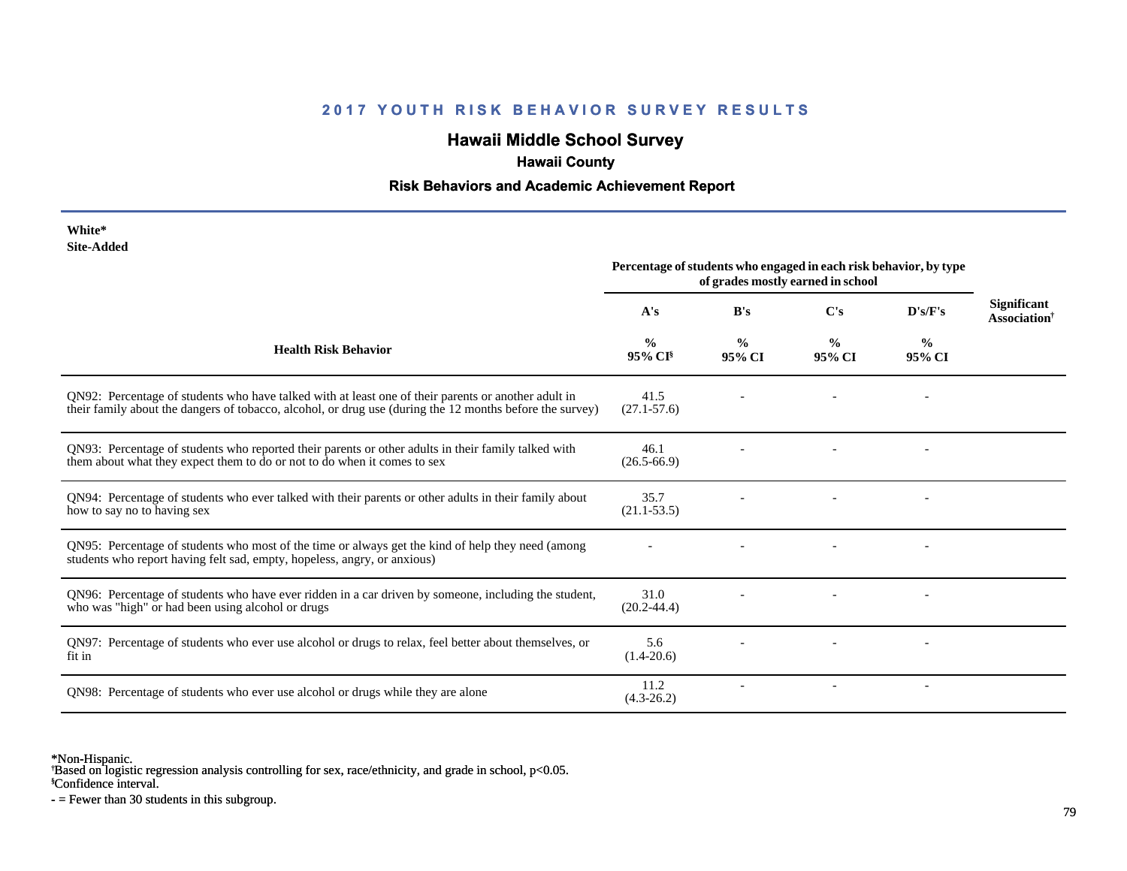## **Hawaii Middle School Survey**

## **Hawaii County**

#### **Risk Behaviors and Academic Achievement Report**

| White*<br><b>Site-Added</b>                                                                                                                                                                                     |                                                                                                        |                         |                         |                         |                                                       |
|-----------------------------------------------------------------------------------------------------------------------------------------------------------------------------------------------------------------|--------------------------------------------------------------------------------------------------------|-------------------------|-------------------------|-------------------------|-------------------------------------------------------|
|                                                                                                                                                                                                                 | Percentage of students who engaged in each risk behavior, by type<br>of grades mostly earned in school |                         |                         |                         |                                                       |
|                                                                                                                                                                                                                 | A's                                                                                                    | B's                     | C's                     | D's/F's                 | <b>Significant</b><br><b>Association</b> <sup>†</sup> |
| <b>Health Risk Behavior</b>                                                                                                                                                                                     | $\frac{0}{0}$<br>95% CI <sup>§</sup>                                                                   | $\frac{0}{0}$<br>95% CI | $\frac{0}{0}$<br>95% CI | $\frac{6}{9}$<br>95% CI |                                                       |
| QN92: Percentage of students who have talked with at least one of their parents or another adult in<br>their family about the dangers of tobacco, alcohol, or drug use (during the 12 months before the survey) | 41.5<br>$(27.1 - 57.6)$                                                                                |                         |                         |                         |                                                       |
| QN93: Percentage of students who reported their parents or other adults in their family talked with<br>them about what they expect them to do or not to do when it comes to sex                                 | 46.1<br>$(26.5 - 66.9)$                                                                                |                         |                         |                         |                                                       |
| QN94: Percentage of students who ever talked with their parents or other adults in their family about<br>how to say no to having sex                                                                            | 35.7<br>$(21.1 - 53.5)$                                                                                |                         |                         |                         |                                                       |
| QN95: Percentage of students who most of the time or always get the kind of help they need (among<br>students who report having felt sad, empty, hopeless, angry, or anxious)                                   |                                                                                                        |                         |                         |                         |                                                       |
| QN96: Percentage of students who have ever ridden in a car driven by someone, including the student,<br>who was "high" or had been using alcohol or drugs                                                       | 31.0<br>$(20.2 - 44.4)$                                                                                |                         |                         |                         |                                                       |
| QN97: Percentage of students who ever use alcohol or drugs to relax, feel better about themselves, or<br>fit in                                                                                                 | 5.6<br>$(1.4 - 20.6)$                                                                                  |                         |                         |                         |                                                       |
| QN98: Percentage of students who ever use alcohol or drugs while they are alone                                                                                                                                 | 11.2<br>$(4.3-26.2)$                                                                                   |                         |                         |                         |                                                       |

\*Non-Hispanic.

† Based on logistic regression analysis controlling for sex, race/ethnicity, and grade in school, p<0.05.

§Confidence interval.